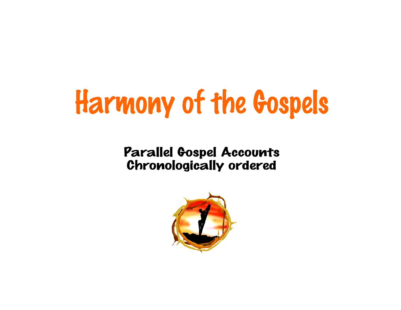## Harmony of the Gospels

## Parallel Gospel Accounts Chronologically ordered

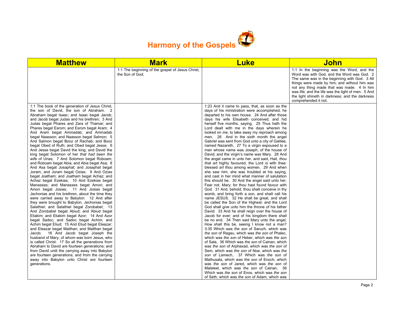

| <b>Matthew</b>                                                                                                                                                                                                                                                                                                                                                                                                                                                                                                                                                                                                                                                                                                                                                                                                                                                                                                                                                                                                                                                                                                                                                                                                                                                                                                                                                                                                                                                                                                                                                                                                                                                                                                                                                     | <b>Mark</b>                                                         | <b>Luke</b>                                                                                                                                                                                                                                                                                                                                                                                                                                                                                                                                                                                                                                                                                                                                                                                                                                                                                                                                                                                                                                                                                                                                                                                                                                                                                                                                                                                                                                                                                                                                                                                                                                                                                                                                                                                                                                                                                                                                                                                                                 | John                                                                                                                                                                                                                                                                                                                                                                     |
|--------------------------------------------------------------------------------------------------------------------------------------------------------------------------------------------------------------------------------------------------------------------------------------------------------------------------------------------------------------------------------------------------------------------------------------------------------------------------------------------------------------------------------------------------------------------------------------------------------------------------------------------------------------------------------------------------------------------------------------------------------------------------------------------------------------------------------------------------------------------------------------------------------------------------------------------------------------------------------------------------------------------------------------------------------------------------------------------------------------------------------------------------------------------------------------------------------------------------------------------------------------------------------------------------------------------------------------------------------------------------------------------------------------------------------------------------------------------------------------------------------------------------------------------------------------------------------------------------------------------------------------------------------------------------------------------------------------------------------------------------------------------|---------------------------------------------------------------------|-----------------------------------------------------------------------------------------------------------------------------------------------------------------------------------------------------------------------------------------------------------------------------------------------------------------------------------------------------------------------------------------------------------------------------------------------------------------------------------------------------------------------------------------------------------------------------------------------------------------------------------------------------------------------------------------------------------------------------------------------------------------------------------------------------------------------------------------------------------------------------------------------------------------------------------------------------------------------------------------------------------------------------------------------------------------------------------------------------------------------------------------------------------------------------------------------------------------------------------------------------------------------------------------------------------------------------------------------------------------------------------------------------------------------------------------------------------------------------------------------------------------------------------------------------------------------------------------------------------------------------------------------------------------------------------------------------------------------------------------------------------------------------------------------------------------------------------------------------------------------------------------------------------------------------------------------------------------------------------------------------------------------------|--------------------------------------------------------------------------------------------------------------------------------------------------------------------------------------------------------------------------------------------------------------------------------------------------------------------------------------------------------------------------|
|                                                                                                                                                                                                                                                                                                                                                                                                                                                                                                                                                                                                                                                                                                                                                                                                                                                                                                                                                                                                                                                                                                                                                                                                                                                                                                                                                                                                                                                                                                                                                                                                                                                                                                                                                                    | 1:1 The beginning of the gospel of Jesus Christ,<br>the Son of God; |                                                                                                                                                                                                                                                                                                                                                                                                                                                                                                                                                                                                                                                                                                                                                                                                                                                                                                                                                                                                                                                                                                                                                                                                                                                                                                                                                                                                                                                                                                                                                                                                                                                                                                                                                                                                                                                                                                                                                                                                                             | 1:1 In the beginning was the Word, and the<br>Word was with God, and the Word was God. 2<br>The same was in the beginning with God. 3 All<br>things were made by him; and without him was<br>not any thing made that was made. 4 In him<br>was life; and the life was the light of men. 5 And<br>the light shineth in darkness; and the darkness<br>comprehended it not. |
| 1:1 The book of the generation of Jesus Christ,<br>the son of David, the son of Abraham. 2<br>Abraham begat Isaac; and Isaac begat Jacob;<br>and Jacob begat Judas and his brethren; 3 And<br>Judas begat Phares and Zara of Thamar; and<br>Phares begat Esrom; and Esrom begat Aram; 4<br>And Aram begat Aminadab; and Aminadab<br>begat Naasson; and Naasson begat Salmon; 5<br>And Salmon begat Booz of Rachab; and Booz<br>begat Obed of Ruth; and Obed begat Jesse; 6<br>And Jesse begat David the king; and David the<br>king begat Solomon of her that had been the<br>wife of Urias; 7 And Solomon begat Roboam;<br>and Roboam begat Abia; and Abia begat Asa; 8<br>And Asa begat Josaphat; and Josaphat begat<br>Joram; and Joram begat Ozias; 9 And Ozias<br>begat Joatham; and Joatham begat Achaz; and<br>Achaz begat Ezekias; 10 And Ezekias begat<br>Manasses; and Manasses begat Amon; and<br>Amon begat Josias; 11 And Josias begat<br>Jechonias and his brethren, about the time they<br>were carried away to Babylon: 12 And after<br>they were brought to Babylon, Jechonias begat<br>Salathiel; and Salathiel begat Zorobabel; 13<br>And Zorobabel begat Abiud; and Abiud begat<br>Eliakim; and Eliakim begat Azor; 14 And Azor<br>begat Sadoc; and Sadoc begat Achim; and<br>Achim begat Eliud; 15 And Eliud begat Eleazar;<br>and Eleazar begat Matthan; and Matthan begat<br>Jacob; 16 And Jacob begat Joseph the<br>husband of Mary, of whom was born Jesus, who<br>is called Christ. 17 So all the generations from<br>Abraham to David are fourteen generations; and<br>from David until the carrying away into Babylon<br>are fourteen generations; and from the carrying<br>away into Babylon unto Christ are fourteen<br>generations. |                                                                     | 1:23 And it came to pass, that, as soon as the<br>days of his ministration were accomplished, he<br>departed to his own house. 24 And after those<br>days his wife Elisabeth conceived, and hid<br>herself five months, saying, 25 Thus hath the<br>Lord dealt with me in the days wherein he<br>looked on me, to take away my reproach among<br>men. 26 And in the sixth month the angel<br>Gabriel was sent from God unto a city of Galilee,<br>named Nazareth, 27 To a virgin espoused to a<br>man whose name was Joseph, of the house of<br>David; and the virgin's name was Mary. 28 And<br>the angel came in unto her, and said, Hail, thou<br>that art highly favoured, the Lord is with thee:<br>blessed art thou among women. 29 And when<br>she saw <i>him</i> , she was troubled at his saying,<br>and cast in her mind what manner of salutation<br>this should be. 30 And the angel said unto her,<br>Fear not, Mary: for thou hast found favour with<br>God. 31 And, behold, thou shalt conceive in thy<br>womb, and bring forth a son, and shalt call his<br>name JESUS. 32 He shall be great, and shall<br>be called the Son of the Highest: and the Lord<br>God shall give unto him the throne of his father<br>David: 33 And he shall reign over the house of<br>Jacob for ever; and of his kingdom there shall<br>be no end. 34 Then said Mary unto the angel,<br>How shall this be, seeing I know not a man?<br>3:35 Which was the son of Saruch, which was<br>the son of Ragau, which was the son of Phalec,<br>which was the son of Heber, which was the son<br>of Sala, 36 Which was the son of Cainan, which<br>was the son of Arphaxad, which was the son of<br>Sem, which was the son of Noe, which was the<br>son of Lamech, 37 Which was the son of<br>Mathusala, which was the son of Enoch, which<br>was the son of Jared, which was the son of<br>Maleleel, which was the son of Cainan, 38<br>Which was the son of Enos, which was the son<br>of Seth, which was the son of Adam, which was |                                                                                                                                                                                                                                                                                                                                                                          |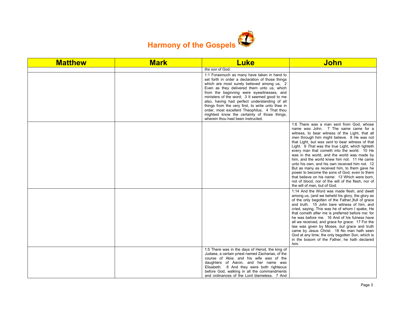

| <b>Matthew</b> | <b>Mark</b> | <b>Luke</b>                                                                                                                                                                                                                                                                                                                                                                                                                                                                                                                            | <b>John</b>                                                                                                                                                                                                                                                                                                                                                                                                                                                                                                                                                                                                                                                                                                                       |
|----------------|-------------|----------------------------------------------------------------------------------------------------------------------------------------------------------------------------------------------------------------------------------------------------------------------------------------------------------------------------------------------------------------------------------------------------------------------------------------------------------------------------------------------------------------------------------------|-----------------------------------------------------------------------------------------------------------------------------------------------------------------------------------------------------------------------------------------------------------------------------------------------------------------------------------------------------------------------------------------------------------------------------------------------------------------------------------------------------------------------------------------------------------------------------------------------------------------------------------------------------------------------------------------------------------------------------------|
|                |             | the son of God.                                                                                                                                                                                                                                                                                                                                                                                                                                                                                                                        |                                                                                                                                                                                                                                                                                                                                                                                                                                                                                                                                                                                                                                                                                                                                   |
|                |             | 1:1 Forasmuch as many have taken in hand to<br>set forth in order a declaration of those things<br>which are most surely believed among us, 2<br>Even as they delivered them unto us, which<br>from the beginning were eyewitnesses, and<br>ministers of the word; 3 It seemed good to me<br>also, having had perfect understanding of all<br>things from the very first, to write unto thee in<br>order, most excellent Theophilus, 4 That thou<br>mightest know the certainty of those things,<br>wherein thou hast been instructed. |                                                                                                                                                                                                                                                                                                                                                                                                                                                                                                                                                                                                                                                                                                                                   |
|                |             |                                                                                                                                                                                                                                                                                                                                                                                                                                                                                                                                        | 1:6 There was a man sent from God, whose<br>name was John. 7 The same came for a<br>witness, to bear witness of the Light, that all<br>men through him might believe. 8 He was not<br>that Light, but was sent to bear witness of that<br>Light. 9 That was the true Light, which lighteth<br>every man that cometh into the world. 10 He<br>was in the world, and the world was made by<br>him, and the world knew him not. 11 He came<br>unto his own, and his own received him not. 12<br>But as many as received him, to them gave he<br>power to become the sons of God, even to them<br>that believe on his name: 13 Which were born,<br>not of blood, nor of the will of the flesh, nor of<br>the will of man, but of God. |
|                |             |                                                                                                                                                                                                                                                                                                                                                                                                                                                                                                                                        | 1:14 And the Word was made flesh, and dwelt<br>among us, (and we beheld his glory, the glory as<br>of the only begotten of the Father, ) full of grace<br>and truth. 15 John bare witness of him, and<br>cried, saying, This was he of whom I spake, He<br>that cometh after me is preferred before me: for<br>he was before me. 16 And of his fulness have<br>all we received, and grace for grace. 17 For the<br>law was given by Moses, but grace and truth<br>came by Jesus Christ. 18 No man hath seen<br>God at any time; the only begotten Son, which is<br>in the bosom of the Father, he hath declared<br>him.                                                                                                           |
|                |             | 1:5 There was in the days of Herod, the king of<br>Judaea, a certain priest named Zacharias, of the<br>course of Abia: and his wife was of the<br>daughters of Aaron, and her name was<br>Elisabeth. 6 And they were both righteous<br>before God, walking in all the commandments<br>and ordinances of the Lord blameless. 7 And                                                                                                                                                                                                      |                                                                                                                                                                                                                                                                                                                                                                                                                                                                                                                                                                                                                                                                                                                                   |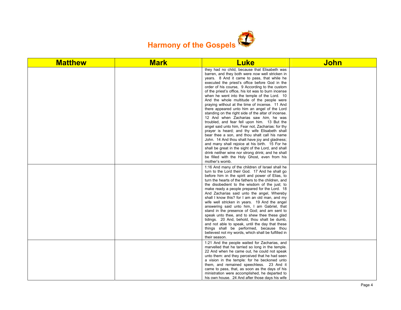

| <b>Matthew</b> | <b>Mark</b> | <b>Luke</b>                                                                                                                                                                                                                                                                                                                                                                                                                                                                                                                                                                                                                                                                                                                                                                                                                                                                                                                                                                                                                                                                                        | <b>John</b> |
|----------------|-------------|----------------------------------------------------------------------------------------------------------------------------------------------------------------------------------------------------------------------------------------------------------------------------------------------------------------------------------------------------------------------------------------------------------------------------------------------------------------------------------------------------------------------------------------------------------------------------------------------------------------------------------------------------------------------------------------------------------------------------------------------------------------------------------------------------------------------------------------------------------------------------------------------------------------------------------------------------------------------------------------------------------------------------------------------------------------------------------------------------|-------------|
|                |             | they had no child, because that Elisabeth was<br>barren, and they both were now well stricken in<br>years. 8 And it came to pass, that while he<br>executed the priest's office before God in the<br>order of his course, 9 According to the custom<br>of the priest's office, his lot was to burn incense<br>when he went into the temple of the Lord. 10<br>And the whole multitude of the people were<br>praying without at the time of incense. 11 And<br>there appeared unto him an angel of the Lord<br>standing on the right side of the altar of incense.<br>12 And when Zacharias saw him, he was<br>troubled, and fear fell upon him. 13 But the<br>angel said unto him, Fear not, Zacharias: for thy<br>prayer is heard; and thy wife Elisabeth shall<br>bear thee a son, and thou shalt call his name<br>John. 14 And thou shalt have joy and gladness;<br>and many shall rejoice at his birth. 15 For he<br>shall be great in the sight of the Lord, and shall<br>drink neither wine nor strong drink; and he shall<br>be filled with the Holy Ghost, even from his<br>mother's womb. |             |
|                |             | 1:16 And many of the children of Israel shall he<br>turn to the Lord their God. 17 And he shall go<br>before him in the spirit and power of Elias, to<br>turn the hearts of the fathers to the children, and<br>the disobedient to the wisdom of the just; to<br>make ready a people prepared for the Lord. 18<br>And Zacharias said unto the angel, Whereby<br>shall I know this? for I am an old man, and my<br>wife well stricken in years. 19 And the angel<br>answering said unto him, I am Gabriel, that<br>stand in the presence of God; and am sent to<br>speak unto thee, and to shew thee these glad<br>tidings. 20 And, behold, thou shalt be dumb,<br>and not able to speak, until the day that these<br>things shall be performed, because thou<br>believest not my words, which shall be fulfilled in<br>their season.                                                                                                                                                                                                                                                               |             |
|                |             | 1:21 And the people waited for Zacharias, and<br>marvelled that he tarried so long in the temple.<br>22 And when he came out, he could not speak<br>unto them: and they perceived that he had seen<br>a vision in the temple: for he beckoned unto<br>them, and remained speechless. 23 And it<br>came to pass, that, as soon as the days of his<br>ministration were accomplished, he departed to<br>his own house. 24 And after those days his wife                                                                                                                                                                                                                                                                                                                                                                                                                                                                                                                                                                                                                                              |             |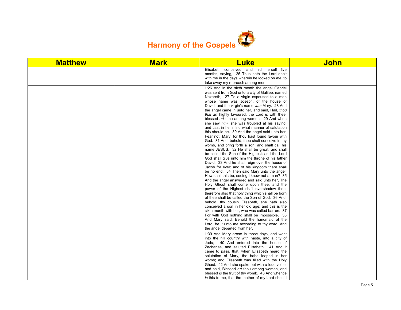

| <b>Matthew</b> | <b>Mark</b> | <b>Luke</b>                                                                                                                                                                                                                                                                                                                                                                                                                                                                                                                                                                                                                                                                                                                                                                                                                                                                                                                                                                                                                                                                                                                                                                                                                                                                                                                                                                                                                                                                                                                                                                    | <b>John</b> |
|----------------|-------------|--------------------------------------------------------------------------------------------------------------------------------------------------------------------------------------------------------------------------------------------------------------------------------------------------------------------------------------------------------------------------------------------------------------------------------------------------------------------------------------------------------------------------------------------------------------------------------------------------------------------------------------------------------------------------------------------------------------------------------------------------------------------------------------------------------------------------------------------------------------------------------------------------------------------------------------------------------------------------------------------------------------------------------------------------------------------------------------------------------------------------------------------------------------------------------------------------------------------------------------------------------------------------------------------------------------------------------------------------------------------------------------------------------------------------------------------------------------------------------------------------------------------------------------------------------------------------------|-------------|
|                |             | Elisabeth conceived, and hid herself five<br>months, saying, 25 Thus hath the Lord dealt<br>with me in the days wherein he looked on me, to<br>take away my reproach among men.                                                                                                                                                                                                                                                                                                                                                                                                                                                                                                                                                                                                                                                                                                                                                                                                                                                                                                                                                                                                                                                                                                                                                                                                                                                                                                                                                                                                |             |
|                |             | 1:26 And in the sixth month the angel Gabriel<br>was sent from God unto a city of Galilee, named<br>Nazareth, 27 To a virgin espoused to a man<br>whose name was Joseph, of the house of<br>David; and the virgin's name was Mary. 28 And<br>the angel came in unto her, and said, Hail, thou<br>that art highly favoured, the Lord is with thee:<br>blessed art thou among women. 29 And when<br>she saw him, she was troubled at his saying,<br>and cast in her mind what manner of salutation<br>this should be. 30 And the angel said unto her,<br>Fear not, Mary: for thou hast found favour with<br>God. 31 And, behold, thou shalt conceive in thy<br>womb, and bring forth a son, and shalt call his<br>name JESUS. 32 He shall be great, and shall<br>be called the Son of the Highest: and the Lord<br>God shall give unto him the throne of his father<br>David: 33 And he shall reign over the house of<br>Jacob for ever; and of his kingdom there shall<br>be no end. 34 Then said Mary unto the angel.<br>How shall this be, seeing I know not a man? 35<br>And the angel answered and said unto her. The<br>Holy Ghost shall come upon thee, and the<br>power of the Highest shall overshadow thee:<br>therefore also that holy thing which shall be born<br>of thee shall be called the Son of God. 36 And,<br>behold, thy cousin Elisabeth, she hath also<br>conceived a son in her old age: and this is the<br>sixth month with her, who was called barren. 37<br>For with God nothing shall be impossible. 38<br>And Mary said, Behold the handmaid of the |             |
|                |             | Lord; be it unto me according to thy word. And<br>the angel departed from her.                                                                                                                                                                                                                                                                                                                                                                                                                                                                                                                                                                                                                                                                                                                                                                                                                                                                                                                                                                                                                                                                                                                                                                                                                                                                                                                                                                                                                                                                                                 |             |
|                |             | 1:39 And Mary arose in those days, and went<br>into the hill country with haste, into a city of<br>Juda; 40 And entered into the house of<br>Zacharias, and saluted Elisabeth. 41 And it<br>came to pass, that, when Elisabeth heard the<br>salutation of Mary, the babe leaped in her<br>womb; and Elisabeth was filled with the Holy<br>Ghost: 42 And she spake out with a loud voice,<br>and said, Blessed art thou among women, and                                                                                                                                                                                                                                                                                                                                                                                                                                                                                                                                                                                                                                                                                                                                                                                                                                                                                                                                                                                                                                                                                                                                        |             |
|                |             | blessed is the fruit of thy womb. 43 And whence<br>is this to me, that the mother of my Lord should                                                                                                                                                                                                                                                                                                                                                                                                                                                                                                                                                                                                                                                                                                                                                                                                                                                                                                                                                                                                                                                                                                                                                                                                                                                                                                                                                                                                                                                                            |             |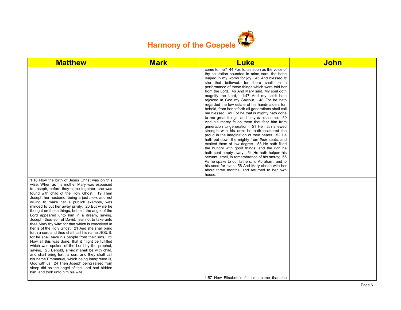

| <b>Matthew</b>                                                                                                                                                                                                                                                                                                                                                                                                                                                                                                                                                                                                                                                                                                                                                                                                                                                                                                                                                                                                                                                                                                               | <b>Mark</b> | <b>Luke</b>                                                                                                                                                                                                                                                                                                                                                                                                                                                                                                                                                                                                                                                                                                                                                                                                                                                                                                                                                                                                                                                                                                                                                                                                             | <b>John</b> |
|------------------------------------------------------------------------------------------------------------------------------------------------------------------------------------------------------------------------------------------------------------------------------------------------------------------------------------------------------------------------------------------------------------------------------------------------------------------------------------------------------------------------------------------------------------------------------------------------------------------------------------------------------------------------------------------------------------------------------------------------------------------------------------------------------------------------------------------------------------------------------------------------------------------------------------------------------------------------------------------------------------------------------------------------------------------------------------------------------------------------------|-------------|-------------------------------------------------------------------------------------------------------------------------------------------------------------------------------------------------------------------------------------------------------------------------------------------------------------------------------------------------------------------------------------------------------------------------------------------------------------------------------------------------------------------------------------------------------------------------------------------------------------------------------------------------------------------------------------------------------------------------------------------------------------------------------------------------------------------------------------------------------------------------------------------------------------------------------------------------------------------------------------------------------------------------------------------------------------------------------------------------------------------------------------------------------------------------------------------------------------------------|-------------|
|                                                                                                                                                                                                                                                                                                                                                                                                                                                                                                                                                                                                                                                                                                                                                                                                                                                                                                                                                                                                                                                                                                                              |             | come to me? 44 For, lo, as soon as the voice of<br>thy salutation sounded in mine ears, the babe<br>leaped in my womb for joy. 45 And blessed is<br>she that believed: for there shall be a<br>performance of those things which were told her<br>from the Lord. 46 And Mary said, My soul doth<br>magnify the Lord, 1:47 And my spirit hath<br>rejoiced in God my Saviour. 48 For he hath<br>regarded the low estate of his handmaiden: for,<br>behold, from henceforth all generations shall call<br>me blessed. 49 For he that is mighty hath done<br>to me great things; and holy is his name. 50<br>And his mercy is on them that fear him from<br>generation to generation. 51 He hath shewed<br>strength with his arm; he hath scattered the<br>proud in the imagination of their hearts. 52 He<br>hath put down the mighty from their seats, and<br>exalted them of low degree. 53 He hath filled<br>the hungry with good things; and the rich he<br>hath sent empty away. 54 He hath holpen his<br>servant Israel, in remembrance of his mercy; 55<br>As he spake to our fathers, to Abraham, and to<br>his seed for ever. 56 And Mary abode with her<br>about three months, and returned to her own<br>house. |             |
| 1:18 Now the birth of Jesus Christ was on this<br>wise: When as his mother Mary was espoused<br>to Joseph, before they came together, she was<br>found with child of the Holy Ghost. 19 Then<br>Joseph her husband, being a just man, and not<br>willing to make her a publick example, was<br>minded to put her away privily. 20 But while he<br>thought on these things, behold, the angel of the<br>Lord appeared unto him in a dream, saying,<br>Joseph, thou son of David, fear not to take unto<br>thee Mary thy wife: for that which is conceived in<br>her is of the Holy Ghost. 21 And she shall bring<br>forth a son, and thou shalt call his name JESUS:<br>for he shall save his people from their sins. 22<br>Now all this was done, that it might be fulfilled<br>which was spoken of the Lord by the prophet,<br>saying, 23 Behold, a virgin shall be with child,<br>and shall bring forth a son, and they shall call<br>his name Emmanuel, which being interpreted is,<br>God with us. 24 Then Joseph being raised from<br>sleep did as the angel of the Lord had bidden<br>him, and took unto him his wife: |             | 1:57 Now Elisabeth's full time came that she                                                                                                                                                                                                                                                                                                                                                                                                                                                                                                                                                                                                                                                                                                                                                                                                                                                                                                                                                                                                                                                                                                                                                                            |             |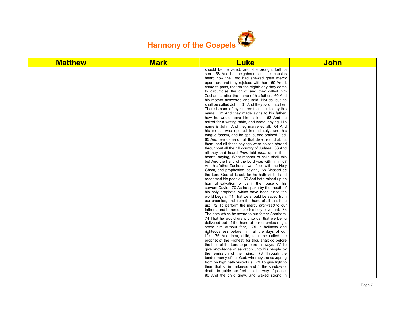

| <b>Matthew</b> | <b>Mark</b> | <b>Luke</b>                                                                                        | <b>John</b> |
|----------------|-------------|----------------------------------------------------------------------------------------------------|-------------|
|                |             | should be delivered; and she brought forth a                                                       |             |
|                |             | son. 58 And her neighbours and her cousins                                                         |             |
|                |             | heard how the Lord had shewed great mercy                                                          |             |
|                |             | upon her; and they rejoiced with her. 59 And it                                                    |             |
|                |             | came to pass, that on the eighth day they came                                                     |             |
|                |             | to circumcise the child; and they called him<br>Zacharias, after the name of his father. 60 And    |             |
|                |             | his mother answered and said. Not so; but he                                                       |             |
|                |             | shall be called John. 61 And they said unto her,                                                   |             |
|                |             | There is none of thy kindred that is called by this                                                |             |
|                |             | name. 62 And they made signs to his father,                                                        |             |
|                |             | how he would have him called. 63 And he                                                            |             |
|                |             | asked for a writing table, and wrote, saying, His                                                  |             |
|                |             | name is John. And they marvelled all. 64 And                                                       |             |
|                |             | his mouth was opened immediately, and his                                                          |             |
|                |             | tonque <i>loosed</i> , and he spake, and praised God.                                              |             |
|                |             | 65 And fear came on all that dwelt round about                                                     |             |
|                |             | them: and all these sayings were noised abroad                                                     |             |
|                |             | throughout all the hill country of Judaea. 66 And                                                  |             |
|                |             | all they that heard them laid them up in their                                                     |             |
|                |             | hearts, saying, What manner of child shall this                                                    |             |
|                |             | be! And the hand of the Lord was with him. 67<br>And his father Zacharias was filled with the Holy |             |
|                |             | Ghost, and prophesied, saying, 68 Blessed be                                                       |             |
|                |             | the Lord God of Israel; for he hath visited and                                                    |             |
|                |             | redeemed his people, 69 And hath raised up an                                                      |             |
|                |             | horn of salvation for us in the house of his                                                       |             |
|                |             | servant David; 70 As he spake by the mouth of                                                      |             |
|                |             | his holy prophets, which have been since the                                                       |             |
|                |             | world began: 71 That we should be saved from                                                       |             |
|                |             | our enemies, and from the hand of all that hate                                                    |             |
|                |             | us; 72 To perform the mercy promised to our                                                        |             |
|                |             | fathers, and to remember his holy covenant; 73                                                     |             |
|                |             | The oath which he sware to our father Abraham,                                                     |             |
|                |             | 74 That he would grant unto us, that we being                                                      |             |
|                |             | delivered out of the hand of our enemies might                                                     |             |
|                |             | serve him without fear, 75 In holiness and<br>righteousness before him, all the days of our        |             |
|                |             | life. 76 And thou, child, shalt be called the                                                      |             |
|                |             | prophet of the Highest: for thou shalt go before                                                   |             |
|                |             | the face of the Lord to prepare his ways; 77 To                                                    |             |
|                |             | give knowledge of salvation unto his people by                                                     |             |
|                |             | the remission of their sins, 78 Through the                                                        |             |
|                |             | tender mercy of our God; whereby the dayspring                                                     |             |
|                |             | from on high hath visited us, 79 To give light to                                                  |             |
|                |             | them that sit in darkness and in the shadow of                                                     |             |
|                |             | death, to guide our feet into the way of peace.                                                    |             |
|                |             | 80 And the child grew, and waxed strong in                                                         |             |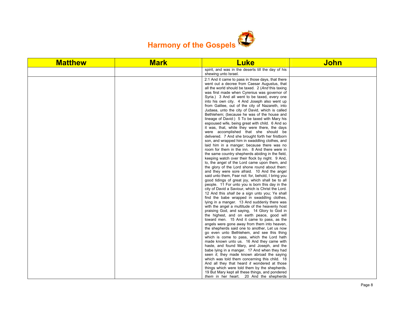

| <b>Matthew</b> | <b>Mark</b> | <b>Luke</b>                                                                                    | <b>John</b> |
|----------------|-------------|------------------------------------------------------------------------------------------------|-------------|
|                |             | spirit, and was in the deserts till the day of his<br>shewing unto Israel.                     |             |
|                |             | 2:1 And it came to pass in those days, that there                                              |             |
|                |             | went out a decree from Caesar Augustus, that                                                   |             |
|                |             | all the world should be taxed. 2 (And this taxing                                              |             |
|                |             | was first made when Cyrenius was governor of                                                   |             |
|                |             | Syria.) 3 And all went to be taxed, every one                                                  |             |
|                |             | into his own city. 4 And Joseph also went up                                                   |             |
|                |             | from Galilee, out of the city of Nazareth, into                                                |             |
|                |             | Judaea, unto the city of David, which is called<br>Bethlehem; (because he was of the house and |             |
|                |             | lineage of David:) 5 To be taxed with Mary his                                                 |             |
|                |             | espoused wife, being great with child. 6 And so                                                |             |
|                |             | it was, that, while they were there, the days                                                  |             |
|                |             | were accomplished that she should be                                                           |             |
|                |             | delivered. 7 And she brought forth her firstborn                                               |             |
|                |             | son, and wrapped him in swaddling clothes, and                                                 |             |
|                |             | laid him in a manger; because there was no                                                     |             |
|                |             | room for them in the inn. 8 And there were in                                                  |             |
|                |             | the same country shepherds abiding in the field,                                               |             |
|                |             | keeping watch over their flock by night. 9 And,                                                |             |
|                |             | lo, the angel of the Lord came upon them, and                                                  |             |
|                |             | the glory of the Lord shone round about them:                                                  |             |
|                |             | and they were sore afraid. 10 And the angel                                                    |             |
|                |             | said unto them, Fear not: for, behold, I bring you                                             |             |
|                |             | good tidings of great joy, which shall be to all                                               |             |
|                |             | people. 11 For unto you is born this day in the                                                |             |
|                |             | city of David a Saviour, which is Christ the Lord.                                             |             |
|                |             | 12 And this shall be a sign unto you; Ye shall                                                 |             |
|                |             | find the babe wrapped in swaddling clothes.                                                    |             |
|                |             | lying in a manger. 13 And suddenly there was                                                   |             |
|                |             | with the angel a multitude of the heavenly host                                                |             |
|                |             | praising God, and saying, 14 Glory to God in<br>the highest, and on earth peace, good will     |             |
|                |             | toward men. 15 And it came to pass, as the                                                     |             |
|                |             | angels were gone away from them into heaven,                                                   |             |
|                |             | the shepherds said one to another. Let us now                                                  |             |
|                |             | go even unto Bethlehem, and see this thing                                                     |             |
|                |             | which is come to pass, which the Lord hath                                                     |             |
|                |             | made known unto us. 16 And they came with                                                      |             |
|                |             | haste, and found Mary, and Joseph, and the                                                     |             |
|                |             | babe lying in a manger. 17 And when they had                                                   |             |
|                |             | seen it, they made known abroad the saying                                                     |             |
|                |             | which was told them concerning this child. 18                                                  |             |
|                |             | And all they that heard it wondered at those                                                   |             |
|                |             | things which were told them by the shepherds.                                                  |             |
|                |             | 19 But Mary kept all these things, and pondered                                                |             |
|                |             | them in her heart. 20 And the shepherds                                                        |             |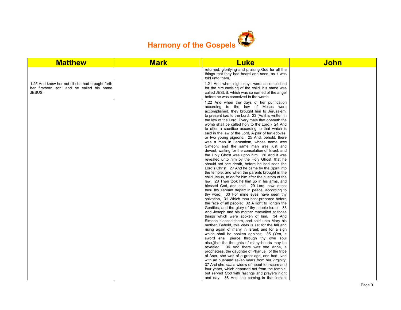

| <b>Matthew</b>                                                                                          | <b>Mark</b> | <b>Luke</b>                                                                                                                                                                                                                                                                                             | <b>John</b> |
|---------------------------------------------------------------------------------------------------------|-------------|---------------------------------------------------------------------------------------------------------------------------------------------------------------------------------------------------------------------------------------------------------------------------------------------------------|-------------|
|                                                                                                         |             | returned, glorifying and praising God for all the<br>things that they had heard and seen, as it was<br>told unto them.                                                                                                                                                                                  |             |
| 1:25 And knew her not till she had brought forth<br>her firstborn son: and he called his name<br>JESUS. |             | 1:21 And when eight days were accomplished<br>for the circumcising of the child, his name was<br>called JESUS, which was so named of the angel<br>before he was conceived in the womb.                                                                                                                  |             |
|                                                                                                         |             | 1:22 And when the days of her purification<br>according to the law of Moses were<br>accomplished, they brought him to Jerusalem,<br>to present him to the Lord; 23 (As it is written in<br>the law of the Lord, Every male that openeth the<br>womb shall be called holy to the Lord;) 24 And           |             |
|                                                                                                         |             | to offer a sacrifice according to that which is<br>said in the law of the Lord, A pair of turtledoves,<br>or two young pigeons. 25 And, behold, there<br>was a man in Jerusalem, whose name was<br>Simeon; and the same man was just and                                                                |             |
|                                                                                                         |             | devout, waiting for the consolation of Israel: and<br>the Holy Ghost was upon him. 26 And it was<br>revealed unto him by the Holy Ghost, that he<br>should not see death, before he had seen the<br>Lord's Christ. 27 And he came by the Spirit into<br>the temple: and when the parents brought in the |             |
|                                                                                                         |             | child Jesus, to do for him after the custom of the<br>law, 28 Then took he him up in his arms, and<br>blessed God, and said, 29 Lord, now lettest<br>thou thy servant depart in peace, according to<br>thy word: 30 For mine eyes have seen thy                                                         |             |
|                                                                                                         |             | salvation, 31 Which thou hast prepared before<br>the face of all people; 32 A light to lighten the<br>Gentiles, and the glory of thy people Israel. 33<br>And Joseph and his mother marvelled at those<br>things which were spoken of him. 34 And                                                       |             |
|                                                                                                         |             | Simeon blessed them, and said unto Mary his<br>mother, Behold, this child is set for the fall and<br>rising again of many in Israel; and for a sign<br>which shall be spoken against; 35 (Yea, a<br>sword shall pierce through thy own soul                                                             |             |
|                                                                                                         |             | also, that the thoughts of many hearts may be<br>revealed. 36 And there was one Anna, a<br>prophetess, the daughter of Phanuel, of the tribe<br>of Aser: she was of a great age, and had lived<br>with an husband seven years from her virginity;                                                       |             |
|                                                                                                         |             | 37 And she was a widow of about fourscore and<br>four years, which departed not from the temple,<br>but served God with fastings and prayers night<br>and day. 38 And she coming in that instant                                                                                                        |             |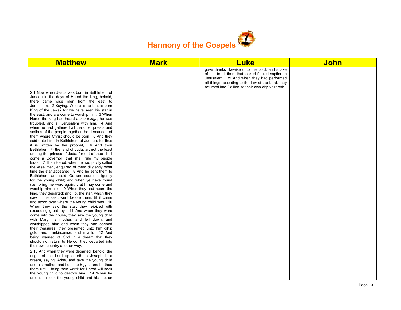

| <b>Matthew</b>                                                                                                                                                                                                                                                                                                                                                                                                                                                                                                                                                                                                                                                                                                                                                                                                                                                                                                                                                                                                                                                                                                                                                                                                                                                                                                                                                                                                                                                                                                                                                                                                                                                                                                                                                                          | <b>Mark</b> | <b>Luke</b>                                                                                                                                                                                                                                               | <b>John</b> |
|-----------------------------------------------------------------------------------------------------------------------------------------------------------------------------------------------------------------------------------------------------------------------------------------------------------------------------------------------------------------------------------------------------------------------------------------------------------------------------------------------------------------------------------------------------------------------------------------------------------------------------------------------------------------------------------------------------------------------------------------------------------------------------------------------------------------------------------------------------------------------------------------------------------------------------------------------------------------------------------------------------------------------------------------------------------------------------------------------------------------------------------------------------------------------------------------------------------------------------------------------------------------------------------------------------------------------------------------------------------------------------------------------------------------------------------------------------------------------------------------------------------------------------------------------------------------------------------------------------------------------------------------------------------------------------------------------------------------------------------------------------------------------------------------|-------------|-----------------------------------------------------------------------------------------------------------------------------------------------------------------------------------------------------------------------------------------------------------|-------------|
|                                                                                                                                                                                                                                                                                                                                                                                                                                                                                                                                                                                                                                                                                                                                                                                                                                                                                                                                                                                                                                                                                                                                                                                                                                                                                                                                                                                                                                                                                                                                                                                                                                                                                                                                                                                         |             | gave thanks likewise unto the Lord, and spake<br>of him to all them that looked for redemption in<br>Jerusalem. 39 And when they had performed<br>all things according to the law of the Lord, they<br>returned into Galilee, to their own city Nazareth. |             |
| 2:1 Now when Jesus was born in Bethlehem of<br>Judaea in the days of Herod the king, behold,<br>there came wise men from the east to<br>Jerusalem, 2 Saying, Where is he that is born<br>King of the Jews? for we have seen his star in<br>the east, and are come to worship him. 3 When<br>Herod the king had heard these things, he was<br>troubled, and all Jerusalem with him. 4 And<br>when he had gathered all the chief priests and<br>scribes of the people together, he demanded of<br>them where Christ should be born. 5 And they<br>said unto him, In Bethlehem of Judaea: for thus<br>it is written by the prophet, 6 And thou<br>Bethlehem, in the land of Juda, art not the least<br>among the princes of Juda: for out of thee shall<br>come a Governor, that shall rule my people<br>Israel. 7 Then Herod, when he had privily called<br>the wise men, enquired of them diligently what<br>time the star appeared. 8 And he sent them to<br>Bethlehem, and said, Go and search diligently<br>for the young child; and when ye have found<br>him, bring me word again, that I may come and<br>worship him also. 9 When they had heard the<br>king, they departed; and, lo, the star, which they<br>saw in the east, went before them, till it came<br>and stood over where the young child was. 10<br>When they saw the star, they rejoiced with<br>exceeding great joy. 11 And when they were<br>come into the house, they saw the young child<br>with Mary his mother, and fell down, and<br>worshipped him: and when they had opened<br>their treasures, they presented unto him gifts;<br>gold, and frankincense, and myrrh. 12 And<br>being warned of God in a dream that they<br>should not return to Herod, they departed into<br>their own country another way. |             |                                                                                                                                                                                                                                                           |             |
| 2:13 And when they were departed, behold, the<br>angel of the Lord appeareth to Joseph in a<br>dream, saying, Arise, and take the young child<br>and his mother, and flee into Egypt, and be thou<br>there until I bring thee word: for Herod will seek<br>the young child to destroy him. 14 When he<br>arose, he took the young child and his mother                                                                                                                                                                                                                                                                                                                                                                                                                                                                                                                                                                                                                                                                                                                                                                                                                                                                                                                                                                                                                                                                                                                                                                                                                                                                                                                                                                                                                                  |             |                                                                                                                                                                                                                                                           |             |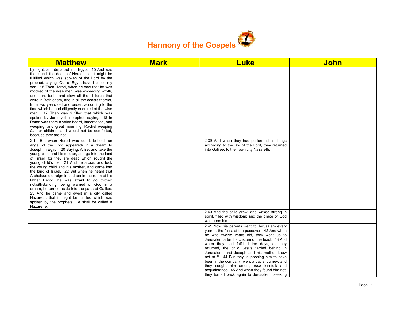

| <b>Matthew</b>                                                                                                                                                                                                                                                                                                                                                                                                                                                                                                                                                                                                                                                                                                                                                                           | <b>Mark</b> | <b>Luke</b>                                                                                                                                                                                                                                                                                                                                                                                                                                                                                                                                                                            | <b>John</b> |
|------------------------------------------------------------------------------------------------------------------------------------------------------------------------------------------------------------------------------------------------------------------------------------------------------------------------------------------------------------------------------------------------------------------------------------------------------------------------------------------------------------------------------------------------------------------------------------------------------------------------------------------------------------------------------------------------------------------------------------------------------------------------------------------|-------------|----------------------------------------------------------------------------------------------------------------------------------------------------------------------------------------------------------------------------------------------------------------------------------------------------------------------------------------------------------------------------------------------------------------------------------------------------------------------------------------------------------------------------------------------------------------------------------------|-------------|
| by night, and departed into Egypt: 15 And was<br>there until the death of Herod: that it might be<br>fulfilled which was spoken of the Lord by the<br>prophet, saying, Out of Egypt have I called my<br>son. 16 Then Herod, when he saw that he was<br>mocked of the wise men, was exceeding wroth,<br>and sent forth, and slew all the children that<br>were in Bethlehem, and in all the coasts thereof,<br>from two years old and under, according to the<br>time which he had diligently enquired of the wise<br>men. 17 Then was fulfilled that which was<br>spoken by Jeremy the prophet, saying, 18 In<br>Rama was there a voice heard, lamentation, and<br>weeping, and great mourning, Rachel weeping<br>for her children, and would not be comforted,<br>because they are not. |             |                                                                                                                                                                                                                                                                                                                                                                                                                                                                                                                                                                                        |             |
| 2:19 But when Herod was dead, behold, an<br>angel of the Lord appeareth in a dream to<br>Joseph in Egypt, 20 Saying, Arise, and take the<br>young child and his mother, and go into the land<br>of Israel: for they are dead which sought the<br>young child's life. 21 And he arose, and took<br>the young child and his mother, and came into<br>the land of Israel. 22 But when he heard that<br>Archelaus did reign in Judaea in the room of his<br>father Herod, he was afraid to go thither:<br>notwithstanding, being warned of God in a<br>dream, he turned aside into the parts of Galilee:<br>23 And he came and dwelt in a city called<br>Nazareth: that it might be fulfilled which was<br>spoken by the prophets, He shall be called a<br>Nazarene.                         |             | 2:39 And when they had performed all things<br>according to the law of the Lord, they returned<br>into Galilee, to their own city Nazareth.                                                                                                                                                                                                                                                                                                                                                                                                                                            |             |
|                                                                                                                                                                                                                                                                                                                                                                                                                                                                                                                                                                                                                                                                                                                                                                                          |             | 2:40 And the child grew, and waxed strong in<br>spirit, filled with wisdom: and the grace of God<br>was upon him.                                                                                                                                                                                                                                                                                                                                                                                                                                                                      |             |
|                                                                                                                                                                                                                                                                                                                                                                                                                                                                                                                                                                                                                                                                                                                                                                                          |             | 2:41 Now his parents went to Jerusalem every<br>year at the feast of the passover. 42 And when<br>he was twelve years old, they went up to<br>Jerusalem after the custom of the feast. 43 And<br>when they had fulfilled the days, as they<br>returned, the child Jesus tarried behind in<br>Jerusalem; and Joseph and his mother knew<br>not of it. 44 But they, supposing him to have<br>been in the company, went a day's journey; and<br>they sought him among their kinsfolk and<br>acquaintance. 45 And when they found him not,<br>they turned back again to Jerusalem, seeking |             |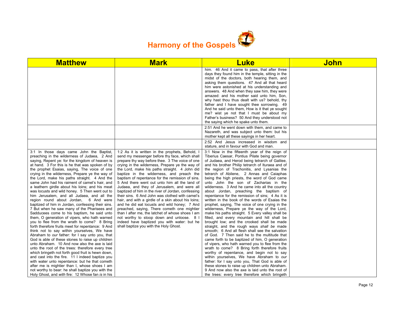

| <b>Matthew</b>                                                                                                                                                                                                                                                                                                                                                                                                                                                                                                                                                                                                                                                                                                                                                                                                                                                                                                                                                                                                                                                                                                                                                                                                                                                                                                                                                                                                                     | <b>Mark</b>                                                                                                                                                                                                                                                                                                                                                                                                                                                                                                                                                                                                                                                                                                                                                                                                                                                                                                       | <b>Luke</b>                                                                                                                                                                                                                                                                                                                                                                                                                                                                                                                                                                                                                                                                                                                                                                                                                                                                                                                                                                                                                                                                                                                                                                                                                                                                                                                                                                                                   | <b>John</b> |
|------------------------------------------------------------------------------------------------------------------------------------------------------------------------------------------------------------------------------------------------------------------------------------------------------------------------------------------------------------------------------------------------------------------------------------------------------------------------------------------------------------------------------------------------------------------------------------------------------------------------------------------------------------------------------------------------------------------------------------------------------------------------------------------------------------------------------------------------------------------------------------------------------------------------------------------------------------------------------------------------------------------------------------------------------------------------------------------------------------------------------------------------------------------------------------------------------------------------------------------------------------------------------------------------------------------------------------------------------------------------------------------------------------------------------------|-------------------------------------------------------------------------------------------------------------------------------------------------------------------------------------------------------------------------------------------------------------------------------------------------------------------------------------------------------------------------------------------------------------------------------------------------------------------------------------------------------------------------------------------------------------------------------------------------------------------------------------------------------------------------------------------------------------------------------------------------------------------------------------------------------------------------------------------------------------------------------------------------------------------|---------------------------------------------------------------------------------------------------------------------------------------------------------------------------------------------------------------------------------------------------------------------------------------------------------------------------------------------------------------------------------------------------------------------------------------------------------------------------------------------------------------------------------------------------------------------------------------------------------------------------------------------------------------------------------------------------------------------------------------------------------------------------------------------------------------------------------------------------------------------------------------------------------------------------------------------------------------------------------------------------------------------------------------------------------------------------------------------------------------------------------------------------------------------------------------------------------------------------------------------------------------------------------------------------------------------------------------------------------------------------------------------------------------|-------------|
|                                                                                                                                                                                                                                                                                                                                                                                                                                                                                                                                                                                                                                                                                                                                                                                                                                                                                                                                                                                                                                                                                                                                                                                                                                                                                                                                                                                                                                    |                                                                                                                                                                                                                                                                                                                                                                                                                                                                                                                                                                                                                                                                                                                                                                                                                                                                                                                   | him. 46 And it came to pass, that after three<br>days they found him in the temple, sitting in the<br>midst of the doctors, both hearing them, and<br>asking them questions. 47 And all that heard<br>him were astonished at his understanding and<br>answers. 48 And when they saw him, they were<br>amazed: and his mother said unto him, Son,<br>why hast thou thus dealt with us? behold, thy<br>father and I have sought thee sorrowing. 49<br>And he said unto them, How is it that ye sought<br>me? wist ye not that I must be about my<br>Father's business? 50 And they understood not<br>the saying which he spake unto them.                                                                                                                                                                                                                                                                                                                                                                                                                                                                                                                                                                                                                                                                                                                                                                       |             |
|                                                                                                                                                                                                                                                                                                                                                                                                                                                                                                                                                                                                                                                                                                                                                                                                                                                                                                                                                                                                                                                                                                                                                                                                                                                                                                                                                                                                                                    |                                                                                                                                                                                                                                                                                                                                                                                                                                                                                                                                                                                                                                                                                                                                                                                                                                                                                                                   | 2:51 And he went down with them, and came to<br>Nazareth, and was subject unto them: but his<br>mother kept all these sayings in her heart.                                                                                                                                                                                                                                                                                                                                                                                                                                                                                                                                                                                                                                                                                                                                                                                                                                                                                                                                                                                                                                                                                                                                                                                                                                                                   |             |
|                                                                                                                                                                                                                                                                                                                                                                                                                                                                                                                                                                                                                                                                                                                                                                                                                                                                                                                                                                                                                                                                                                                                                                                                                                                                                                                                                                                                                                    |                                                                                                                                                                                                                                                                                                                                                                                                                                                                                                                                                                                                                                                                                                                                                                                                                                                                                                                   | 2:52 And Jesus increased in wisdom and<br>stature, and in favour with God and man.                                                                                                                                                                                                                                                                                                                                                                                                                                                                                                                                                                                                                                                                                                                                                                                                                                                                                                                                                                                                                                                                                                                                                                                                                                                                                                                            |             |
| 3:1 In those days came John the Baptist,<br>preaching in the wilderness of Judaea, 2 And<br>saying, Repent ye: for the kingdom of heaven is<br>at hand. 3 For this is he that was spoken of by<br>the prophet Esaias, saying, The voice of one<br>crying in the wilderness, Prepare ye the way of<br>the Lord, make his paths straight. 4 And the<br>same John had his raiment of camel's hair, and<br>a leathern girdle about his loins; and his meat<br>was locusts and wild honey. 5 Then went out to<br>him Jerusalem, and all Judaea, and all the<br>region round about Jordan, 6 And were<br>baptized of him in Jordan, confessing their sins.<br>7 But when he saw many of the Pharisees and<br>Sadducees come to his baptism, he said unto<br>them, O generation of vipers, who hath warned<br>you to flee from the wrath to come? 8 Bring<br>forth therefore fruits meet for repentance: 9 And<br>think not to say within yourselves, We have<br>Abraham to our father: for I say unto you, that<br>God is able of these stones to raise up children<br>unto Abraham. 10 And now also the axe is laid<br>unto the root of the trees: therefore every tree<br>which bringeth not forth good fruit is hewn down,<br>and cast into the fire. 11 I indeed baptize you<br>with water unto repentance: but he that cometh<br>after me is mightier than I, whose shoes I am<br>not worthy to bear: he shall baptize you with the | 1:2 As it is written in the prophets, Behold, I<br>send my messenger before thy face, which shall<br>prepare thy way before thee. 3 The voice of one<br>crying in the wilderness, Prepare ye the way of<br>the Lord, make his paths straight. 4 John did<br>baptize in the wilderness, and preach the<br>baptism of repentance for the remission of sins.<br>5 And there went out unto him all the land of<br>Judaea, and they of Jerusalem, and were all<br>baptized of him in the river of Jordan, confessing<br>their sins. 6 And John was clothed with camel's<br>hair, and with a girdle of a skin about his loins;<br>and he did eat locusts and wild honey; 7 And<br>preached, saying, There cometh one mightier<br>than I after me, the latchet of whose shoes I am<br>not worthy to stoop down and unloose. 8 I<br>indeed have baptized you with water: but he<br>shall baptize you with the Holy Ghost. | 3:1 Now in the fifteenth year of the reign of<br>Tiberius Caesar, Pontius Pilate being governor<br>of Judaea, and Herod being tetrarch of Galilee,<br>and his brother Philip tetrarch of Ituraea and of<br>the region of Trachonitis, and Lysanias the<br>tetrarch of Abilene, 2 Annas and Caiaphas<br>being the high priests, the word of God came<br>unto John the son of Zacharias in the<br>wilderness. 3 And he came into all the country<br>about Jordan, preaching the baptism of<br>repentance for the remission of sins; 4 As it is<br>written in the book of the words of Esaias the<br>prophet, saying, The voice of one crying in the<br>wilderness, Prepare ye the way of the Lord,<br>make his paths straight. 5 Every valley shall be<br>filled, and every mountain and hill shall be<br>brought low; and the crooked shall be made<br>straight, and the rough ways shall be made<br>smooth; 6 And all flesh shall see the salvation<br>of God. 7 Then said he to the multitude that<br>came forth to be baptized of him, O generation<br>of vipers, who hath warned you to flee from the<br>wrath to come? 8 Bring forth therefore fruits<br>worthy of repentance, and begin not to say<br>within yourselves, We have Abraham to our<br>father: for I say unto you, That God is able of<br>these stones to raise up children unto Abraham.<br>9 And now also the axe is laid unto the root of |             |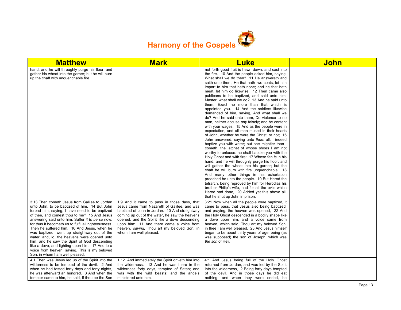

| <b>Matthew</b>                                                                                                                                                                                                                                                                                                                                                                                                                                                                                                                                                                                                                                     | <b>Mark</b>                                                                                                                                                                                                                                                                                                                                                            | <b>Luke</b>                                                                                                                                                                                                                                                                                                                                                                                                                                                                                                                                                                                                                                                                                                                                                                                                                                                                                                                                                                                                                                                                                                                                                                                                                                                                                                                                                                                                                                                                                                         | John |
|----------------------------------------------------------------------------------------------------------------------------------------------------------------------------------------------------------------------------------------------------------------------------------------------------------------------------------------------------------------------------------------------------------------------------------------------------------------------------------------------------------------------------------------------------------------------------------------------------------------------------------------------------|------------------------------------------------------------------------------------------------------------------------------------------------------------------------------------------------------------------------------------------------------------------------------------------------------------------------------------------------------------------------|---------------------------------------------------------------------------------------------------------------------------------------------------------------------------------------------------------------------------------------------------------------------------------------------------------------------------------------------------------------------------------------------------------------------------------------------------------------------------------------------------------------------------------------------------------------------------------------------------------------------------------------------------------------------------------------------------------------------------------------------------------------------------------------------------------------------------------------------------------------------------------------------------------------------------------------------------------------------------------------------------------------------------------------------------------------------------------------------------------------------------------------------------------------------------------------------------------------------------------------------------------------------------------------------------------------------------------------------------------------------------------------------------------------------------------------------------------------------------------------------------------------------|------|
| hand, and he will throughly purge his floor, and<br>gather his wheat into the garner; but he will burn<br>up the chaff with unguenchable fire.                                                                                                                                                                                                                                                                                                                                                                                                                                                                                                     |                                                                                                                                                                                                                                                                                                                                                                        | not forth good fruit is hewn down, and cast into<br>the fire. 10 And the people asked him, saying,<br>What shall we do then? 11 He answereth and<br>saith unto them. He that hath two coats, let him<br>impart to him that hath none; and he that hath<br>meat, let him do likewise. 12 Then came also<br>publicans to be baptized, and said unto him,<br>Master, what shall we do? 13 And he said unto<br>them. Exact no more than that which is<br>appointed you. 14 And the soldiers likewise<br>demanded of him, saying, And what shall we<br>do? And he said unto them, Do violence to no<br>man, neither accuse any falsely; and be content<br>with your wages. 15 And as the people were in<br>expectation, and all men mused in their hearts<br>of John, whether he were the Christ, or not; 16<br>John answered, saying unto them all, I indeed<br>baptize you with water; but one mightier than I<br>cometh, the latchet of whose shoes I am not<br>worthy to unloose: he shall baptize you with the<br>Holy Ghost and with fire: 17 Whose fan is in his<br>hand, and he will throughly purge his floor, and<br>will gather the wheat into his garner; but the<br>chaff he will burn with fire unquenchable. 18<br>And many other things in his exhortation<br>preached he unto the people. 19 But Herod the<br>tetrarch, being reproved by him for Herodias his<br>brother Philip's wife, and for all the evils which<br>Herod had done, 20 Added yet this above all,<br>that he shut up John in prison. |      |
| 3:13 Then cometh Jesus from Galilee to Jordan<br>unto John, to be baptized of him. 14 But John<br>forbad him, saying, I have need to be baptized<br>of thee, and comest thou to me? 15 And Jesus<br>answering said unto him, Suffer it to be so now:<br>for thus it becometh us to fulfil all righteousness.<br>Then he suffered him. 16 And Jesus, when he<br>was baptized, went up straightway out of the<br>water: and, lo, the heavens were opened unto<br>him, and he saw the Spirit of God descending<br>like a dove, and lighting upon him: 17 And lo a<br>voice from heaven, saying, This is my beloved<br>Son, in whom I am well pleased. | 1:9 And it came to pass in those days, that<br>Jesus came from Nazareth of Galilee, and was<br>baptized of John in Jordan. 10 And straightway<br>coming up out of the water, he saw the heavens<br>opened, and the Spirit like a dove descending<br>upon him: 11 And there came a voice from<br>heaven, saying, Thou art my beloved Son, in<br>whom I am well pleased. | 3:21 Now when all the people were baptized, it<br>came to pass, that Jesus also being baptized.<br>and praying, the heaven was opened, 22 And<br>the Holy Ghost descended in a bodily shape like<br>a dove upon him, and a voice came from<br>heaven, which said, Thou art my beloved Son;<br>in thee I am well pleased. 23 And Jesus himself<br>began to be about thirty years of age, being (as<br>was supposed) the son of Joseph, which was<br>the son of Heli,                                                                                                                                                                                                                                                                                                                                                                                                                                                                                                                                                                                                                                                                                                                                                                                                                                                                                                                                                                                                                                                 |      |
| 4:1 Then was Jesus led up of the Spirit into the<br>wilderness to be tempted of the devil. 2 And<br>when he had fasted forty days and forty nights,<br>he was afterward an hungred. 3 And when the<br>tempter came to him, he said, If thou be the Son                                                                                                                                                                                                                                                                                                                                                                                             | 1:12 And immediately the Spirit driveth him into<br>the wilderness. 13 And he was there in the<br>wilderness forty days, tempted of Satan; and<br>was with the wild beasts; and the angels<br>ministered unto him.                                                                                                                                                     | 4:1 And Jesus being full of the Holy Ghost<br>returned from Jordan, and was led by the Spirit<br>into the wilderness, 2 Being forty days tempted<br>of the devil. And in those days he did eat<br>nothing: and when they were ended, he                                                                                                                                                                                                                                                                                                                                                                                                                                                                                                                                                                                                                                                                                                                                                                                                                                                                                                                                                                                                                                                                                                                                                                                                                                                                             |      |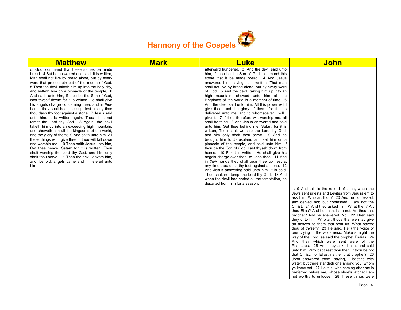

| <b>Matthew</b>                                                                                                                                                                                                                                                                                                                                                                                                                                                                                                                                                                                                                                                                                                                                                                                                                                                                                                                                                                                                                                                                                                                                               | <b>Mark</b> | <b>Luke</b>                                                                                                                                                                                                                                                                                                                                                                                                                                                                                                                                                                                                                                                                                                                                                                                                                                                                                                                                                                                                                                                                                                                                                                                                                                                                                                                                               | <b>John</b>                                                                                                                                                                                                                                                                                                                                                                                                                                                                                                                                                                                                                                                                                                                                                                                                                                                                                                                                                                                                                                                   |
|--------------------------------------------------------------------------------------------------------------------------------------------------------------------------------------------------------------------------------------------------------------------------------------------------------------------------------------------------------------------------------------------------------------------------------------------------------------------------------------------------------------------------------------------------------------------------------------------------------------------------------------------------------------------------------------------------------------------------------------------------------------------------------------------------------------------------------------------------------------------------------------------------------------------------------------------------------------------------------------------------------------------------------------------------------------------------------------------------------------------------------------------------------------|-------------|-----------------------------------------------------------------------------------------------------------------------------------------------------------------------------------------------------------------------------------------------------------------------------------------------------------------------------------------------------------------------------------------------------------------------------------------------------------------------------------------------------------------------------------------------------------------------------------------------------------------------------------------------------------------------------------------------------------------------------------------------------------------------------------------------------------------------------------------------------------------------------------------------------------------------------------------------------------------------------------------------------------------------------------------------------------------------------------------------------------------------------------------------------------------------------------------------------------------------------------------------------------------------------------------------------------------------------------------------------------|---------------------------------------------------------------------------------------------------------------------------------------------------------------------------------------------------------------------------------------------------------------------------------------------------------------------------------------------------------------------------------------------------------------------------------------------------------------------------------------------------------------------------------------------------------------------------------------------------------------------------------------------------------------------------------------------------------------------------------------------------------------------------------------------------------------------------------------------------------------------------------------------------------------------------------------------------------------------------------------------------------------------------------------------------------------|
| of God, command that these stones be made<br>bread. 4 But he answered and said, It is written,<br>Man shall not live by bread alone, but by every<br>word that proceedeth out of the mouth of God.<br>5 Then the devil taketh him up into the holy city,<br>and setteth him on a pinnacle of the temple, 6<br>And saith unto him, If thou be the Son of God,<br>cast thyself down: for it is written, He shall give<br>his angels charge concerning thee: and in their<br>hands they shall bear thee up, lest at any time<br>thou dash thy foot against a stone. 7 Jesus said<br>unto him, It is written again, Thou shalt not<br>tempt the Lord thy God. 8 Again, the devil<br>taketh him up into an exceeding high mountain,<br>and sheweth him all the kingdoms of the world,<br>and the glory of them; 9 And saith unto him, All<br>these things will I give thee, if thou wilt fall down<br>and worship me. 10 Then saith Jesus unto him,<br>Get thee hence, Satan: for it is written, Thou<br>shalt worship the Lord thy God, and him only<br>shalt thou serve. 11 Then the devil leaveth him,<br>and, behold, angels came and ministered unto<br>him. |             | afterward hungered. 3 And the devil said unto<br>him, If thou be the Son of God, command this<br>stone that it be made bread. 4 And Jesus<br>answered him, saying, It is written, That man<br>shall not live by bread alone, but by every word<br>of God. 5 And the devil, taking him up into an<br>high mountain, shewed unto him all the<br>kingdoms of the world in a moment of time. 6<br>And the devil said unto him, All this power will I<br>give thee, and the glory of them: for that is<br>delivered unto me; and to whomsoever I will I<br>give it. 7 If thou therefore wilt worship me, all<br>shall be thine. 8 And Jesus answered and said<br>unto him, Get thee behind me, Satan: for it is<br>written, Thou shalt worship the Lord thy God,<br>and him only shalt thou serve. 9 And he<br>brought him to Jerusalem, and set him on a<br>pinnacle of the temple, and said unto him, If<br>thou be the Son of God, cast thyself down from<br>hence: 10 For it is written, He shall give his<br>angels charge over thee, to keep thee: 11 And<br>in their hands they shall bear thee up, lest at<br>any time thou dash thy foot against a stone. 12<br>And Jesus answering said unto him, It is said,<br>Thou shalt not tempt the Lord thy God. 13 And<br>when the devil had ended all the temptation, he<br>departed from him for a season. |                                                                                                                                                                                                                                                                                                                                                                                                                                                                                                                                                                                                                                                                                                                                                                                                                                                                                                                                                                                                                                                               |
|                                                                                                                                                                                                                                                                                                                                                                                                                                                                                                                                                                                                                                                                                                                                                                                                                                                                                                                                                                                                                                                                                                                                                              |             |                                                                                                                                                                                                                                                                                                                                                                                                                                                                                                                                                                                                                                                                                                                                                                                                                                                                                                                                                                                                                                                                                                                                                                                                                                                                                                                                                           | 1:19 And this is the record of John, when the<br>Jews sent priests and Levites from Jerusalem to<br>ask him, Who art thou? 20 And he confessed,<br>and denied not; but confessed, I am not the<br>Christ. 21 And they asked him, What then? Art<br>thou Elias? And he saith, I am not. Art thou that<br>prophet? And he answered, No. 22 Then said<br>they unto him, Who art thou? that we may give<br>an answer to them that sent us. What sayest<br>thou of thyself? 23 He said, I am the voice of<br>one crying in the wilderness, Make straight the<br>way of the Lord, as said the prophet Esaias. 24<br>And they which were sent were of the<br>Pharisees. 25 And they asked him, and said<br>unto him, Why baptizest thou then, if thou be not<br>that Christ, nor Elias, neither that prophet? 26<br>John answered them, saying, I baptize with<br>water: but there standeth one among you, whom<br>ye know not; 27 He it is, who coming after me is<br>preferred before me, whose shoe's latchet I am<br>not worthy to unloose. 28 These things were |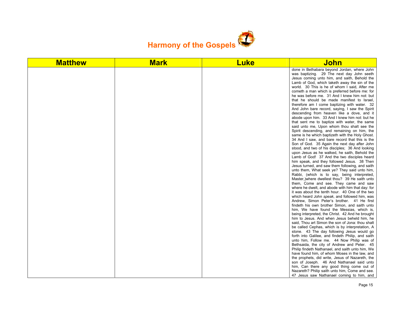

| done in Bethabara beyond Jordan, where John<br>was baptizing. 29 The next day John seeth<br>Jesus coming unto him, and saith, Behold the<br>Lamb of God, which taketh away the sin of the<br>world. 30 This is he of whom I said, After me<br>cometh a man which is preferred before me: for<br>he was before me. 31 And I knew him not: but<br>that he should be made manifest to Israel,<br>therefore am I come baptizing with water. 32<br>And John bare record, saying, I saw the Spirit<br>descending from heaven like a dove, and it<br>abode upon him. 33 And I knew him not: but he<br>that sent me to baptize with water, the same<br>said unto me, Upon whom thou shalt see the<br>Spirit descending, and remaining on him, the<br>same is he which baptizeth with the Holy Ghost.<br>34 And I saw, and bare record that this is the<br>Son of God. 35 Again the next day after John<br>stood, and two of his disciples; 36 And looking<br>upon Jesus as he walked, he saith, Behold the<br>Lamb of God! 37 And the two disciples heard<br>him speak, and they followed Jesus. 38 Then<br>Jesus turned, and saw them following, and saith<br>unto them, What seek ye? They said unto him,<br>Rabbi, (which is to say, being interpreted,<br>Master, where dwellest thou? 39 He saith unto<br>them, Come and see. They came and saw<br>where he dwelt, and abode with him that day: for<br>it was about the tenth hour. 40 One of the two<br>which heard John speak, and followed him, was<br>Andrew, Simon Peter's brother. 41 He first<br>findeth his own brother Simon, and saith unto<br>him, We have found the Messias, which is,<br>being interpreted, the Christ. 42 And he brought<br>him to Jesus. And when Jesus beheld him, he<br>said. Thou art Simon the son of Jona: thou shalt<br>be called Cephas, which is by interpretation, A<br>stone. 43 The day following Jesus would go<br>forth into Galilee, and findeth Philip, and saith<br>unto him, Follow me. 44 Now Philip was of<br>Bethsaida, the city of Andrew and Peter. 45<br>Philip findeth Nathanael, and saith unto him, We<br>have found him, of whom Moses in the law, and<br>the prophets, did write, Jesus of Nazareth, the | <b>Matthew</b> | <b>Mark</b> | <b>Luke</b> | John                                      |
|------------------------------------------------------------------------------------------------------------------------------------------------------------------------------------------------------------------------------------------------------------------------------------------------------------------------------------------------------------------------------------------------------------------------------------------------------------------------------------------------------------------------------------------------------------------------------------------------------------------------------------------------------------------------------------------------------------------------------------------------------------------------------------------------------------------------------------------------------------------------------------------------------------------------------------------------------------------------------------------------------------------------------------------------------------------------------------------------------------------------------------------------------------------------------------------------------------------------------------------------------------------------------------------------------------------------------------------------------------------------------------------------------------------------------------------------------------------------------------------------------------------------------------------------------------------------------------------------------------------------------------------------------------------------------------------------------------------------------------------------------------------------------------------------------------------------------------------------------------------------------------------------------------------------------------------------------------------------------------------------------------------------------------------------------------------------------------------------------------------------------------------------------------------------------------------------------------------|----------------|-------------|-------------|-------------------------------------------|
| him, Can there any good thing come out of<br>Nazareth? Philip saith unto him, Come and see.                                                                                                                                                                                                                                                                                                                                                                                                                                                                                                                                                                                                                                                                                                                                                                                                                                                                                                                                                                                                                                                                                                                                                                                                                                                                                                                                                                                                                                                                                                                                                                                                                                                                                                                                                                                                                                                                                                                                                                                                                                                                                                                      |                |             |             | son of Joseph. 46 And Nathanael said unto |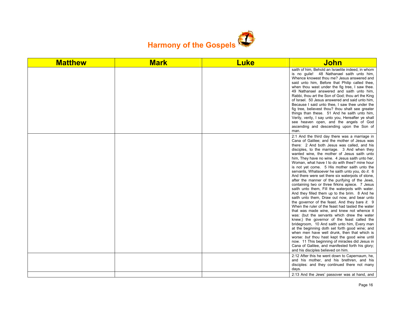

| <b>Matthew</b> | <b>Mark</b> | <b>Luke</b> | <b>John</b>                                                                                                                                                                                                                                                                                                                                                                                                                                                                                                                                                                                                                                                                                                                                                                                                                                                                                                                                                                                                                                                                                                                                                                                                                                                                                                                                                       |
|----------------|-------------|-------------|-------------------------------------------------------------------------------------------------------------------------------------------------------------------------------------------------------------------------------------------------------------------------------------------------------------------------------------------------------------------------------------------------------------------------------------------------------------------------------------------------------------------------------------------------------------------------------------------------------------------------------------------------------------------------------------------------------------------------------------------------------------------------------------------------------------------------------------------------------------------------------------------------------------------------------------------------------------------------------------------------------------------------------------------------------------------------------------------------------------------------------------------------------------------------------------------------------------------------------------------------------------------------------------------------------------------------------------------------------------------|
|                |             |             | saith of him, Behold an Israelite indeed, in whom<br>is no guile! 48 Nathanael saith unto him,<br>Whence knowest thou me? Jesus answered and<br>said unto him, Before that Philip called thee,<br>when thou wast under the fig tree, I saw thee.<br>49 Nathanael answered and saith unto him,<br>Rabbi, thou art the Son of God; thou art the King<br>of Israel. 50 Jesus answered and said unto him,<br>Because I said unto thee, I saw thee under the<br>fig tree, believest thou? thou shalt see greater<br>things than these. 51 And he saith unto him,<br>Verily, verily, I say unto you, Hereafter ye shall<br>see heaven open, and the angels of God<br>ascending and descending upon the Son of<br>man.                                                                                                                                                                                                                                                                                                                                                                                                                                                                                                                                                                                                                                                   |
|                |             |             | 2:1 And the third day there was a marriage in<br>Cana of Galilee; and the mother of Jesus was<br>there: 2 And both Jesus was called, and his<br>disciples, to the marriage. 3 And when they<br>wanted wine, the mother of Jesus saith unto<br>him, They have no wine. 4 Jesus saith unto her,<br>Woman, what have I to do with thee? mine hour<br>is not yet come. 5 His mother saith unto the<br>servants, Whatsoever he saith unto you, do it. 6<br>And there were set there six waterpots of stone,<br>after the manner of the purifying of the Jews,<br>containing two or three firkins apiece. 7 Jesus<br>saith unto them, Fill the waterpots with water.<br>And they filled them up to the brim. 8 And he<br>saith unto them, Draw out now, and bear unto<br>the governor of the feast. And they bare it. 9<br>When the ruler of the feast had tasted the water<br>that was made wine, and knew not whence it<br>was: (but the servants which drew the water<br>knew;) the governor of the feast called the<br>bridegroom, 10 And saith unto him, Every man<br>at the beginning doth set forth good wine; and<br>when men have well drunk, then that which is<br>worse: but thou hast kept the good wine until<br>now. 11 This beginning of miracles did Jesus in<br>Cana of Galilee, and manifested forth his glory;<br>and his disciples believed on him. |
|                |             |             | 2:12 After this he went down to Capernaum, he,<br>and his mother, and his brethren, and his<br>disciples: and they continued there not many<br>days.                                                                                                                                                                                                                                                                                                                                                                                                                                                                                                                                                                                                                                                                                                                                                                                                                                                                                                                                                                                                                                                                                                                                                                                                              |
|                |             |             | 2:13 And the Jews' passover was at hand, and                                                                                                                                                                                                                                                                                                                                                                                                                                                                                                                                                                                                                                                                                                                                                                                                                                                                                                                                                                                                                                                                                                                                                                                                                                                                                                                      |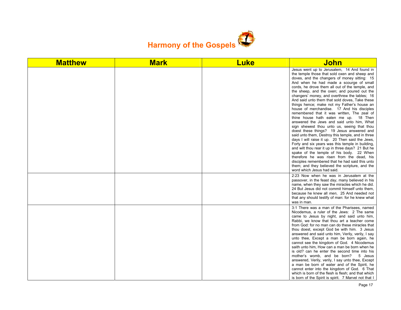

| <b>Matthew</b> | <b>Mark</b> | <b>Luke</b> | John                                                                                                                                                                                                                                                                                                                                                                                                                                                                                                                                                                                                                                                                                                                                                                                                                                                                                                                                                                                                                                                                                                                                                                    |
|----------------|-------------|-------------|-------------------------------------------------------------------------------------------------------------------------------------------------------------------------------------------------------------------------------------------------------------------------------------------------------------------------------------------------------------------------------------------------------------------------------------------------------------------------------------------------------------------------------------------------------------------------------------------------------------------------------------------------------------------------------------------------------------------------------------------------------------------------------------------------------------------------------------------------------------------------------------------------------------------------------------------------------------------------------------------------------------------------------------------------------------------------------------------------------------------------------------------------------------------------|
|                |             |             | Jesus went up to Jerusalem, 14 And found in<br>the temple those that sold oxen and sheep and<br>doves, and the changers of money sitting: 15<br>And when he had made a scourge of small<br>cords, he drove them all out of the temple, and<br>the sheep, and the oxen; and poured out the<br>changers' money, and overthrew the tables; 16<br>And said unto them that sold doves, Take these<br>things hence; make not my Father's house an<br>house of merchandise. 17 And his disciples<br>remembered that it was written. The zeal of<br>thine house hath eaten me up. 18 Then<br>answered the Jews and said unto him, What<br>sign shewest thou unto us, seeing that thou<br>doest these things? 19 Jesus answered and<br>said unto them, Destroy this temple, and in three<br>days I will raise it up. 20 Then said the Jews,<br>Forty and six years was this temple in building,<br>and wilt thou rear it up in three days? 21 But he<br>spake of the temple of his body. 22 When<br>therefore he was risen from the dead, his<br>disciples remembered that he had said this unto<br>them; and they believed the scripture, and the<br>word which Jesus had said. |
|                |             |             | 2:23 Now when he was in Jerusalem at the<br>passover, in the feast day, many believed in his<br>name, when they saw the miracles which he did.<br>24 But Jesus did not commit himself unto them.<br>because he knew all men, 25 And needed not<br>that any should testify of man: for he knew what<br>was in man.                                                                                                                                                                                                                                                                                                                                                                                                                                                                                                                                                                                                                                                                                                                                                                                                                                                       |
|                |             |             | 3:1 There was a man of the Pharisees, named<br>Nicodemus, a ruler of the Jews: 2 The same<br>came to Jesus by night, and said unto him,<br>Rabbi, we know that thou art a teacher come<br>from God: for no man can do these miracles that<br>thou doest, except God be with him. 3 Jesus<br>answered and said unto him, Verily, verily, I say<br>unto thee. Except a man be born again, he<br>cannot see the kingdom of God. 4 Nicodemus<br>saith unto him, How can a man be born when he<br>is old? can he enter the second time into his<br>mother's womb, and be born? 5 Jesus<br>answered, Verily, verily, I say unto thee, Except<br>a man be born of water and of the Spirit, he<br>cannot enter into the kingdom of God. 6 That<br>which is born of the flesh is flesh; and that which<br>is born of the Spirit is spirit. 7 Marvel not that I                                                                                                                                                                                                                                                                                                                   |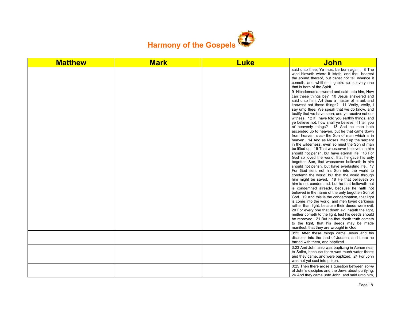

| <b>Matthew</b> | <b>Mark</b> | <b>Luke</b> | John                                                                                                                                                                                                                                                                                                                                                                                                                                                                                                                                                                                                                                                                                                                                                                                                                                                                                                                                                                                                                                                                                                                                                                                                                                                                                                                                                                                                                                                                                                                                                                                                                                                                                                                                                                                                                                                                                |
|----------------|-------------|-------------|-------------------------------------------------------------------------------------------------------------------------------------------------------------------------------------------------------------------------------------------------------------------------------------------------------------------------------------------------------------------------------------------------------------------------------------------------------------------------------------------------------------------------------------------------------------------------------------------------------------------------------------------------------------------------------------------------------------------------------------------------------------------------------------------------------------------------------------------------------------------------------------------------------------------------------------------------------------------------------------------------------------------------------------------------------------------------------------------------------------------------------------------------------------------------------------------------------------------------------------------------------------------------------------------------------------------------------------------------------------------------------------------------------------------------------------------------------------------------------------------------------------------------------------------------------------------------------------------------------------------------------------------------------------------------------------------------------------------------------------------------------------------------------------------------------------------------------------------------------------------------------------|
|                |             |             | said unto thee, Ye must be born again. 8 The<br>wind bloweth where it listeth, and thou hearest<br>the sound thereof, but canst not tell whence it<br>cometh, and whither it goeth: so is every one<br>that is born of the Spirit.<br>9 Nicodemus answered and said unto him, How<br>can these things be? 10 Jesus answered and<br>said unto him, Art thou a master of Israel, and<br>knowest not these things? 11 Verily, verily, I<br>say unto thee, We speak that we do know, and<br>testify that we have seen; and ye receive not our<br>witness. 12 If I have told you earthly things, and<br>ye believe not, how shall ye believe, if I tell you<br>of heavenly things? 13 And no man hath<br>ascended up to heaven, but he that came down<br>from heaven, even the Son of man which is in<br>heaven. 14 And as Moses lifted up the serpent<br>in the wilderness, even so must the Son of man<br>be lifted up: 15 That whosoever believeth in him<br>should not perish, but have eternal life. 16 For<br>God so loved the world, that he gave his only<br>begotten Son, that whosoever believeth in him<br>should not perish, but have everlasting life. 17<br>For God sent not his Son into the world to<br>condemn the world; but that the world through<br>him might be saved. 18 He that believeth on<br>him is not condemned: but he that believeth not<br>is condemned already, because he hath not<br>believed in the name of the only begotten Son of<br>God. 19 And this is the condemnation, that light<br>is come into the world, and men loved darkness<br>rather than light, because their deeds were evil.<br>20 For every one that doeth evil hateth the light,<br>neither cometh to the light, lest his deeds should<br>be reproved. 21 But he that doeth truth cometh<br>to the light, that his deeds may be made<br>manifest, that they are wrought in God. |
|                |             |             | 3:22 After these things came Jesus and his<br>disciples into the land of Judaea; and there he<br>tarried with them, and baptized.                                                                                                                                                                                                                                                                                                                                                                                                                                                                                                                                                                                                                                                                                                                                                                                                                                                                                                                                                                                                                                                                                                                                                                                                                                                                                                                                                                                                                                                                                                                                                                                                                                                                                                                                                   |
|                |             |             | 3:23 And John also was baptizing in Aenon near<br>to Salim, because there was much water there:<br>and they came, and were baptized. 24 For John<br>was not yet cast into prison.                                                                                                                                                                                                                                                                                                                                                                                                                                                                                                                                                                                                                                                                                                                                                                                                                                                                                                                                                                                                                                                                                                                                                                                                                                                                                                                                                                                                                                                                                                                                                                                                                                                                                                   |
|                |             |             | 3:25 Then there arose a question between some<br>of John's disciples and the Jews about purifying.<br>26 And they came unto John, and said unto him,                                                                                                                                                                                                                                                                                                                                                                                                                                                                                                                                                                                                                                                                                                                                                                                                                                                                                                                                                                                                                                                                                                                                                                                                                                                                                                                                                                                                                                                                                                                                                                                                                                                                                                                                |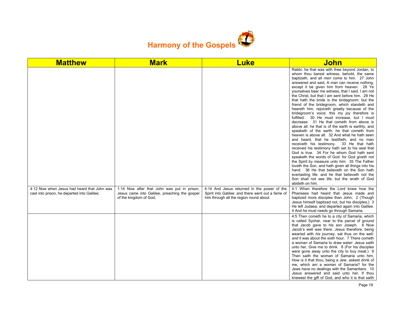

| <b>Matthew</b>                                                                             | <b>Mark</b>                                                                                                            | <b>Luke</b>                                                                                                                                 | <b>John</b>                                                                                                                                                                                                                                                                                                                                                                                                                                                                                                                                                                                                                                                                                                                                                                                                                                                                                                                                                                                                                                                                                                                                                                                                                                                                                                                 |
|--------------------------------------------------------------------------------------------|------------------------------------------------------------------------------------------------------------------------|---------------------------------------------------------------------------------------------------------------------------------------------|-----------------------------------------------------------------------------------------------------------------------------------------------------------------------------------------------------------------------------------------------------------------------------------------------------------------------------------------------------------------------------------------------------------------------------------------------------------------------------------------------------------------------------------------------------------------------------------------------------------------------------------------------------------------------------------------------------------------------------------------------------------------------------------------------------------------------------------------------------------------------------------------------------------------------------------------------------------------------------------------------------------------------------------------------------------------------------------------------------------------------------------------------------------------------------------------------------------------------------------------------------------------------------------------------------------------------------|
|                                                                                            |                                                                                                                        |                                                                                                                                             | Rabbi, he that was with thee beyond Jordan, to<br>whom thou barest witness, behold, the same<br>baptizeth, and all men come to him. 27 John<br>answered and said, A man can receive nothing,<br>except it be given him from heaven. 28 Ye<br>yourselves bear me witness, that I said, I am not<br>the Christ, but that I am sent before him. 29 He<br>that hath the bride is the bridegroom: but the<br>friend of the bridegroom, which standeth and<br>heareth him, rejoiceth greatly because of the<br>bridegroom's voice: this my joy therefore is<br>fulfilled. 30 He must increase, but I must<br>decrease. 31 He that cometh from above is<br>above all: he that is of the earth is earthly, and<br>speaketh of the earth: he that cometh from<br>heaven is above all. 32 And what he hath seen<br>and heard, that he testifieth; and no man<br>receiveth his testimony. 33 He that hath<br>received his testimony hath set to his seal that<br>God is true. 34 For he whom God hath sent<br>speaketh the words of God: for God giveth not<br>the Spirit by measure unto him. 35 The Father<br>loveth the Son, and hath given all things into his<br>hand. 36 He that believeth on the Son hath<br>everlasting life: and he that believeth not the<br>Son shall not see life; but the wrath of God<br>abideth on him. |
| 4:12 Now when Jesus had heard that John was<br>cast into prison, he departed into Galilee; | 1:14 Now after that John was put in prison,<br>Jesus came into Galilee, preaching the gospel<br>of the kingdom of God, | 4:14 And Jesus returned in the power of the<br>Spirit into Galilee: and there went out a fame of<br>him through all the region round about. | 4:1 When therefore the Lord knew how the<br>Pharisees had heard that Jesus made and<br>baptized more disciples than John, 2 (Though<br>Jesus himself baptized not, but his disciples.) 3<br>He left Judaea, and departed again into Galilee.<br>4 And he must needs go through Samaria.                                                                                                                                                                                                                                                                                                                                                                                                                                                                                                                                                                                                                                                                                                                                                                                                                                                                                                                                                                                                                                     |
|                                                                                            |                                                                                                                        |                                                                                                                                             | 4:5 Then cometh he to a city of Samaria, which<br>is called Sychar, near to the parcel of ground<br>that Jacob gave to his son Joseph. 6 Now<br>Jacob's well was there. Jesus therefore, being<br>wearied with his journey, sat thus on the well:<br>and it was about the sixth hour. 7 There cometh<br>a woman of Samaria to draw water: Jesus saith<br>unto her, Give me to drink. 8 (For his disciples<br>were gone away unto the city to buy meat.) 9<br>Then saith the woman of Samaria unto him,<br>How is it that thou, being a Jew, askest drink of<br>me, which am a woman of Samaria? for the<br>Jews have no dealings with the Samaritans. 10<br>Jesus answered and said unto her, If thou<br>knewest the gift of God, and who it is that saith                                                                                                                                                                                                                                                                                                                                                                                                                                                                                                                                                                  |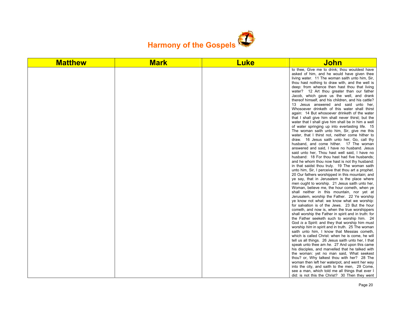

| <b>Matthew</b> | <b>Mark</b> | <b>Luke</b> | <u>John</u>                                                                                                                                                                                                                                                                                                                                                                                                                                                                                                                                                                                                                                                                                                                                                                                                                                                                                                                                                                                                                                                                                                                                                                                                                                                                                                                                                                                                                                                                                                                                                                                                                                                                                                                                                                                                                                                                                                                                                                                                                                                                                                                                                                                                                                                                             |
|----------------|-------------|-------------|-----------------------------------------------------------------------------------------------------------------------------------------------------------------------------------------------------------------------------------------------------------------------------------------------------------------------------------------------------------------------------------------------------------------------------------------------------------------------------------------------------------------------------------------------------------------------------------------------------------------------------------------------------------------------------------------------------------------------------------------------------------------------------------------------------------------------------------------------------------------------------------------------------------------------------------------------------------------------------------------------------------------------------------------------------------------------------------------------------------------------------------------------------------------------------------------------------------------------------------------------------------------------------------------------------------------------------------------------------------------------------------------------------------------------------------------------------------------------------------------------------------------------------------------------------------------------------------------------------------------------------------------------------------------------------------------------------------------------------------------------------------------------------------------------------------------------------------------------------------------------------------------------------------------------------------------------------------------------------------------------------------------------------------------------------------------------------------------------------------------------------------------------------------------------------------------------------------------------------------------------------------------------------------------|
|                |             |             | to thee. Give me to drink; thou wouldest have<br>asked of him, and he would have given thee<br>living water. 11 The woman saith unto him, Sir,<br>thou hast nothing to draw with, and the well is<br>deep: from whence then hast thou that living<br>water? 12 Art thou greater than our father<br>Jacob, which gave us the well, and drank<br>thereof himself, and his children, and his cattle?<br>13 Jesus answered and said unto her,<br>Whosoever drinketh of this water shall thirst<br>again: 14 But whosoever drinketh of the water<br>that I shall give him shall never thirst; but the<br>water that I shall give him shall be in him a well<br>of water springing up into everlasting life. 15<br>The woman saith unto him, Sir, give me this<br>water, that I thirst not, neither come hither to<br>draw. 16 Jesus saith unto her, Go, call thy<br>husband, and come hither. 17 The woman<br>answered and said, I have no husband. Jesus<br>said unto her. Thou hast well said. I have no<br>husband: 18 For thou hast had five husbands;<br>and he whom thou now hast is not thy husband:<br>in that saidst thou truly. 19 The woman saith<br>unto him, Sir, I perceive that thou art a prophet.<br>20 Our fathers worshipped in this mountain; and<br>ye say, that in Jerusalem is the place where<br>men ought to worship. 21 Jesus saith unto her,<br>Woman, believe me, the hour cometh, when ye<br>shall neither in this mountain, nor yet at<br>Jerusalem, worship the Father. 22 Ye worship<br>ye know not what: we know what we worship:<br>for salvation is of the Jews. 23 But the hour<br>cometh, and now is, when the true worshippers<br>shall worship the Father in spirit and in truth: for<br>the Father seeketh such to worship him. 24<br>God is a Spirit: and they that worship him must<br>worship him in spirit and in truth. 25 The woman<br>saith unto him, I know that Messias cometh,<br>which is called Christ: when he is come, he will<br>tell us all things. 26 Jesus saith unto her, I that<br>speak unto thee am he. 27 And upon this came<br>his disciples, and marvelled that he talked with<br>the woman: yet no man said, What seekest<br>thou? or, Why talkest thou with her? 28 The<br>woman then left her waterpot, and went her way |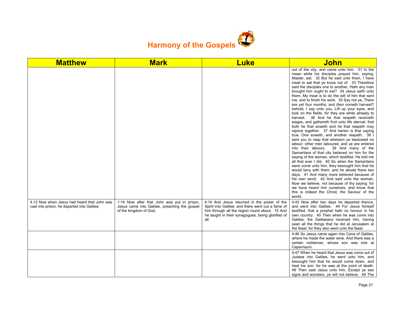

| <b>Matthew</b>                                                                             | <b>Mark</b>                                                                                                            | <b>Luke</b>                                                                                                                                                                                                     | <u>John</u>                                                                                                                                                                                                                                                                                                                                                                                                                                                                                                                                                                                                                                                                                                                                                                                                                                                                                                                                                                                                                                                                                                                                                                                                                                                                                                                                                                                                                                                                         |
|--------------------------------------------------------------------------------------------|------------------------------------------------------------------------------------------------------------------------|-----------------------------------------------------------------------------------------------------------------------------------------------------------------------------------------------------------------|-------------------------------------------------------------------------------------------------------------------------------------------------------------------------------------------------------------------------------------------------------------------------------------------------------------------------------------------------------------------------------------------------------------------------------------------------------------------------------------------------------------------------------------------------------------------------------------------------------------------------------------------------------------------------------------------------------------------------------------------------------------------------------------------------------------------------------------------------------------------------------------------------------------------------------------------------------------------------------------------------------------------------------------------------------------------------------------------------------------------------------------------------------------------------------------------------------------------------------------------------------------------------------------------------------------------------------------------------------------------------------------------------------------------------------------------------------------------------------------|
|                                                                                            |                                                                                                                        |                                                                                                                                                                                                                 | out of the city, and came unto him. 31 In the<br>mean while his disciples prayed him, saying,<br>Master, eat. 32 But he said unto them, I have<br>meat to eat that ye know not of. 33 Therefore<br>said the disciples one to another, Hath any man<br>brought him ought to eat? 34 Jesus saith unto<br>them. My meat is to do the will of him that sent<br>me, and to finish his work. 35 Say not ye, There<br>are yet four months, and then cometh harvest?<br>behold, I say unto you, Lift up your eyes, and<br>look on the fields; for they are white already to<br>harvest. 36 And he that reapeth receiveth<br>wages, and gathereth fruit unto life eternal: that<br>both he that soweth and he that reapeth may<br>rejoice together. 37 And herein is that saying<br>true, One soweth, and another reapeth. 38 I<br>sent you to reap that whereon ye bestowed no<br>labour: other men laboured, and ye are entered<br>into their labours. 39 And many of the<br>Samaritans of that city believed on him for the<br>saying of the woman, which testified, He told me<br>all that ever I did. 40 So when the Samaritans<br>were come unto him, they besought him that he<br>would tarry with them: and he abode there two<br>days. 41 And many more believed because of<br>his own word; 42 And said unto the woman,<br>Now we believe, not because of thy saying: for<br>we have heard him ourselves, and know that<br>this is indeed the Christ, the Saviour of the<br>world. |
| 4:12 Now when Jesus had heard that John was<br>cast into prison, he departed into Galilee; | 1:14 Now after that John was put in prison,<br>Jesus came into Galilee, preaching the gospel<br>of the kingdom of God, | 4:14 And Jesus returned in the power of the<br>Spirit into Galilee: and there went out a fame of<br>him through all the region round about. 15 And<br>he taught in their synagogues, being glorified of<br>all. | 4:43 Now after two days he departed thence,<br>and went into Galilee. 44 For Jesus himself<br>testified, that a prophet hath no honour in his<br>own country. 45 Then when he was come into<br>Galilee, the Galilaeans received him, having<br>seen all the things that he did at Jerusalem at<br>the feast: for they also went unto the feast.                                                                                                                                                                                                                                                                                                                                                                                                                                                                                                                                                                                                                                                                                                                                                                                                                                                                                                                                                                                                                                                                                                                                     |
|                                                                                            |                                                                                                                        |                                                                                                                                                                                                                 | 4:46 So Jesus came again into Cana of Galilee,<br>where he made the water wine. And there was a<br>certain nobleman, whose son was sick at<br>Capernaum.                                                                                                                                                                                                                                                                                                                                                                                                                                                                                                                                                                                                                                                                                                                                                                                                                                                                                                                                                                                                                                                                                                                                                                                                                                                                                                                            |
|                                                                                            |                                                                                                                        |                                                                                                                                                                                                                 | 4:47 When he heard that Jesus was come out of<br>Judaea into Galilee, he went unto him, and<br>besought him that he would come down, and<br>heal his son: for he was at the point of death.<br>48 Then said Jesus unto him, Except ye see<br>signs and wonders, ye will not believe. 49 The                                                                                                                                                                                                                                                                                                                                                                                                                                                                                                                                                                                                                                                                                                                                                                                                                                                                                                                                                                                                                                                                                                                                                                                         |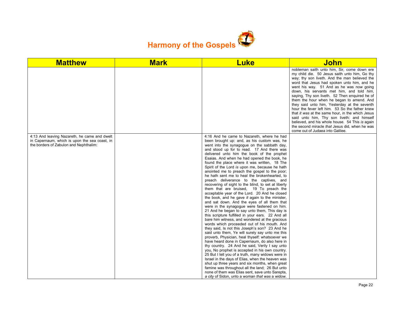

| <b>Matthew</b>                                                                                                                          | <b>Mark</b> | <b>Luke</b>                                                                                                                                                                                                                                                                                                                                                                                                                                                                                                                                                                                                                                                                                                                                                                                                                                                                                                                                                                                                                                                                                                                                                                                                                                                                                                                                                                                                                                                                                                                                                                                                                                                                     | <b>John</b>                                                                                                                                                                                                                                                                                                                                                                                                                                                                                                                                                                                                                                                                                                                       |
|-----------------------------------------------------------------------------------------------------------------------------------------|-------------|---------------------------------------------------------------------------------------------------------------------------------------------------------------------------------------------------------------------------------------------------------------------------------------------------------------------------------------------------------------------------------------------------------------------------------------------------------------------------------------------------------------------------------------------------------------------------------------------------------------------------------------------------------------------------------------------------------------------------------------------------------------------------------------------------------------------------------------------------------------------------------------------------------------------------------------------------------------------------------------------------------------------------------------------------------------------------------------------------------------------------------------------------------------------------------------------------------------------------------------------------------------------------------------------------------------------------------------------------------------------------------------------------------------------------------------------------------------------------------------------------------------------------------------------------------------------------------------------------------------------------------------------------------------------------------|-----------------------------------------------------------------------------------------------------------------------------------------------------------------------------------------------------------------------------------------------------------------------------------------------------------------------------------------------------------------------------------------------------------------------------------------------------------------------------------------------------------------------------------------------------------------------------------------------------------------------------------------------------------------------------------------------------------------------------------|
|                                                                                                                                         |             |                                                                                                                                                                                                                                                                                                                                                                                                                                                                                                                                                                                                                                                                                                                                                                                                                                                                                                                                                                                                                                                                                                                                                                                                                                                                                                                                                                                                                                                                                                                                                                                                                                                                                 | nobleman saith unto him, Sir, come down ere<br>my child die. 50 Jesus saith unto him, Go thy<br>way; thy son liveth. And the man believed the<br>word that Jesus had spoken unto him, and he<br>went his way. 51 And as he was now going<br>down, his servants met him, and told him,<br>saying, Thy son liveth. 52 Then enquired he of<br>them the hour when he began to amend. And<br>they said unto him, Yesterday at the seventh<br>hour the fever left him. 53 So the father knew<br>that it was at the same hour, in the which Jesus<br>said unto him, Thy son liveth: and himself<br>believed, and his whole house. 54 This is again<br>the second miracle that Jesus did, when he was<br>come out of Judaea into Galilee. |
| 4:13 And leaving Nazareth, he came and dwelt<br>in Capernaum, which is upon the sea coast, in<br>the borders of Zabulon and Nephthalim: |             | 4:16 And he came to Nazareth, where he had<br>been brought up: and, as his custom was, he<br>went into the synagogue on the sabbath day,<br>and stood up for to read. 17 And there was<br>delivered unto him the book of the prophet<br>Esaias. And when he had opened the book, he<br>found the place where it was written, 18 The<br>Spirit of the Lord is upon me, because he hath<br>anointed me to preach the gospel to the poor;<br>he hath sent me to heal the brokenhearted, to<br>preach deliverance to the captives, and<br>recovering of sight to the blind, to set at liberty<br>them that are bruised, 19 To preach the<br>acceptable year of the Lord. 20 And he closed<br>the book, and he gave it again to the minister,<br>and sat down. And the eyes of all them that<br>were in the synagogue were fastened on him.<br>21 And he began to say unto them, This day is<br>this scripture fulfilled in your ears. 22 And all<br>bare him witness, and wondered at the gracious<br>words which proceeded out of his mouth. And<br>they said, Is not this Joseph's son? 23 And he<br>said unto them, Ye will surely say unto me this<br>proverb, Physician, heal thyself: whatsoever we<br>have heard done in Capernaum, do also here in<br>thy country. 24 And he said, Verily I say unto<br>you. No prophet is accepted in his own country.<br>25 But I tell you of a truth, many widows were in<br>Israel in the days of Elias, when the heaven was<br>shut up three years and six months, when great<br>famine was throughout all the land; 26 But unto<br>none of them was Elias sent, save unto Sarepta,<br>a city of Sidon, unto a woman that was a widow. |                                                                                                                                                                                                                                                                                                                                                                                                                                                                                                                                                                                                                                                                                                                                   |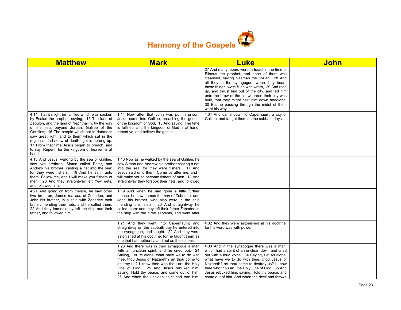

| <b>Matthew</b>                                                                                                                                                                                                                                                                                                                                                                                                                                                    | <b>Mark</b>                                                                                                                                                                                                                                                                                                                                                                               | <b>Luke</b>                                                                                                                                                                                                                                                                                                                                                                                                                                                             | <b>John</b> |
|-------------------------------------------------------------------------------------------------------------------------------------------------------------------------------------------------------------------------------------------------------------------------------------------------------------------------------------------------------------------------------------------------------------------------------------------------------------------|-------------------------------------------------------------------------------------------------------------------------------------------------------------------------------------------------------------------------------------------------------------------------------------------------------------------------------------------------------------------------------------------|-------------------------------------------------------------------------------------------------------------------------------------------------------------------------------------------------------------------------------------------------------------------------------------------------------------------------------------------------------------------------------------------------------------------------------------------------------------------------|-------------|
|                                                                                                                                                                                                                                                                                                                                                                                                                                                                   |                                                                                                                                                                                                                                                                                                                                                                                           | 27 And many lepers were in Israel in the time of<br>Eliseus the prophet; and none of them was<br>cleansed, saving Naaman the Syrian. 28 And<br>all they in the synagogue, when they heard<br>these things, were filled with wrath, 29 And rose<br>up, and thrust him out of the city, and led him<br>unto the brow of the hill whereon their city was<br>built, that they might cast him down headlong.<br>30 But he passing through the midst of them<br>went his way. |             |
| 4:14 That it might be fulfilled which was spoken<br>by Esaias the prophet, saying, 15 The land of<br>Zabulon, and the land of Nephthalim, by the way<br>of the sea, beyond Jordan, Galilee of the<br>Gentiles; 16 The people which sat in darkness<br>saw great light; and to them which sat in the<br>region and shadow of death light is sprung up.<br>17 From that time Jesus began to preach, and<br>to say, Repent: for the kingdom of heaven is at<br>hand. | 1:14 Now after that John was put in prison,<br>Jesus came into Galilee, preaching the gospel<br>of the kingdom of God, 15 And saying, The time<br>is fulfilled, and the kingdom of God is at hand:<br>repent ye, and believe the gospel.                                                                                                                                                  | 4:31 And came down to Capernaum, a city of<br>Galilee, and taught them on the sabbath days.                                                                                                                                                                                                                                                                                                                                                                             |             |
| 4:18 And Jesus, walking by the sea of Galilee,<br>saw two brethren, Simon called Peter, and<br>Andrew his brother, casting a net into the sea:<br>for they were fishers. 19 And he saith unto<br>them, Follow me, and I will make you fishers of<br>men. 20 And they straightway left their nets,<br>and followed him.                                                                                                                                            | 1:16 Now as he walked by the sea of Galilee, he<br>saw Simon and Andrew his brother casting a net<br>into the sea: for they were fishers. 17 And<br>Jesus said unto them, Come ye after me, and I<br>will make you to become fishers of men. 18 And<br>straightway they forsook their nets, and followed<br>him.                                                                          |                                                                                                                                                                                                                                                                                                                                                                                                                                                                         |             |
| 4:21 And going on from thence, he saw other<br>two brethren, James the son of Zebedee, and<br>John his brother, in a ship with Zebedee their<br>father, mending their nets; and he called them.<br>22 And they immediately left the ship and their<br>father, and followed him.                                                                                                                                                                                   | 1:19 And when he had gone a little further<br>thence, he saw James the son of Zebedee, and<br>John his brother, who also were in the ship<br>mending their nets. 20 And straightway he<br>called them: and they left their father Zebedee in<br>the ship with the hired servants, and went after<br>him.                                                                                  |                                                                                                                                                                                                                                                                                                                                                                                                                                                                         |             |
|                                                                                                                                                                                                                                                                                                                                                                                                                                                                   | 1:21 And they went into Capernaum; and<br>straightway on the sabbath day he entered into<br>the synagogue, and taught. 22 And they were<br>astonished at his doctrine: for he taught them as<br>one that had authority, and not as the scribes.                                                                                                                                           | 4:32 And they were astonished at his doctrine:<br>for his word was with power.                                                                                                                                                                                                                                                                                                                                                                                          |             |
|                                                                                                                                                                                                                                                                                                                                                                                                                                                                   | 1:23 And there was in their synagogue a man<br>with an unclean spirit; and he cried out, 24<br>Saying, Let us alone; what have we to do with<br>thee, thou Jesus of Nazareth? art thou come to<br>destroy us? I know thee who thou art, the Holy<br>One of God. 25 And Jesus rebuked him,<br>saying, Hold thy peace, and come out of him.<br>26 And when the unclean spirit had torn him, | 4:33 And in the synagogue there was a man,<br>which had a spirit of an unclean devil, and cried<br>out with a loud voice, 34 Saying, Let us alone;<br>what have we to do with thee, thou Jesus of<br>Nazareth? art thou come to destroy us? I know<br>thee who thou art; the Holy One of God. 35 And<br>Jesus rebuked him, saying, Hold thy peace, and<br>come out of him. And when the devil had thrown                                                                |             |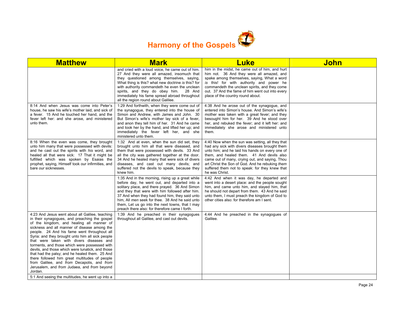

| <b>Matthew</b>                                                                                                                                                                                                                                                                                                                                                                                                                                                                                                                                                                                                                                               | <b>Mark</b>                                                                                                                                                                                                                                                                                                                                                                                                     | <b>Luke</b>                                                                                                                                                                                                                                                                                                                                                                 | <b>John</b> |
|--------------------------------------------------------------------------------------------------------------------------------------------------------------------------------------------------------------------------------------------------------------------------------------------------------------------------------------------------------------------------------------------------------------------------------------------------------------------------------------------------------------------------------------------------------------------------------------------------------------------------------------------------------------|-----------------------------------------------------------------------------------------------------------------------------------------------------------------------------------------------------------------------------------------------------------------------------------------------------------------------------------------------------------------------------------------------------------------|-----------------------------------------------------------------------------------------------------------------------------------------------------------------------------------------------------------------------------------------------------------------------------------------------------------------------------------------------------------------------------|-------------|
|                                                                                                                                                                                                                                                                                                                                                                                                                                                                                                                                                                                                                                                              | and cried with a loud voice, he came out of him.<br>27 And they were all amazed, insomuch that<br>they questioned among themselves, saying,<br>What thing is this? what new doctrine is this? for<br>with authority commandeth he even the unclean<br>spirits, and they do obey him. 28 And<br>immediately his fame spread abroad throughout<br>all the region round about Galilee.                             | him in the midst, he came out of him, and hurt<br>him not. 36 And they were all amazed, and<br>spake among themselves, saying, What a word<br>is this! for with authority and power he<br>commandeth the unclean spirits, and they come<br>out. 37 And the fame of him went out into every<br>place of the country round about.                                             |             |
| 8:14 And when Jesus was come into Peter's<br>house, he saw his wife's mother laid, and sick of<br>a fever. 15 And he touched her hand, and the<br>fever left her: and she arose, and ministered<br>unto them.                                                                                                                                                                                                                                                                                                                                                                                                                                                | 1:29 And forthwith, when they were come out of<br>the synagogue, they entered into the house of<br>Simon and Andrew, with James and John. 30<br>But Simon's wife's mother lay sick of a fever,<br>and anon they tell him of her. 31 And he came<br>and took her by the hand, and lifted her up; and<br>immediately the fever left her, and she<br>ministered unto them.                                         | 4:38 And he arose out of the synagogue, and<br>entered into Simon's house. And Simon's wife's<br>mother was taken with a great fever; and they<br>besought him for her. 39 And he stood over<br>her, and rebuked the fever; and it left her: and<br>immediately she arose and ministered unto<br>them.                                                                      |             |
| 8:16 When the even was come, they brought<br>unto him many that were possessed with devils:<br>and he cast out the spirits with his word, and<br>healed all that were sick: 17 That it might be<br>fulfilled which was spoken by Esaias the<br>prophet, saying, Himself took our infirmities, and<br>bare our sicknesses.                                                                                                                                                                                                                                                                                                                                    | 1:32 And at even, when the sun did set, they<br>brought unto him all that were diseased, and<br>them that were possessed with devils. 33 And<br>all the city was gathered together at the door.<br>34 And he healed many that were sick of divers<br>diseases, and cast out many devils; and<br>suffered not the devils to speak, because they<br>knew him.                                                     | 4:40 Now when the sun was setting, all they that<br>had any sick with divers diseases brought them<br>unto him; and he laid his hands on every one of<br>them, and healed them. 41 And devils also<br>came out of many, crying out, and saying, Thou<br>art Christ the Son of God. And he rebuking them<br>suffered them not to speak: for they knew that<br>he was Christ. |             |
|                                                                                                                                                                                                                                                                                                                                                                                                                                                                                                                                                                                                                                                              | 1:35 And in the morning, rising up a great while<br>before day, he went out, and departed into a<br>solitary place, and there prayed. 36 And Simon<br>and they that were with him followed after him.<br>37 And when they had found him, they said unto<br>him, All men seek for thee. 38 And he said unto<br>them. Let us go into the next towns, that I may<br>preach there also: for therefore came I forth. | 4:42 And when it was day, he departed and<br>went into a desert place: and the people sought<br>him, and came unto him, and stayed him, that<br>he should not depart from them. 43 And he said<br>unto them, I must preach the kingdom of God to<br>other cities also: for therefore am I sent.                                                                             |             |
| 4:23 And Jesus went about all Galilee, teaching<br>in their synagogues, and preaching the gospel<br>of the kingdom, and healing all manner of<br>sickness and all manner of disease among the<br>people. 24 And his fame went throughout all<br>Syria: and they brought unto him all sick people<br>that were taken with divers diseases and<br>torments, and those which were possessed with<br>devils, and those which were lunatick, and those<br>that had the palsy; and he healed them. 25 And<br>there followed him great multitudes of people<br>from Galilee, and from Decapolis, and from<br>Jerusalem, and from Judaea, and from beyond<br>Jordan. | 1:39 And he preached in their synagogues<br>throughout all Galilee, and cast out devils.                                                                                                                                                                                                                                                                                                                        | 4:44 And he preached in the synagogues of<br>Galilee.                                                                                                                                                                                                                                                                                                                       |             |
| 5:1 And seeing the multitudes, he went up into a                                                                                                                                                                                                                                                                                                                                                                                                                                                                                                                                                                                                             |                                                                                                                                                                                                                                                                                                                                                                                                                 |                                                                                                                                                                                                                                                                                                                                                                             |             |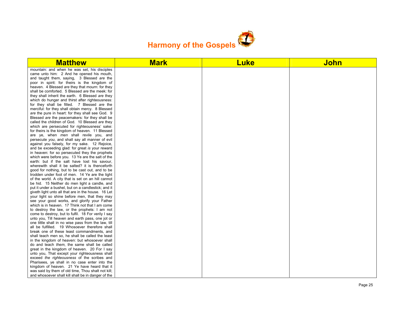

| <b>Matthew</b>                                      | <b>Mark</b> | <b>Luke</b> | <b>John</b> |
|-----------------------------------------------------|-------------|-------------|-------------|
| mountain: and when he was set, his disciples        |             |             |             |
| came unto him: 2 And he opened his mouth,           |             |             |             |
| and taught them, saying, 3 Blessed are the          |             |             |             |
| poor in spirit: for theirs is the kingdom of        |             |             |             |
| heaven. 4 Blessed are they that mourn: for they     |             |             |             |
| shall be comforted. 5 Blessed are the meek: for     |             |             |             |
| they shall inherit the earth. 6 Blessed are they    |             |             |             |
| which do hunger and thirst after righteousness:     |             |             |             |
| for they shall be filled. 7 Blessed are the         |             |             |             |
| merciful: for they shall obtain mercy. 8 Blessed    |             |             |             |
| are the pure in heart: for they shall see God. 9    |             |             |             |
| Blessed are the peacemakers: for they shall be      |             |             |             |
| called the children of God. 10 Blessed are they     |             |             |             |
| which are persecuted for righteousness' sake:       |             |             |             |
| for theirs is the kingdom of heaven. 11 Blessed     |             |             |             |
| are ye, when men shall revile you, and              |             |             |             |
| persecute you, and shall say all manner of evil     |             |             |             |
| against you falsely, for my sake. 12 Rejoice,       |             |             |             |
| and be exceeding glad: for great is your reward     |             |             |             |
| in heaven: for so persecuted they the prophets      |             |             |             |
| which were before you. 13 Ye are the salt of the    |             |             |             |
| earth: but if the salt have lost his savour,        |             |             |             |
| wherewith shall it be salted? it is thenceforth     |             |             |             |
| good for nothing, but to be cast out, and to be     |             |             |             |
| trodden under foot of men. 14 Ye are the light      |             |             |             |
| of the world. A city that is set on an hill cannot  |             |             |             |
| be hid. 15 Neither do men light a candle, and       |             |             |             |
| put it under a bushel, but on a candlestick; and it |             |             |             |
| giveth light unto all that are in the house. 16 Let |             |             |             |
| your light so shine before men, that they may       |             |             |             |
| see your good works, and glorify your Father        |             |             |             |
| which is in heaven. 17 Think not that I am come     |             |             |             |
| to destroy the law, or the prophets: I am not       |             |             |             |
| come to destroy, but to fulfil. 18 For verily I say |             |             |             |
| unto you, Till heaven and earth pass, one jot or    |             |             |             |
| one tittle shall in no wise pass from the law, till |             |             |             |
| all be fulfilled. 19 Whosoever therefore shall      |             |             |             |
| break one of these least commandments, and          |             |             |             |
| shall teach men so, he shall be called the least    |             |             |             |
| in the kingdom of heaven: but whosoever shall       |             |             |             |
| do and teach them, the same shall be called         |             |             |             |
| great in the kingdom of heaven. 20 For I say        |             |             |             |
| unto you, That except your righteousness shall      |             |             |             |
| exceed the righteousness of the scribes and         |             |             |             |
| Pharisees, ye shall in no case enter into the       |             |             |             |
| kingdom of heaven. 21 Ye have heard that it         |             |             |             |
| was said by them of old time. Thou shalt not kill:  |             |             |             |
| and whosoever shall kill shall be in danger of the  |             |             |             |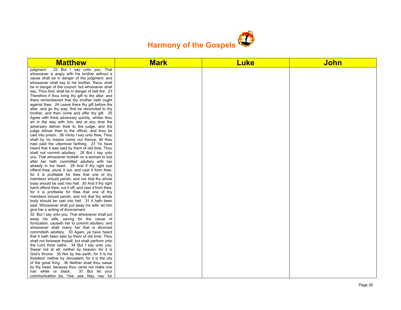

| <b>Matthew</b>                                       | <b>Mark</b> | <b>Luke</b> | <b>John</b> |
|------------------------------------------------------|-------------|-------------|-------------|
| 22 But I say unto you, That<br>judgment:             |             |             |             |
| whosoever is angry with his brother without a        |             |             |             |
| cause shall be in danger of the judgment: and        |             |             |             |
| whosoever shall say to his brother, Raca, shall      |             |             |             |
| be in danger of the council: but whosoever shall     |             |             |             |
| say, Thou fool, shall be in danger of hell fire. 23  |             |             |             |
| Therefore if thou bring thy gift to the altar, and   |             |             |             |
| there rememberest that thy brother hath ought        |             |             |             |
| against thee; 24 Leave there thy gift before the     |             |             |             |
| altar, and go thy way; first be reconciled to thy    |             |             |             |
| brother, and then come and offer thy gift. 25        |             |             |             |
| Agree with thine adversary quickly, whiles thou      |             |             |             |
| art in the way with him; lest at any time the        |             |             |             |
| adversary deliver thee to the judge, and the         |             |             |             |
| judge deliver thee to the officer, and thou be       |             |             |             |
| cast into prison. 26 Verily I say unto thee, Thou    |             |             |             |
| shalt by no means come out thence, till thou         |             |             |             |
| hast paid the uttermost farthing. 27 Ye have         |             |             |             |
| heard that it was said by them of old time, Thou     |             |             |             |
| shalt not commit adultery: 28 But I say unto         |             |             |             |
| you. That whosoever looketh on a woman to lust       |             |             |             |
| after her hath committed adultery with her           |             |             |             |
| already in his heart. 29 And if thy right eye        |             |             |             |
| offend thee, pluck it out, and cast it from thee:    |             |             |             |
| for it is profitable for thee that one of thy        |             |             |             |
| members should perish, and not that thy whole        |             |             |             |
| body should be cast into hell. 30 And if thy right   |             |             |             |
| hand offend thee, cut it off, and cast it from thee: |             |             |             |
| for it is profitable for thee that one of thy        |             |             |             |
| members should perish, and not that thy whole        |             |             |             |
| body should be cast into hell. 31 It hath been       |             |             |             |
| said, Whosoever shall put away his wife, let him     |             |             |             |
| give her a writing of divorcement:                   |             |             |             |
| 32 But I say unto you, That whosoever shall put      |             |             |             |
| away his wife, saving for the cause of               |             |             |             |
| fornication, causeth her to commit adultery: and     |             |             |             |
| whosoever shall marry her that is divorced           |             |             |             |
| committeth adultery. 33 Again, ye have heard         |             |             |             |
| that it hath been said by them of old time, Thou     |             |             |             |
| shalt not forswear thyself, but shalt perform unto   |             |             |             |
| the Lord thine oaths: 34 But I say unto you,         |             |             |             |
| Swear not at all; neither by heaven; for it is       |             |             |             |
| God's throne: 35 Nor by the earth; for it is his     |             |             |             |
| footstool: neither by Jerusalem; for it is the city  |             |             |             |
| of the great King. 36 Neither shalt thou swear       |             |             |             |
| by thy head, because thou canst not make one         |             |             |             |
| hair white or black.<br>37 But let your              |             |             |             |
| communication be, Yea, yea; Nay, nay: for            |             |             |             |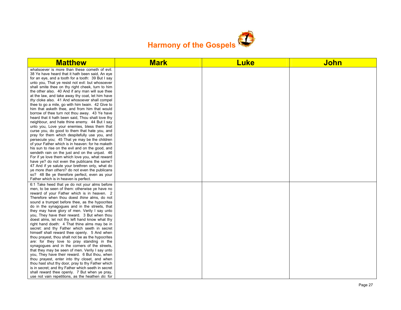

| <b>Matthew</b>                                     | <b>Mark</b> | <b>Luke</b> | <b>John</b> |
|----------------------------------------------------|-------------|-------------|-------------|
| whatsoever is more than these cometh of evil.      |             |             |             |
| 38 Ye have heard that it hath been said. An eye    |             |             |             |
| for an eye, and a tooth for a tooth: 39 But I say  |             |             |             |
| unto you, That ye resist not evil: but whosoever   |             |             |             |
| shall smite thee on thy right cheek, turn to him   |             |             |             |
| the other also. 40 And if any man will sue thee    |             |             |             |
| at the law, and take away thy coat, let him have   |             |             |             |
| thy cloke also. 41 And whosoever shall compel      |             |             |             |
| thee to go a mile, go with him twain. 42 Give to   |             |             |             |
| him that asketh thee, and from him that would      |             |             |             |
| borrow of thee turn not thou away. 43 Ye have      |             |             |             |
| heard that it hath been said, Thou shalt love thy  |             |             |             |
| neighbour, and hate thine enemy. 44 But I say      |             |             |             |
| unto you, Love your enemies, bless them that       |             |             |             |
| curse you, do good to them that hate you, and      |             |             |             |
| pray for them which despitefully use you, and      |             |             |             |
| persecute you; 45 That ye may be the children      |             |             |             |
| of your Father which is in heaven: for he maketh   |             |             |             |
| his sun to rise on the evil and on the good, and   |             |             |             |
| sendeth rain on the just and on the unjust. 46     |             |             |             |
| For if ye love them which love you, what reward    |             |             |             |
| have ye? do not even the publicans the same?       |             |             |             |
| 47 And if ye salute your brethren only, what do    |             |             |             |
| ye more than others? do not even the publicans     |             |             |             |
| so? 48 Be ye therefore perfect, even as your       |             |             |             |
| Father which is in heaven is perfect.              |             |             |             |
| 6:1 Take heed that ye do not your alms before      |             |             |             |
| men, to be seen of them: otherwise ye have no      |             |             |             |
| reward of your Father which is in heaven. 2        |             |             |             |
| Therefore when thou doest thine alms, do not       |             |             |             |
| sound a trumpet before thee, as the hypocrites     |             |             |             |
| do in the synagogues and in the streets, that      |             |             |             |
| they may have glory of men. Verily I say unto      |             |             |             |
| you, They have their reward. 3 But when thou       |             |             |             |
| doest alms, let not thy left hand know what thy    |             |             |             |
| right hand doeth: 4 That thine alms may be in      |             |             |             |
| secret: and thy Father which seeth in secret       |             |             |             |
| himself shall reward thee openly. 5 And when       |             |             |             |
| thou prayest, thou shalt not be as the hypocrites  |             |             |             |
| are: for they love to pray standing in the         |             |             |             |
| synagogues and in the corners of the streets,      |             |             |             |
| that they may be seen of men. Verily I say unto    |             |             |             |
| you, They have their reward. 6 But thou, when      |             |             |             |
| thou prayest, enter into thy closet, and when      |             |             |             |
| thou hast shut thy door, pray to thy Father which  |             |             |             |
| is in secret; and thy Father which seeth in secret |             |             |             |
| shall reward thee openly. 7 But when ye pray,      |             |             |             |
| use not vain repetitions, as the heathen do: for   |             |             |             |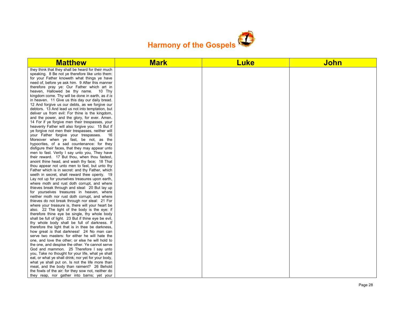

| <b>Matthew</b>                                       | <b>Mark</b> | <b>Luke</b> | <b>John</b> |
|------------------------------------------------------|-------------|-------------|-------------|
| they think that they shall be heard for their much   |             |             |             |
| speaking. 8 Be not ye therefore like unto them:      |             |             |             |
| for your Father knoweth what things ye have          |             |             |             |
| need of, before ye ask him. 9 After this manner      |             |             |             |
| therefore pray ye: Our Father which art in           |             |             |             |
| heaven, Hallowed be thy name. 10 Thy                 |             |             |             |
| kingdom come. Thy will be done in earth, as it is    |             |             |             |
| in heaven. 11 Give us this day our daily bread.      |             |             |             |
| 12 And forgive us our debts, as we forgive our       |             |             |             |
| debtors. 13 And lead us not into temptation, but     |             |             |             |
| deliver us from evil: For thine is the kingdom,      |             |             |             |
| and the power, and the glory, for ever. Amen.        |             |             |             |
| 14 For if ye forgive men their trespasses, your      |             |             |             |
| heavenly Father will also forgive you: 15 But if     |             |             |             |
| ye forgive not men their trespasses, neither will    |             |             |             |
| your Father forgive your trespasses.<br>16           |             |             |             |
| Moreover when ye fast, be not, as the                |             |             |             |
| hypocrites, of a sad countenance: for they           |             |             |             |
| disfigure their faces, that they may appear unto     |             |             |             |
| men to fast. Verily I say unto you, They have        |             |             |             |
| their reward. 17 But thou, when thou fastest,        |             |             |             |
| anoint thine head, and wash thy face; 18 That        |             |             |             |
| thou appear not unto men to fast, but unto thy       |             |             |             |
| Father which is in secret: and thy Father, which     |             |             |             |
| seeth in secret, shall reward thee openly. 19        |             |             |             |
| Lay not up for yourselves treasures upon earth,      |             |             |             |
| where moth and rust doth corrupt, and where          |             |             |             |
| thieves break through and steal: 20 But lay up       |             |             |             |
| for yourselves treasures in heaven, where            |             |             |             |
| neither moth nor rust doth corrupt, and where        |             |             |             |
| thieves do not break through nor steal: 21 For       |             |             |             |
| where your treasure is, there will your heart be     |             |             |             |
| also. 22 The light of the body is the eye: if        |             |             |             |
| therefore thine eye be single, thy whole body        |             |             |             |
| shall be full of light. 23 But if thine eye be evil, |             |             |             |
| thy whole body shall be full of darkness. If         |             |             |             |
| therefore the light that is in thee be darkness,     |             |             |             |
| how great is that darkness! 24 No man can            |             |             |             |
| serve two masters: for either he will hate the       |             |             |             |
| one, and love the other; or else he will hold to     |             |             |             |
| the one, and despise the other. Ye cannot serve      |             |             |             |
| God and mammon. 25 Therefore I say unto              |             |             |             |
| you, Take no thought for your life, what ye shall    |             |             |             |
| eat, or what ye shall drink; nor yet for your body,  |             |             |             |
| what ye shall put on. Is not the life more than      |             |             |             |
| meat, and the body than raiment? 26 Behold           |             |             |             |
| the fowls of the air: for they sow not, neither do   |             |             |             |
| they reap, nor gather into barns; yet your           |             |             |             |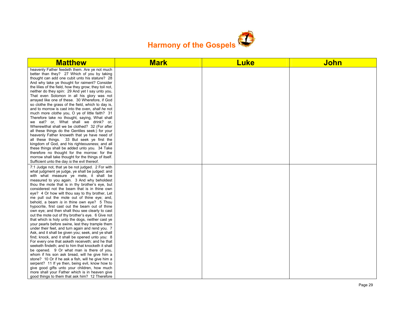

| <b>Matthew</b>                                                                                                                                                                                                                                                                                                                                                                                                                                                                                                                                                                                                                                                                                                                                                                                                                                                                                                                                                                                                                                                                                                                                                                                                                                                                                                                                        | <b>Mark</b> | <b>Luke</b> | <b>John</b> |
|-------------------------------------------------------------------------------------------------------------------------------------------------------------------------------------------------------------------------------------------------------------------------------------------------------------------------------------------------------------------------------------------------------------------------------------------------------------------------------------------------------------------------------------------------------------------------------------------------------------------------------------------------------------------------------------------------------------------------------------------------------------------------------------------------------------------------------------------------------------------------------------------------------------------------------------------------------------------------------------------------------------------------------------------------------------------------------------------------------------------------------------------------------------------------------------------------------------------------------------------------------------------------------------------------------------------------------------------------------|-------------|-------------|-------------|
| heavenly Father feedeth them. Are ye not much<br>better than they? 27 Which of you by taking<br>thought can add one cubit unto his stature? 28<br>And why take ye thought for raiment? Consider<br>the lilies of the field, how they grow; they toil not,<br>neither do they spin: 29 And yet I say unto you,<br>That even Solomon in all his glory was not<br>arrayed like one of these. 30 Wherefore, if God<br>so clothe the grass of the field, which to day is,<br>and to morrow is cast into the oven, shall he not<br>much more clothe you, O ye of little faith? 31<br>Therefore take no thought, saying, What shall<br>we eat? or, What shall we drink? or,<br>Wherewithal shall we be clothed? 32 (For after<br>all these things do the Gentiles seek:) for your<br>heavenly Father knoweth that ye have need of<br>all these things. 33 But seek ye first the<br>kingdom of God, and his righteousness; and all<br>these things shall be added unto you. 34 Take<br>therefore no thought for the morrow: for the<br>morrow shall take thought for the things of itself.<br>Sufficient unto the day is the evil thereof.                                                                                                                                                                                                                    |             |             |             |
| 7:1 Judge not, that ye be not judged. 2 For with<br>what judgment ye judge, ye shall be judged: and<br>with what measure ye mete, it shall be<br>measured to you again. 3 And why beholdest<br>thou the mote that is in thy brother's eye, but<br>considerest not the beam that is in thine own<br>eye? 4 Or how wilt thou say to thy brother, Let<br>me pull out the mote out of thine eye; and,<br>behold, a beam is in thine own eye? 5 Thou<br>hypocrite, first cast out the beam out of thine<br>own eye; and then shalt thou see clearly to cast<br>out the mote out of thy brother's eye. 6 Give not<br>that which is holy unto the dogs, neither cast ye<br>your pearls before swine, lest they trample them<br>under their feet, and turn again and rend you. 7<br>Ask, and it shall be given you; seek, and ye shall<br>find; knock, and it shall be opened unto you: 8<br>For every one that asketh receiveth; and he that<br>seeketh findeth; and to him that knocketh it shall<br>be opened. 9 Or what man is there of you,<br>whom if his son ask bread, will he give him a<br>stone? 10 Or if he ask a fish, will he give him a<br>serpent? 11 If ye then, being evil, know how to<br>give good gifts unto your children, how much<br>more shall your Father which is in heaven give<br>good things to them that ask him? 12 Therefore |             |             |             |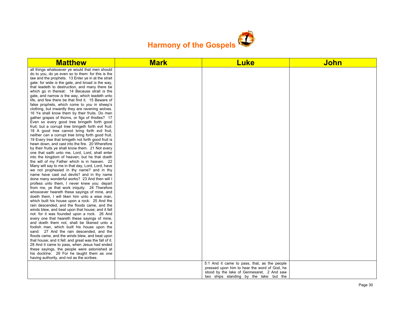

| <b>Matthew</b>                                                                                           | <b>Mark</b> | <b>Luke</b>                                                                                  | <b>John</b> |
|----------------------------------------------------------------------------------------------------------|-------------|----------------------------------------------------------------------------------------------|-------------|
| all things whatsoever ye would that men should                                                           |             |                                                                                              |             |
| do to you, do ye even so to them: for this is the                                                        |             |                                                                                              |             |
| law and the prophets. 13 Enter ye in at the strait                                                       |             |                                                                                              |             |
| gate: for wide is the gate, and broad is the way,                                                        |             |                                                                                              |             |
| that leadeth to destruction, and many there be                                                           |             |                                                                                              |             |
| which go in thereat: 14 Because strait is the                                                            |             |                                                                                              |             |
| gate, and narrow is the way, which leadeth unto                                                          |             |                                                                                              |             |
| life, and few there be that find it. 15 Beware of                                                        |             |                                                                                              |             |
| false prophets, which come to you in sheep's                                                             |             |                                                                                              |             |
| clothing, but inwardly they are ravening wolves.                                                         |             |                                                                                              |             |
| 16 Ye shall know them by their fruits. Do men                                                            |             |                                                                                              |             |
| gather grapes of thorns, or figs of thistles? 17<br>Even so every good tree bringeth forth good          |             |                                                                                              |             |
| fruit; but a corrupt tree bringeth forth evil fruit.                                                     |             |                                                                                              |             |
| 18 A good tree cannot bring forth evil fruit,                                                            |             |                                                                                              |             |
| neither can a corrupt tree bring forth good fruit.                                                       |             |                                                                                              |             |
| 19 Every tree that bringeth not forth good fruit is                                                      |             |                                                                                              |             |
| hewn down, and cast into the fire. 20 Wherefore                                                          |             |                                                                                              |             |
| by their fruits ye shall know them. 21 Not every                                                         |             |                                                                                              |             |
| one that saith unto me, Lord, Lord, shall enter                                                          |             |                                                                                              |             |
| into the kingdom of heaven; but he that doeth                                                            |             |                                                                                              |             |
| the will of my Father which is in heaven. 22                                                             |             |                                                                                              |             |
| Many will say to me in that day, Lord, Lord, have                                                        |             |                                                                                              |             |
| we not prophesied in thy name? and in thy                                                                |             |                                                                                              |             |
| name have cast out devils? and in thy name                                                               |             |                                                                                              |             |
| done many wonderful works? 23 And then will I                                                            |             |                                                                                              |             |
| profess unto them, I never knew you: depart                                                              |             |                                                                                              |             |
| from me, ye that work iniquity. 24 Therefore                                                             |             |                                                                                              |             |
| whosoever heareth these sayings of mine, and                                                             |             |                                                                                              |             |
| doeth them, I will liken him unto a wise man,                                                            |             |                                                                                              |             |
| which built his house upon a rock: 25 And the                                                            |             |                                                                                              |             |
| rain descended, and the floods came, and the                                                             |             |                                                                                              |             |
| winds blew, and beat upon that house; and it fell                                                        |             |                                                                                              |             |
| not: for it was founded upon a rock. 26 And                                                              |             |                                                                                              |             |
| every one that heareth these sayings of mine,                                                            |             |                                                                                              |             |
| and doeth them not, shall be likened unto a                                                              |             |                                                                                              |             |
| foolish man, which built his house upon the                                                              |             |                                                                                              |             |
| sand: 27 And the rain descended, and the                                                                 |             |                                                                                              |             |
| floods came, and the winds blew, and beat upon<br>that house; and it fell: and great was the fall of it. |             |                                                                                              |             |
| 28 And it came to pass, when Jesus had ended                                                             |             |                                                                                              |             |
| these sayings, the people were astonished at                                                             |             |                                                                                              |             |
| his doctrine: 29 For he taught them as one                                                               |             |                                                                                              |             |
| having authority, and not as the scribes.                                                                |             |                                                                                              |             |
|                                                                                                          |             |                                                                                              |             |
|                                                                                                          |             | 5:1 And it came to pass, that, as the people<br>pressed upon him to hear the word of God, he |             |
|                                                                                                          |             | stood by the lake of Gennesaret, 2 And saw                                                   |             |
|                                                                                                          |             | two ships standing by the lake: but the                                                      |             |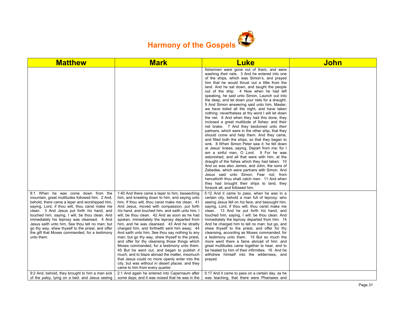

| <b>Matthew</b>                                                                                                                                                                                                                                                                                                       | <b>Mark</b>                                                                                                                                                                                                                                                                                                                                                                                                                                                                                                                                                                                                                                                                                          | Luke                                                                                                                                                                                                                                                                                                                                                                                                                                                                                                                                                                                                                                                                                                                                                                                                                                                                                                                                                                                                                                                                                                                                                                                                                                                                                                                                                                                                                                                                                                                                                                                  | <b>John</b> |
|----------------------------------------------------------------------------------------------------------------------------------------------------------------------------------------------------------------------------------------------------------------------------------------------------------------------|------------------------------------------------------------------------------------------------------------------------------------------------------------------------------------------------------------------------------------------------------------------------------------------------------------------------------------------------------------------------------------------------------------------------------------------------------------------------------------------------------------------------------------------------------------------------------------------------------------------------------------------------------------------------------------------------------|---------------------------------------------------------------------------------------------------------------------------------------------------------------------------------------------------------------------------------------------------------------------------------------------------------------------------------------------------------------------------------------------------------------------------------------------------------------------------------------------------------------------------------------------------------------------------------------------------------------------------------------------------------------------------------------------------------------------------------------------------------------------------------------------------------------------------------------------------------------------------------------------------------------------------------------------------------------------------------------------------------------------------------------------------------------------------------------------------------------------------------------------------------------------------------------------------------------------------------------------------------------------------------------------------------------------------------------------------------------------------------------------------------------------------------------------------------------------------------------------------------------------------------------------------------------------------------------|-------------|
| 8:1 When he was come down from the<br>mountain, great multitudes followed him. 2 And,<br>behold, there came a leper and worshipped him,<br>saying, Lord, if thou wilt, thou canst make me                                                                                                                            | 1:40 And there came a leper to him, beseeching<br>him, and kneeling down to him, and saying unto<br>him, If thou wilt, thou canst make me clean. 41<br>And Jesus, moved with compassion, put forth                                                                                                                                                                                                                                                                                                                                                                                                                                                                                                   | fishermen were gone out of them, and were<br>washing their nets. 3 And he entered into one<br>of the ships, which was Simon's, and prayed<br>him that he would thrust out a little from the<br>land. And he sat down, and taught the people<br>out of the ship. 4 Now when he had left<br>speaking, he said unto Simon, Launch out into<br>the deep, and let down your nets for a draught.<br>5 And Simon answering said unto him, Master,<br>we have toiled all the night, and have taken<br>nothing: nevertheless at thy word I will let down<br>the net. 6 And when they had this done, they<br>inclosed a great multitude of fishes: and their<br>net brake. 7 And they beckoned unto their<br>partners, which were in the other ship, that they<br>should come and help them. And they came,<br>and filled both the ships, so that they began to<br>sink. 8 When Simon Peter saw it, he fell down<br>at Jesus' knees, saying, Depart from me; for I<br>am a sinful man, O Lord. 9 For he was<br>astonished, and all that were with him, at the<br>draught of the fishes which they had taken: 10<br>And so was also James, and John, the sons of<br>Zebedee, which were partners with Simon. And<br>Jesus said unto Simon, Fear not; from<br>henceforth thou shalt catch men. 11 And when<br>they had brought their ships to land, they<br>forsook all, and followed him.<br>5:12 And it came to pass, when he was in a<br>certain city, behold a man full of leprosy: who<br>seeing Jesus fell on his face, and besought him,<br>saying, Lord, if thou wilt, thou canst make me |             |
| clean. 3 And Jesus put forth his hand, and<br>touched him, saying, I will; be thou clean. And<br>immediately his leprosy was cleansed. 4 And<br>Jesus saith unto him, See thou tell no man; but<br>go thy way, shew thyself to the priest, and offer<br>the gift that Moses commanded, for a testimony<br>unto them. | his hand, and touched him, and saith unto him, I<br>will; be thou clean. 42 And as soon as he had<br>spoken, immediately the leprosy departed from<br>him, and he was cleansed. 43 And he straitly<br>charged him, and forthwith sent him away; 44<br>And saith unto him, See thou say nothing to any<br>man: but go thy way, shew thyself to the priest,<br>and offer for thy cleansing those things which<br>Moses commanded, for a testimony unto them.<br>45 But he went out, and began to publish it<br>much, and to blaze abroad the matter, insomuch<br>that Jesus could no more openly enter into the<br>city, but was without in desert places: and they<br>came to him from every quarter. | clean. 13 And he put forth his hand, and<br>touched him, saying, I will: be thou clean. And<br>immediately the leprosy departed from him. 14<br>And he charged him to tell no man: but go, and<br>shew thyself to the priest, and offer for thy<br>cleansing, according as Moses commanded, for<br>a testimony unto them. 15 But so much the<br>more went there a fame abroad of him: and<br>great multitudes came together to hear, and to<br>be healed by him of their infirmities. 16 And he<br>withdrew himself into the wilderness, and<br>prayed.                                                                                                                                                                                                                                                                                                                                                                                                                                                                                                                                                                                                                                                                                                                                                                                                                                                                                                                                                                                                                               |             |
| 9:2 And, behold, they brought to him a man sick<br>of the palsy, lying on a bed: and Jesus seeing                                                                                                                                                                                                                    | 2:1 And again he entered into Capernaum after<br>some days; and it was noised that he was in the                                                                                                                                                                                                                                                                                                                                                                                                                                                                                                                                                                                                     | 5:17 And it came to pass on a certain day, as he<br>was teaching, that there were Pharisees and                                                                                                                                                                                                                                                                                                                                                                                                                                                                                                                                                                                                                                                                                                                                                                                                                                                                                                                                                                                                                                                                                                                                                                                                                                                                                                                                                                                                                                                                                       |             |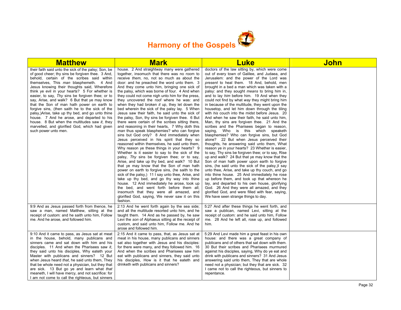

| <b>Matthew</b>                                                                                                                                                                                                                                                                                                                                                                                                                                                                                                                                                                                                                                                                                                                       | <b>Mark</b>                                                                                                                                                                                                                                                                                                                                                                                                                                                                                                                                                                                                                                                                                                                                                                                                                                                                                                                                                                                                                                                                                                                                                                                                                                                                                                                                                                                                                                                                                                      | <u>Luke</u>                                                                                                                                                                                                                                                                                                                                                                                                                                                                                                                                                                                                                                                                                                                                                                                                                                                                                                                                                                                                                                                                                                                                                                                                                                                                                                                                                                                                                                                                                       | <u>John</u> |
|--------------------------------------------------------------------------------------------------------------------------------------------------------------------------------------------------------------------------------------------------------------------------------------------------------------------------------------------------------------------------------------------------------------------------------------------------------------------------------------------------------------------------------------------------------------------------------------------------------------------------------------------------------------------------------------------------------------------------------------|------------------------------------------------------------------------------------------------------------------------------------------------------------------------------------------------------------------------------------------------------------------------------------------------------------------------------------------------------------------------------------------------------------------------------------------------------------------------------------------------------------------------------------------------------------------------------------------------------------------------------------------------------------------------------------------------------------------------------------------------------------------------------------------------------------------------------------------------------------------------------------------------------------------------------------------------------------------------------------------------------------------------------------------------------------------------------------------------------------------------------------------------------------------------------------------------------------------------------------------------------------------------------------------------------------------------------------------------------------------------------------------------------------------------------------------------------------------------------------------------------------------|---------------------------------------------------------------------------------------------------------------------------------------------------------------------------------------------------------------------------------------------------------------------------------------------------------------------------------------------------------------------------------------------------------------------------------------------------------------------------------------------------------------------------------------------------------------------------------------------------------------------------------------------------------------------------------------------------------------------------------------------------------------------------------------------------------------------------------------------------------------------------------------------------------------------------------------------------------------------------------------------------------------------------------------------------------------------------------------------------------------------------------------------------------------------------------------------------------------------------------------------------------------------------------------------------------------------------------------------------------------------------------------------------------------------------------------------------------------------------------------------------|-------------|
| their faith said unto the sick of the palsy; Son, be<br>of good cheer; thy sins be forgiven thee. 3 And,<br>behold, certain of the scribes said within<br>themselves, This man blasphemeth. 4 And<br>Jesus knowing their thoughts said, Wherefore<br>think ye evil in your hearts? 5 For whether is<br>easier, to say, Thy sins be forgiven thee; or to<br>say, Arise, and walk? 6 But that ye may know<br>that the Son of man hath power on earth to<br>forgive sins, (then saith he to the sick of the<br>palsy, Arise, take up thy bed, and go unto thine<br>house. 7 And he arose, and departed to his<br>house. 8 But when the multitudes saw it, they<br>marvelled, and glorified God, which had given<br>such power unto men. | house. 2 And straightway many were gathered<br>together, insomuch that there was no room to<br>receive them, no, not so much as about the<br>door: and he preached the word unto them. 3<br>And they come unto him, bringing one sick of<br>the palsy, which was borne of four. 4 And when<br>they could not come nigh unto him for the press,<br>they uncovered the roof where he was: and<br>when they had broken it up, they let down the<br>bed wherein the sick of the palsy lay. 5 When<br>Jesus saw their faith, he said unto the sick of<br>the palsy, Son, thy sins be forgiven thee. 6 But<br>there were certain of the scribes sitting there,<br>and reasoning in their hearts, 7 Why doth this<br>man thus speak blasphemies? who can forgive<br>sins but God only? 8 And immediately when<br>Jesus perceived in his spirit that they so<br>reasoned within themselves, he said unto them,<br>Why reason ye these things in your hearts? 9<br>Whether is it easier to say to the sick of the<br>palsy, Thy sins be forgiven thee; or to say,<br>Arise, and take up thy bed, and walk? 10 But<br>that ye may know that the Son of man hath<br>power on earth to forgive sins, (he saith to the<br>sick of the palsy, 11 I say unto thee, Arise, and<br>take up thy bed, and go thy way into thine<br>house. 12 And immediately he arose, took up<br>the bed, and went forth before them all;<br>insomuch that they were all amazed, and<br>glorified God, saying, We never saw it on this<br>fashion. | doctors of the law sitting by, which were come<br>out of every town of Galilee, and Judaea, and<br>Jerusalem: and the power of the Lord was<br>present to heal them. 18 And, behold, men<br>brought in a bed a man which was taken with a<br>palsy: and they sought means to bring him in,<br>and to lay him before him. 19 And when they<br>could not find by what way they might bring him<br>in because of the multitude, they went upon the<br>housetop, and let him down through the tiling<br>with <i>his</i> couch into the midst before Jesus. 20<br>And when he saw their faith, he said unto him,<br>Man, thy sins are forgiven thee. 21 And the<br>scribes and the Pharisees began to reason,<br>saying, Who is this which speaketh<br>blasphemies? Who can forgive sins, but God<br>alone? 22 But when Jesus perceived their<br>thoughts, he answering said unto them, What<br>reason ye in your hearts? 23 Whether is easier,<br>to say, Thy sins be forgiven thee; or to say, Rise<br>up and walk? 24 But that ye may know that the<br>Son of man hath power upon earth to forgive<br>sins, (he said unto the sick of the palsy,) say<br>unto thee, Arise, and take up thy couch, and go<br>into thine house. 25 And immediately he rose<br>up before them, and took up that whereon he<br>lay, and departed to his own house, glorifying<br>God. 26 And they were all amazed, and they<br>glorified God, and were filled with fear, saying,<br>We have seen strange things to day. |             |
| 9:9 And as Jesus passed forth from thence, he<br>saw a man, named Matthew, sitting at the<br>receipt of custom: and he saith unto him. Follow<br>me. And he arose, and followed him.                                                                                                                                                                                                                                                                                                                                                                                                                                                                                                                                                 | 2:13 And he went forth again by the sea side;<br>and all the multitude resorted unto him, and he<br>taught them. 14 And as he passed by, he saw<br>Levi the son of Alphaeus sitting at the receipt of<br>custom, and said unto him, Follow me. And he<br>arose and followed him.                                                                                                                                                                                                                                                                                                                                                                                                                                                                                                                                                                                                                                                                                                                                                                                                                                                                                                                                                                                                                                                                                                                                                                                                                                 | 5:27 And after these things he went forth, and<br>saw a publican, named Levi, sitting at the<br>receipt of custom: and he said unto him. Follow<br>me. 28 And he left all, rose up, and followed<br>him.                                                                                                                                                                                                                                                                                                                                                                                                                                                                                                                                                                                                                                                                                                                                                                                                                                                                                                                                                                                                                                                                                                                                                                                                                                                                                          |             |
| 9:10 And it came to pass, as Jesus sat at meat<br>in the house, behold, many publicans and<br>sinners came and sat down with him and his<br>disciples. 11 And when the Pharisees saw it.<br>they said unto his disciples, Why eateth your<br>Master with publicans and sinners? 12 But<br>when Jesus heard that, he said unto them. They<br>that be whole need not a physician, but they that<br>are sick. 13 But go ye and learn what that<br>meaneth, I will have mercy, and not sacrifice: for<br>I am not come to call the righteous, but sinners                                                                                                                                                                                | 2:15 And it came to pass, that, as Jesus sat at<br>meat in his house, many publicans and sinners<br>sat also together with Jesus and his disciples:<br>for there were many, and they followed him. 16<br>And when the scribes and Pharisees saw him<br>eat with publicans and sinners, they said unto<br>his disciples, How is it that he eateth and<br>drinketh with publicans and sinners?                                                                                                                                                                                                                                                                                                                                                                                                                                                                                                                                                                                                                                                                                                                                                                                                                                                                                                                                                                                                                                                                                                                     | 5:29 And Levi made him a great feast in his own<br>house: and there was a great company of<br>publicans and of others that sat down with them.<br>30 But their scribes and Pharisees murmured<br>against his disciples, saying, Why do ye eat and<br>drink with publicans and sinners? 31 And Jesus<br>answering said unto them, They that are whole<br>need not a physician; but they that are sick. 32<br>I came not to call the righteous, but sinners to<br>repentance.                                                                                                                                                                                                                                                                                                                                                                                                                                                                                                                                                                                                                                                                                                                                                                                                                                                                                                                                                                                                                       |             |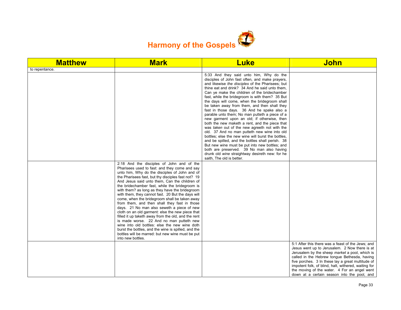

| <b>Matthew</b> | <b>Mark</b>                                                                                                                                                                                                                                                                                                                                                                                                                                                                                                                                                                                                                                                                                                                                                                                                                                                                                        | <b>Luke</b>                                                                                                                                                                                                                                                                                                                                                                                                                                                                                                                                                                                                                                                                                                                                                                                                                                                                                                                                                        | <b>John</b>                                                                                                                                                                                                                                                                                                                                                                                                      |
|----------------|----------------------------------------------------------------------------------------------------------------------------------------------------------------------------------------------------------------------------------------------------------------------------------------------------------------------------------------------------------------------------------------------------------------------------------------------------------------------------------------------------------------------------------------------------------------------------------------------------------------------------------------------------------------------------------------------------------------------------------------------------------------------------------------------------------------------------------------------------------------------------------------------------|--------------------------------------------------------------------------------------------------------------------------------------------------------------------------------------------------------------------------------------------------------------------------------------------------------------------------------------------------------------------------------------------------------------------------------------------------------------------------------------------------------------------------------------------------------------------------------------------------------------------------------------------------------------------------------------------------------------------------------------------------------------------------------------------------------------------------------------------------------------------------------------------------------------------------------------------------------------------|------------------------------------------------------------------------------------------------------------------------------------------------------------------------------------------------------------------------------------------------------------------------------------------------------------------------------------------------------------------------------------------------------------------|
| to repentance. |                                                                                                                                                                                                                                                                                                                                                                                                                                                                                                                                                                                                                                                                                                                                                                                                                                                                                                    |                                                                                                                                                                                                                                                                                                                                                                                                                                                                                                                                                                                                                                                                                                                                                                                                                                                                                                                                                                    |                                                                                                                                                                                                                                                                                                                                                                                                                  |
|                |                                                                                                                                                                                                                                                                                                                                                                                                                                                                                                                                                                                                                                                                                                                                                                                                                                                                                                    | 5:33 And they said unto him, Why do the<br>disciples of John fast often, and make prayers,<br>and likewise the disciples of the Pharisees; but<br>thine eat and drink? 34 And he said unto them.<br>Can ye make the children of the bridechamber<br>fast, while the bridegroom is with them? 35 But<br>the days will come, when the bridegroom shall<br>be taken away from them, and then shall they<br>fast in those days. 36 And he spake also a<br>parable unto them; No man putteth a piece of a<br>new garment upon an old; if otherwise, then<br>both the new maketh a rent, and the piece that<br>was taken out of the new agreeth not with the<br>old. 37 And no man putteth new wine into old<br>bottles; else the new wine will burst the bottles,<br>and be spilled, and the bottles shall perish. 38<br>But new wine must be put into new bottles; and<br>both are preserved. 39 No man also having<br>drunk old wine straightway desireth new: for he |                                                                                                                                                                                                                                                                                                                                                                                                                  |
|                | 2:18 And the disciples of John and of the<br>Pharisees used to fast: and they come and say<br>unto him, Why do the disciples of John and of<br>the Pharisees fast, but thy disciples fast not? 19<br>And Jesus said unto them, Can the children of<br>the bridechamber fast, while the bridegroom is<br>with them? as long as they have the bridegroom<br>with them, they cannot fast. 20 But the days will<br>come, when the bridegroom shall be taken away<br>from them, and then shall they fast in those<br>days. 21 No man also seweth a piece of new<br>cloth on an old garment: else the new piece that<br>filled it up taketh away from the old, and the rent<br>is made worse. 22 And no man putteth new<br>wine into old bottles: else the new wine doth<br>burst the bottles, and the wine is spilled, and the<br>bottles will be marred: but new wine must be put<br>into new bottles. | saith, The old is better.                                                                                                                                                                                                                                                                                                                                                                                                                                                                                                                                                                                                                                                                                                                                                                                                                                                                                                                                          |                                                                                                                                                                                                                                                                                                                                                                                                                  |
|                |                                                                                                                                                                                                                                                                                                                                                                                                                                                                                                                                                                                                                                                                                                                                                                                                                                                                                                    |                                                                                                                                                                                                                                                                                                                                                                                                                                                                                                                                                                                                                                                                                                                                                                                                                                                                                                                                                                    | 5:1 After this there was a feast of the Jews; and<br>Jesus went up to Jerusalem. 2 Now there is at<br>Jerusalem by the sheep market a pool, which is<br>called in the Hebrew tongue Bethesda, having<br>five porches. 3 In these lay a great multitude of<br>impotent folk, of blind, halt, withered, waiting for<br>the moving of the water. 4 For an angel went<br>down at a certain season into the pool, and |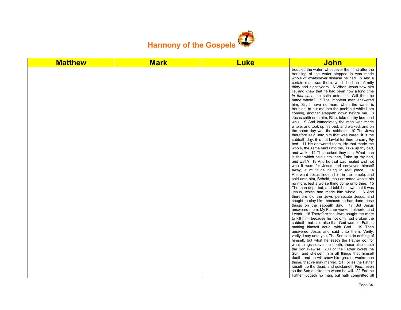

| <b>Matthew</b> | <b>Mark</b> | <b>Luke</b> | John                                                                                                                                                                                                                                                                                                                                                                                                                                                                                                                                                                                                                                                                                                                                                                                                                                                                                                                                                                                                                                                                                                                                                                                                                                                                                                                                                                                                                                                                                                                                                                                                                                                                                                                                                                                                                                                                                                                                                                                                                                                                                                                                                                                                                                                                |
|----------------|-------------|-------------|---------------------------------------------------------------------------------------------------------------------------------------------------------------------------------------------------------------------------------------------------------------------------------------------------------------------------------------------------------------------------------------------------------------------------------------------------------------------------------------------------------------------------------------------------------------------------------------------------------------------------------------------------------------------------------------------------------------------------------------------------------------------------------------------------------------------------------------------------------------------------------------------------------------------------------------------------------------------------------------------------------------------------------------------------------------------------------------------------------------------------------------------------------------------------------------------------------------------------------------------------------------------------------------------------------------------------------------------------------------------------------------------------------------------------------------------------------------------------------------------------------------------------------------------------------------------------------------------------------------------------------------------------------------------------------------------------------------------------------------------------------------------------------------------------------------------------------------------------------------------------------------------------------------------------------------------------------------------------------------------------------------------------------------------------------------------------------------------------------------------------------------------------------------------------------------------------------------------------------------------------------------------|
|                |             |             | troubled the water: whosoever then first after the<br>troubling of the water stepped in was made<br>whole of whatsoever disease he had. 5 And a<br>certain man was there, which had an infirmity<br>thirty and eight years. 6 When Jesus saw him<br>lie, and knew that he had been now a long time<br>in that case, he saith unto him, Wilt thou be<br>made whole? 7 The impotent man answered<br>him, Sir, I have no man, when the water is<br>troubled, to put me into the pool: but while I am<br>coming, another steppeth down before me. 8<br>Jesus saith unto him, Rise, take up thy bed, and<br>walk. 9 And immediately the man was made<br>whole, and took up his bed, and walked: and on<br>the same day was the sabbath. 10 The Jews<br>therefore said unto him that was cured, It is the<br>sabbath day: it is not lawful for thee to carry thy<br>bed. 11 He answered them, He that made me<br>whole, the same said unto me, Take up thy bed,<br>and walk. 12 Then asked they him, What man<br>is that which said unto thee, Take up thy bed,<br>and walk? 13 And he that was healed wist not<br>who it was: for Jesus had conveyed himself<br>away, a multitude being in that place. 14<br>Afterward Jesus findeth him in the temple, and<br>said unto him, Behold, thou art made whole: sin<br>no more, lest a worse thing come unto thee. 15<br>The man departed, and told the Jews that it was<br>Jesus, which had made him whole. 16 And<br>therefore did the Jews persecute Jesus, and<br>sought to slay him, because he had done these<br>things on the sabbath day. 17 But Jesus<br>answered them, My Father worketh hitherto, and<br>I work. 18 Therefore the Jews sought the more<br>to kill him, because he not only had broken the<br>sabbath, but said also that God was his Father,<br>making himself equal with God. 19 Then<br>answered Jesus and said unto them, Verily,<br>verily, I say unto you, The Son can do nothing of<br>himself, but what he seeth the Father do: for<br>what things soever he doeth, these also doeth<br>the Son likewise. 20 For the Father loveth the<br>Son, and sheweth him all things that himself<br>doeth: and he will shew him greater works than<br>these, that ye may marvel. 21 For as the Father |
|                |             |             | raiseth up the dead, and quickeneth <i>them</i> ; even<br>so the Son quickeneth whom he will. 22 For the<br>Father judgeth no man, but hath committed all                                                                                                                                                                                                                                                                                                                                                                                                                                                                                                                                                                                                                                                                                                                                                                                                                                                                                                                                                                                                                                                                                                                                                                                                                                                                                                                                                                                                                                                                                                                                                                                                                                                                                                                                                                                                                                                                                                                                                                                                                                                                                                           |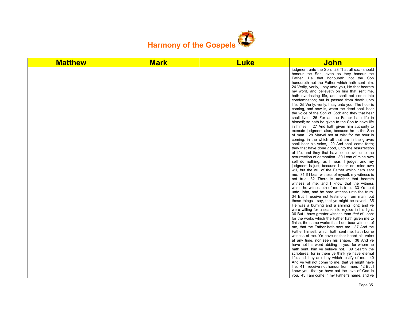

| <b>Matthew</b> | <b>Mark</b> | <b>Luke</b> | <u>John</u>                                                                                                                                                                                                                                                                                                                                                                                                                                                                                                                                                                                                                                                                                                                                                                                                                                                                                                                                                                                                                                                                                                                                                                                                                                                                                                                                                                                                                                                                                                                                                                                                                                                                                                                                                                                                                                                                                                                                                                                                                                                                                                                                                                                                                                                       |
|----------------|-------------|-------------|-------------------------------------------------------------------------------------------------------------------------------------------------------------------------------------------------------------------------------------------------------------------------------------------------------------------------------------------------------------------------------------------------------------------------------------------------------------------------------------------------------------------------------------------------------------------------------------------------------------------------------------------------------------------------------------------------------------------------------------------------------------------------------------------------------------------------------------------------------------------------------------------------------------------------------------------------------------------------------------------------------------------------------------------------------------------------------------------------------------------------------------------------------------------------------------------------------------------------------------------------------------------------------------------------------------------------------------------------------------------------------------------------------------------------------------------------------------------------------------------------------------------------------------------------------------------------------------------------------------------------------------------------------------------------------------------------------------------------------------------------------------------------------------------------------------------------------------------------------------------------------------------------------------------------------------------------------------------------------------------------------------------------------------------------------------------------------------------------------------------------------------------------------------------------------------------------------------------------------------------------------------------|
|                |             |             | judgment unto the Son: 23 That all men should<br>honour the Son, even as they honour the<br>Father. He that honoureth not the Son<br>honoureth not the Father which hath sent him.<br>24 Verily, verily, I say unto you, He that heareth<br>my word, and believeth on him that sent me,<br>hath everlasting life, and shall not come into<br>condemnation; but is passed from death unto<br>life. 25 Verily, verily, I say unto you, The hour is<br>coming, and now is, when the dead shall hear<br>the voice of the Son of God: and they that hear<br>shall live. 26 For as the Father hath life in<br>himself; so hath he given to the Son to have life<br>in himself; 27 And hath given him authority to<br>execute judgment also, because he is the Son<br>of man. 28 Marvel not at this: for the hour is<br>coming, in the which all that are in the graves<br>shall hear his voice, 29 And shall come forth;<br>they that have done good, unto the resurrection<br>of life; and they that have done evil, unto the<br>resurrection of damnation. 30 I can of mine own<br>self do nothing: as I hear, I judge: and my<br>judgment is just; because I seek not mine own<br>will, but the will of the Father which hath sent<br>me. 31 If I bear witness of myself, my witness is<br>not true. 32 There is another that beareth<br>witness of me: and I know that the witness<br>which he witnesseth of me is true. 33 Ye sent<br>unto John, and he bare witness unto the truth.<br>34 But I receive not testimony from man: but<br>these things I say, that ye might be saved. 35<br>He was a burning and a shining light: and ye<br>were willing for a season to rejoice in his light.<br>36 But I have greater witness than that of John:<br>for the works which the Father hath given me to<br>finish, the same works that I do, bear witness of<br>me, that the Father hath sent me. 37 And the<br>Father himself, which hath sent me, hath borne<br>witness of me. Ye have neither heard his voice<br>at any time, nor seen his shape. 38 And ye<br>have not his word abiding in you: for whom he<br>hath sent, him ye believe not. 39 Search the<br>scriptures; for in them ye think ye have eternal<br>life: and they are they which testify of me. 40 |
|                |             |             | And ye will not come to me, that ye might have<br>life. 41 I receive not honour from men. 42 But I<br>know you, that ye have not the love of God in<br>you. 43 I am come in my Father's name, and ye                                                                                                                                                                                                                                                                                                                                                                                                                                                                                                                                                                                                                                                                                                                                                                                                                                                                                                                                                                                                                                                                                                                                                                                                                                                                                                                                                                                                                                                                                                                                                                                                                                                                                                                                                                                                                                                                                                                                                                                                                                                              |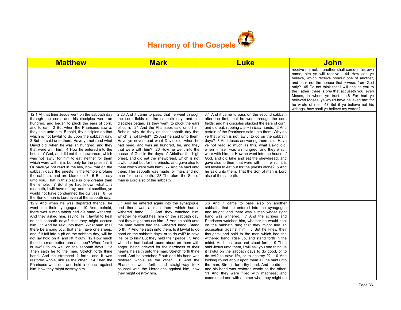

| <b>Matthew</b>                                                                                                                                                                                                                                                                                                                                                                                                                                                                                                                                                                                                                                                                                                                                                                                                                                                                                                                                                                                                                     | <b>Mark</b>                                                                                                                                                                                                                                                                                                                                                                                                                                                                                                                                                                                                                                                                                                                                                                                                                    | <b>Luke</b>                                                                                                                                                                                                                                                                                                                                                                                                                                                                                                                                                                                                                                                                                                                                                                                                                                                                                     | John                                                                                                                                                                                                                                                                                                                                                                                                                                                                                         |
|------------------------------------------------------------------------------------------------------------------------------------------------------------------------------------------------------------------------------------------------------------------------------------------------------------------------------------------------------------------------------------------------------------------------------------------------------------------------------------------------------------------------------------------------------------------------------------------------------------------------------------------------------------------------------------------------------------------------------------------------------------------------------------------------------------------------------------------------------------------------------------------------------------------------------------------------------------------------------------------------------------------------------------|--------------------------------------------------------------------------------------------------------------------------------------------------------------------------------------------------------------------------------------------------------------------------------------------------------------------------------------------------------------------------------------------------------------------------------------------------------------------------------------------------------------------------------------------------------------------------------------------------------------------------------------------------------------------------------------------------------------------------------------------------------------------------------------------------------------------------------|-------------------------------------------------------------------------------------------------------------------------------------------------------------------------------------------------------------------------------------------------------------------------------------------------------------------------------------------------------------------------------------------------------------------------------------------------------------------------------------------------------------------------------------------------------------------------------------------------------------------------------------------------------------------------------------------------------------------------------------------------------------------------------------------------------------------------------------------------------------------------------------------------|----------------------------------------------------------------------------------------------------------------------------------------------------------------------------------------------------------------------------------------------------------------------------------------------------------------------------------------------------------------------------------------------------------------------------------------------------------------------------------------------|
|                                                                                                                                                                                                                                                                                                                                                                                                                                                                                                                                                                                                                                                                                                                                                                                                                                                                                                                                                                                                                                    |                                                                                                                                                                                                                                                                                                                                                                                                                                                                                                                                                                                                                                                                                                                                                                                                                                |                                                                                                                                                                                                                                                                                                                                                                                                                                                                                                                                                                                                                                                                                                                                                                                                                                                                                                 | receive me not: if another shall come in his own<br>name, him ye will receive. 44 How can ye<br>believe, which receive honour one of another,<br>and seek not the honour that cometh from God<br>only? 45 Do not think that I will accuse you to<br>the Father: there is one that accuseth you, even<br>Moses, in whom ye trust. 46 For had ye<br>believed Moses, ye would have believed me: for<br>he wrote of me. 47 But if ye believe not his<br>writings, how shall ye believe my words? |
| 12:1 At that time Jesus went on the sabbath day<br>through the corn; and his disciples were an<br>hungred, and began to pluck the ears of corn,<br>and to eat. 2 But when the Pharisees saw it.<br>they said unto him, Behold, thy disciples do that<br>which is not lawful to do upon the sabbath day.<br>3 But he said unto them, Have ye not read what<br>David did, when he was an hungred, and they<br>that were with him; 4 How he entered into the<br>house of God, and did eat the shewbread, which<br>was not lawful for him to eat, neither for them<br>which were with him, but only for the priests? 5<br>Or have ye not read in the law, how that on the<br>sabbath days the priests in the temple profane<br>the sabbath, and are blameless? 6 But I say<br>unto you, That in this place is one greater than<br>the temple. 7 But if ye had known what this<br>meaneth, I will have mercy, and not sacrifice, ye<br>would not have condemned the quiltless. 8 For<br>the Son of man is Lord even of the sabbath day. | 2:23 And it came to pass, that he went through<br>the corn fields on the sabbath day; and his<br>disciples began, as they went, to pluck the ears<br>of corn. 24 And the Pharisees said unto him.<br>Behold, why do they on the sabbath day that<br>which is not lawful? 25 And he said unto them.<br>Have ye never read what David did, when he<br>had need, and was an hungred, he, and they<br>that were with him? 26 How he went into the<br>house of God in the days of Abiathar the high<br>priest, and did eat the shewbread, which is not<br>lawful to eat but for the priests, and gave also to<br>them which were with him? 27 And he said unto<br>them. The sabbath was made for man, and not<br>man for the sabbath: 28 Therefore the Son of<br>man is Lord also of the sabbath.                                   | 6:1 And it came to pass on the second sabbath<br>after the first, that he went through the corn<br>fields; and his disciples plucked the ears of corn,<br>and did eat, rubbing them in their hands. 2 And<br>certain of the Pharisees said unto them, Why do<br>ye that which is not lawful to do on the sabbath<br>days? 3 And Jesus answering them said, Have<br>ye not read so much as this, what David did,<br>when himself was an hungred, and they which<br>were with him; 4 How he went into the house of<br>God, and did take and eat the shewbread, and<br>gave also to them that were with him; which it is<br>not lawful to eat but for the priests alone? 5 And<br>he said unto them. That the Son of man is Lord<br>also of the sabbath.                                                                                                                                           |                                                                                                                                                                                                                                                                                                                                                                                                                                                                                              |
| 12:9 And when he was departed thence, he<br>went into their synagogue: 10 And, behold,<br>there was a man which had his hand withered.<br>And they asked him, saying, Is it lawful to heal<br>on the sabbath days? that they might accuse<br>him. 11 And he said unto them, What man shall<br>there be among you, that shall have one sheep,<br>and if it fall into a pit on the sabbath day, will he<br>not lay hold on it, and lift it out? 12 How much<br>then is a man better than a sheep? Wherefore it<br>is lawful to do well on the sabbath days. 13<br>Then saith he to the man, Stretch forth thine<br>hand. And he stretched it forth; and it was<br>restored whole, like as the other. 14 Then the<br>Pharisees went out, and held a council against<br>him, how they might destroy him.                                                                                                                                                                                                                               | 3:1 And he entered again into the synagogue;<br>and there was a man there which had a<br>withered hand. 2 And they watched him,<br>whether he would heal him on the sabbath day;<br>that they might accuse him. 3 And he saith unto<br>the man which had the withered hand, Stand<br>forth. 4 And he saith unto them, Is it lawful to do<br>good on the sabbath days, or to do evil? to save<br>life, or to kill? But they held their peace. 5 And<br>when he had looked round about on them with<br>anger, being grieved for the hardness of their<br>hearts, he saith unto the man, Stretch forth thine<br>hand. And he stretched it out: and his hand was<br>restored whole as the other. 6 And the<br>Pharisees went forth, and straightway took<br>counsel with the Herodians against him, how<br>they might destroy him. | 6:6 And it came to pass also on another<br>sabbath, that he entered into the synagogue<br>and taught: and there was a man whose right<br>hand was withered. 7 And the scribes and<br>Pharisees watched him, whether he would heal<br>on the sabbath day; that they might find an<br>accusation against him. 8 But he knew their<br>thoughts, and said to the man which had the<br>withered hand, Rise up, and stand forth in the<br>midst. And he arose and stood forth. 9 Then<br>said Jesus unto them. I will ask you one thing; Is<br>it lawful on the sabbath days to do good, or to<br>do evil? to save life, or to destroy it? 10 And<br>looking round about upon them all, he said unto<br>the man, Stretch forth thy hand. And he did so:<br>and his hand was restored whole as the other.<br>11 And they were filled with madness; and<br>communed one with another what they might do |                                                                                                                                                                                                                                                                                                                                                                                                                                                                                              |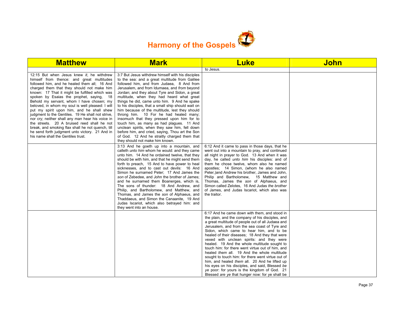

| <b>Matthew</b>                                                                                                                                                                                                                                                                                                                                                                                                                                                                                                                                                                                                                                                                                                                        | <b>Mark</b>                                                                                                                                                                                                                                                                                                                                                                                                                                                                                                                                                                                                                                                                                                                                                                         | <b>Luke</b>                                                                                                                                                                                                                                                                                                                                                                                                                                                                                                                                                                                                                                                                                                                                                        | <b>John</b> |
|---------------------------------------------------------------------------------------------------------------------------------------------------------------------------------------------------------------------------------------------------------------------------------------------------------------------------------------------------------------------------------------------------------------------------------------------------------------------------------------------------------------------------------------------------------------------------------------------------------------------------------------------------------------------------------------------------------------------------------------|-------------------------------------------------------------------------------------------------------------------------------------------------------------------------------------------------------------------------------------------------------------------------------------------------------------------------------------------------------------------------------------------------------------------------------------------------------------------------------------------------------------------------------------------------------------------------------------------------------------------------------------------------------------------------------------------------------------------------------------------------------------------------------------|--------------------------------------------------------------------------------------------------------------------------------------------------------------------------------------------------------------------------------------------------------------------------------------------------------------------------------------------------------------------------------------------------------------------------------------------------------------------------------------------------------------------------------------------------------------------------------------------------------------------------------------------------------------------------------------------------------------------------------------------------------------------|-------------|
|                                                                                                                                                                                                                                                                                                                                                                                                                                                                                                                                                                                                                                                                                                                                       |                                                                                                                                                                                                                                                                                                                                                                                                                                                                                                                                                                                                                                                                                                                                                                                     | to Jesus.                                                                                                                                                                                                                                                                                                                                                                                                                                                                                                                                                                                                                                                                                                                                                          |             |
| 12:15 But when Jesus knew it, he withdrew<br>himself from thence: and great multitudes<br>followed him, and he healed them all; 16 And<br>charged them that they should not make him<br>known: 17 That it might be fulfilled which was<br>spoken by Esaias the prophet, saying, 18<br>Behold my servant, whom I have chosen; my<br>beloved, in whom my soul is well pleased: I will<br>put my spirit upon him, and he shall shew<br>judgment to the Gentiles. 19 He shall not strive,<br>nor cry; neither shall any man hear his voice in<br>the streets. 20 A bruised reed shall he not<br>break, and smoking flax shall he not quench, till<br>he send forth judgment unto victory. 21 And in<br>his name shall the Gentiles trust. | 3:7 But Jesus withdrew himself with his disciples<br>to the sea: and a great multitude from Galilee<br>followed him, and from Judaea, 8 And from<br>Jerusalem, and from Idumaea, and from beyond<br>Jordan; and they about Tyre and Sidon, a great<br>multitude, when they had heard what great<br>things he did, came unto him. 9 And he spake<br>to his disciples, that a small ship should wait on<br>him because of the multitude, lest they should<br>throng him. 10 For he had healed many;<br>insomuch that they pressed upon him for to<br>touch him, as many as had plagues. 11 And<br>unclean spirits, when they saw him, fell down<br>before him, and cried, saying, Thou art the Son<br>of God. 12 And he straitly charged them that<br>they should not make him known. |                                                                                                                                                                                                                                                                                                                                                                                                                                                                                                                                                                                                                                                                                                                                                                    |             |
|                                                                                                                                                                                                                                                                                                                                                                                                                                                                                                                                                                                                                                                                                                                                       | 3:13 And he goeth up into a mountain, and<br>calleth <i>unto him</i> whom he would: and they came<br>unto him. 14 And he ordained twelve, that they<br>should be with him, and that he might send them<br>forth to preach, 15 And to have power to heal<br>sicknesses, and to cast out devils: 16 And<br>Simon he surnamed Peter; 17 And James the<br>son of Zebedee, and John the brother of James;<br>and he surnamed them Boanerges, which is,<br>The sons of thunder: 18 And Andrew, and<br>Philip, and Bartholomew, and Matthew, and<br>Thomas, and James the son of Alphaeus, and<br>Thaddaeus, and Simon the Canaanite, 19 And<br>Judas Iscariot, which also betrayed him: and<br>they went into an house.                                                                   | 6:12 And it came to pass in those days, that he<br>went out into a mountain to pray, and continued<br>all night in prayer to God. 13 And when it was<br>day, he called <i>unto him</i> his disciples: and of<br>them he chose twelve, whom also he named<br>apostles; 14 Simon, (whom he also named<br>Peter, ) and Andrew his brother, James and John,<br>Philip and Bartholomew, 15 Matthew and<br>Thomas, James the son of Alphaeus, and<br>Simon called Zelotes, 16 And Judas the brother<br>of James, and Judas Iscariot, which also was<br>the traitor.                                                                                                                                                                                                      |             |
|                                                                                                                                                                                                                                                                                                                                                                                                                                                                                                                                                                                                                                                                                                                                       |                                                                                                                                                                                                                                                                                                                                                                                                                                                                                                                                                                                                                                                                                                                                                                                     | 6:17 And he came down with them, and stood in<br>the plain, and the company of his disciples, and<br>a great multitude of people out of all Judaea and<br>Jerusalem, and from the sea coast of Tyre and<br>Sidon, which came to hear him, and to be<br>healed of their diseases; 18 And they that were<br>vexed with unclean spirits: and they were<br>healed. 19 And the whole multitude sought to<br>touch him: for there went virtue out of him. and<br>healed them all. 19 And the whole multitude<br>sought to touch him: for there went virtue out of<br>him, and healed them all. 20 And he lifted up<br>his eyes on his disciples, and said, Blessed be<br>ye poor: for yours is the kingdom of God. 21<br>Blessed are ye that hunger now: for ye shall be |             |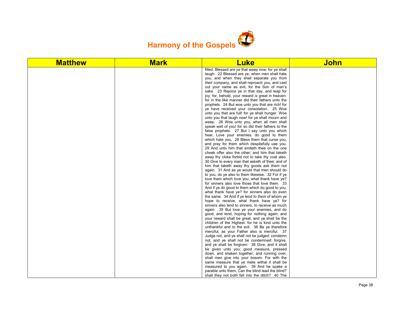

| filled. Blessed are ye that weep now: for ye shall<br>laugh. 22 Blessed are ye, when men shall hate<br>you, and when they shall separate you from<br>their company, and shall reproach you, and cast<br>out your name as evil, for the Son of man's<br>sake. 23 Rejoice ye in that day, and leap for<br>joy: for, behold, your reward is great in heaven:<br>for in the like manner did their fathers unto the<br>prophets. 24 But woe unto you that are rich! for<br>ye have received your consolation. 25 Woe<br>unto you that are full! for ye shall hunger. Woe<br>unto you that laugh now! for ye shall mourn and<br>weep. 26 Woe unto you, when all men shall<br>speak well of you! for so did their fathers to the<br>false prophets. 27 But I say unto you which<br>hear, Love your enemies, do good to them<br>which hate you, 28 Bless them that curse you,<br>and pray for them which despitefully use you.<br>29 And unto him that smiteth thee on the one<br>cheek offer also the other; and him that taketh<br>away thy cloke forbid not to take thy coat also.<br>30 Give to every man that asketh of thee; and of<br>him that taketh away thy goods ask them not<br>again. 31 And as ye would that men should do<br>to you, do ye also to them likewise. 32 For if ye<br>love them which love you, what thank have ye?<br>for sinners also love those that love them. 33<br>And if ye do good to them which do good to you,<br>what thank have ye? for sinners also do even<br>the same. 34 And if ye lend to them of whom ye<br>hope to receive, what thank have ye? for<br>sinners also lend to sinners, to receive as much<br>again. 35 But love ye your enemies, and do<br>good, and lend, hoping for nothing again; and |
|----------------------------------------------------------------------------------------------------------------------------------------------------------------------------------------------------------------------------------------------------------------------------------------------------------------------------------------------------------------------------------------------------------------------------------------------------------------------------------------------------------------------------------------------------------------------------------------------------------------------------------------------------------------------------------------------------------------------------------------------------------------------------------------------------------------------------------------------------------------------------------------------------------------------------------------------------------------------------------------------------------------------------------------------------------------------------------------------------------------------------------------------------------------------------------------------------------------------------------------------------------------------------------------------------------------------------------------------------------------------------------------------------------------------------------------------------------------------------------------------------------------------------------------------------------------------------------------------------------------------------------------------------------------------------------------------------------------------------------------------|
|                                                                                                                                                                                                                                                                                                                                                                                                                                                                                                                                                                                                                                                                                                                                                                                                                                                                                                                                                                                                                                                                                                                                                                                                                                                                                                                                                                                                                                                                                                                                                                                                                                                                                                                                              |
|                                                                                                                                                                                                                                                                                                                                                                                                                                                                                                                                                                                                                                                                                                                                                                                                                                                                                                                                                                                                                                                                                                                                                                                                                                                                                                                                                                                                                                                                                                                                                                                                                                                                                                                                              |
|                                                                                                                                                                                                                                                                                                                                                                                                                                                                                                                                                                                                                                                                                                                                                                                                                                                                                                                                                                                                                                                                                                                                                                                                                                                                                                                                                                                                                                                                                                                                                                                                                                                                                                                                              |
|                                                                                                                                                                                                                                                                                                                                                                                                                                                                                                                                                                                                                                                                                                                                                                                                                                                                                                                                                                                                                                                                                                                                                                                                                                                                                                                                                                                                                                                                                                                                                                                                                                                                                                                                              |
|                                                                                                                                                                                                                                                                                                                                                                                                                                                                                                                                                                                                                                                                                                                                                                                                                                                                                                                                                                                                                                                                                                                                                                                                                                                                                                                                                                                                                                                                                                                                                                                                                                                                                                                                              |
|                                                                                                                                                                                                                                                                                                                                                                                                                                                                                                                                                                                                                                                                                                                                                                                                                                                                                                                                                                                                                                                                                                                                                                                                                                                                                                                                                                                                                                                                                                                                                                                                                                                                                                                                              |
|                                                                                                                                                                                                                                                                                                                                                                                                                                                                                                                                                                                                                                                                                                                                                                                                                                                                                                                                                                                                                                                                                                                                                                                                                                                                                                                                                                                                                                                                                                                                                                                                                                                                                                                                              |
|                                                                                                                                                                                                                                                                                                                                                                                                                                                                                                                                                                                                                                                                                                                                                                                                                                                                                                                                                                                                                                                                                                                                                                                                                                                                                                                                                                                                                                                                                                                                                                                                                                                                                                                                              |
|                                                                                                                                                                                                                                                                                                                                                                                                                                                                                                                                                                                                                                                                                                                                                                                                                                                                                                                                                                                                                                                                                                                                                                                                                                                                                                                                                                                                                                                                                                                                                                                                                                                                                                                                              |
|                                                                                                                                                                                                                                                                                                                                                                                                                                                                                                                                                                                                                                                                                                                                                                                                                                                                                                                                                                                                                                                                                                                                                                                                                                                                                                                                                                                                                                                                                                                                                                                                                                                                                                                                              |
|                                                                                                                                                                                                                                                                                                                                                                                                                                                                                                                                                                                                                                                                                                                                                                                                                                                                                                                                                                                                                                                                                                                                                                                                                                                                                                                                                                                                                                                                                                                                                                                                                                                                                                                                              |
|                                                                                                                                                                                                                                                                                                                                                                                                                                                                                                                                                                                                                                                                                                                                                                                                                                                                                                                                                                                                                                                                                                                                                                                                                                                                                                                                                                                                                                                                                                                                                                                                                                                                                                                                              |
|                                                                                                                                                                                                                                                                                                                                                                                                                                                                                                                                                                                                                                                                                                                                                                                                                                                                                                                                                                                                                                                                                                                                                                                                                                                                                                                                                                                                                                                                                                                                                                                                                                                                                                                                              |
|                                                                                                                                                                                                                                                                                                                                                                                                                                                                                                                                                                                                                                                                                                                                                                                                                                                                                                                                                                                                                                                                                                                                                                                                                                                                                                                                                                                                                                                                                                                                                                                                                                                                                                                                              |
|                                                                                                                                                                                                                                                                                                                                                                                                                                                                                                                                                                                                                                                                                                                                                                                                                                                                                                                                                                                                                                                                                                                                                                                                                                                                                                                                                                                                                                                                                                                                                                                                                                                                                                                                              |
|                                                                                                                                                                                                                                                                                                                                                                                                                                                                                                                                                                                                                                                                                                                                                                                                                                                                                                                                                                                                                                                                                                                                                                                                                                                                                                                                                                                                                                                                                                                                                                                                                                                                                                                                              |
|                                                                                                                                                                                                                                                                                                                                                                                                                                                                                                                                                                                                                                                                                                                                                                                                                                                                                                                                                                                                                                                                                                                                                                                                                                                                                                                                                                                                                                                                                                                                                                                                                                                                                                                                              |
|                                                                                                                                                                                                                                                                                                                                                                                                                                                                                                                                                                                                                                                                                                                                                                                                                                                                                                                                                                                                                                                                                                                                                                                                                                                                                                                                                                                                                                                                                                                                                                                                                                                                                                                                              |
|                                                                                                                                                                                                                                                                                                                                                                                                                                                                                                                                                                                                                                                                                                                                                                                                                                                                                                                                                                                                                                                                                                                                                                                                                                                                                                                                                                                                                                                                                                                                                                                                                                                                                                                                              |
|                                                                                                                                                                                                                                                                                                                                                                                                                                                                                                                                                                                                                                                                                                                                                                                                                                                                                                                                                                                                                                                                                                                                                                                                                                                                                                                                                                                                                                                                                                                                                                                                                                                                                                                                              |
|                                                                                                                                                                                                                                                                                                                                                                                                                                                                                                                                                                                                                                                                                                                                                                                                                                                                                                                                                                                                                                                                                                                                                                                                                                                                                                                                                                                                                                                                                                                                                                                                                                                                                                                                              |
|                                                                                                                                                                                                                                                                                                                                                                                                                                                                                                                                                                                                                                                                                                                                                                                                                                                                                                                                                                                                                                                                                                                                                                                                                                                                                                                                                                                                                                                                                                                                                                                                                                                                                                                                              |
|                                                                                                                                                                                                                                                                                                                                                                                                                                                                                                                                                                                                                                                                                                                                                                                                                                                                                                                                                                                                                                                                                                                                                                                                                                                                                                                                                                                                                                                                                                                                                                                                                                                                                                                                              |
|                                                                                                                                                                                                                                                                                                                                                                                                                                                                                                                                                                                                                                                                                                                                                                                                                                                                                                                                                                                                                                                                                                                                                                                                                                                                                                                                                                                                                                                                                                                                                                                                                                                                                                                                              |
|                                                                                                                                                                                                                                                                                                                                                                                                                                                                                                                                                                                                                                                                                                                                                                                                                                                                                                                                                                                                                                                                                                                                                                                                                                                                                                                                                                                                                                                                                                                                                                                                                                                                                                                                              |
|                                                                                                                                                                                                                                                                                                                                                                                                                                                                                                                                                                                                                                                                                                                                                                                                                                                                                                                                                                                                                                                                                                                                                                                                                                                                                                                                                                                                                                                                                                                                                                                                                                                                                                                                              |
|                                                                                                                                                                                                                                                                                                                                                                                                                                                                                                                                                                                                                                                                                                                                                                                                                                                                                                                                                                                                                                                                                                                                                                                                                                                                                                                                                                                                                                                                                                                                                                                                                                                                                                                                              |
|                                                                                                                                                                                                                                                                                                                                                                                                                                                                                                                                                                                                                                                                                                                                                                                                                                                                                                                                                                                                                                                                                                                                                                                                                                                                                                                                                                                                                                                                                                                                                                                                                                                                                                                                              |
|                                                                                                                                                                                                                                                                                                                                                                                                                                                                                                                                                                                                                                                                                                                                                                                                                                                                                                                                                                                                                                                                                                                                                                                                                                                                                                                                                                                                                                                                                                                                                                                                                                                                                                                                              |
|                                                                                                                                                                                                                                                                                                                                                                                                                                                                                                                                                                                                                                                                                                                                                                                                                                                                                                                                                                                                                                                                                                                                                                                                                                                                                                                                                                                                                                                                                                                                                                                                                                                                                                                                              |
|                                                                                                                                                                                                                                                                                                                                                                                                                                                                                                                                                                                                                                                                                                                                                                                                                                                                                                                                                                                                                                                                                                                                                                                                                                                                                                                                                                                                                                                                                                                                                                                                                                                                                                                                              |
|                                                                                                                                                                                                                                                                                                                                                                                                                                                                                                                                                                                                                                                                                                                                                                                                                                                                                                                                                                                                                                                                                                                                                                                                                                                                                                                                                                                                                                                                                                                                                                                                                                                                                                                                              |
| your reward shall be great, and ye shall be the                                                                                                                                                                                                                                                                                                                                                                                                                                                                                                                                                                                                                                                                                                                                                                                                                                                                                                                                                                                                                                                                                                                                                                                                                                                                                                                                                                                                                                                                                                                                                                                                                                                                                              |
| children of the Highest: for he is kind unto the                                                                                                                                                                                                                                                                                                                                                                                                                                                                                                                                                                                                                                                                                                                                                                                                                                                                                                                                                                                                                                                                                                                                                                                                                                                                                                                                                                                                                                                                                                                                                                                                                                                                                             |
| unthankful and to the evil. 36 Be ye therefore                                                                                                                                                                                                                                                                                                                                                                                                                                                                                                                                                                                                                                                                                                                                                                                                                                                                                                                                                                                                                                                                                                                                                                                                                                                                                                                                                                                                                                                                                                                                                                                                                                                                                               |
| merciful, as your Father also is merciful. 37                                                                                                                                                                                                                                                                                                                                                                                                                                                                                                                                                                                                                                                                                                                                                                                                                                                                                                                                                                                                                                                                                                                                                                                                                                                                                                                                                                                                                                                                                                                                                                                                                                                                                                |
| Judge not, and ye shall not be judged: condemn                                                                                                                                                                                                                                                                                                                                                                                                                                                                                                                                                                                                                                                                                                                                                                                                                                                                                                                                                                                                                                                                                                                                                                                                                                                                                                                                                                                                                                                                                                                                                                                                                                                                                               |
| not, and ye shall not be condemned: forgive,<br>and ye shall be forgiven: 38 Give, and it shall                                                                                                                                                                                                                                                                                                                                                                                                                                                                                                                                                                                                                                                                                                                                                                                                                                                                                                                                                                                                                                                                                                                                                                                                                                                                                                                                                                                                                                                                                                                                                                                                                                              |
| be given unto you; good measure, pressed                                                                                                                                                                                                                                                                                                                                                                                                                                                                                                                                                                                                                                                                                                                                                                                                                                                                                                                                                                                                                                                                                                                                                                                                                                                                                                                                                                                                                                                                                                                                                                                                                                                                                                     |
| down, and shaken together, and running over,                                                                                                                                                                                                                                                                                                                                                                                                                                                                                                                                                                                                                                                                                                                                                                                                                                                                                                                                                                                                                                                                                                                                                                                                                                                                                                                                                                                                                                                                                                                                                                                                                                                                                                 |
| shall men give into your bosom. For with the                                                                                                                                                                                                                                                                                                                                                                                                                                                                                                                                                                                                                                                                                                                                                                                                                                                                                                                                                                                                                                                                                                                                                                                                                                                                                                                                                                                                                                                                                                                                                                                                                                                                                                 |
| same measure that ye mete withal it shall be                                                                                                                                                                                                                                                                                                                                                                                                                                                                                                                                                                                                                                                                                                                                                                                                                                                                                                                                                                                                                                                                                                                                                                                                                                                                                                                                                                                                                                                                                                                                                                                                                                                                                                 |
| measured to you again. 39 And he spake a                                                                                                                                                                                                                                                                                                                                                                                                                                                                                                                                                                                                                                                                                                                                                                                                                                                                                                                                                                                                                                                                                                                                                                                                                                                                                                                                                                                                                                                                                                                                                                                                                                                                                                     |
| parable unto them, Can the blind lead the blind?                                                                                                                                                                                                                                                                                                                                                                                                                                                                                                                                                                                                                                                                                                                                                                                                                                                                                                                                                                                                                                                                                                                                                                                                                                                                                                                                                                                                                                                                                                                                                                                                                                                                                             |
| shall they not both fall into the ditch? 40 The                                                                                                                                                                                                                                                                                                                                                                                                                                                                                                                                                                                                                                                                                                                                                                                                                                                                                                                                                                                                                                                                                                                                                                                                                                                                                                                                                                                                                                                                                                                                                                                                                                                                                              |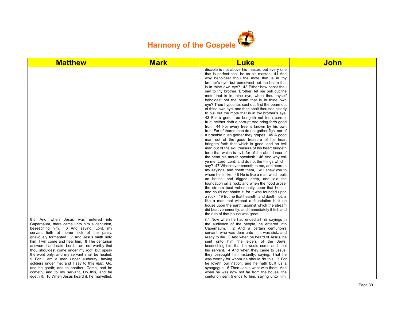

| <b>Matthew</b>                                                                                                                                  | <b>Mark</b> | <b>Luke</b>                                                                                                                                                                                        | <b>John</b> |
|-------------------------------------------------------------------------------------------------------------------------------------------------|-------------|----------------------------------------------------------------------------------------------------------------------------------------------------------------------------------------------------|-------------|
|                                                                                                                                                 |             | disciple is not above his master: but every one<br>that is perfect shall be as his master. 41 And<br>why beholdest thou the mote that is in thy<br>brother's eye, but perceivest not the beam that |             |
|                                                                                                                                                 |             | is in thine own eye? 42 Either how canst thou<br>say to thy brother, Brother, let me pull out the<br>mote that is in thine eye, when thou thyself                                                  |             |
|                                                                                                                                                 |             | beholdest not the beam that is in thine own<br>eye? Thou hypocrite, cast out first the beam out                                                                                                    |             |
|                                                                                                                                                 |             | of thine own eye, and then shalt thou see clearly<br>to pull out the mote that is in thy brother's eye.<br>43 For a good tree bringeth not forth corrupt                                           |             |
|                                                                                                                                                 |             | fruit; neither doth a corrupt tree bring forth good<br>fruit. 44 For every tree is known by his own                                                                                                |             |
|                                                                                                                                                 |             | fruit. For of thorns men do not gather figs, nor of<br>a bramble bush gather they grapes. 45 A good<br>man out of the good treasure of his heart                                                   |             |
|                                                                                                                                                 |             | bringeth forth that which is good; and an evil<br>man out of the evil treasure of his heart bringeth                                                                                               |             |
|                                                                                                                                                 |             | forth that which is evil: for of the abundance of<br>the heart his mouth speaketh. 46 And why call<br>ye me, Lord, Lord, and do not the things which I                                             |             |
|                                                                                                                                                 |             | say? 47 Whosoever cometh to me, and heareth<br>my sayings, and doeth them, I will shew you to                                                                                                      |             |
|                                                                                                                                                 |             | whom he is like: 48 He is like a man which built<br>an house, and digged deep, and laid the<br>foundation on a rock: and when the flood arose,                                                     |             |
|                                                                                                                                                 |             | the stream beat vehemently upon that house,<br>and could not shake it: for it was founded upon<br>a rock. 49 But he that heareth, and doeth not, is                                                |             |
|                                                                                                                                                 |             | like a man that without a foundation built an<br>house upon the earth; against which the stream                                                                                                    |             |
|                                                                                                                                                 |             | did beat vehemently, and immediately it fell; and<br>the ruin of that house was great.                                                                                                             |             |
| 8:5 And when Jesus was entered<br>into<br>Capernaum, there came unto him a centurion,<br>beseeching him, 6 And saying, Lord, my                 |             | 7:1 Now when he had ended all his sayings in<br>the audience of the people, he entered into<br>Capernaum. 2 And a certain centurion's                                                              |             |
| servant lieth at home sick of the palsy,<br>grievously tormented. 7 And Jesus saith unto                                                        |             | servant, who was dear unto him, was sick, and<br>ready to die. 3 And when he heard of Jesus, he                                                                                                    |             |
| him, I will come and heal him. 8 The centurion<br>answered and said, Lord, I am not worthy that<br>thou shouldest come under my roof: but speak |             | sent unto him the elders of the Jews,<br>beseeching him that he would come and heal<br>his servant. 4 And when they came to Jesus,                                                                 |             |
| the word only, and my servant shall be healed.<br>9 For I am a man under authority, having                                                      |             | they besought him instantly, saying, That he<br>was worthy for whom he should do this: 5 For                                                                                                       |             |
| soldiers under me: and I say to this man, Go,<br>and he goeth; and to another, Come, and he<br>cometh; and to my servant, Do this, and he       |             | he loveth our nation, and he hath built us a<br>synagogue. 6 Then Jesus went with them. And<br>when he was now not far from the house, the                                                         |             |
| doeth it. 10 When Jesus heard it, he marvelled,                                                                                                 |             | centurion sent friends to him, saying unto him,                                                                                                                                                    |             |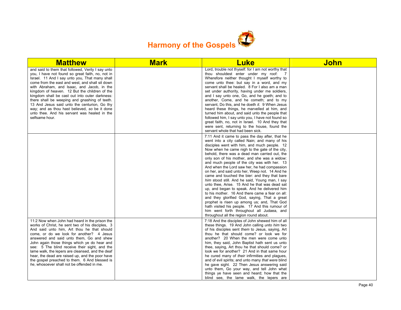

| <b>Matthew</b>                                                                                                                                                                                                                                                                                                                                                                                                                                                                                                                                                                  | <b>Mark</b> | <b>Luke</b>                                                                                                                                                                                                                                                                                                                                                                                                                                                                                                                                                                                                                                                                                                                                                                                                                                                                                                                                          | John |
|---------------------------------------------------------------------------------------------------------------------------------------------------------------------------------------------------------------------------------------------------------------------------------------------------------------------------------------------------------------------------------------------------------------------------------------------------------------------------------------------------------------------------------------------------------------------------------|-------------|------------------------------------------------------------------------------------------------------------------------------------------------------------------------------------------------------------------------------------------------------------------------------------------------------------------------------------------------------------------------------------------------------------------------------------------------------------------------------------------------------------------------------------------------------------------------------------------------------------------------------------------------------------------------------------------------------------------------------------------------------------------------------------------------------------------------------------------------------------------------------------------------------------------------------------------------------|------|
| and said to them that followed, Verily I say unto<br>you, I have not found so great faith, no, not in<br>Israel. 11 And I say unto you, That many shall<br>come from the east and west, and shall sit down<br>with Abraham, and Isaac, and Jacob, in the<br>kingdom of heaven. 12 But the children of the<br>kingdom shall be cast out into outer darkness:<br>there shall be weeping and gnashing of teeth.<br>13 And Jesus said unto the centurion, Go thy<br>way; and as thou hast believed, so be it done<br>unto thee. And his servant was healed in the<br>selfsame hour. |             | Lord, trouble not thyself: for I am not worthy that<br>thou shouldest enter under my roof:<br>$\overline{7}$<br>Wherefore neither thought I myself worthy to<br>come unto thee: but say in a word, and my<br>servant shall be healed. 8 For I also am a man<br>set under authority, having under me soldiers,<br>and I say unto one, Go, and he goeth; and to<br>another, Come, and he cometh; and to my<br>servant, Do this, and he doeth it. 9 When Jesus<br>heard these things, he marvelled at him, and<br>turned him about, and said unto the people that<br>followed him, I say unto you, I have not found so<br>great faith, no, not in Israel. 10 And they that<br>were sent, returning to the house, found the<br>servant whole that had been sick.                                                                                                                                                                                         |      |
|                                                                                                                                                                                                                                                                                                                                                                                                                                                                                                                                                                                 |             | 7:11 And it came to pass the day after, that he<br>went into a city called Nain; and many of his<br>disciples went with him, and much people. 12<br>Now when he came nigh to the gate of the city,<br>behold, there was a dead man carried out, the<br>only son of his mother, and she was a widow:<br>and much people of the city was with her. 13<br>And when the Lord saw her, he had compassion<br>on her, and said unto her, Weep not. 14 And he<br>came and touched the bier: and they that bare<br>him stood still. And he said, Young man, I say<br>unto thee, Arise. 15 And he that was dead sat<br>up, and began to speak. And he delivered him<br>to his mother. 16 And there came a fear on all:<br>and they glorified God, saying, That a great<br>prophet is risen up among us; and, That God<br>hath visited his people. 17 And this rumour of<br>him went forth throughout all Judaea, and<br>throughout all the region round about. |      |
| 11:2 Now when John had heard in the prison the<br>works of Christ, he sent two of his disciples, 3<br>And said unto him, Art thou he that should<br>come, or do we look for another? 4 Jesus<br>answered and said unto them, Go and shew<br>John again those things which ye do hear and<br>see: 5 The blind receive their sight, and the<br>lame walk, the lepers are cleansed, and the deaf<br>hear, the dead are raised up, and the poor have<br>the gospel preached to them. 6 And blessed is<br>he, whosoever shall not be offended in me.                                 |             | 7:18 And the disciples of John shewed him of all<br>these things. 19 And John calling unto him two<br>of his disciples sent them to Jesus, saying, Art<br>thou he that should come? or look we for<br>another? 20 When the men were come unto<br>him, they said, John Baptist hath sent us unto<br>thee, saying, Art thou he that should come? or<br>look we for another? 21 And in that same hour<br>he cured many of their infirmities and plagues,<br>and of evil spirits; and unto many that were blind<br>he gave sight. 22 Then Jesus answering said<br>unto them, Go your way, and tell John what<br>things ye have seen and heard; how that the<br>blind see, the lame walk, the lepers are                                                                                                                                                                                                                                                  |      |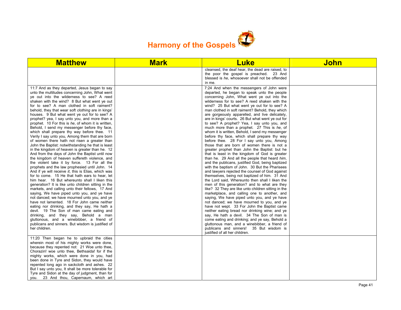

| <b>Matthew</b>                                                                                                                                                                                                                                                                                                                                                                                                                                                                                                                                                                                                                                                                                                                                                                                                                                                                                                                                                                                                                                                                                                                                                                                                                                                                                                                                                                                                                                                                                                                                                                                                                                                                                 | <b>Mark</b> | <b>Luke</b>                                                                                                                                                                                                                                                                                                                                                                                                                                                                                                                                                                                                                                                                                                                                                                                                                                                                                                                                                                                                                                                                                                                                                                                                                                                                                                                                                                                                                                                                                                                                                                                                                                                                                         | John |
|------------------------------------------------------------------------------------------------------------------------------------------------------------------------------------------------------------------------------------------------------------------------------------------------------------------------------------------------------------------------------------------------------------------------------------------------------------------------------------------------------------------------------------------------------------------------------------------------------------------------------------------------------------------------------------------------------------------------------------------------------------------------------------------------------------------------------------------------------------------------------------------------------------------------------------------------------------------------------------------------------------------------------------------------------------------------------------------------------------------------------------------------------------------------------------------------------------------------------------------------------------------------------------------------------------------------------------------------------------------------------------------------------------------------------------------------------------------------------------------------------------------------------------------------------------------------------------------------------------------------------------------------------------------------------------------------|-------------|-----------------------------------------------------------------------------------------------------------------------------------------------------------------------------------------------------------------------------------------------------------------------------------------------------------------------------------------------------------------------------------------------------------------------------------------------------------------------------------------------------------------------------------------------------------------------------------------------------------------------------------------------------------------------------------------------------------------------------------------------------------------------------------------------------------------------------------------------------------------------------------------------------------------------------------------------------------------------------------------------------------------------------------------------------------------------------------------------------------------------------------------------------------------------------------------------------------------------------------------------------------------------------------------------------------------------------------------------------------------------------------------------------------------------------------------------------------------------------------------------------------------------------------------------------------------------------------------------------------------------------------------------------------------------------------------------------|------|
|                                                                                                                                                                                                                                                                                                                                                                                                                                                                                                                                                                                                                                                                                                                                                                                                                                                                                                                                                                                                                                                                                                                                                                                                                                                                                                                                                                                                                                                                                                                                                                                                                                                                                                |             | cleansed, the deaf hear, the dead are raised, to<br>the poor the gospel is preached. 23 And<br>blessed is he, whosoever shall not be offended<br>in me.                                                                                                                                                                                                                                                                                                                                                                                                                                                                                                                                                                                                                                                                                                                                                                                                                                                                                                                                                                                                                                                                                                                                                                                                                                                                                                                                                                                                                                                                                                                                             |      |
| 11:7 And as they departed, Jesus began to say<br>unto the multitudes concerning John, What went<br>ye out into the wilderness to see? A reed<br>shaken with the wind? 8 But what went ye out<br>for to see? A man clothed in soft raiment?<br>behold, they that wear soft clothing are in kings'<br>houses. 9 But what went ye out for to see? A<br>prophet? yea, I say unto you, and more than a<br>prophet. 10 For this is he, of whom it is written,<br>Behold, I send my messenger before thy face,<br>which shall prepare thy way before thee. 11<br>Verily I say unto you, Among them that are born<br>of women there hath not risen a greater than<br>John the Baptist: notwithstanding he that is least<br>in the kingdom of heaven is greater than he. 12<br>And from the days of John the Baptist until now<br>the kingdom of heaven suffereth violence, and<br>the violent take it by force. 13 For all the<br>prophets and the law prophesied until John. 14<br>And if ye will receive it, this is Elias, which was<br>for to come. 15 He that hath ears to hear, let<br>him hear. 16 But whereunto shall I liken this<br>generation? It is like unto children sitting in the<br>markets, and calling unto their fellows, 17 And<br>saying, We have piped unto you, and ye have<br>not danced; we have mourned unto you, and ye<br>have not lamented. 18 For John came neither<br>eating nor drinking, and they say, He hath a<br>devil. 19 The Son of man came eating and<br>drinking, and they say, Behold a man<br>gluttonous, and a winebibber, a friend of<br>publicans and sinners. But wisdom is justified of<br>her children.<br>11:20 Then began he to upbraid the cities |             | 7:24 And when the messengers of John were<br>departed, he began to speak unto the people<br>concerning John, What went ye out into the<br>wilderness for to see? A reed shaken with the<br>wind? 25 But what went ye out for to see? A<br>man clothed in soft raiment? Behold, they which<br>are gorgeously apparelled, and live delicately,<br>are in kings' courts. 26 But what went ye out for<br>to see? A prophet? Yea, I say unto you, and<br>much more than a prophet. 27 This is he, of<br>whom it is written, Behold, I send my messenger<br>before thy face, which shall prepare thy way<br>before thee. 28 For I say unto you, Among<br>those that are born of women there is not a<br>greater prophet than John the Baptist: but he<br>that is least in the kingdom of God is greater<br>than he. 29 And all the people that heard him,<br>and the publicans, justified God, being baptized<br>with the baptism of John. 30 But the Pharisees<br>and lawyers rejected the counsel of God against<br>themselves, being not baptized of him. 31 And<br>the Lord said, Whereunto then shall I liken the<br>men of this generation? and to what are they<br>like? 32 They are like unto children sitting in the<br>marketplace, and calling one to another, and<br>saying, We have piped unto you, and ye have<br>not danced; we have mourned to you, and ye<br>have not wept. 33 For John the Baptist came<br>neither eating bread nor drinking wine; and ye<br>say, He hath a devil. 34 The Son of man is<br>come eating and drinking; and ye say, Behold a<br>gluttonous man, and a winebibber, a friend of<br>publicans and sinners! 35 But wisdom is<br>justified of all her children. |      |
| wherein most of his mighty works were done,<br>because they repented not: 21 Woe unto thee,<br>Chorazin! woe unto thee, Bethsaida! for if the<br>mighty works, which were done in you, had<br>been done in Tyre and Sidon, they would have<br>repented long ago in sackcloth and ashes. 22<br>But I say unto you, It shall be more tolerable for<br>Tyre and Sidon at the day of judgment, than for                                                                                                                                                                                                                                                                                                                                                                                                                                                                                                                                                                                                                                                                                                                                                                                                                                                                                                                                                                                                                                                                                                                                                                                                                                                                                            |             |                                                                                                                                                                                                                                                                                                                                                                                                                                                                                                                                                                                                                                                                                                                                                                                                                                                                                                                                                                                                                                                                                                                                                                                                                                                                                                                                                                                                                                                                                                                                                                                                                                                                                                     |      |
| you. 23 And thou, Capernaum, which art                                                                                                                                                                                                                                                                                                                                                                                                                                                                                                                                                                                                                                                                                                                                                                                                                                                                                                                                                                                                                                                                                                                                                                                                                                                                                                                                                                                                                                                                                                                                                                                                                                                         |             |                                                                                                                                                                                                                                                                                                                                                                                                                                                                                                                                                                                                                                                                                                                                                                                                                                                                                                                                                                                                                                                                                                                                                                                                                                                                                                                                                                                                                                                                                                                                                                                                                                                                                                     |      |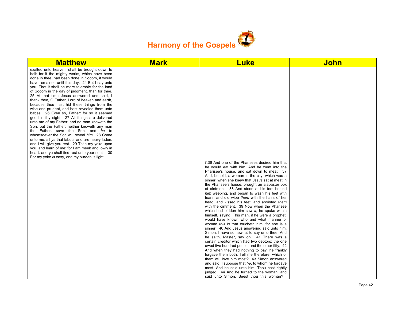

| <b>Matthew</b>                                                                                                                                                                                                                                                                                                                                                                                                                                                                                                                                                                                                                                                                                                                                                                                                                                                                                                                                                                                                      | <b>Mark</b> | <b>Luke</b>                                                                                                                                                                                                                                                                                                                                                                                                                                                                                                                                                                                                                                                                                                                                                                                                                                                                                                                                                                                                                                                                                                                                                                                                                                                                                                                                           | <b>John</b> |
|---------------------------------------------------------------------------------------------------------------------------------------------------------------------------------------------------------------------------------------------------------------------------------------------------------------------------------------------------------------------------------------------------------------------------------------------------------------------------------------------------------------------------------------------------------------------------------------------------------------------------------------------------------------------------------------------------------------------------------------------------------------------------------------------------------------------------------------------------------------------------------------------------------------------------------------------------------------------------------------------------------------------|-------------|-------------------------------------------------------------------------------------------------------------------------------------------------------------------------------------------------------------------------------------------------------------------------------------------------------------------------------------------------------------------------------------------------------------------------------------------------------------------------------------------------------------------------------------------------------------------------------------------------------------------------------------------------------------------------------------------------------------------------------------------------------------------------------------------------------------------------------------------------------------------------------------------------------------------------------------------------------------------------------------------------------------------------------------------------------------------------------------------------------------------------------------------------------------------------------------------------------------------------------------------------------------------------------------------------------------------------------------------------------|-------------|
| exalted unto heaven, shalt be brought down to<br>hell: for if the mighty works, which have been<br>done in thee, had been done in Sodom, it would<br>have remained until this day. 24 But I say unto<br>you, That it shall be more tolerable for the land<br>of Sodom in the day of judgment, than for thee.<br>25 At that time Jesus answered and said, I<br>thank thee. O Father. Lord of heaven and earth.<br>because thou hast hid these things from the<br>wise and prudent, and hast revealed them unto<br>babes. 26 Even so, Father: for so it seemed<br>good in thy sight. 27 All things are delivered<br>unto me of my Father: and no man knoweth the<br>Son, but the Father; neither knoweth any man<br>the Father, save the Son, and he to<br>whomsoever the Son will reveal him. 28 Come<br>unto me, all ye that labour and are heavy laden,<br>and I will give you rest. 29 Take my yoke upon<br>you, and learn of me; for I am meek and lowly in<br>heart: and ye shall find rest unto your souls. 30 |             |                                                                                                                                                                                                                                                                                                                                                                                                                                                                                                                                                                                                                                                                                                                                                                                                                                                                                                                                                                                                                                                                                                                                                                                                                                                                                                                                                       |             |
| For my yoke is easy, and my burden is light.                                                                                                                                                                                                                                                                                                                                                                                                                                                                                                                                                                                                                                                                                                                                                                                                                                                                                                                                                                        |             | 7:36 And one of the Pharisees desired him that<br>he would eat with him. And he went into the<br>Pharisee's house, and sat down to meat. 37<br>And, behold, a woman in the city, which was a<br>sinner, when she knew that Jesus sat at meat in<br>the Pharisee's house, brought an alabaster box<br>of ointment, 38 And stood at his feet behind<br>him weeping, and began to wash his feet with<br>tears, and did wipe them with the hairs of her<br>head, and kissed his feet, and anointed them<br>with the ointment. 39 Now when the Pharisee<br>which had bidden him saw it, he spake within<br>himself, saying, This man, if he were a prophet,<br>would have known who and what manner of<br>woman this is that toucheth him: for she is a<br>sinner. 40 And Jesus answering said unto him,<br>Simon, I have somewhat to say unto thee. And<br>he saith, Master, say on. 41 There was a<br>certain creditor which had two debtors: the one<br>owed five hundred pence, and the other fifty. 42<br>And when they had nothing to pay, he frankly<br>forgave them both. Tell me therefore, which of<br>them will love him most? 43 Simon answered<br>and said, I suppose that he, to whom he forgave<br>most. And he said unto him, Thou hast rightly<br>judged. 44 And he turned to the woman, and<br>said unto Simon, Seest thou this woman? I |             |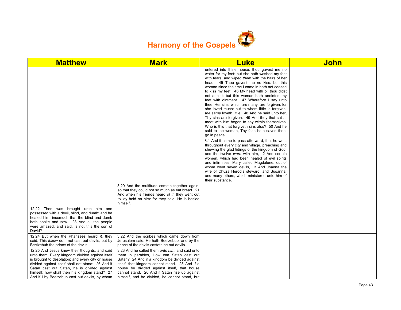

| <b>Matthew</b>                                                                                                                                                                                                                                                                                                                                               | <b>Mark</b>                                                                                                                                                                                                                                                                                                                                             | <b>Luke</b>                                                                                                                                                                                                                                                                                                                                                                                                                                                                                                                                                                                                                                                                                                                                                                          | <b>John</b> |
|--------------------------------------------------------------------------------------------------------------------------------------------------------------------------------------------------------------------------------------------------------------------------------------------------------------------------------------------------------------|---------------------------------------------------------------------------------------------------------------------------------------------------------------------------------------------------------------------------------------------------------------------------------------------------------------------------------------------------------|--------------------------------------------------------------------------------------------------------------------------------------------------------------------------------------------------------------------------------------------------------------------------------------------------------------------------------------------------------------------------------------------------------------------------------------------------------------------------------------------------------------------------------------------------------------------------------------------------------------------------------------------------------------------------------------------------------------------------------------------------------------------------------------|-------------|
|                                                                                                                                                                                                                                                                                                                                                              |                                                                                                                                                                                                                                                                                                                                                         | entered into thine house, thou gavest me no<br>water for my feet: but she hath washed my feet<br>with tears, and wiped them with the hairs of her<br>head. 45 Thou gavest me no kiss: but this<br>woman since the time I came in hath not ceased<br>to kiss my feet. 46 My head with oil thou didst<br>not anoint: but this woman hath anointed my<br>feet with ointment. 47 Wherefore I say unto<br>thee, Her sins, which are many, are forgiven; for<br>she loved much: but to whom little is forgiven,<br>the same loveth little. 48 And he said unto her,<br>Thy sins are forgiven. 49 And they that sat at<br>meat with him began to say within themselves,<br>Who is this that forgiveth sins also? 50 And he<br>said to the woman, Thy faith hath saved thee;<br>go in peace. |             |
|                                                                                                                                                                                                                                                                                                                                                              |                                                                                                                                                                                                                                                                                                                                                         | 8:1 And it came to pass afterward, that he went<br>throughout every city and village, preaching and<br>shewing the glad tidings of the kingdom of God:<br>and the twelve were with him, 2 And certain<br>women, which had been healed of evil spirits<br>and infirmities, Mary called Magdalene, out of<br>whom went seven devils, 3 And Joanna the<br>wife of Chuza Herod's steward, and Susanna,<br>and many others, which ministered unto him of<br>their substance.                                                                                                                                                                                                                                                                                                              |             |
|                                                                                                                                                                                                                                                                                                                                                              | 3:20 And the multitude cometh together again,<br>so that they could not so much as eat bread. 21<br>And when his friends heard of it, they went out<br>to lay hold on him: for they said, He is beside<br>himself.                                                                                                                                      |                                                                                                                                                                                                                                                                                                                                                                                                                                                                                                                                                                                                                                                                                                                                                                                      |             |
| 12:22 Then was brought unto him one<br>possessed with a devil, blind, and dumb: and he<br>healed him, insomuch that the blind and dumb<br>both spake and saw. 23 And all the people<br>were amazed, and said, Is not this the son of<br>David?                                                                                                               |                                                                                                                                                                                                                                                                                                                                                         |                                                                                                                                                                                                                                                                                                                                                                                                                                                                                                                                                                                                                                                                                                                                                                                      |             |
| 12:24 But when the Pharisees heard it, they<br>said, This fellow doth not cast out devils, but by<br>Beelzebub the prince of the devils.                                                                                                                                                                                                                     | 3:22 And the scribes which came down from<br>Jerusalem said, He hath Beelzebub, and by the<br>prince of the devils casteth he out devils.                                                                                                                                                                                                               |                                                                                                                                                                                                                                                                                                                                                                                                                                                                                                                                                                                                                                                                                                                                                                                      |             |
| 12:25 And Jesus knew their thoughts, and said<br>unto them, Every kingdom divided against itself<br>is brought to desolation; and every city or house<br>divided against itself shall not stand: 26 And if<br>Satan cast out Satan, he is divided against<br>himself; how shall then his kingdom stand? 27<br>And if I by Beelzebub cast out devils, by whom | 3:23 And he called them <i>unto him</i> , and said unto<br>them in parables, How can Satan cast out<br>Satan? 24 And if a kingdom be divided against<br>itself, that kingdom cannot stand. 25 And if a<br>house be divided against itself, that house<br>cannot stand. 26 And if Satan rise up against<br>himself, and be divided, he cannot stand, but |                                                                                                                                                                                                                                                                                                                                                                                                                                                                                                                                                                                                                                                                                                                                                                                      |             |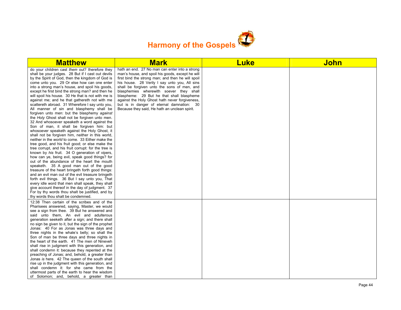

| <b>Matthew</b>                                                                                                                                                                                                                                                                                                                                                                                                                                                                                                                                                                                                                                                                                                                                                                                                                                                                                                                                                                                                                                                                                                                                                                                                                                                                                                                                                                                                                                                                                                                                     | <b>Mark</b>                                                                                                                                                                                                                                                                                                                                                                                                                                                                                     | <b>Luke</b> | <b>John</b> |
|----------------------------------------------------------------------------------------------------------------------------------------------------------------------------------------------------------------------------------------------------------------------------------------------------------------------------------------------------------------------------------------------------------------------------------------------------------------------------------------------------------------------------------------------------------------------------------------------------------------------------------------------------------------------------------------------------------------------------------------------------------------------------------------------------------------------------------------------------------------------------------------------------------------------------------------------------------------------------------------------------------------------------------------------------------------------------------------------------------------------------------------------------------------------------------------------------------------------------------------------------------------------------------------------------------------------------------------------------------------------------------------------------------------------------------------------------------------------------------------------------------------------------------------------------|-------------------------------------------------------------------------------------------------------------------------------------------------------------------------------------------------------------------------------------------------------------------------------------------------------------------------------------------------------------------------------------------------------------------------------------------------------------------------------------------------|-------------|-------------|
| do your children cast them out? therefore they<br>shall be your judges. 28 But if I cast out devils<br>by the Spirit of God, then the kingdom of God is<br>come unto you. 29 Or else how can one enter<br>into a strong man's house, and spoil his goods,<br>except he first bind the strong man? and then he<br>will spoil his house. 30 He that is not with me is<br>against me; and he that gathereth not with me<br>scattereth abroad. 31 Wherefore I say unto you,<br>All manner of sin and blasphemy shall be<br>forgiven unto men: but the blasphemy against<br>the Holy Ghost shall not be forgiven unto men.<br>32 And whosoever speaketh a word against the<br>Son of man, it shall be forgiven him: but<br>whosoever speaketh against the Holy Ghost, it<br>shall not be forgiven him, neither in this world,<br>neither in the world to come. 33 Either make the<br>tree good, and his fruit good; or else make the<br>tree corrupt, and his fruit corrupt: for the tree is<br>known by his fruit. 34 O generation of vipers,<br>how can ye, being evil, speak good things? for<br>out of the abundance of the heart the mouth<br>speaketh. 35 A good man out of the good<br>treasure of the heart bringeth forth good things:<br>and an evil man out of the evil treasure bringeth<br>forth evil things. 36 But I say unto you, That<br>every idle word that men shall speak, they shall<br>give account thereof in the day of judgment. 37<br>For by thy words thou shalt be justified, and by<br>thy words thou shalt be condemned. | hath an end. 27 No man can enter into a strong<br>man's house, and spoil his goods, except he will<br>first bind the strong man; and then he will spoil<br>his house. 28 Verily I say unto you, All sins<br>shall be forgiven unto the sons of men, and<br>blasphemies wherewith soever they shall<br>blaspheme: 29 But he that shall blaspheme<br>against the Holy Ghost hath never forgiveness,<br>but is in danger of eternal damnation: 30<br>Because they said, He hath an unclean spirit. |             |             |
| 12:38 Then certain of the scribes and of the<br>Pharisees answered, saying, Master, we would<br>see a sign from thee. 39 But he answered and<br>said unto them, An evil and adulterous<br>generation seeketh after a sign; and there shall<br>no sign be given to it, but the sign of the prophet<br>Jonas: 40 For as Jonas was three days and<br>three nights in the whale's belly; so shall the<br>Son of man be three days and three nights in<br>the heart of the earth. 41 The men of Nineveh<br>shall rise in judgment with this generation, and<br>shall condemn it: because they repented at the<br>preaching of Jonas; and, behold, a greater than<br>Jonas is here. 42 The queen of the south shall<br>rise up in the judgment with this generation, and<br>shall condemn it: for she came from the<br>uttermost parts of the earth to hear the wisdom<br>of Solomon; and, behold, a greater than                                                                                                                                                                                                                                                                                                                                                                                                                                                                                                                                                                                                                                        |                                                                                                                                                                                                                                                                                                                                                                                                                                                                                                 |             |             |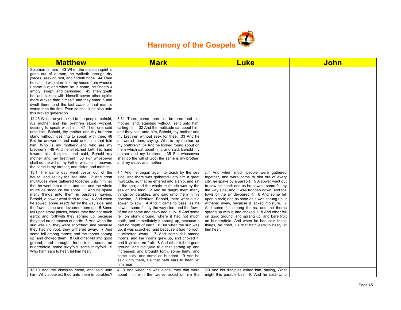

| <b>Matthew</b>                                                                                                                                                                                                                                                                                                                                                                                                                                                                                                                                                                                                                                                                                                                                                                                                                                                                                                                            | <b>Mark</b>                                                                                                                                                                                                                                                                                                                                                                                                                                                                                                                                                                                                                                                                                                                                                                                                                                                                                                                                                                                                                                                                     | <b>Luke</b>                                                                                                                                                                                                                                                                                                                                                                                                                                                                                                                                                                                                                                                           | John |
|-------------------------------------------------------------------------------------------------------------------------------------------------------------------------------------------------------------------------------------------------------------------------------------------------------------------------------------------------------------------------------------------------------------------------------------------------------------------------------------------------------------------------------------------------------------------------------------------------------------------------------------------------------------------------------------------------------------------------------------------------------------------------------------------------------------------------------------------------------------------------------------------------------------------------------------------|---------------------------------------------------------------------------------------------------------------------------------------------------------------------------------------------------------------------------------------------------------------------------------------------------------------------------------------------------------------------------------------------------------------------------------------------------------------------------------------------------------------------------------------------------------------------------------------------------------------------------------------------------------------------------------------------------------------------------------------------------------------------------------------------------------------------------------------------------------------------------------------------------------------------------------------------------------------------------------------------------------------------------------------------------------------------------------|-----------------------------------------------------------------------------------------------------------------------------------------------------------------------------------------------------------------------------------------------------------------------------------------------------------------------------------------------------------------------------------------------------------------------------------------------------------------------------------------------------------------------------------------------------------------------------------------------------------------------------------------------------------------------|------|
| Solomon is here. 43 When the unclean spirit is<br>gone out of a man, he walketh through dry<br>places, seeking rest, and findeth none. 44 Then<br>he saith, I will return into my house from whence<br>I came out; and when he is come, he findeth it<br>empty, swept, and garnished. 45 Then goeth<br>he, and taketh with himself seven other spirits<br>more wicked than himself, and they enter in and<br>dwell there: and the last state of that man is<br>worse than the first. Even so shall it be also unto<br>this wicked generation.                                                                                                                                                                                                                                                                                                                                                                                             |                                                                                                                                                                                                                                                                                                                                                                                                                                                                                                                                                                                                                                                                                                                                                                                                                                                                                                                                                                                                                                                                                 |                                                                                                                                                                                                                                                                                                                                                                                                                                                                                                                                                                                                                                                                       |      |
| 12:46 While he yet talked to the people, behold,<br>his mother and his brethren stood without,<br>desiring to speak with him. 47 Then one said<br>unto him, Behold, thy mother and thy brethren<br>stand without, desiring to speak with thee. 48<br>But he answered and said unto him that told<br>him, Who is my mother? and who are my<br>brethren? 49 And he stretched forth his hand<br>toward his disciples, and said, Behold my<br>mother and my brethren! 50 For whosoever<br>shall do the will of my Father which is in heaven,<br>the same is my brother, and sister, and mother.                                                                                                                                                                                                                                                                                                                                               | 3:31 There came then his brethren and his<br>mother, and, standing without, sent unto him,<br>calling him. 32 And the multitude sat about him,<br>and they said unto him, Behold, thy mother and<br>thy brethren without seek for thee. 33 And he<br>answered them, saying, Who is my mother, or<br>my brethren? 34 And he looked round about on<br>them which sat about him, and said, Behold my<br>mother and my brethren! 35 For whosoever<br>shall do the will of God, the same is my brother,<br>and my sister, and mother.                                                                                                                                                                                                                                                                                                                                                                                                                                                                                                                                                |                                                                                                                                                                                                                                                                                                                                                                                                                                                                                                                                                                                                                                                                       |      |
| 13:1 The same day went Jesus out of the<br>house, and sat by the sea side. 2 And great<br>multitudes were gathered together unto him, so<br>that he went into a ship, and sat; and the whole<br>multitude stood on the shore. 3 And he spake<br>many things unto them in parables, saying,<br>Behold, a sower went forth to sow; 4 And when<br>he sowed, some seeds fell by the way side, and<br>the fowls came and devoured them up: 5 Some<br>fell upon stony places, where they had not much<br>earth: and forthwith they sprung up, because<br>they had no deepness of earth: 6 And when the<br>sun was up, they were scorched; and because<br>they had no root, they withered away. 7 And<br>some fell among thorns; and the thorns sprung<br>up, and choked them: 8 But other fell into good<br>ground, and brought forth fruit, some an<br>hundredfold, some sixtyfold, some thirtyfold. 9<br>Who hath ears to hear, let him hear. | 4:1 And he began again to teach by the sea<br>side: and there was gathered unto him a great<br>multitude, so that he entered into a ship, and sat<br>in the sea; and the whole multitude was by the<br>sea on the land. 2 And he taught them many<br>things by parables, and said unto them in his<br>doctrine, 3 Hearken; Behold, there went out a<br>sower to sow: 4 And it came to pass, as he<br>sowed, some fell by the way side, and the fowls<br>of the air came and devoured it up. 5 And some<br>fell on stony ground, where it had not much<br>earth; and immediately it sprang up, because it<br>had no depth of earth: 6 But when the sun was<br>up, it was scorched; and because it had no root,<br>it withered away. 7 And some fell among<br>thorns, and the thorns grew up, and choked it,<br>and it yielded no fruit. 8 And other fell on good<br>ground, and did yield fruit that sprang up and<br>increased; and brought forth, some thirty, and<br>some sixty, and some an hundred. 9 And he<br>said unto them. He that hath ears to hear, let<br>him hear. | 8:4 And when much people were gathered<br>together, and were come to him out of every<br>city, he spake by a parable: 5 A sower went out<br>to sow his seed: and as he sowed, some fell by<br>the way side; and it was trodden down, and the<br>fowls of the air devoured it. 6 And some fell<br>upon a rock; and as soon as it was sprung up, it<br>withered away, because it lacked moisture. 7<br>And some fell among thorns; and the thorns<br>sprang up with it, and choked it. 8 And other fell<br>on good ground, and sprang up, and bare fruit<br>an hundredfold. And when he had said these<br>things, he cried, He that hath ears to hear, let<br>him hear. |      |
| 13:10 And the disciples came, and said unto<br>him, Why speakest thou unto them in parables?                                                                                                                                                                                                                                                                                                                                                                                                                                                                                                                                                                                                                                                                                                                                                                                                                                              | 4:10 And when he was alone, they that were<br>about him with the twelve asked of him the                                                                                                                                                                                                                                                                                                                                                                                                                                                                                                                                                                                                                                                                                                                                                                                                                                                                                                                                                                                        | 8:9 And his disciples asked him, saying, What<br>might this parable be? 10 And he said, Unto                                                                                                                                                                                                                                                                                                                                                                                                                                                                                                                                                                          |      |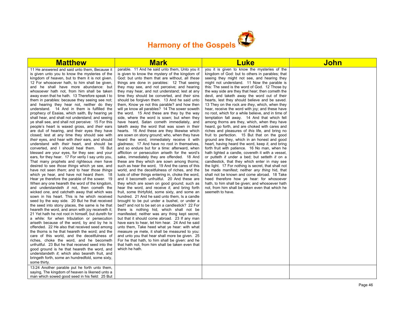

| <b>Matthew</b>                                                                                                                                                                                                                                                                                                                                                                                                                                                                                                                                                                                                                                                                                                                                                                                                                                                                                                                                                                                                                                                                                                                                                                                                                                                                                                                                                                                                                                                                                                                                                                                                                                                                                                                                                                                                                                                                                                                                                                                                                                                                                                                                                                                                                                                                                           | <b>Mark</b>                                                                                                                                                                                                                                                                                                                                                                                                                                                                                                                                                                                                                                                                                                                                                                                                                                                                                                                                                                                                                                                                                                                                                                                                                                                                                                                                                                                                                                                                                                                                                                                                                                                                                                                                                                                                                                                                                                                                                                                                                                                                                          | <b>Luke</b>                                                                                                                                                                                                                                                                                                                                                                                                                                                                                                                                                                                                                                                                                                                                                                                                                                                                                                                                                                                                                                                                                                                                                                                                                                                                                                                                                                                                                                                                    | <b>John</b> |
|----------------------------------------------------------------------------------------------------------------------------------------------------------------------------------------------------------------------------------------------------------------------------------------------------------------------------------------------------------------------------------------------------------------------------------------------------------------------------------------------------------------------------------------------------------------------------------------------------------------------------------------------------------------------------------------------------------------------------------------------------------------------------------------------------------------------------------------------------------------------------------------------------------------------------------------------------------------------------------------------------------------------------------------------------------------------------------------------------------------------------------------------------------------------------------------------------------------------------------------------------------------------------------------------------------------------------------------------------------------------------------------------------------------------------------------------------------------------------------------------------------------------------------------------------------------------------------------------------------------------------------------------------------------------------------------------------------------------------------------------------------------------------------------------------------------------------------------------------------------------------------------------------------------------------------------------------------------------------------------------------------------------------------------------------------------------------------------------------------------------------------------------------------------------------------------------------------------------------------------------------------------------------------------------------------|------------------------------------------------------------------------------------------------------------------------------------------------------------------------------------------------------------------------------------------------------------------------------------------------------------------------------------------------------------------------------------------------------------------------------------------------------------------------------------------------------------------------------------------------------------------------------------------------------------------------------------------------------------------------------------------------------------------------------------------------------------------------------------------------------------------------------------------------------------------------------------------------------------------------------------------------------------------------------------------------------------------------------------------------------------------------------------------------------------------------------------------------------------------------------------------------------------------------------------------------------------------------------------------------------------------------------------------------------------------------------------------------------------------------------------------------------------------------------------------------------------------------------------------------------------------------------------------------------------------------------------------------------------------------------------------------------------------------------------------------------------------------------------------------------------------------------------------------------------------------------------------------------------------------------------------------------------------------------------------------------------------------------------------------------------------------------------------------------|--------------------------------------------------------------------------------------------------------------------------------------------------------------------------------------------------------------------------------------------------------------------------------------------------------------------------------------------------------------------------------------------------------------------------------------------------------------------------------------------------------------------------------------------------------------------------------------------------------------------------------------------------------------------------------------------------------------------------------------------------------------------------------------------------------------------------------------------------------------------------------------------------------------------------------------------------------------------------------------------------------------------------------------------------------------------------------------------------------------------------------------------------------------------------------------------------------------------------------------------------------------------------------------------------------------------------------------------------------------------------------------------------------------------------------------------------------------------------------|-------------|
| 11 He answered and said unto them, Because it<br>is given unto you to know the mysteries of the<br>kingdom of heaven, but to them it is not given.<br>12 For whosoever hath, to him shall be given,<br>and he shall have more abundance: but<br>whosoever hath not, from him shall be taken<br>away even that he hath. 13 Therefore speak I to<br>them in parables: because they seeing see not;<br>and hearing they hear not, neither do they<br>understand. 14 And in them is fulfilled the<br>prophecy of Esaias, which saith, By hearing ye<br>shall hear, and shall not understand; and seeing<br>ye shall see, and shall not perceive: 15 For this<br>people's heart is waxed gross, and their ears<br>are dull of hearing, and their eyes they have<br>closed; lest at any time they should see with<br>their eyes, and hear with their ears, and should<br>understand with their heart, and should be<br>converted, and I should heal them. 16 But<br>blessed are your eyes, for they see: and your<br>ears, for they hear. 17 For verily I say unto you,<br>That many prophets and righteous men have<br>desired to see those things which ye see, and<br>have not seen them; and to hear those things<br>which ye hear, and have not heard them. 18<br>Hear ye therefore the parable of the sower. 19<br>When any one heareth the word of the kingdom,<br>and understandeth it not, then cometh the<br>wicked one, and catcheth away that which was<br>sown in his heart. This is he which received<br>seed by the way side. 20 But he that received<br>the seed into stony places, the same is he that<br>heareth the word, and anon with joy receiveth it;<br>21 Yet hath he not root in himself, but dureth for<br>a while: for when tribulation or persecution<br>ariseth because of the word, by and by he is<br>offended. 22 He also that received seed among<br>the thorns is he that heareth the word; and the<br>care of this world, and the deceitfulness of<br>riches, choke the word, and he becometh<br>unfruitful. 23 But he that received seed into the<br>good ground is he that heareth the word, and<br>understandeth it; which also beareth fruit, and<br>bringeth forth, some an hundredfold, some sixty,<br>some thirty.<br>13:24 Another parable put he forth unto them, | parable. 11 And he said unto them, Unto you it<br>is given to know the mystery of the kingdom of<br>God: but unto them that are without, all these<br>things are done in parables: 12 That seeing<br>they may see, and not perceive; and hearing<br>they may hear, and not understand; lest at any<br>time they should be converted, and their sins<br>should be forgiven them. 13 And he said unto<br>them, Know ye not this parable? and how then<br>will ye know all parables? 14 The sower soweth<br>the word. 15 And these are they by the way<br>side, where the word is sown; but when they<br>have heard, Satan cometh immediately, and<br>taketh away the word that was sown in their<br>hearts. 16 And these are they likewise which<br>are sown on stony ground; who, when they have<br>heard the word, immediately receive it with<br>gladness: 17 And have no root in themselves,<br>and so endure but for a time: afterward, when<br>affliction or persecution ariseth for the word's<br>sake, immediately they are offended. 18 And<br>these are they which are sown among thorns;<br>such as hear the word, 19 And the cares of this<br>world, and the deceitfulness of riches, and the<br>lusts of other things entering in, choke the word,<br>and it becometh unfruitful. 20 And these are<br>they which are sown on good ground; such as<br>hear the word, and receive it, and bring forth<br>fruit, some thirtyfold, some sixty, and some an<br>hundred. 21 And he said unto them, Is a candle<br>brought to be put under a bushel, or under a<br>bed? and not to be set on a candlestick? 22 For<br>there is nothing hid, which shall not be<br>manifested; neither was any thing kept secret,<br>but that it should come abroad. 23 If any man<br>have ears to hear, let him hear. 24 And he said<br>unto them, Take heed what ye hear: with what<br>measure ye mete, it shall be measured to you:<br>and unto you that hear shall more be given. 25<br>For he that hath, to him shall be given: and he<br>that hath not, from him shall be taken even that<br>which he hath. | you it is given to know the mysteries of the<br>kingdom of God: but to others in parables; that<br>seeing they might not see, and hearing they<br>might not understand. 11 Now the parable is<br>this: The seed is the word of God. 12 Those by<br>the way side are they that hear; then cometh the<br>devil, and taketh away the word out of their<br>hearts, lest they should believe and be saved.<br>13 They on the rock are they, which, when they<br>hear, receive the word with joy; and these have<br>no root, which for a while believe, and in time of<br>temptation fall away. 14 And that which fell<br>among thorns are they, which, when they have<br>heard, go forth, and are choked with cares and<br>riches and pleasures of this life, and bring no<br>fruit to perfection. 15 But that on the good<br>ground are they, which in an honest and good<br>heart, having heard the word, keep it, and bring<br>forth fruit with patience. 16 No man, when he<br>hath lighted a candle, covereth it with a vessel,<br>or putteth <i>it</i> under a bed; but setteth <i>it</i> on a<br>candlestick, that they which enter in may see<br>the light. 17 For nothing is secret, that shall not<br>be made manifest; neither any thing hid, that<br>shall not be known and come abroad. 18 Take<br>heed therefore how ye hear: for whosoever<br>hath, to him shall be given; and whosoever hath<br>not, from him shall be taken even that which he<br>seemeth to have. |             |
| saying, The kingdom of heaven is likened unto a<br>man which sowed good seed in his field: 25 But                                                                                                                                                                                                                                                                                                                                                                                                                                                                                                                                                                                                                                                                                                                                                                                                                                                                                                                                                                                                                                                                                                                                                                                                                                                                                                                                                                                                                                                                                                                                                                                                                                                                                                                                                                                                                                                                                                                                                                                                                                                                                                                                                                                                        |                                                                                                                                                                                                                                                                                                                                                                                                                                                                                                                                                                                                                                                                                                                                                                                                                                                                                                                                                                                                                                                                                                                                                                                                                                                                                                                                                                                                                                                                                                                                                                                                                                                                                                                                                                                                                                                                                                                                                                                                                                                                                                      |                                                                                                                                                                                                                                                                                                                                                                                                                                                                                                                                                                                                                                                                                                                                                                                                                                                                                                                                                                                                                                                                                                                                                                                                                                                                                                                                                                                                                                                                                |             |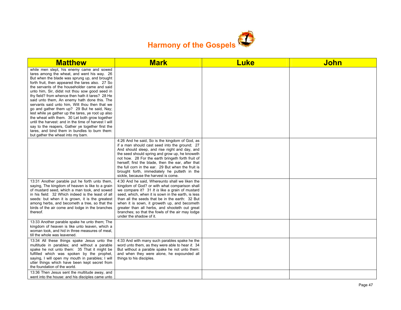

| <b>Matthew</b>                                                                                                                                                                                                                                                                                                                                                                                                                                                                                                                                                                                                                                                                                                                                                                                                   | <b>Mark</b>                                                                                                                                                                                                                                                                                                                                                                                                                                                 | <b>Luke</b> | <b>John</b> |
|------------------------------------------------------------------------------------------------------------------------------------------------------------------------------------------------------------------------------------------------------------------------------------------------------------------------------------------------------------------------------------------------------------------------------------------------------------------------------------------------------------------------------------------------------------------------------------------------------------------------------------------------------------------------------------------------------------------------------------------------------------------------------------------------------------------|-------------------------------------------------------------------------------------------------------------------------------------------------------------------------------------------------------------------------------------------------------------------------------------------------------------------------------------------------------------------------------------------------------------------------------------------------------------|-------------|-------------|
| while men slept, his enemy came and sowed<br>tares among the wheat, and went his way. 26<br>But when the blade was sprung up, and brought<br>forth fruit, then appeared the tares also. 27 So<br>the servants of the householder came and said<br>unto him, Sir, didst not thou sow good seed in<br>thy field? from whence then hath it tares? 28 He<br>said unto them, An enemy hath done this. The<br>servants said unto him, Wilt thou then that we<br>go and gather them up? 29 But he said, Nay;<br>lest while ye gather up the tares, ye root up also<br>the wheat with them. 30 Let both grow together<br>until the harvest: and in the time of harvest I will<br>say to the reapers, Gather ye together first the<br>tares, and bind them in bundles to burn them:<br>but gather the wheat into my barn. |                                                                                                                                                                                                                                                                                                                                                                                                                                                             |             |             |
|                                                                                                                                                                                                                                                                                                                                                                                                                                                                                                                                                                                                                                                                                                                                                                                                                  | 4:26 And he said, So is the kingdom of God, as<br>if a man should cast seed into the ground; 27<br>And should sleep, and rise night and day, and<br>the seed should spring and grow up, he knoweth<br>not how. 28 For the earth bringeth forth fruit of<br>herself; first the blade, then the ear, after that<br>the full corn in the ear. 29 But when the fruit is<br>brought forth, immediately he putteth in the<br>sickle, because the harvest is come. |             |             |
| 13:31 Another parable put he forth unto them,<br>saying, The kingdom of heaven is like to a grain<br>of mustard seed, which a man took, and sowed<br>in his field: 32 Which indeed is the least of all<br>seeds: but when it is grown, it is the greatest<br>among herbs, and becometh a tree, so that the<br>birds of the air come and lodge in the branches<br>thereof.                                                                                                                                                                                                                                                                                                                                                                                                                                        | 4:30 And he said, Whereunto shall we liken the<br>kingdom of God? or with what comparison shall<br>we compare it? 31 It is like a grain of mustard<br>seed, which, when it is sown in the earth, is less<br>than all the seeds that be in the earth: 32 But<br>when it is sown, it groweth up, and becometh<br>greater than all herbs, and shooteth out great<br>branches; so that the fowls of the air may lodge<br>under the shadow of it.                |             |             |
| 13:33 Another parable spake he unto them; The<br>kingdom of heaven is like unto leaven, which a<br>woman took, and hid in three measures of meal,<br>till the whole was leavened.                                                                                                                                                                                                                                                                                                                                                                                                                                                                                                                                                                                                                                |                                                                                                                                                                                                                                                                                                                                                                                                                                                             |             |             |
| 13:34 All these things spake Jesus unto the<br>multitude in parables; and without a parable<br>spake he not unto them: 35 That it might be<br>fulfilled which was spoken by the prophet,<br>saying, I will open my mouth in parables; I will<br>utter things which have been kept secret from<br>the foundation of the world.                                                                                                                                                                                                                                                                                                                                                                                                                                                                                    | 4:33 And with many such parables spake he the<br>word unto them, as they were able to hear it. 34<br>But without a parable spake he not unto them:<br>and when they were alone, he expounded all<br>things to his disciples.                                                                                                                                                                                                                                |             |             |
| 13:36 Then Jesus sent the multitude away, and<br>went into the house: and his disciples came unto                                                                                                                                                                                                                                                                                                                                                                                                                                                                                                                                                                                                                                                                                                                |                                                                                                                                                                                                                                                                                                                                                                                                                                                             |             |             |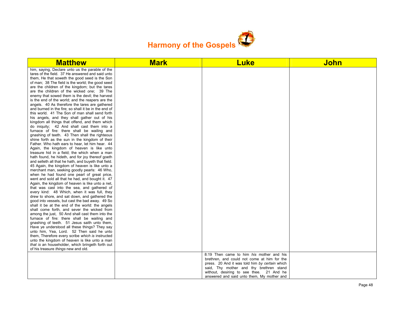

| him, saying, Declare unto us the parable of the<br>tares of the field. 37 He answered and said unto<br>them, He that soweth the good seed is the Son<br>of man; 38 The field is the world; the good seed<br>are the children of the kingdom; but the tares<br>are the children of the wicked one; 39 The<br>enemy that sowed them is the devil; the harvest<br>is the end of the world; and the reapers are the<br>angels. 40 As therefore the tares are gathered<br>and burned in the fire; so shall it be in the end of<br>this world. 41 The Son of man shall send forth<br>his angels, and they shall gather out of his<br>kingdom all things that offend, and them which<br>do iniquity; 42 And shall cast them into a<br>furnace of fire: there shall be wailing and<br>gnashing of teeth. 43 Then shall the righteous<br>shine forth as the sun in the kingdom of their<br>Father. Who hath ears to hear, let him hear. 44<br>Again, the kingdom of heaven is like unto<br>treasure hid in a field; the which when a man<br>hath found, he hideth, and for joy thereof goeth<br>and selleth all that he hath, and buyeth that field.<br>45 Again, the kingdom of heaven is like unto a<br>merchant man, seeking goodly pearls: 46 Who,<br>when he had found one pearl of great price,<br>went and sold all that he had, and bought it. 47<br>Again, the kingdom of heaven is like unto a net,<br>that was cast into the sea, and gathered of<br>every kind: 48 Which, when it was full, they<br>drew to shore, and sat down, and gathered the<br>good into vessels, but cast the bad away. 49 So<br>shall it be at the end of the world: the angels<br>shall come forth, and sever the wicked from<br>among the just, 50 And shall cast them into the<br>furnace of fire: there shall be wailing and<br>gnashing of teeth. 51 Jesus saith unto them,<br>Have ye understood all these things? They say<br>unto him, Yea, Lord. 52 Then said he unto<br>them. Therefore every scribe which is instructed<br>unto the kingdom of heaven is like unto a man<br>that is an householder, which bringeth forth out<br>of his treasure things new and old.<br>8:19 Then came to him his mother and his<br>brethren, and could not come at him for the<br>press. 20 And it was told him by certain which<br>said, Thy mother and thy brethren stand<br>without, desiring to see thee. 21 And he | <b>Matthew</b> | <b>Mark</b> | <b>Luke</b> | <b>John</b> |
|-----------------------------------------------------------------------------------------------------------------------------------------------------------------------------------------------------------------------------------------------------------------------------------------------------------------------------------------------------------------------------------------------------------------------------------------------------------------------------------------------------------------------------------------------------------------------------------------------------------------------------------------------------------------------------------------------------------------------------------------------------------------------------------------------------------------------------------------------------------------------------------------------------------------------------------------------------------------------------------------------------------------------------------------------------------------------------------------------------------------------------------------------------------------------------------------------------------------------------------------------------------------------------------------------------------------------------------------------------------------------------------------------------------------------------------------------------------------------------------------------------------------------------------------------------------------------------------------------------------------------------------------------------------------------------------------------------------------------------------------------------------------------------------------------------------------------------------------------------------------------------------------------------------------------------------------------------------------------------------------------------------------------------------------------------------------------------------------------------------------------------------------------------------------------------------------------------------------------------------------------------------------------------------------------------------------------------------------------------------------------------------------------|----------------|-------------|-------------|-------------|
|                                                                                                                                                                                                                                                                                                                                                                                                                                                                                                                                                                                                                                                                                                                                                                                                                                                                                                                                                                                                                                                                                                                                                                                                                                                                                                                                                                                                                                                                                                                                                                                                                                                                                                                                                                                                                                                                                                                                                                                                                                                                                                                                                                                                                                                                                                                                                                                               |                |             |             |             |
|                                                                                                                                                                                                                                                                                                                                                                                                                                                                                                                                                                                                                                                                                                                                                                                                                                                                                                                                                                                                                                                                                                                                                                                                                                                                                                                                                                                                                                                                                                                                                                                                                                                                                                                                                                                                                                                                                                                                                                                                                                                                                                                                                                                                                                                                                                                                                                                               |                |             |             |             |
|                                                                                                                                                                                                                                                                                                                                                                                                                                                                                                                                                                                                                                                                                                                                                                                                                                                                                                                                                                                                                                                                                                                                                                                                                                                                                                                                                                                                                                                                                                                                                                                                                                                                                                                                                                                                                                                                                                                                                                                                                                                                                                                                                                                                                                                                                                                                                                                               |                |             |             |             |
|                                                                                                                                                                                                                                                                                                                                                                                                                                                                                                                                                                                                                                                                                                                                                                                                                                                                                                                                                                                                                                                                                                                                                                                                                                                                                                                                                                                                                                                                                                                                                                                                                                                                                                                                                                                                                                                                                                                                                                                                                                                                                                                                                                                                                                                                                                                                                                                               |                |             |             |             |
|                                                                                                                                                                                                                                                                                                                                                                                                                                                                                                                                                                                                                                                                                                                                                                                                                                                                                                                                                                                                                                                                                                                                                                                                                                                                                                                                                                                                                                                                                                                                                                                                                                                                                                                                                                                                                                                                                                                                                                                                                                                                                                                                                                                                                                                                                                                                                                                               |                |             |             |             |
|                                                                                                                                                                                                                                                                                                                                                                                                                                                                                                                                                                                                                                                                                                                                                                                                                                                                                                                                                                                                                                                                                                                                                                                                                                                                                                                                                                                                                                                                                                                                                                                                                                                                                                                                                                                                                                                                                                                                                                                                                                                                                                                                                                                                                                                                                                                                                                                               |                |             |             |             |
|                                                                                                                                                                                                                                                                                                                                                                                                                                                                                                                                                                                                                                                                                                                                                                                                                                                                                                                                                                                                                                                                                                                                                                                                                                                                                                                                                                                                                                                                                                                                                                                                                                                                                                                                                                                                                                                                                                                                                                                                                                                                                                                                                                                                                                                                                                                                                                                               |                |             |             |             |
|                                                                                                                                                                                                                                                                                                                                                                                                                                                                                                                                                                                                                                                                                                                                                                                                                                                                                                                                                                                                                                                                                                                                                                                                                                                                                                                                                                                                                                                                                                                                                                                                                                                                                                                                                                                                                                                                                                                                                                                                                                                                                                                                                                                                                                                                                                                                                                                               |                |             |             |             |
|                                                                                                                                                                                                                                                                                                                                                                                                                                                                                                                                                                                                                                                                                                                                                                                                                                                                                                                                                                                                                                                                                                                                                                                                                                                                                                                                                                                                                                                                                                                                                                                                                                                                                                                                                                                                                                                                                                                                                                                                                                                                                                                                                                                                                                                                                                                                                                                               |                |             |             |             |
|                                                                                                                                                                                                                                                                                                                                                                                                                                                                                                                                                                                                                                                                                                                                                                                                                                                                                                                                                                                                                                                                                                                                                                                                                                                                                                                                                                                                                                                                                                                                                                                                                                                                                                                                                                                                                                                                                                                                                                                                                                                                                                                                                                                                                                                                                                                                                                                               |                |             |             |             |
|                                                                                                                                                                                                                                                                                                                                                                                                                                                                                                                                                                                                                                                                                                                                                                                                                                                                                                                                                                                                                                                                                                                                                                                                                                                                                                                                                                                                                                                                                                                                                                                                                                                                                                                                                                                                                                                                                                                                                                                                                                                                                                                                                                                                                                                                                                                                                                                               |                |             |             |             |
|                                                                                                                                                                                                                                                                                                                                                                                                                                                                                                                                                                                                                                                                                                                                                                                                                                                                                                                                                                                                                                                                                                                                                                                                                                                                                                                                                                                                                                                                                                                                                                                                                                                                                                                                                                                                                                                                                                                                                                                                                                                                                                                                                                                                                                                                                                                                                                                               |                |             |             |             |
|                                                                                                                                                                                                                                                                                                                                                                                                                                                                                                                                                                                                                                                                                                                                                                                                                                                                                                                                                                                                                                                                                                                                                                                                                                                                                                                                                                                                                                                                                                                                                                                                                                                                                                                                                                                                                                                                                                                                                                                                                                                                                                                                                                                                                                                                                                                                                                                               |                |             |             |             |
|                                                                                                                                                                                                                                                                                                                                                                                                                                                                                                                                                                                                                                                                                                                                                                                                                                                                                                                                                                                                                                                                                                                                                                                                                                                                                                                                                                                                                                                                                                                                                                                                                                                                                                                                                                                                                                                                                                                                                                                                                                                                                                                                                                                                                                                                                                                                                                                               |                |             |             |             |
|                                                                                                                                                                                                                                                                                                                                                                                                                                                                                                                                                                                                                                                                                                                                                                                                                                                                                                                                                                                                                                                                                                                                                                                                                                                                                                                                                                                                                                                                                                                                                                                                                                                                                                                                                                                                                                                                                                                                                                                                                                                                                                                                                                                                                                                                                                                                                                                               |                |             |             |             |
|                                                                                                                                                                                                                                                                                                                                                                                                                                                                                                                                                                                                                                                                                                                                                                                                                                                                                                                                                                                                                                                                                                                                                                                                                                                                                                                                                                                                                                                                                                                                                                                                                                                                                                                                                                                                                                                                                                                                                                                                                                                                                                                                                                                                                                                                                                                                                                                               |                |             |             |             |
|                                                                                                                                                                                                                                                                                                                                                                                                                                                                                                                                                                                                                                                                                                                                                                                                                                                                                                                                                                                                                                                                                                                                                                                                                                                                                                                                                                                                                                                                                                                                                                                                                                                                                                                                                                                                                                                                                                                                                                                                                                                                                                                                                                                                                                                                                                                                                                                               |                |             |             |             |
|                                                                                                                                                                                                                                                                                                                                                                                                                                                                                                                                                                                                                                                                                                                                                                                                                                                                                                                                                                                                                                                                                                                                                                                                                                                                                                                                                                                                                                                                                                                                                                                                                                                                                                                                                                                                                                                                                                                                                                                                                                                                                                                                                                                                                                                                                                                                                                                               |                |             |             |             |
|                                                                                                                                                                                                                                                                                                                                                                                                                                                                                                                                                                                                                                                                                                                                                                                                                                                                                                                                                                                                                                                                                                                                                                                                                                                                                                                                                                                                                                                                                                                                                                                                                                                                                                                                                                                                                                                                                                                                                                                                                                                                                                                                                                                                                                                                                                                                                                                               |                |             |             |             |
|                                                                                                                                                                                                                                                                                                                                                                                                                                                                                                                                                                                                                                                                                                                                                                                                                                                                                                                                                                                                                                                                                                                                                                                                                                                                                                                                                                                                                                                                                                                                                                                                                                                                                                                                                                                                                                                                                                                                                                                                                                                                                                                                                                                                                                                                                                                                                                                               |                |             |             |             |
|                                                                                                                                                                                                                                                                                                                                                                                                                                                                                                                                                                                                                                                                                                                                                                                                                                                                                                                                                                                                                                                                                                                                                                                                                                                                                                                                                                                                                                                                                                                                                                                                                                                                                                                                                                                                                                                                                                                                                                                                                                                                                                                                                                                                                                                                                                                                                                                               |                |             |             |             |
|                                                                                                                                                                                                                                                                                                                                                                                                                                                                                                                                                                                                                                                                                                                                                                                                                                                                                                                                                                                                                                                                                                                                                                                                                                                                                                                                                                                                                                                                                                                                                                                                                                                                                                                                                                                                                                                                                                                                                                                                                                                                                                                                                                                                                                                                                                                                                                                               |                |             |             |             |
|                                                                                                                                                                                                                                                                                                                                                                                                                                                                                                                                                                                                                                                                                                                                                                                                                                                                                                                                                                                                                                                                                                                                                                                                                                                                                                                                                                                                                                                                                                                                                                                                                                                                                                                                                                                                                                                                                                                                                                                                                                                                                                                                                                                                                                                                                                                                                                                               |                |             |             |             |
|                                                                                                                                                                                                                                                                                                                                                                                                                                                                                                                                                                                                                                                                                                                                                                                                                                                                                                                                                                                                                                                                                                                                                                                                                                                                                                                                                                                                                                                                                                                                                                                                                                                                                                                                                                                                                                                                                                                                                                                                                                                                                                                                                                                                                                                                                                                                                                                               |                |             |             |             |
|                                                                                                                                                                                                                                                                                                                                                                                                                                                                                                                                                                                                                                                                                                                                                                                                                                                                                                                                                                                                                                                                                                                                                                                                                                                                                                                                                                                                                                                                                                                                                                                                                                                                                                                                                                                                                                                                                                                                                                                                                                                                                                                                                                                                                                                                                                                                                                                               |                |             |             |             |
|                                                                                                                                                                                                                                                                                                                                                                                                                                                                                                                                                                                                                                                                                                                                                                                                                                                                                                                                                                                                                                                                                                                                                                                                                                                                                                                                                                                                                                                                                                                                                                                                                                                                                                                                                                                                                                                                                                                                                                                                                                                                                                                                                                                                                                                                                                                                                                                               |                |             |             |             |
|                                                                                                                                                                                                                                                                                                                                                                                                                                                                                                                                                                                                                                                                                                                                                                                                                                                                                                                                                                                                                                                                                                                                                                                                                                                                                                                                                                                                                                                                                                                                                                                                                                                                                                                                                                                                                                                                                                                                                                                                                                                                                                                                                                                                                                                                                                                                                                                               |                |             |             |             |
|                                                                                                                                                                                                                                                                                                                                                                                                                                                                                                                                                                                                                                                                                                                                                                                                                                                                                                                                                                                                                                                                                                                                                                                                                                                                                                                                                                                                                                                                                                                                                                                                                                                                                                                                                                                                                                                                                                                                                                                                                                                                                                                                                                                                                                                                                                                                                                                               |                |             |             |             |
|                                                                                                                                                                                                                                                                                                                                                                                                                                                                                                                                                                                                                                                                                                                                                                                                                                                                                                                                                                                                                                                                                                                                                                                                                                                                                                                                                                                                                                                                                                                                                                                                                                                                                                                                                                                                                                                                                                                                                                                                                                                                                                                                                                                                                                                                                                                                                                                               |                |             |             |             |
|                                                                                                                                                                                                                                                                                                                                                                                                                                                                                                                                                                                                                                                                                                                                                                                                                                                                                                                                                                                                                                                                                                                                                                                                                                                                                                                                                                                                                                                                                                                                                                                                                                                                                                                                                                                                                                                                                                                                                                                                                                                                                                                                                                                                                                                                                                                                                                                               |                |             |             |             |
|                                                                                                                                                                                                                                                                                                                                                                                                                                                                                                                                                                                                                                                                                                                                                                                                                                                                                                                                                                                                                                                                                                                                                                                                                                                                                                                                                                                                                                                                                                                                                                                                                                                                                                                                                                                                                                                                                                                                                                                                                                                                                                                                                                                                                                                                                                                                                                                               |                |             |             |             |
|                                                                                                                                                                                                                                                                                                                                                                                                                                                                                                                                                                                                                                                                                                                                                                                                                                                                                                                                                                                                                                                                                                                                                                                                                                                                                                                                                                                                                                                                                                                                                                                                                                                                                                                                                                                                                                                                                                                                                                                                                                                                                                                                                                                                                                                                                                                                                                                               |                |             |             |             |
|                                                                                                                                                                                                                                                                                                                                                                                                                                                                                                                                                                                                                                                                                                                                                                                                                                                                                                                                                                                                                                                                                                                                                                                                                                                                                                                                                                                                                                                                                                                                                                                                                                                                                                                                                                                                                                                                                                                                                                                                                                                                                                                                                                                                                                                                                                                                                                                               |                |             |             |             |
|                                                                                                                                                                                                                                                                                                                                                                                                                                                                                                                                                                                                                                                                                                                                                                                                                                                                                                                                                                                                                                                                                                                                                                                                                                                                                                                                                                                                                                                                                                                                                                                                                                                                                                                                                                                                                                                                                                                                                                                                                                                                                                                                                                                                                                                                                                                                                                                               |                |             |             |             |
|                                                                                                                                                                                                                                                                                                                                                                                                                                                                                                                                                                                                                                                                                                                                                                                                                                                                                                                                                                                                                                                                                                                                                                                                                                                                                                                                                                                                                                                                                                                                                                                                                                                                                                                                                                                                                                                                                                                                                                                                                                                                                                                                                                                                                                                                                                                                                                                               |                |             |             |             |
|                                                                                                                                                                                                                                                                                                                                                                                                                                                                                                                                                                                                                                                                                                                                                                                                                                                                                                                                                                                                                                                                                                                                                                                                                                                                                                                                                                                                                                                                                                                                                                                                                                                                                                                                                                                                                                                                                                                                                                                                                                                                                                                                                                                                                                                                                                                                                                                               |                |             |             |             |
|                                                                                                                                                                                                                                                                                                                                                                                                                                                                                                                                                                                                                                                                                                                                                                                                                                                                                                                                                                                                                                                                                                                                                                                                                                                                                                                                                                                                                                                                                                                                                                                                                                                                                                                                                                                                                                                                                                                                                                                                                                                                                                                                                                                                                                                                                                                                                                                               |                |             |             |             |
|                                                                                                                                                                                                                                                                                                                                                                                                                                                                                                                                                                                                                                                                                                                                                                                                                                                                                                                                                                                                                                                                                                                                                                                                                                                                                                                                                                                                                                                                                                                                                                                                                                                                                                                                                                                                                                                                                                                                                                                                                                                                                                                                                                                                                                                                                                                                                                                               |                |             |             |             |
|                                                                                                                                                                                                                                                                                                                                                                                                                                                                                                                                                                                                                                                                                                                                                                                                                                                                                                                                                                                                                                                                                                                                                                                                                                                                                                                                                                                                                                                                                                                                                                                                                                                                                                                                                                                                                                                                                                                                                                                                                                                                                                                                                                                                                                                                                                                                                                                               |                |             |             |             |
|                                                                                                                                                                                                                                                                                                                                                                                                                                                                                                                                                                                                                                                                                                                                                                                                                                                                                                                                                                                                                                                                                                                                                                                                                                                                                                                                                                                                                                                                                                                                                                                                                                                                                                                                                                                                                                                                                                                                                                                                                                                                                                                                                                                                                                                                                                                                                                                               |                |             |             |             |
|                                                                                                                                                                                                                                                                                                                                                                                                                                                                                                                                                                                                                                                                                                                                                                                                                                                                                                                                                                                                                                                                                                                                                                                                                                                                                                                                                                                                                                                                                                                                                                                                                                                                                                                                                                                                                                                                                                                                                                                                                                                                                                                                                                                                                                                                                                                                                                                               |                |             |             |             |
|                                                                                                                                                                                                                                                                                                                                                                                                                                                                                                                                                                                                                                                                                                                                                                                                                                                                                                                                                                                                                                                                                                                                                                                                                                                                                                                                                                                                                                                                                                                                                                                                                                                                                                                                                                                                                                                                                                                                                                                                                                                                                                                                                                                                                                                                                                                                                                                               |                |             |             |             |
|                                                                                                                                                                                                                                                                                                                                                                                                                                                                                                                                                                                                                                                                                                                                                                                                                                                                                                                                                                                                                                                                                                                                                                                                                                                                                                                                                                                                                                                                                                                                                                                                                                                                                                                                                                                                                                                                                                                                                                                                                                                                                                                                                                                                                                                                                                                                                                                               |                |             |             |             |
|                                                                                                                                                                                                                                                                                                                                                                                                                                                                                                                                                                                                                                                                                                                                                                                                                                                                                                                                                                                                                                                                                                                                                                                                                                                                                                                                                                                                                                                                                                                                                                                                                                                                                                                                                                                                                                                                                                                                                                                                                                                                                                                                                                                                                                                                                                                                                                                               |                |             |             |             |
| answered and said unto them, My mother and                                                                                                                                                                                                                                                                                                                                                                                                                                                                                                                                                                                                                                                                                                                                                                                                                                                                                                                                                                                                                                                                                                                                                                                                                                                                                                                                                                                                                                                                                                                                                                                                                                                                                                                                                                                                                                                                                                                                                                                                                                                                                                                                                                                                                                                                                                                                                    |                |             |             |             |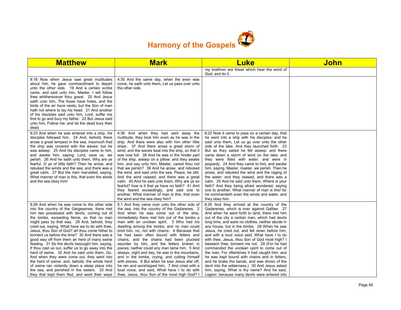

| <b>Matthew</b>                                                                                                                                                                                                                                                                                                                                                                                                                                                                                                                                                                                                                                                                                                                                                                                                                                                   | <b>Mark</b>                                                                                                                                                                                                                                                                                                                                                                                                                                                                                                                                                                                                                                                                                                                                                                                                                      | <b>Luke</b>                                                                                                                                                                                                                                                                                                                                                                                                                                                                                                                                                                                                                                                                                                                                                                                                                                                  | John |
|------------------------------------------------------------------------------------------------------------------------------------------------------------------------------------------------------------------------------------------------------------------------------------------------------------------------------------------------------------------------------------------------------------------------------------------------------------------------------------------------------------------------------------------------------------------------------------------------------------------------------------------------------------------------------------------------------------------------------------------------------------------------------------------------------------------------------------------------------------------|----------------------------------------------------------------------------------------------------------------------------------------------------------------------------------------------------------------------------------------------------------------------------------------------------------------------------------------------------------------------------------------------------------------------------------------------------------------------------------------------------------------------------------------------------------------------------------------------------------------------------------------------------------------------------------------------------------------------------------------------------------------------------------------------------------------------------------|--------------------------------------------------------------------------------------------------------------------------------------------------------------------------------------------------------------------------------------------------------------------------------------------------------------------------------------------------------------------------------------------------------------------------------------------------------------------------------------------------------------------------------------------------------------------------------------------------------------------------------------------------------------------------------------------------------------------------------------------------------------------------------------------------------------------------------------------------------------|------|
|                                                                                                                                                                                                                                                                                                                                                                                                                                                                                                                                                                                                                                                                                                                                                                                                                                                                  |                                                                                                                                                                                                                                                                                                                                                                                                                                                                                                                                                                                                                                                                                                                                                                                                                                  | my brethren are these which hear the word of<br>God. and do it.                                                                                                                                                                                                                                                                                                                                                                                                                                                                                                                                                                                                                                                                                                                                                                                              |      |
| 8:18 Now when Jesus saw great multitudes<br>about him, he gave commandment to depart<br>unto the other side. 19 And a certain scribe<br>came, and said unto him, Master, I will follow<br>thee whithersoever thou goest. 20 And Jesus<br>saith unto him, The foxes have holes, and the<br>birds of the air have nests; but the Son of man<br>hath not where to lay his head. 21 And another<br>of his disciples said unto him, Lord, suffer me<br>first to go and bury my father. 22 But Jesus said<br>unto him, Follow me; and let the dead bury their<br>dead.                                                                                                                                                                                                                                                                                                 | 4:35 And the same day, when the even was<br>come, he saith unto them, Let us pass over unto<br>the other side.                                                                                                                                                                                                                                                                                                                                                                                                                                                                                                                                                                                                                                                                                                                   |                                                                                                                                                                                                                                                                                                                                                                                                                                                                                                                                                                                                                                                                                                                                                                                                                                                              |      |
| 8:23 And when he was entered into a ship, his<br>disciples followed him. 24 And, behold, there<br>arose a great tempest in the sea, insomuch that<br>the ship was covered with the waves: but he<br>was asleep. 25 And his disciples came to him,<br>and awoke him, saying, Lord, save us: we<br>perish. 26 And he saith unto them, Why are ye<br>fearful, O ye of little faith? Then he arose, and<br>rebuked the winds and the sea; and there was a<br>great calm. 27 But the men marvelled, saying,<br>What manner of man is this, that even the winds<br>and the sea obey him!                                                                                                                                                                                                                                                                               | 4:36 And when they had sent away the<br>multitude, they took him even as he was in the<br>ship. And there were also with him other little<br>ships. 37 And there arose a great storm of<br>wind, and the waves beat into the ship, so that it<br>was now full. 38 And he was in the hinder part<br>of the ship, asleep on a pillow: and they awake<br>him, and say unto him, Master, carest thou not<br>that we perish? 39 And he arose, and rebuked<br>the wind, and said unto the sea, Peace, be still.<br>And the wind ceased, and there was a great<br>calm. 40 And he said unto them, Why are ye so<br>fearful? how is it that ye have no faith? 41 And<br>they feared exceedingly, and said one to<br>another, What manner of man is this, that even<br>the wind and the sea obey him?                                     | 8:22 Now it came to pass on a certain day, that<br>he went into a ship with his disciples: and he<br>said unto them, Let us go over unto the other<br>side of the lake. And they launched forth. 23<br>But as they sailed he fell asleep: and there<br>came down a storm of wind on the lake; and<br>they were filled with water, and were in<br>jeopardy. 24 And they came to him, and awoke<br>him, saying, Master, master, we perish. Then he<br>arose, and rebuked the wind and the raging of<br>the water: and they ceased, and there was a<br>calm. 25 And he said unto them, Where is your<br>faith? And they being afraid wondered, saying<br>one to another, What manner of man is this! for<br>he commandeth even the winds and water, and<br>they obey him.                                                                                       |      |
| 8:28 And when he was come to the other side<br>into the country of the Gergesenes, there met<br>him two possessed with devils, coming out of<br>the tombs, exceeding fierce, so that no man<br>might pass by that way. 29 And, behold, they<br>cried out, saying, What have we to do with thee,<br>Jesus, thou Son of God? art thou come hither to<br>torment us before the time? 30 And there was a<br>good way off from them an herd of many swine<br>feeding. 31 So the devils besought him, saying,<br>If thou cast us out, suffer us to go away into the<br>herd of swine. 32 And he said unto them, Go.<br>And when they were come out, they went into<br>the herd of swine: and, behold, the whole herd<br>of swine ran violently down a steep place into<br>the sea, and perished in the waters. 33 And<br>they that kept them fled, and went their ways | 5:1 And they came over unto the other side of<br>the sea, into the country of the Gadarenes. 2<br>And when he was come out of the ship,<br>immediately there met him out of the tombs a<br>man with an unclean spirit, 3 Who had his<br>dwelling among the tombs; and no man could<br>bind him, no, not with chains: 4 Because that<br>he had been often bound with fetters and<br>chains, and the chains had been plucked<br>asunder by him, and the fetters broken in<br>pieces: neither could any man tame him. 5 And<br>always, night and day, he was in the mountains,<br>and in the tombs, crying, and cutting himself<br>with stones. 6 But when he saw Jesus afar off.<br>he ran and worshipped him, 7 And cried with a<br>loud voice, and said, What have I to do with<br>thee, Jesus, thou Son of the most high God? I | 8:26 And they arrived at the country of the<br>Gadarenes, which is over against Galilee. 27<br>And when he went forth to land, there met him<br>out of the city a certain man, which had devils<br>long time, and ware no clothes, neither abode in<br>any house, but in the tombs. 28 When he saw<br>Jesus, he cried out, and fell down before him,<br>and with a loud voice said. What have I to do<br>with thee, Jesus, thou Son of God most high? I<br>beseech thee, torment me not. 29 (For he had<br>commanded the unclean spirit to come out of<br>the man. For oftentimes it had caught him: and<br>he was kept bound with chains and in fetters;<br>and he brake the bands, and was driven of the<br>devil into the wilderness.) 30 And Jesus asked<br>him, saying, What is thy name? And he said,<br>Legion: because many devils were entered into |      |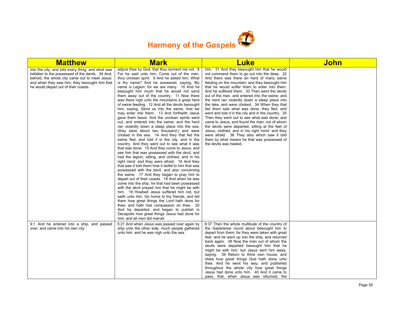

| <b>Matthew</b>                                                                                                                                                                                                                                   | <b>Mark</b>                                                                                                                                                                                                                                                                                                                                                                                                                                                                                                                                                                                                                                                                                                                                                                                                                                                                                                                                                                                                                                                                                                                                                                                                                                                                                                                                                                                                                                                                                                                                                                                                                                                                                                                                   | <b>Luke</b>                                                                                                                                                                                                                                                                                                                                                                                                                                                                                                                                                                                                                                                                                                                                                                                                                                                                            | <b>John</b> |
|--------------------------------------------------------------------------------------------------------------------------------------------------------------------------------------------------------------------------------------------------|-----------------------------------------------------------------------------------------------------------------------------------------------------------------------------------------------------------------------------------------------------------------------------------------------------------------------------------------------------------------------------------------------------------------------------------------------------------------------------------------------------------------------------------------------------------------------------------------------------------------------------------------------------------------------------------------------------------------------------------------------------------------------------------------------------------------------------------------------------------------------------------------------------------------------------------------------------------------------------------------------------------------------------------------------------------------------------------------------------------------------------------------------------------------------------------------------------------------------------------------------------------------------------------------------------------------------------------------------------------------------------------------------------------------------------------------------------------------------------------------------------------------------------------------------------------------------------------------------------------------------------------------------------------------------------------------------------------------------------------------------|----------------------------------------------------------------------------------------------------------------------------------------------------------------------------------------------------------------------------------------------------------------------------------------------------------------------------------------------------------------------------------------------------------------------------------------------------------------------------------------------------------------------------------------------------------------------------------------------------------------------------------------------------------------------------------------------------------------------------------------------------------------------------------------------------------------------------------------------------------------------------------------|-------------|
| into the city, and told every thing, and what was<br>befallen to the possessed of the devils. 34 And,<br>behold, the whole city came out to meet Jesus:<br>and when they saw him, they besought him that<br>he would depart out of their coasts. | adjure thee by God, that thou torment me not. 8<br>For he said unto him, Come out of the man,<br>thou unclean spirit. 9 And he asked him, What<br>is thy name? And he answered, saying, My<br>name is Legion: for we are many. 10 And he<br>besought him much that he would not send<br>them away out of the country. 11 Now there<br>was there nigh unto the mountains a great herd<br>of swine feeding. 12 And all the devils besought<br>him, saying, Send us into the swine, that we<br>may enter into them. 13 And forthwith Jesus<br>gave them leave. And the unclean spirits went<br>out, and entered into the swine: and the herd<br>ran violently down a steep place into the sea,<br>(they were about two thousand;) and were<br>choked in the sea. 14 And they that fed the<br>swine fled, and told it in the city, and in the<br>country. And they went out to see what it was<br>that was done. 15 And they come to Jesus, and<br>see him that was possessed with the devil, and<br>had the legion, sitting, and clothed, and in his<br>right mind: and they were afraid. 16 And they<br>that saw it told them how it befell to him that was<br>possessed with the devil, and also concerning<br>the swine. 17 And they began to pray him to<br>depart out of their coasts. 18 And when he was<br>come into the ship, he that had been possessed<br>with the devil prayed him that he might be with<br>him. 19 Howbeit Jesus suffered him not, but<br>saith unto him, Go home to thy friends, and tell<br>them how great things the Lord hath done for<br>thee, and hath had compassion on thee. 20<br>And he departed, and began to publish in<br>Decapolis how great things Jesus had done for<br>him: and all men did marvel. | him. 31 And they besought him that he would<br>not command them to go out into the deep. 32<br>And there was there an herd of many swine<br>feeding on the mountain: and they besought him<br>that he would suffer them to enter into them.<br>And he suffered them. 33 Then went the devils<br>out of the man, and entered into the swine: and<br>the herd ran violently down a steep place into<br>the lake, and were choked. 34 When they that<br>fed them saw what was done, they fled, and<br>went and told it in the city and in the country. 35<br>Then they went out to see what was done; and<br>came to Jesus, and found the man, out of whom<br>the devils were departed, sitting at the feet of<br>Jesus, clothed, and in his right mind: and they<br>were afraid. 36 They also which saw it told<br>them by what means he that was possessed of<br>the devils was healed. |             |
| 9:1 And he entered into a ship, and passed<br>over, and came into his own city.                                                                                                                                                                  | 5:21 And when Jesus was passed over again by<br>ship unto the other side, much people gathered<br>unto him: and he was nigh unto the sea.                                                                                                                                                                                                                                                                                                                                                                                                                                                                                                                                                                                                                                                                                                                                                                                                                                                                                                                                                                                                                                                                                                                                                                                                                                                                                                                                                                                                                                                                                                                                                                                                     | 8:37 Then the whole multitude of the country of<br>the Gadarenes round about besought him to<br>depart from them; for they were taken with great<br>fear: and he went up into the ship, and returned<br>back again. 38 Now the man out of whom the<br>devils were departed besought him that he<br>might be with him: but Jesus sent him away,<br>saying, 39 Return to thine own house, and<br>shew how great things God hath done unto<br>thee. And he went his way, and published<br>throughout the whole city how great things<br>Jesus had done unto him. 40 And it came to<br>pass, that, when Jesus was returned, the                                                                                                                                                                                                                                                            |             |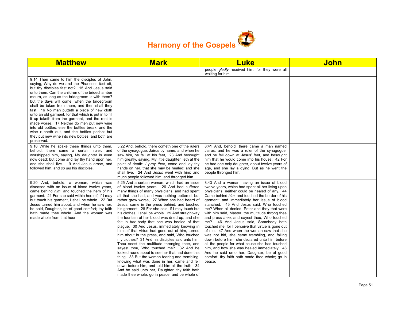

| <b>Matthew</b>                                                                                                                                                                                                                                                                                                                                                                                                                                                                                                                                                                                                                                                                                                                       | <b>Mark</b>                                                                                                                                                                                                                                                                                                                                                                                                                                                                                                                                                                                                                                                                                                                                                                                                                                                                                                                                                                                                                                                                                                           | <b>Luke</b>                                                                                                                                                                                                                                                                                                                                                                                                                                                                                                                                                                                                                                                                                                                                                                                                                                                                                              | <b>John</b> |
|--------------------------------------------------------------------------------------------------------------------------------------------------------------------------------------------------------------------------------------------------------------------------------------------------------------------------------------------------------------------------------------------------------------------------------------------------------------------------------------------------------------------------------------------------------------------------------------------------------------------------------------------------------------------------------------------------------------------------------------|-----------------------------------------------------------------------------------------------------------------------------------------------------------------------------------------------------------------------------------------------------------------------------------------------------------------------------------------------------------------------------------------------------------------------------------------------------------------------------------------------------------------------------------------------------------------------------------------------------------------------------------------------------------------------------------------------------------------------------------------------------------------------------------------------------------------------------------------------------------------------------------------------------------------------------------------------------------------------------------------------------------------------------------------------------------------------------------------------------------------------|----------------------------------------------------------------------------------------------------------------------------------------------------------------------------------------------------------------------------------------------------------------------------------------------------------------------------------------------------------------------------------------------------------------------------------------------------------------------------------------------------------------------------------------------------------------------------------------------------------------------------------------------------------------------------------------------------------------------------------------------------------------------------------------------------------------------------------------------------------------------------------------------------------|-------------|
|                                                                                                                                                                                                                                                                                                                                                                                                                                                                                                                                                                                                                                                                                                                                      |                                                                                                                                                                                                                                                                                                                                                                                                                                                                                                                                                                                                                                                                                                                                                                                                                                                                                                                                                                                                                                                                                                                       | people <i>gladly</i> received him: for they were all<br>waiting for him.                                                                                                                                                                                                                                                                                                                                                                                                                                                                                                                                                                                                                                                                                                                                                                                                                                 |             |
| 9:14 Then came to him the disciples of John,<br>saying, Why do we and the Pharisees fast oft,<br>but thy disciples fast not? 15 And Jesus said<br>unto them. Can the children of the bridechamber<br>mourn, as long as the bridegroom is with them?<br>but the days will come, when the bridegroom<br>shall be taken from them, and then shall they<br>fast. 16 No man putteth a piece of new cloth<br>unto an old garment, for that which is put in to fill<br>it up taketh from the garment, and the rent is<br>made worse. 17 Neither do men put new wine<br>into old bottles: else the bottles break, and the<br>wine runneth out, and the bottles perish: but<br>they put new wine into new bottles, and both are<br>preserved. |                                                                                                                                                                                                                                                                                                                                                                                                                                                                                                                                                                                                                                                                                                                                                                                                                                                                                                                                                                                                                                                                                                                       |                                                                                                                                                                                                                                                                                                                                                                                                                                                                                                                                                                                                                                                                                                                                                                                                                                                                                                          |             |
| 9:18 While he spake these things unto them,<br>behold, there came a certain ruler, and<br>worshipped him, saying, My daughter is even<br>now dead: but come and lay thy hand upon her,<br>and she shall live. 19 And Jesus arose, and<br>followed him, and so did his disciples.                                                                                                                                                                                                                                                                                                                                                                                                                                                     | 5:22 And, behold, there cometh one of the rulers<br>of the synagogue, Jairus by name; and when he<br>saw him, he fell at his feet, 23 And besought<br>him greatly, saying, My little daughter lieth at the<br>point of death: <i>I pray thee</i> , come and lay thy<br>hands on her, that she may be healed; and she<br>shall live. 24 And Jesus went with him; and<br>much people followed him, and thronged him.                                                                                                                                                                                                                                                                                                                                                                                                                                                                                                                                                                                                                                                                                                    | 8:41 And, behold, there came a man named<br>Jairus, and he was a ruler of the synagogue:<br>and he fell down at Jesus' feet, and besought<br>him that he would come into his house: 42 For<br>he had one only daughter, about twelve years of<br>age, and she lay a dying. But as he went the<br>people thronged him.                                                                                                                                                                                                                                                                                                                                                                                                                                                                                                                                                                                    |             |
| 9:20 And, behold, a woman, which was<br>diseased with an issue of blood twelve years.<br>came behind him, and touched the hem of his<br>garment: 21 For she said within herself, If I may<br>but touch his garment, I shall be whole. 22 But<br>Jesus turned him about, and when he saw her,<br>he said, Daughter, be of good comfort; thy faith<br>hath made thee whole. And the woman was<br>made whole from that hour.                                                                                                                                                                                                                                                                                                            | 5:25 And a certain woman, which had an issue<br>of blood twelve years, 26 And had suffered<br>many things of many physicians, and had spent<br>all that she had, and was nothing bettered, but<br>rather grew worse, 27 When she had heard of<br>Jesus, came in the press behind, and touched<br>his garment. 28 For she said, If I may touch but<br>his clothes, I shall be whole. 29 And straightway<br>the fountain of her blood was dried up; and she<br>felt in her body that she was healed of that<br>plague. 30 And Jesus, immediately knowing in<br>himself that virtue had gone out of him, turned<br>him about in the press, and said, Who touched<br>my clothes? 31 And his disciples said unto him,<br>Thou seest the multitude thronging thee, and<br>sayest thou, Who touched me? 32 And he<br>looked round about to see her that had done this<br>thing. 33 But the woman fearing and trembling,<br>knowing what was done in her, came and fell<br>down before him, and told him all the truth. 34<br>And he said unto her, Daughter, thy faith hath<br>made thee whole; go in peace, and be whole of | 8:43 And a woman having an issue of blood<br>twelve years, which had spent all her living upon<br>physicians, neither could be healed of any, 44<br>Came behind him, and touched the border of his<br>garment: and immediately her issue of blood<br>stanched. 45 And Jesus said, Who touched<br>me? When all denied, Peter and they that were<br>with him said, Master, the multitude throng thee<br>and press thee, and sayest thou, Who touched<br>me? 46 And Jesus said, Somebody hath<br>touched me: for I perceive that virtue is gone out<br>of me. 47 And when the woman saw that she<br>was not hid, she came trembling, and falling<br>down before him, she declared unto him before<br>all the people for what cause she had touched<br>him, and how she was healed immediately. 48<br>And he said unto her, Daughter, be of good<br>comfort: thy faith hath made thee whole; go in<br>peace. |             |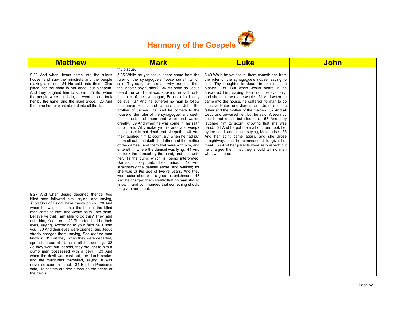

| <b>Matthew</b>                                                                                                                                                                                                                                                                                                                                                                                                                                                                                                                                                                                                                                                                                                                                                                                                                                                                                                        | <b>Mark</b>                                                                                                                                                                                                                                                                                                                                                                                                                                                                                                                                                                                                                                                                                                                                                                                                                                                                                                                                                                                                                                                                                                                                                                                                                                                                                                                     | <b>Luke</b>                                                                                                                                                                                                                                                                                                                                                                                                                                                                                                                                                                                                                                                                                                                                                                                                                                                                                                         | <b>John</b> |
|-----------------------------------------------------------------------------------------------------------------------------------------------------------------------------------------------------------------------------------------------------------------------------------------------------------------------------------------------------------------------------------------------------------------------------------------------------------------------------------------------------------------------------------------------------------------------------------------------------------------------------------------------------------------------------------------------------------------------------------------------------------------------------------------------------------------------------------------------------------------------------------------------------------------------|---------------------------------------------------------------------------------------------------------------------------------------------------------------------------------------------------------------------------------------------------------------------------------------------------------------------------------------------------------------------------------------------------------------------------------------------------------------------------------------------------------------------------------------------------------------------------------------------------------------------------------------------------------------------------------------------------------------------------------------------------------------------------------------------------------------------------------------------------------------------------------------------------------------------------------------------------------------------------------------------------------------------------------------------------------------------------------------------------------------------------------------------------------------------------------------------------------------------------------------------------------------------------------------------------------------------------------|---------------------------------------------------------------------------------------------------------------------------------------------------------------------------------------------------------------------------------------------------------------------------------------------------------------------------------------------------------------------------------------------------------------------------------------------------------------------------------------------------------------------------------------------------------------------------------------------------------------------------------------------------------------------------------------------------------------------------------------------------------------------------------------------------------------------------------------------------------------------------------------------------------------------|-------------|
|                                                                                                                                                                                                                                                                                                                                                                                                                                                                                                                                                                                                                                                                                                                                                                                                                                                                                                                       | thy plague.                                                                                                                                                                                                                                                                                                                                                                                                                                                                                                                                                                                                                                                                                                                                                                                                                                                                                                                                                                                                                                                                                                                                                                                                                                                                                                                     |                                                                                                                                                                                                                                                                                                                                                                                                                                                                                                                                                                                                                                                                                                                                                                                                                                                                                                                     |             |
| 9:23 And when Jesus came into the ruler's<br>house, and saw the minstrels and the people<br>making a noise, 24 He said unto them, Give<br>place: for the maid is not dead, but sleepeth.<br>And they laughed him to scorn. 25 But when<br>the people were put forth, he went in, and took<br>her by the hand, and the maid arose. 26 And<br>the fame hereof went abroad into all that land.                                                                                                                                                                                                                                                                                                                                                                                                                                                                                                                           | 5:35 While he yet spake, there came from the<br>ruler of the synagogue's house certain which<br>said. Thy daughter is dead: why troublest thou<br>the Master any further? 36 As soon as Jesus<br>heard the word that was spoken, he saith unto<br>the ruler of the synagogue, Be not afraid, only<br>believe. 37 And he suffered no man to follow<br>him, save Peter, and James, and John the<br>brother of James. 38 And he cometh to the<br>house of the ruler of the synagogue, and seeth<br>the tumult, and them that wept and wailed<br>greatly. 39 And when he was come in, he saith<br>unto them, Why make ye this ado, and weep?<br>the damsel is not dead, but sleepeth. 40 And<br>they laughed him to scorn. But when he had put<br>them all out, he taketh the father and the mother<br>of the damsel, and them that were with him, and<br>entereth in where the damsel was lying. 41 And<br>he took the damsel by the hand, and said unto<br>her, Talitha cumi; which is, being interpreted,<br>Damsel, I say unto thee, arise. 42 And<br>straightway the damsel arose, and walked; for<br>she was of the age of twelve years. And they<br>were astonished with a great astonishment. 43<br>And he charged them straitly that no man should<br>know it; and commanded that something should<br>be given her to eat. | 8:49 While he yet spake, there cometh one from<br>the ruler of the synagogue's <i>house</i> , saying to<br>him, Thy daughter is dead; trouble not the<br>Master. 50 But when Jesus heard it, he<br>answered him, saying, Fear not: believe only,<br>and she shall be made whole. 51 And when he<br>came into the house, he suffered no man to go<br>in, save Peter, and James, and John, and the<br>father and the mother of the maiden. 52 And all<br>wept, and bewailed her: but he said, Weep not;<br>she is not dead, but sleepeth. 53 And they<br>laughed him to scorn, knowing that she was<br>dead. 54 And he put them all out, and took her<br>by the hand, and called, saying, Maid, arise. 55<br>And her spirit came again, and she arose<br>straightway: and he commanded to give her<br>meat. 56 And her parents were astonished: but<br>he charged them that they should tell no man<br>what was done. |             |
| 9:27 And when Jesus departed thence, two<br>blind men followed him, crying, and saying,<br>Thou Son of David, have mercy on us. 28 And<br>when he was come into the house, the blind<br>men came to him: and Jesus saith unto them,<br>Believe ye that I am able to do this? They said<br>unto him, Yea, Lord. 29 Then touched he their<br>eyes, saying, According to your faith be it unto<br>you. 30 And their eyes were opened; and Jesus<br>straitly charged them, saying, See that no man<br>know it. 31 But they, when they were departed,<br>spread abroad his fame in all that country. 32<br>As they went out, behold, they brought to him a<br>dumb man possessed with a devil. 33 And<br>when the devil was cast out, the dumb spake:<br>and the multitudes marvelled, saying, It was<br>never so seen in Israel. 34 But the Pharisees<br>said, He casteth out devils through the prince of<br>the devils. |                                                                                                                                                                                                                                                                                                                                                                                                                                                                                                                                                                                                                                                                                                                                                                                                                                                                                                                                                                                                                                                                                                                                                                                                                                                                                                                                 |                                                                                                                                                                                                                                                                                                                                                                                                                                                                                                                                                                                                                                                                                                                                                                                                                                                                                                                     |             |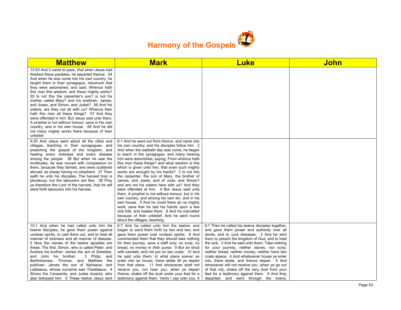

| <b>Matthew</b>                                                                                                                                                                                                                                                                                                                                                                                                                                                                                                                                                                                                                                                                                                                                                                          | <b>Mark</b>                                                                                                                                                                                                                                                                                                                                                                                                                                                                                                                                                                                                                                                                                                                                                                                                                                                                                                                                             | <b>Luke</b>                                                                                                                                                                                                                                                                                                                                                                                                                                                                                                                                                                                                                                          | <b>John</b> |
|-----------------------------------------------------------------------------------------------------------------------------------------------------------------------------------------------------------------------------------------------------------------------------------------------------------------------------------------------------------------------------------------------------------------------------------------------------------------------------------------------------------------------------------------------------------------------------------------------------------------------------------------------------------------------------------------------------------------------------------------------------------------------------------------|---------------------------------------------------------------------------------------------------------------------------------------------------------------------------------------------------------------------------------------------------------------------------------------------------------------------------------------------------------------------------------------------------------------------------------------------------------------------------------------------------------------------------------------------------------------------------------------------------------------------------------------------------------------------------------------------------------------------------------------------------------------------------------------------------------------------------------------------------------------------------------------------------------------------------------------------------------|------------------------------------------------------------------------------------------------------------------------------------------------------------------------------------------------------------------------------------------------------------------------------------------------------------------------------------------------------------------------------------------------------------------------------------------------------------------------------------------------------------------------------------------------------------------------------------------------------------------------------------------------------|-------------|
| 13:53 And it came to pass, that when Jesus had<br>finished these parables, he departed thence. 54<br>And when he was come into his own country, he<br>taught them in their synagogue, insomuch that<br>they were astonished, and said, Whence hath<br>this <i>man</i> this wisdom, and <i>these</i> mighty works?<br>55 Is not this the carpenter's son? is not his<br>mother called Mary? and his brethren, James,<br>and Joses, and Simon, and Judas? 56 And his<br>sisters, are they not all with us? Whence then<br>hath this man all these things? 57 And they<br>were offended in him. But Jesus said unto them,<br>A prophet is not without honour, save in his own<br>country, and in his own house. 58 And he did<br>not many mighty works there because of their<br>unbelief. |                                                                                                                                                                                                                                                                                                                                                                                                                                                                                                                                                                                                                                                                                                                                                                                                                                                                                                                                                         |                                                                                                                                                                                                                                                                                                                                                                                                                                                                                                                                                                                                                                                      |             |
| 9:35 And Jesus went about all the cities and<br>villages, teaching in their synagogues, and<br>preaching the gospel of the kingdom, and<br>healing every sickness and every disease<br>among the people. 36 But when he saw the<br>multitudes, he was moved with compassion on<br>them, because they fainted, and were scattered<br>abroad, as sheep having no shepherd. 37 Then<br>saith he unto his disciples. The harvest truly is<br>plenteous, but the labourers are few; 38 Pray<br>ye therefore the Lord of the harvest, that he will<br>send forth labourers into his harvest.                                                                                                                                                                                                  | 6:1 And he went out from thence, and came into<br>his own country; and his disciples follow him. 2<br>And when the sabbath day was come, he began<br>to teach in the synagogue: and many hearing<br>him were astonished, saying, From whence hath<br>this <i>man</i> these things? and what wisdom is this<br>which is given unto him, that even such mighty<br>works are wrought by his hands? 3 ls not this<br>the carpenter, the son of Mary, the brother of<br>James, and Joses, and of Juda, and Simon?<br>and are not his sisters here with us? And they<br>were offended at him. 4 But Jesus said unto<br>them, A prophet is not without honour, but in his<br>own country, and among his own kin, and in his<br>own house. 5 And he could there do no mighty<br>work, save that he laid his hands upon a few<br>sick folk, and healed them. 6 And he marvelled<br>because of their unbelief. And he went round<br>about the villages, teaching. |                                                                                                                                                                                                                                                                                                                                                                                                                                                                                                                                                                                                                                                      |             |
| 10:1 And when he had called unto him his<br>twelve disciples, he gave them power against<br>unclean spirits, to cast them out, and to heal all<br>manner of sickness and all manner of disease.<br>2 Now the names of the twelve apostles are<br>these; The first, Simon, who is called Peter, and<br>Andrew his brother; James the son of Zebedee,<br>and John his brother;<br>3 Philip, and<br>Bartholomew; Thomas, and Matthew the<br>publican; James the son of Alphaeus, and<br>Lebbaeus, whose surname was Thaddaeus; 4<br>Simon the Canaanite, and Judas Iscariot, who<br>also betrayed him. 5 These twelve Jesus sent                                                                                                                                                           | 6:7 And he called <i>unto him</i> the twelve, and<br>began to send them forth by two and two; and<br>gave them power over unclean spirits: 8 And<br>commanded them that they should take nothing<br>for their journey, save a staff only; no scrip, no<br>bread, no money in their purse: 9 But be shod<br>with sandals; and not put on two coats. 10 And<br>he said unto them, In what place soever ye<br>enter into an house, there abide till ye depart<br>from that place. 11 And whosoever shall not<br>receive you, nor hear you, when ye depart<br>thence, shake off the dust under your feet for a<br>testimony against them. Verily I say unto you, It                                                                                                                                                                                                                                                                                         | 9:1 Then he called his twelve disciples together,<br>and gave them power and authority over all<br>devils, and to cure diseases. 2 And he sent<br>them to preach the kingdom of God, and to heal<br>the sick. 3 And he said unto them, Take nothing<br>for your journey, neither staves, nor scrip,<br>neither bread, neither money; neither have two<br>coats apiece. 4 And whatsoever house ye enter<br>into, there abide, and thence depart. 5 And<br>whosoever will not receive you, when ye go out<br>of that city, shake off the very dust from your<br>feet for a testimony against them. 6 And they<br>departed, and went through the towns, |             |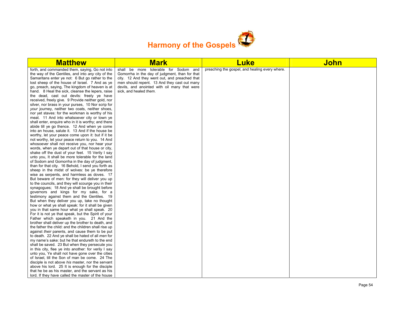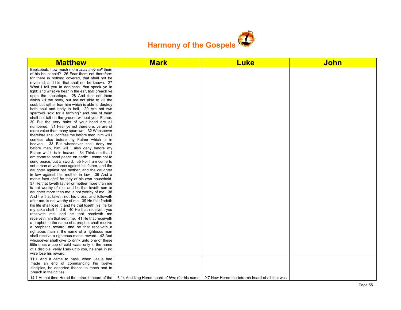

| <b>Matthew</b>                                                                                   | <b>Mark</b>                                                                                         | <b>Luke</b>                                      | <b>John</b> |
|--------------------------------------------------------------------------------------------------|-----------------------------------------------------------------------------------------------------|--------------------------------------------------|-------------|
| Beelzebub, how much more shall they call them                                                    |                                                                                                     |                                                  |             |
| of his household? 26 Fear them not therefore:                                                    |                                                                                                     |                                                  |             |
| for there is nothing covered, that shall not be                                                  |                                                                                                     |                                                  |             |
| revealed; and hid, that shall not be known. 27                                                   |                                                                                                     |                                                  |             |
| What I tell you in darkness, that speak ye in                                                    |                                                                                                     |                                                  |             |
| light: and what ye hear in the ear, that preach ye                                               |                                                                                                     |                                                  |             |
| upon the housetops. 28 And fear not them                                                         |                                                                                                     |                                                  |             |
| which kill the body, but are not able to kill the                                                |                                                                                                     |                                                  |             |
| soul: but rather fear him which is able to destroy                                               |                                                                                                     |                                                  |             |
| both soul and body in hell. 29 Are not two                                                       |                                                                                                     |                                                  |             |
| sparrows sold for a farthing? and one of them                                                    |                                                                                                     |                                                  |             |
| shall not fall on the ground without your Father.                                                |                                                                                                     |                                                  |             |
| 30 But the very hairs of your head are all                                                       |                                                                                                     |                                                  |             |
| numbered. 31 Fear ye not therefore, ye are of                                                    |                                                                                                     |                                                  |             |
| more value than many sparrows. 32 Whosoever                                                      |                                                                                                     |                                                  |             |
| therefore shall confess me before men, him will I                                                |                                                                                                     |                                                  |             |
| confess also before my Father which is in                                                        |                                                                                                     |                                                  |             |
| heaven. 33 But whosoever shall deny me                                                           |                                                                                                     |                                                  |             |
| before men, him will I also deny before my                                                       |                                                                                                     |                                                  |             |
| Father which is in heaven. 34 Think not that I                                                   |                                                                                                     |                                                  |             |
| am come to send peace on earth: I came not to                                                    |                                                                                                     |                                                  |             |
| send peace, but a sword. 35 For I am come to                                                     |                                                                                                     |                                                  |             |
| set a man at variance against his father, and the                                                |                                                                                                     |                                                  |             |
| daughter against her mother, and the daughter                                                    |                                                                                                     |                                                  |             |
| in law against her mother in law. 36 And a                                                       |                                                                                                     |                                                  |             |
| man's foes shall be they of his own household.                                                   |                                                                                                     |                                                  |             |
| 37 He that loveth father or mother more than me                                                  |                                                                                                     |                                                  |             |
| is not worthy of me: and he that loveth son or                                                   |                                                                                                     |                                                  |             |
| daughter more than me is not worthy of me. 38<br>And he that taketh not his cross, and followeth |                                                                                                     |                                                  |             |
| after me, is not worthy of me. 39 He that findeth                                                |                                                                                                     |                                                  |             |
| his life shall lose it: and he that loseth his life for                                          |                                                                                                     |                                                  |             |
| my sake shall find it. 40 He that receiveth you                                                  |                                                                                                     |                                                  |             |
| receiveth me, and he that receiveth me                                                           |                                                                                                     |                                                  |             |
| receiveth him that sent me. 41 He that receiveth                                                 |                                                                                                     |                                                  |             |
| a prophet in the name of a prophet shall receive                                                 |                                                                                                     |                                                  |             |
| a prophet's reward; and he that receiveth a                                                      |                                                                                                     |                                                  |             |
| righteous man in the name of a righteous man                                                     |                                                                                                     |                                                  |             |
| shall receive a righteous man's reward. 42 And                                                   |                                                                                                     |                                                  |             |
| whosoever shall give to drink unto one of these                                                  |                                                                                                     |                                                  |             |
| little ones a cup of cold water only in the name                                                 |                                                                                                     |                                                  |             |
| of a disciple, verily I say unto you, he shall in no                                             |                                                                                                     |                                                  |             |
| wise lose his reward.                                                                            |                                                                                                     |                                                  |             |
| 11:1 And it came to pass, when Jesus had                                                         |                                                                                                     |                                                  |             |
| made an end of commanding his twelve                                                             |                                                                                                     |                                                  |             |
| disciples, he departed thence to teach and to                                                    |                                                                                                     |                                                  |             |
| preach in their cities.                                                                          |                                                                                                     |                                                  |             |
|                                                                                                  | 14:1 At that time Herod the tetrarch heard of the   6:14 And king Herod heard of him; (for his name | 9:7 Now Herod the tetrarch heard of all that was |             |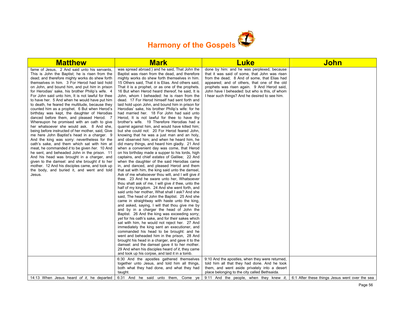

| <b>Matthew</b>                                                                                                                                                                                                                                                                                                                                                                                                                                                                                                                                                                                                                                                                                                                                                                                                                                                                                                                                                                                                                                                                                                                                                                                                    | <b>Mark</b>                                                                                                                                                                                                                                                                                                                                                                                                                                                                                                                                                                                                                                                                                                                                                                                                                                                                                                                                                                                                                                                                                                                                                                                                                                                                                                                                                                                                                                                                                                                                                                                                                                                                                                                                                                                                                                                                                                                                                                                                                                                                                                                                                                                                   | Luke                                                                                                                                                                                                                                                                                                                                           | <b>John</b>                                    |
|-------------------------------------------------------------------------------------------------------------------------------------------------------------------------------------------------------------------------------------------------------------------------------------------------------------------------------------------------------------------------------------------------------------------------------------------------------------------------------------------------------------------------------------------------------------------------------------------------------------------------------------------------------------------------------------------------------------------------------------------------------------------------------------------------------------------------------------------------------------------------------------------------------------------------------------------------------------------------------------------------------------------------------------------------------------------------------------------------------------------------------------------------------------------------------------------------------------------|---------------------------------------------------------------------------------------------------------------------------------------------------------------------------------------------------------------------------------------------------------------------------------------------------------------------------------------------------------------------------------------------------------------------------------------------------------------------------------------------------------------------------------------------------------------------------------------------------------------------------------------------------------------------------------------------------------------------------------------------------------------------------------------------------------------------------------------------------------------------------------------------------------------------------------------------------------------------------------------------------------------------------------------------------------------------------------------------------------------------------------------------------------------------------------------------------------------------------------------------------------------------------------------------------------------------------------------------------------------------------------------------------------------------------------------------------------------------------------------------------------------------------------------------------------------------------------------------------------------------------------------------------------------------------------------------------------------------------------------------------------------------------------------------------------------------------------------------------------------------------------------------------------------------------------------------------------------------------------------------------------------------------------------------------------------------------------------------------------------------------------------------------------------------------------------------------------------|------------------------------------------------------------------------------------------------------------------------------------------------------------------------------------------------------------------------------------------------------------------------------------------------------------------------------------------------|------------------------------------------------|
| fame of Jesus, 2 And said unto his servants,<br>This is John the Baptist; he is risen from the<br>dead; and therefore mighty works do shew forth<br>themselves in him. 3 For Herod had laid hold<br>on John, and bound him, and put him in prison<br>for Herodias' sake, his brother Philip's wife. 4<br>For John said unto him, It is not lawful for thee<br>to have her. 5 And when he would have put him<br>to death, he feared the multitude, because they<br>counted him as a prophet. 6 But when Herod's<br>birthday was kept, the daughter of Herodias<br>danced before them, and pleased Herod. 7<br>Whereupon he promised with an oath to give<br>her whatsoever she would ask. 8 And she,<br>being before instructed of her mother, said, Give<br>me here John Baptist's head in a charger. 9<br>And the king was sorry: nevertheless for the<br>oath's sake, and them which sat with him at<br>meat, he commanded it to be given her. 10 And<br>he sent, and beheaded John in the prison. 11<br>And his head was brought in a charger, and<br>given to the damsel: and she brought it to her<br>mother. 12 And his disciples came, and took up<br>the body, and buried it, and went and told<br>Jesus. | was spread abroad:) and he said, That John the<br>Baptist was risen from the dead, and therefore<br>mighty works do shew forth themselves in him.<br>15 Others said, That it is Elias. And others said,<br>That it is a prophet, or as one of the prophets.<br>16 But when Herod heard thereof, he said, It is<br>John, whom I beheaded: he is risen from the<br>dead. 17 For Herod himself had sent forth and<br>laid hold upon John, and bound him in prison for<br>Herodias' sake, his brother Philip's wife: for he<br>had married her. 18 For John had said unto<br>Herod, It is not lawful for thee to have thy<br>brother's wife. 19 Therefore Herodias had a<br>quarrel against him, and would have killed him;<br>but she could not: 20 For Herod feared John,<br>knowing that he was a just man and an holy,<br>and observed him; and when he heard him, he<br>did many things, and heard him gladly. 21 And<br>when a convenient day was come, that Herod<br>on his birthday made a supper to his lords, high<br>captains, and chief estates of Galilee; 22 And<br>when the daughter of the said Herodias came<br>in, and danced, and pleased Herod and them<br>that sat with him, the king said unto the damsel,<br>Ask of me whatsoever thou wilt, and I will give it<br>thee. 23 And he sware unto her, Whatsoever<br>thou shalt ask of me, I will give it thee, unto the<br>half of my kingdom. 24 And she went forth, and<br>said unto her mother, What shall I ask? And she<br>said, The head of John the Baptist. 25 And she<br>came in straightway with haste unto the king,<br>and asked, saying, I will that thou give me by<br>and by in a charger the head of John the<br>Baptist. 26 And the king was exceeding sorry;<br>yet for his oath's sake, and for their sakes which<br>sat with him, he would not reject her. 27 And<br>immediately the king sent an executioner, and<br>commanded his head to be brought: and he<br>went and beheaded him in the prison, 28 And<br>brought his head in a charger, and gave it to the<br>damsel: and the damsel gave it to her mother.<br>29 And when his disciples heard of it, they came<br>and took up his corpse, and laid it in a tomb. | done by him: and he was perplexed, because<br>that it was said of some, that John was risen<br>from the dead; 8 And of some, that Elias had<br>appeared; and of others, that one of the old<br>prophets was risen again. 9 And Herod said,<br>John have I beheaded: but who is this, of whom<br>I hear such things? And he desired to see him. |                                                |
|                                                                                                                                                                                                                                                                                                                                                                                                                                                                                                                                                                                                                                                                                                                                                                                                                                                                                                                                                                                                                                                                                                                                                                                                                   | 6:30 And the apostles gathered themselves<br>together unto Jesus, and told him all things,<br>both what they had done, and what they had                                                                                                                                                                                                                                                                                                                                                                                                                                                                                                                                                                                                                                                                                                                                                                                                                                                                                                                                                                                                                                                                                                                                                                                                                                                                                                                                                                                                                                                                                                                                                                                                                                                                                                                                                                                                                                                                                                                                                                                                                                                                      | 9:10 And the apostles, when they were returned,<br>told him all that they had done. And he took<br>them, and went aside privately into a desert                                                                                                                                                                                                |                                                |
|                                                                                                                                                                                                                                                                                                                                                                                                                                                                                                                                                                                                                                                                                                                                                                                                                                                                                                                                                                                                                                                                                                                                                                                                                   | taught.                                                                                                                                                                                                                                                                                                                                                                                                                                                                                                                                                                                                                                                                                                                                                                                                                                                                                                                                                                                                                                                                                                                                                                                                                                                                                                                                                                                                                                                                                                                                                                                                                                                                                                                                                                                                                                                                                                                                                                                                                                                                                                                                                                                                       | place belonging to the city called Bethsaida.                                                                                                                                                                                                                                                                                                  |                                                |
| 14:13 When Jesus heard of it, he departed                                                                                                                                                                                                                                                                                                                                                                                                                                                                                                                                                                                                                                                                                                                                                                                                                                                                                                                                                                                                                                                                                                                                                                         | 6:31 And he said unto them, Come ye                                                                                                                                                                                                                                                                                                                                                                                                                                                                                                                                                                                                                                                                                                                                                                                                                                                                                                                                                                                                                                                                                                                                                                                                                                                                                                                                                                                                                                                                                                                                                                                                                                                                                                                                                                                                                                                                                                                                                                                                                                                                                                                                                                           | 9:11 And the people, when they knew it,                                                                                                                                                                                                                                                                                                        | 6:1 After these things Jesus went over the sea |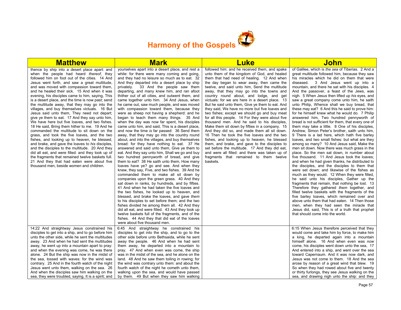

| <b>Matthew</b>                                                                                                                                                                                                                                                                                                                                                                                                                                                                                                                                                                                                                                                                                                                                                                                                                                                                                                                                                                                                                                                                                                                                                           | <b>Mark</b>                                                                                                                                                                                                                                                                                                                                                                                                                                                                                                                                                                                                                                                                                                                                                                                                                                                                                                                                                                                                                                                                                                                                                                                                                                                                                                                                                                                                                                                                                                                                                                                                                                                                                                                                                                            | <b>Luke</b>                                                                                                                                                                                                                                                                                                                                                                                                                                                                                                                                                                                                                                                                                                                                                                                                                                                                                                                                                                                                                                             | <b>John</b>                                                                                                                                                                                                                                                                                                                                                                                                                                                                                                                                                                                                                                                                                                                                                                                                                                                                                                                                                                                                                                                                                                                                                                                                                                                                                                                                                                                                                                                                                                                                                                                                                                                                                               |
|--------------------------------------------------------------------------------------------------------------------------------------------------------------------------------------------------------------------------------------------------------------------------------------------------------------------------------------------------------------------------------------------------------------------------------------------------------------------------------------------------------------------------------------------------------------------------------------------------------------------------------------------------------------------------------------------------------------------------------------------------------------------------------------------------------------------------------------------------------------------------------------------------------------------------------------------------------------------------------------------------------------------------------------------------------------------------------------------------------------------------------------------------------------------------|----------------------------------------------------------------------------------------------------------------------------------------------------------------------------------------------------------------------------------------------------------------------------------------------------------------------------------------------------------------------------------------------------------------------------------------------------------------------------------------------------------------------------------------------------------------------------------------------------------------------------------------------------------------------------------------------------------------------------------------------------------------------------------------------------------------------------------------------------------------------------------------------------------------------------------------------------------------------------------------------------------------------------------------------------------------------------------------------------------------------------------------------------------------------------------------------------------------------------------------------------------------------------------------------------------------------------------------------------------------------------------------------------------------------------------------------------------------------------------------------------------------------------------------------------------------------------------------------------------------------------------------------------------------------------------------------------------------------------------------------------------------------------------------|---------------------------------------------------------------------------------------------------------------------------------------------------------------------------------------------------------------------------------------------------------------------------------------------------------------------------------------------------------------------------------------------------------------------------------------------------------------------------------------------------------------------------------------------------------------------------------------------------------------------------------------------------------------------------------------------------------------------------------------------------------------------------------------------------------------------------------------------------------------------------------------------------------------------------------------------------------------------------------------------------------------------------------------------------------|-----------------------------------------------------------------------------------------------------------------------------------------------------------------------------------------------------------------------------------------------------------------------------------------------------------------------------------------------------------------------------------------------------------------------------------------------------------------------------------------------------------------------------------------------------------------------------------------------------------------------------------------------------------------------------------------------------------------------------------------------------------------------------------------------------------------------------------------------------------------------------------------------------------------------------------------------------------------------------------------------------------------------------------------------------------------------------------------------------------------------------------------------------------------------------------------------------------------------------------------------------------------------------------------------------------------------------------------------------------------------------------------------------------------------------------------------------------------------------------------------------------------------------------------------------------------------------------------------------------------------------------------------------------------------------------------------------------|
| thence by ship into a desert place apart: and<br>when the people had heard <i>thereof</i> , they<br>followed him on foot out of the cities. 14 And<br>Jesus went forth, and saw a great multitude,<br>and was moved with compassion toward them,<br>and he healed their sick. 15 And when it was<br>evening, his disciples came to him, saying, This<br>is a desert place, and the time is now past; send<br>the multitude away, that they may go into the<br>villages, and buy themselves victuals. 16 But<br>Jesus said unto them, They need not depart;<br>give ye them to eat. 17 And they say unto him,<br>We have here but five loaves, and two fishes.<br>18 He said, Bring them hither to me. 19 And he<br>commanded the multitude to sit down on the<br>grass, and took the five loaves, and the two<br>fishes, and looking up to heaven, he blessed,<br>and brake, and gave the loaves to his disciples,<br>and the disciples to the multitude. 20 And they<br>did all eat, and were filled: and they took up of<br>the fragments that remained twelve baskets full.<br>21 And they that had eaten were about five<br>thousand men, beside women and children. | yourselves apart into a desert place, and rest a<br>while: for there were many coming and going,<br>and they had no leisure so much as to eat. 32<br>And they departed into a desert place by ship<br>privately. 33 And the people saw them<br>departing, and many knew him, and ran afoot<br>thither out of all cities, and outwent them, and<br>came together unto him. 34 And Jesus, when<br>he came out, saw much people, and was moved<br>with compassion toward them, because they<br>were as sheep not having a shepherd: and he<br>began to teach them many things. 35 And<br>when the day was now far spent, his disciples<br>came unto him, and said, This is a desert place,<br>and now the time is far passed: 36 Send them<br>away, that they may go into the country round<br>about, and into the villages, and buy themselves<br>bread: for they have nothing to eat. 37 He<br>answered and said unto them, Give ye them to<br>eat. And they say unto him, Shall we go and buy<br>two hundred pennyworth of bread, and give<br>them to eat? 38 He saith unto them, How many<br>loaves have ye? go and see. And when they<br>knew, they say, Five, and two fishes. 39 And he<br>commanded them to make all sit down by<br>companies upon the green grass. 40 And they<br>sat down in ranks, by hundreds, and by fifties.<br>41 And when he had taken the five loaves and<br>the two fishes, he looked up to heaven, and<br>blessed, and brake the loaves, and gave them<br>to his disciples to set before them; and the two<br>fishes divided he among them all. 42 And they<br>did all eat, and were filled. 43 And they took up<br>twelve baskets full of the fragments, and of the<br>fishes. 44 And they that did eat of the loaves<br>were about five thousand men. | followed him: and he received them, and spake<br>unto them of the kingdom of God, and healed<br>them that had need of healing. 12 And when<br>the day began to wear away, then came the<br>twelve, and said unto him, Send the multitude<br>away, that they may go into the towns and<br>country round about, and lodge, and get<br>victuals: for we are here in a desert place. 13<br>But he said unto them, Give ye them to eat. And<br>they said. We have no more but five loaves and<br>two fishes; except we should go and buy meat<br>for all this people. 14 For they were about five<br>thousand men. And he said to his disciples,<br>Make them sit down by fifties in a company. 15<br>And they did so, and made them all sit down.<br>16 Then he took the five loaves and the two<br>fishes, and looking up to heaven, he blessed<br>them, and brake, and gave to the disciples to<br>set before the multitude. 17 And they did eat,<br>and were all filled: and there was taken up of<br>fragments that remained to them twelve<br>baskets. | of Galilee, which is the sea of Tiberias. 2 And a<br>great multitude followed him, because they saw<br>his miracles which he did on them that were<br>diseased.<br>3 And Jesus went up into a<br>mountain, and there he sat with his disciples. 4<br>And the passover, a feast of the Jews, was<br>nigh. 5 When Jesus then lifted up his eyes, and<br>saw a great company come unto him, he saith<br>unto Philip, Whence shall we buy bread, that<br>these may eat? 6 And this he said to prove him:<br>for he himself knew what he would do. 7 Philip<br>answered him, Two hundred pennyworth of<br>bread is not sufficient for them, that every one of<br>them may take a little. 8 One of his disciples,<br>Andrew, Simon Peter's brother, saith unto him,<br>9 There is a lad here, which hath five barley<br>loaves, and two small fishes: but what are they<br>among so many? 10 And Jesus said, Make the<br>men sit down. Now there was much grass in the<br>place. So the men sat down, in number about<br>five thousand. 11 And Jesus took the loaves;<br>and when he had given thanks, he distributed to<br>the disciples, and the disciples to them that<br>were set down; and likewise of the fishes as<br>much as they would. 12 When they were filled,<br>he said unto his disciples, Gather up the<br>fragments that remain, that nothing be lost. 13<br>Therefore they gathered them together, and<br>filled twelve baskets with the fragments of the<br>five barley loaves, which remained over and<br>above unto them that had eaten. 14 Then those<br>men, when they had seen the miracle that<br>Jesus did, said, This is of a truth that prophet<br>that should come into the world. |
| 14:22 And straightway Jesus constrained his<br>disciples to get into a ship, and to go before him<br>unto the other side, while he sent the multitudes<br>away. 23 And when he had sent the multitudes<br>away, he went up into a mountain apart to pray:<br>and when the evening was come, he was there<br>alone. 24 But the ship was now in the midst of<br>the sea, tossed with waves: for the wind was<br>contrary. 25 And in the fourth watch of the night<br>Jesus went unto them, walking on the sea. 26<br>And when the disciples saw him walking on the<br>sea, they were troubled, saying, It is a spirit; and                                                                                                                                                                                                                                                                                                                                                                                                                                                                                                                                                 | 6:45 And straightway he constrained his<br>disciples to get into the ship, and to go to the<br>other side before unto Bethsaida, while he sent<br>away the people. 46 And when he had sent<br>them away, he departed into a mountain to<br>pray. 47 And when even was come, the ship<br>was in the midst of the sea, and he alone on the<br>land. 48 And he saw them toiling in rowing; for<br>the wind was contrary unto them: and about the<br>fourth watch of the night he cometh unto them,<br>walking upon the sea, and would have passed<br>by them. 49 But when they saw him walking                                                                                                                                                                                                                                                                                                                                                                                                                                                                                                                                                                                                                                                                                                                                                                                                                                                                                                                                                                                                                                                                                                                                                                                            |                                                                                                                                                                                                                                                                                                                                                                                                                                                                                                                                                                                                                                                                                                                                                                                                                                                                                                                                                                                                                                                         | 6:15 When Jesus therefore perceived that they<br>would come and take him by force, to make him<br>a king, he departed again into a mountain<br>himself alone. 16 And when even was now<br>come, his disciples went down unto the sea, 17<br>And entered into a ship, and went over the sea<br>toward Capernaum. And it was now dark, and<br>Jesus was not come to them. 18 And the sea<br>arose by reason of a great wind that blew. 19<br>So when they had rowed about five and twenty<br>or thirty furlongs, they see Jesus walking on the<br>sea, and drawing nigh unto the ship: and they                                                                                                                                                                                                                                                                                                                                                                                                                                                                                                                                                                                                                                                                                                                                                                                                                                                                                                                                                                                                                                                                                                             |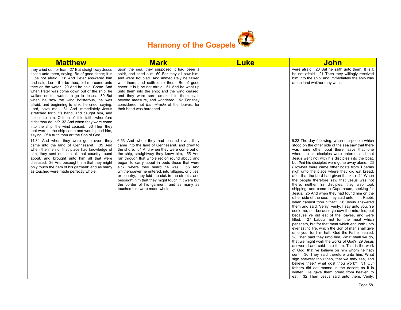

| <b>Matthew</b>                                                                                                                                                                                                                                                                                                                                                                                                                                                                                                                                                                                                                                                                                                                                                                                         | <b>Mark</b>                                                                                                                                                                                                                                                                                                                                                                                                                                                                                                                                                                        | <b>Luke</b> | <b>John</b>                                                                                                                                                                                                                                                                                                                                                                                                                                                                                                                                                                                                                                                                                                                                                                                                                                                                                                                                                                                                                                                                                                                                                                                                                                                                                                                                                                                                                                                                                                                                                                                                        |
|--------------------------------------------------------------------------------------------------------------------------------------------------------------------------------------------------------------------------------------------------------------------------------------------------------------------------------------------------------------------------------------------------------------------------------------------------------------------------------------------------------------------------------------------------------------------------------------------------------------------------------------------------------------------------------------------------------------------------------------------------------------------------------------------------------|------------------------------------------------------------------------------------------------------------------------------------------------------------------------------------------------------------------------------------------------------------------------------------------------------------------------------------------------------------------------------------------------------------------------------------------------------------------------------------------------------------------------------------------------------------------------------------|-------------|--------------------------------------------------------------------------------------------------------------------------------------------------------------------------------------------------------------------------------------------------------------------------------------------------------------------------------------------------------------------------------------------------------------------------------------------------------------------------------------------------------------------------------------------------------------------------------------------------------------------------------------------------------------------------------------------------------------------------------------------------------------------------------------------------------------------------------------------------------------------------------------------------------------------------------------------------------------------------------------------------------------------------------------------------------------------------------------------------------------------------------------------------------------------------------------------------------------------------------------------------------------------------------------------------------------------------------------------------------------------------------------------------------------------------------------------------------------------------------------------------------------------------------------------------------------------------------------------------------------------|
| they cried out for fear. 27 But straightway Jesus<br>spake unto them, saying, Be of good cheer; it is<br>I; be not afraid. 28 And Peter answered him<br>and said, Lord, if it be thou, bid me come unto<br>thee on the water. 29 And he said, Come. And<br>when Peter was come down out of the ship, he<br>walked on the water, to go to Jesus. 30 But<br>when he saw the wind boisterous, he was<br>afraid; and beginning to sink, he cried, saying,<br>Lord, save me. 31 And immediately Jesus<br>stretched forth his hand, and caught him, and<br>said unto him, O thou of little faith, wherefore<br>didst thou doubt? 32 And when they were come<br>into the ship, the wind ceased. 33 Then they<br>that were in the ship came and worshipped him,<br>saying, Of a truth thou art the Son of God. | upon the sea, they supposed it had been a<br>spirit, and cried out: 50 For they all saw him,<br>and were troubled. And immediately he talked<br>with them, and saith unto them, Be of good<br>cheer: it is I; be not afraid. 51 And he went up<br>unto them into the ship; and the wind ceased:<br>and they were sore amazed in themselves<br>beyond measure, and wondered. 52 For they<br>considered not the miracle of the loaves: for<br>their heart was hardened.                                                                                                              |             | were afraid. 20 But he saith unto them, It is I;<br>be not afraid. 21 Then they willingly received<br>him into the ship: and immediately the ship was<br>at the land whither they went.                                                                                                                                                                                                                                                                                                                                                                                                                                                                                                                                                                                                                                                                                                                                                                                                                                                                                                                                                                                                                                                                                                                                                                                                                                                                                                                                                                                                                            |
| 14:34 And when they were gone over, they<br>came into the land of Gennesaret. 35 And<br>when the men of that place had knowledge of<br>him, they sent out into all that country round<br>about, and brought unto him all that were<br>diseased; 36 And besought him that they might<br>only touch the hem of his garment: and as many<br>as touched were made perfectly whole.                                                                                                                                                                                                                                                                                                                                                                                                                         | 6:53 And when they had passed over, they<br>came into the land of Gennesaret, and drew to<br>the shore. 54 And when they were come out of<br>the ship, straightway they knew him, 55 And<br>ran through that whole region round about, and<br>began to carry about in beds those that were<br>sick, where they heard he was. 56 And<br>whithersoever he entered, into villages, or cities,<br>or country, they laid the sick in the streets, and<br>besought him that they might touch if it were but<br>the border of his garment: and as many as<br>touched him were made whole. |             | 6:22 The day following, when the people which<br>stood on the other side of the sea saw that there<br>was none other boat there, save that one<br>whereinto his disciples were entered, and that<br>Jesus went not with his disciples into the boat,<br>but that his disciples were gone away alone; 23<br>(Howbeit there came other boats from Tiberias<br>nigh unto the place where they did eat bread,<br>after that the Lord had given thanks:) 24 When<br>the people therefore saw that Jesus was not<br>there, neither his disciples, they also took<br>shipping, and came to Capernaum, seeking for<br>Jesus. 25 And when they had found him on the<br>other side of the sea, they said unto him, Rabbi,<br>when camest thou hither? 26 Jesus answered<br>them and said, Verily, verily, I say unto you, Ye<br>seek me, not because ye saw the miracles, but<br>because ye did eat of the loaves, and were<br>filled. 27 Labour not for the meat which<br>perisheth, but for that meat which endureth unto<br>everlasting life, which the Son of man shall give<br>unto you: for him hath God the Father sealed.<br>28 Then said they unto him, What shall we do,<br>that we might work the works of God? 29 Jesus<br>answered and said unto them, This is the work<br>of God, that ye believe on him whom he hath<br>sent. 30 They said therefore unto him, What<br>sign shewest thou then, that we may see, and<br>believe thee? what dost thou work? 31 Our<br>fathers did eat manna in the desert; as it is<br>written, He gave them bread from heaven to<br>eat. 32 Then Jesus said unto them, Verily, |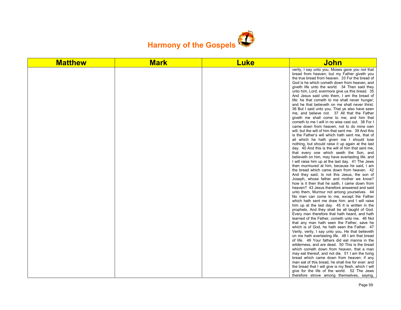

| <b>Matthew</b> | <b>Mark</b> | <b>Luke</b> | <b>John</b>                                                                                                                                                                                                                                                                                                                                                                                                                                                                                                                                                                                                                                                                                                                                                                                                                                                                                                                                                                                                                                                                                                                                                                                                                                                                                                                                                                                                                                                                                                                                                                                                                                                                                                                                                                                                                                                                                                                                                                                                                                                                                                                                                                                                                                                                                                                                   |
|----------------|-------------|-------------|-----------------------------------------------------------------------------------------------------------------------------------------------------------------------------------------------------------------------------------------------------------------------------------------------------------------------------------------------------------------------------------------------------------------------------------------------------------------------------------------------------------------------------------------------------------------------------------------------------------------------------------------------------------------------------------------------------------------------------------------------------------------------------------------------------------------------------------------------------------------------------------------------------------------------------------------------------------------------------------------------------------------------------------------------------------------------------------------------------------------------------------------------------------------------------------------------------------------------------------------------------------------------------------------------------------------------------------------------------------------------------------------------------------------------------------------------------------------------------------------------------------------------------------------------------------------------------------------------------------------------------------------------------------------------------------------------------------------------------------------------------------------------------------------------------------------------------------------------------------------------------------------------------------------------------------------------------------------------------------------------------------------------------------------------------------------------------------------------------------------------------------------------------------------------------------------------------------------------------------------------------------------------------------------------------------------------------------------------|
|                |             |             | verily, I say unto you, Moses gave you not that<br>bread from heaven; but my Father giveth you<br>the true bread from heaven. 33 For the bread of<br>God is he which cometh down from heaven, and<br>giveth life unto the world. 34 Then said they<br>unto him, Lord, evermore give us this bread. 35<br>And Jesus said unto them, I am the bread of<br>life: he that cometh to me shall never hunger;<br>and he that believeth on me shall never thirst.<br>36 But I said unto you, That ye also have seen<br>me, and believe not. 37 All that the Father<br>giveth me shall come to me; and him that<br>cometh to me I will in no wise cast out. 38 For I<br>came down from heaven, not to do mine own<br>will, but the will of him that sent me. 39 And this<br>is the Father's will which hath sent me, that of<br>all which he hath given me I should lose<br>nothing, but should raise it up again at the last<br>day. 40 And this is the will of him that sent me,<br>that every one which seeth the Son, and<br>believeth on him, may have everlasting life: and<br>I will raise him up at the last day. 41 The Jews<br>then murmured at him, because he said, I am<br>the bread which came down from heaven. 42<br>And they said, is not this Jesus, the son of<br>Joseph, whose father and mother we know?<br>how is it then that he saith, I came down from<br>heaven? 43 Jesus therefore answered and said<br>unto them, Murmur not among yourselves. 44<br>No man can come to me, except the Father<br>which hath sent me draw him: and I will raise<br>him up at the last day. 45 It is written in the<br>prophets, And they shall be all taught of God.<br>Every man therefore that hath heard, and hath<br>learned of the Father, cometh unto me. 46 Not<br>that any man hath seen the Father, save he<br>which is of God, he hath seen the Father. 47<br>Verily, verily, I say unto you, He that believeth<br>on me hath everlasting life. 48 I am that bread<br>of life. 49 Your fathers did eat manna in the<br>wilderness, and are dead. 50 This is the bread<br>which cometh down from heaven, that a man<br>may eat thereof, and not die. 51 I am the living<br>bread which came down from heaven: if any<br>man eat of this bread, he shall live for ever: and<br>the bread that I will give is my flesh, which I will |
|                |             |             | give for the life of the world. 52 The Jews<br>therefore strove among themselves, saying,                                                                                                                                                                                                                                                                                                                                                                                                                                                                                                                                                                                                                                                                                                                                                                                                                                                                                                                                                                                                                                                                                                                                                                                                                                                                                                                                                                                                                                                                                                                                                                                                                                                                                                                                                                                                                                                                                                                                                                                                                                                                                                                                                                                                                                                     |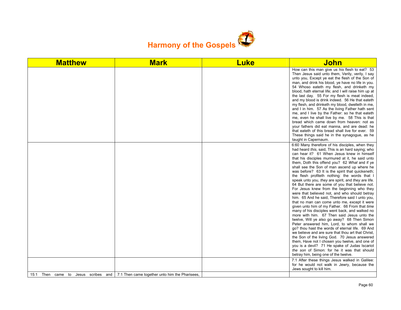

| <b>Matthew</b>                            | <b>Mark</b>                                    | <b>Luke</b> | <b>John</b>                                                                                                                                                                                                                                                                                                                                                                                                                                                                                                                                                                                                                                                                                                                                                                                                                                                                                                                                                                                                                                                                                                                                                                                                                                                                                                                                                                |
|-------------------------------------------|------------------------------------------------|-------------|----------------------------------------------------------------------------------------------------------------------------------------------------------------------------------------------------------------------------------------------------------------------------------------------------------------------------------------------------------------------------------------------------------------------------------------------------------------------------------------------------------------------------------------------------------------------------------------------------------------------------------------------------------------------------------------------------------------------------------------------------------------------------------------------------------------------------------------------------------------------------------------------------------------------------------------------------------------------------------------------------------------------------------------------------------------------------------------------------------------------------------------------------------------------------------------------------------------------------------------------------------------------------------------------------------------------------------------------------------------------------|
|                                           |                                                |             | How can this man give us his flesh to eat? 53<br>Then Jesus said unto them, Verily, verily, I say<br>unto you, Except ye eat the flesh of the Son of<br>man, and drink his blood, ye have no life in you.<br>54 Whoso eateth my flesh, and drinketh my<br>blood, hath eternal life; and I will raise him up at<br>the last day. 55 For my flesh is meat indeed,<br>and my blood is drink indeed. 56 He that eateth<br>my flesh, and drinketh my blood, dwelleth in me,<br>and I in him. 57 As the living Father hath sent<br>me, and I live by the Father: so he that eateth<br>me, even he shall live by me. 58 This is that<br>bread which came down from heaven: not as<br>your fathers did eat manna, and are dead: he<br>that eateth of this bread shall live for ever. 59<br>These things said he in the synagogue, as he<br>taught in Capernaum.                                                                                                                                                                                                                                                                                                                                                                                                                                                                                                                    |
|                                           |                                                |             | 6:60 Many therefore of his disciples, when they<br>had heard this, said, This is an hard saying; who<br>can hear it? 61 When Jesus knew in himself<br>that his disciples murmured at it, he said unto<br>them, Doth this offend you? 62 What and if ye<br>shall see the Son of man ascend up where he<br>was before? 63 It is the spirit that quickeneth;<br>the flesh profiteth nothing: the words that I<br>speak unto you, they are spirit, and they are life.<br>64 But there are some of you that believe not.<br>For Jesus knew from the beginning who they<br>were that believed not, and who should betray<br>him. 65 And he said, Therefore said I unto you,<br>that no man can come unto me, except it were<br>given unto him of my Father. 66 From that time<br>many of his disciples went back, and walked no<br>more with him. 67 Then said Jesus unto the<br>twelve, Will ye also go away? 68 Then Simon<br>Peter answered him, Lord, to whom shall we<br>go? thou hast the words of eternal life. 69 And<br>we believe and are sure that thou art that Christ.<br>the Son of the living God. 70 Jesus answered<br>them, Have not I chosen you twelve, and one of<br>you is a devil? 71 He spake of Judas Iscariot<br>the son of Simon: for he it was that should<br>betray him, being one of the twelve.<br>7:1 After these things Jesus walked in Galilee: |
|                                           |                                                |             | for he would not walk in Jewry, because the<br>Jews sought to kill him.                                                                                                                                                                                                                                                                                                                                                                                                                                                                                                                                                                                                                                                                                                                                                                                                                                                                                                                                                                                                                                                                                                                                                                                                                                                                                                    |
| Then came to<br>Jesus scribes and<br>15:1 | 7:1 Then came together unto him the Pharisees. |             |                                                                                                                                                                                                                                                                                                                                                                                                                                                                                                                                                                                                                                                                                                                                                                                                                                                                                                                                                                                                                                                                                                                                                                                                                                                                                                                                                                            |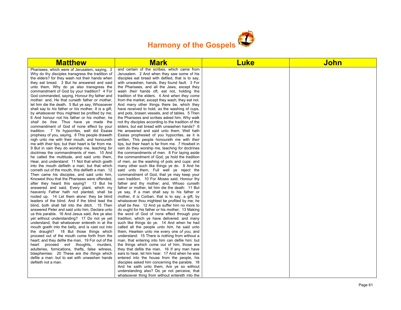

| <b>Matthew</b>                                                                                               | <b>Mark</b>                                                                                           | <b>Luke</b> | <b>John</b> |
|--------------------------------------------------------------------------------------------------------------|-------------------------------------------------------------------------------------------------------|-------------|-------------|
| Pharisees, which were of Jerusalem, saying, 2                                                                | and certain of the scribes, which came from                                                           |             |             |
| Why do thy disciples transgress the tradition of                                                             | Jerusalem. 2 And when they saw some of his                                                            |             |             |
| the elders? for they wash not their hands when                                                               | disciples eat bread with defiled, that is to say,                                                     |             |             |
| they eat bread. 3 But he answered and said                                                                   | with unwashen, hands, they found fault. 3 For                                                         |             |             |
| unto them, Why do ye also transgress the                                                                     | the Pharisees, and all the Jews, except they                                                          |             |             |
| commandment of God by your tradition? 4 For                                                                  | wash <i>their</i> hands oft, eat not, holding the                                                     |             |             |
| God commanded, saying, Honour thy father and                                                                 | tradition of the elders. 4 And when they come                                                         |             |             |
| mother: and, He that curseth father or mother,                                                               | from the market, except they wash, they eat not.                                                      |             |             |
| let him die the death. 5 But ye say, Whosoever                                                               | And many other things there be, which they                                                            |             |             |
| shall say to his father or his mother, It is a gift,                                                         | have received to hold, as the washing of cups,                                                        |             |             |
| by whatsoever thou mightest be profited by me;                                                               | and pots, brasen vessels, and of tables. 5 Then                                                       |             |             |
| 6 And honour not his father or his mother, he                                                                | the Pharisees and scribes asked him, Why walk                                                         |             |             |
| shall be free. Thus have ye made the                                                                         | not thy disciples according to the tradition of the                                                   |             |             |
| commandment of God of none effect by your                                                                    | elders, but eat bread with unwashen hands? 6                                                          |             |             |
| tradition. 7 Ye hypocrites, well did Esaias                                                                  | He answered and said unto them, Well hath                                                             |             |             |
| prophesy of you, saying, 8 This people draweth                                                               | Esaias prophesied of you hypocrites, as it is                                                         |             |             |
| nigh unto me with their mouth, and honoureth                                                                 | written. This people honoureth me with their                                                          |             |             |
| me with <i>their</i> lips; but their heart is far from me.<br>9 But in vain they do worship me, teaching for | lips, but their heart is far from me. 7 Howbeit in<br>vain do they worship me, teaching for doctrines |             |             |
| doctrines the commandments of men. 10 And                                                                    | the commandments of men. 8 For laying aside                                                           |             |             |
| he called the multitude, and said unto them,                                                                 | the commandment of God, ye hold the tradition                                                         |             |             |
| Hear, and understand: 11 Not that which goeth                                                                | of men, as the washing of pots and cups: and                                                          |             |             |
| into the mouth defileth a man; but that which                                                                | many other such like things ye do. 9 And he                                                           |             |             |
| cometh out of the mouth, this defileth a man. 12                                                             | said unto them, Full well ye reject the                                                               |             |             |
| Then came his disciples, and said unto him,                                                                  | commandment of God, that ye may keep your                                                             |             |             |
| Knowest thou that the Pharisees were offended,                                                               | own tradition. 10 For Moses said, Honour thy                                                          |             |             |
| after they heard this saying? 13 But he                                                                      | father and thy mother; and, Whoso curseth                                                             |             |             |
| answered and said, Every plant, which my                                                                     | father or mother, let him die the death: 11 But                                                       |             |             |
| heavenly Father hath not planted, shall be                                                                   | ye say, If a man shall say to his father or                                                           |             |             |
| rooted up. 14 Let them alone: they be blind                                                                  | mother, It is Corban, that is to say, a gift, by                                                      |             |             |
| leaders of the blind. And if the blind lead the                                                              | whatsoever thou mightest be profited by me; he                                                        |             |             |
| blind, both shall fall into the ditch. 15 Then                                                               | shall be free. 12 And ye suffer him no more to                                                        |             |             |
| answered Peter and said unto him, Declare unto                                                               | do ought for his father or his mother; 13 Making                                                      |             |             |
| us this parable. 16 And Jesus said, Are ye also                                                              | the word of God of none effect through your                                                           |             |             |
| yet without understanding? 17 Do not ye yet                                                                  | tradition, which ye have delivered: and many                                                          |             |             |
| understand, that whatsoever entereth in at the                                                               | such like things do ye. 14 And when he had                                                            |             |             |
| mouth goeth into the belly, and is cast out into                                                             | called all the people <i>unto him</i> , he said unto                                                  |             |             |
| the draught? 18 But those things which                                                                       | them, Hearken unto me every one of you, and                                                           |             |             |
| proceed out of the mouth come forth from the                                                                 | understand: 15 There is nothing from without a                                                        |             |             |
| heart; and they defile the man. 19 For out of the                                                            | man, that entering into him can defile him: but                                                       |             |             |
| heart proceed evil thoughts, murders,                                                                        | the things which come out of him, those are                                                           |             |             |
| adulteries, fornications, thefts, false witness,                                                             | they that defile the man. 16 If any man have                                                          |             |             |
| blasphemies: 20 These are the things which                                                                   | ears to hear, let him hear. 17 And when he was                                                        |             |             |
| defile a man: but to eat with unwashen hands                                                                 | entered into the house from the people, his                                                           |             |             |
| defileth not a man.                                                                                          | disciples asked him concerning the parable. 18                                                        |             |             |
|                                                                                                              | And he saith unto them, Are ye so without                                                             |             |             |
|                                                                                                              | understanding also? Do ye not perceive, that                                                          |             |             |
|                                                                                                              | whatsoever thing from without entereth into the                                                       |             |             |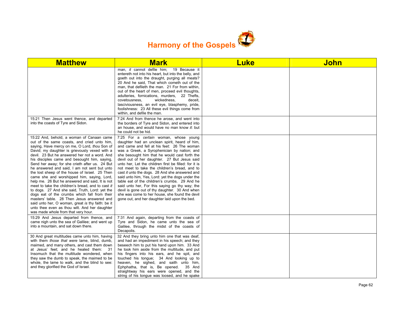

| <b>Matthew</b>                                                                                                                                                                                                                                                                                                                                                                                                                                                                                                                                                                                                                                                                                                                                                                                                                                                                                     | <b>Mark</b>                                                                                                                                                                                                                                                                                                                                                                                                                                                                                                                                                                                                                                                                                                                                                   | <b>Luke</b> | <b>John</b> |
|----------------------------------------------------------------------------------------------------------------------------------------------------------------------------------------------------------------------------------------------------------------------------------------------------------------------------------------------------------------------------------------------------------------------------------------------------------------------------------------------------------------------------------------------------------------------------------------------------------------------------------------------------------------------------------------------------------------------------------------------------------------------------------------------------------------------------------------------------------------------------------------------------|---------------------------------------------------------------------------------------------------------------------------------------------------------------------------------------------------------------------------------------------------------------------------------------------------------------------------------------------------------------------------------------------------------------------------------------------------------------------------------------------------------------------------------------------------------------------------------------------------------------------------------------------------------------------------------------------------------------------------------------------------------------|-------------|-------------|
|                                                                                                                                                                                                                                                                                                                                                                                                                                                                                                                                                                                                                                                                                                                                                                                                                                                                                                    | man, it cannot defile him;<br>19 Because it<br>entereth not into his heart, but into the belly, and<br>goeth out into the draught, purging all meats?<br>20 And he said. That which cometh out of the<br>man, that defileth the man. 21 For from within,<br>out of the heart of men, proceed evil thoughts,<br>adulteries, fornications, murders, 22 Thefts,<br>covetousness.<br>wickedness.<br>deceit.<br>lasciviousness, an evil eye, blasphemy, pride,<br>foolishness: 23 All these evil things come from<br>within, and defile the man.                                                                                                                                                                                                                   |             |             |
| 15:21 Then Jesus went thence, and departed<br>into the coasts of Tyre and Sidon.                                                                                                                                                                                                                                                                                                                                                                                                                                                                                                                                                                                                                                                                                                                                                                                                                   | 7:24 And from thence he arose, and went into<br>the borders of Tyre and Sidon, and entered into<br>an house, and would have no man know it: but<br>he could not be hid.                                                                                                                                                                                                                                                                                                                                                                                                                                                                                                                                                                                       |             |             |
| 15:22 And, behold, a woman of Canaan came<br>out of the same coasts, and cried unto him,<br>saying, Have mercy on me, O Lord, thou Son of<br>David; my daughter is grievously vexed with a<br>devil. 23 But he answered her not a word. And<br>his disciples came and besought him, saying,<br>Send her away; for she crieth after us. 24 But<br>he answered and said, I am not sent but unto<br>the lost sheep of the house of Israel. 25 Then<br>came she and worshipped him, saying, Lord,<br>help me. 26 But he answered and said, It is not<br>meet to take the children's bread, and to cast it<br>to dogs. 27 And she said, Truth, Lord: yet the<br>dogs eat of the crumbs which fall from their<br>masters' table. 28 Then Jesus answered and<br>said unto her, O woman, great is thy faith: be it<br>unto thee even as thou wilt. And her daughter<br>was made whole from that very hour. | 7:25 For a certain woman, whose young<br>daughter had an unclean spirit, heard of him,<br>and came and fell at his feet: 26 The woman<br>was a Greek, a Syrophenician by nation; and<br>she besought him that he would cast forth the<br>devil out of her daughter. 27 But Jesus said<br>unto her, Let the children first be filled: for it is<br>not meet to take the children's bread, and to<br>cast it unto the dogs. 28 And she answered and<br>said unto him, Yes, Lord: yet the dogs under the<br>table eat of the children's crumbs. 29 And he<br>said unto her, For this saying go thy way; the<br>devil is gone out of thy daughter. 30 And when<br>she was come to her house, she found the devil<br>gone out, and her daughter laid upon the bed. |             |             |
| 15:29 And Jesus departed from thence, and<br>came nigh unto the sea of Galilee; and went up<br>into a mountain, and sat down there.                                                                                                                                                                                                                                                                                                                                                                                                                                                                                                                                                                                                                                                                                                                                                                | 7:31 And again, departing from the coasts of<br>Tyre and Sidon, he came unto the sea of<br>Galilee, through the midst of the coasts of<br>Decapolis.                                                                                                                                                                                                                                                                                                                                                                                                                                                                                                                                                                                                          |             |             |
| 30 And great multitudes came unto him, having<br>with them those that were lame, blind, dumb,<br>maimed, and many others, and cast them down<br>at Jesus' feet; and he healed them:<br>- 31<br>Insomuch that the multitude wondered, when<br>they saw the dumb to speak, the maimed to be<br>whole, the lame to walk, and the blind to see:<br>and they glorified the God of Israel.                                                                                                                                                                                                                                                                                                                                                                                                                                                                                                               | 32 And they bring unto him one that was deaf,<br>and had an impediment in his speech; and they<br>beseech him to put his hand upon him. 33 And<br>he took him aside from the multitude, and put<br>his fingers into his ears, and he spit, and<br>touched his tonque; 34 And looking up to<br>heaven, he sighed, and saith unto him,<br>Ephphatha, that is, Be opened.<br>35 And<br>straightway his ears were opened, and the<br>string of his tongue was loosed, and he spake                                                                                                                                                                                                                                                                                |             |             |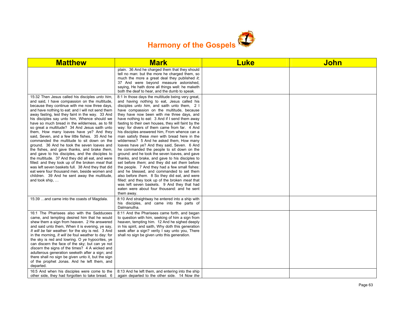

| <b>Matthew</b>                                                                                                                                                                                                                                                                                                                                                                                                                                                                                                                                                                                                                                                                                                                                                                                                                                                                                                                                                                                        | <b>Mark</b>                                                                                                                                                                                                                                                                                                                                                                                                                                                                                                                                                                                                                                                                                                                                                                                                                                                                                                                                                                                                                                                                                                                                  | <b>Luke</b> | <b>John</b> |
|-------------------------------------------------------------------------------------------------------------------------------------------------------------------------------------------------------------------------------------------------------------------------------------------------------------------------------------------------------------------------------------------------------------------------------------------------------------------------------------------------------------------------------------------------------------------------------------------------------------------------------------------------------------------------------------------------------------------------------------------------------------------------------------------------------------------------------------------------------------------------------------------------------------------------------------------------------------------------------------------------------|----------------------------------------------------------------------------------------------------------------------------------------------------------------------------------------------------------------------------------------------------------------------------------------------------------------------------------------------------------------------------------------------------------------------------------------------------------------------------------------------------------------------------------------------------------------------------------------------------------------------------------------------------------------------------------------------------------------------------------------------------------------------------------------------------------------------------------------------------------------------------------------------------------------------------------------------------------------------------------------------------------------------------------------------------------------------------------------------------------------------------------------------|-------------|-------------|
|                                                                                                                                                                                                                                                                                                                                                                                                                                                                                                                                                                                                                                                                                                                                                                                                                                                                                                                                                                                                       | plain. 36 And he charged them that they should<br>tell no man: but the more he charged them, so<br>much the more a great deal they published it;<br>37 And were beyond measure astonished,<br>saying, He hath done all things well: he maketh<br>both the deaf to hear, and the dumb to speak.                                                                                                                                                                                                                                                                                                                                                                                                                                                                                                                                                                                                                                                                                                                                                                                                                                               |             |             |
| 15:32 Then Jesus called his disciples unto him.<br>and said, I have compassion on the multitude,<br>because they continue with me now three days,<br>and have nothing to eat: and I will not send them<br>away fasting, lest they faint in the way. 33 And<br>his disciples say unto him, Whence should we<br>have so much bread in the wilderness, as to fill<br>so great a multitude? 34 And Jesus saith unto<br>them, How many loaves have ye? And they<br>said, Seven, and a few little fishes. 35 And he<br>commanded the multitude to sit down on the<br>ground. 36 And he took the seven loaves and<br>the fishes, and gave thanks, and brake them,<br>and gave to his disciples, and the disciples to<br>the multitude. 37 And they did all eat, and were<br>filled: and they took up of the broken meat that<br>was left seven baskets full. 38 And they that did<br>eat were four thousand men, beside women and<br>children. 39 And he sent away the multitude,<br>and took $ship, \ldots$ | 8:1 In those days the multitude being very great,<br>and having nothing to eat, Jesus called his<br>disciples <i>unto him</i> , and saith unto them, 2 I<br>have compassion on the multitude, because<br>they have now been with me three days, and<br>have nothing to eat: 3 And if I send them away<br>fasting to their own houses, they will faint by the<br>way: for divers of them came from far. 4 And<br>his disciples answered him. From whence can a<br>man satisfy these men with bread here in the<br>wilderness? 5 And he asked them, How many<br>loaves have ye? And they said, Seven. 6 And<br>he commanded the people to sit down on the<br>ground: and he took the seven loaves, and gave<br>thanks, and brake, and gave to his disciples to<br>set before <i>them</i> ; and they did set <i>them</i> before<br>the people. 7 And they had a few small fishes:<br>and he blessed, and commanded to set them<br>also before them. 8 So they did eat, and were<br>filled: and they took up of the broken meat that<br>was left seven baskets. 9 And they that had<br>eaten were about four thousand: and he sent<br>them away. |             |             |
| 15:39 and came into the coasts of Magdala.                                                                                                                                                                                                                                                                                                                                                                                                                                                                                                                                                                                                                                                                                                                                                                                                                                                                                                                                                            | 8:10 And straightway he entered into a ship with<br>his disciples, and came into the parts of<br>Dalmanutha.                                                                                                                                                                                                                                                                                                                                                                                                                                                                                                                                                                                                                                                                                                                                                                                                                                                                                                                                                                                                                                 |             |             |
| 16:1 The Pharisees also with the Sadducees<br>came, and tempting desired him that he would<br>shew them a sign from heaven. 2 He answered<br>and said unto them, When it is evening, ye say,<br>It will be fair weather: for the sky is red. 3 And<br>in the morning, It will be foul weather to day: for<br>the sky is red and lowring. O ye hypocrites, ye<br>can discern the face of the sky; but can ye not<br>discern the signs of the times? 4 A wicked and<br>adulterous generation seeketh after a sign; and<br>there shall no sign be given unto it, but the sign<br>of the prophet Jonas. And he left them, and<br>departed.                                                                                                                                                                                                                                                                                                                                                                | 8:11 And the Pharisees came forth, and began<br>to question with him, seeking of him a sign from<br>heaven, tempting him. 12 And he sighed deeply<br>in his spirit, and saith, Why doth this generation<br>seek after a sign? verily I say unto you, There<br>shall no sign be given unto this generation.                                                                                                                                                                                                                                                                                                                                                                                                                                                                                                                                                                                                                                                                                                                                                                                                                                   |             |             |
| 16:5 And when his disciples were come to the<br>other side, they had forgotten to take bread. 6                                                                                                                                                                                                                                                                                                                                                                                                                                                                                                                                                                                                                                                                                                                                                                                                                                                                                                       | 8:13 And he left them, and entering into the ship<br>again departed to the other side. 14 Now the                                                                                                                                                                                                                                                                                                                                                                                                                                                                                                                                                                                                                                                                                                                                                                                                                                                                                                                                                                                                                                            |             |             |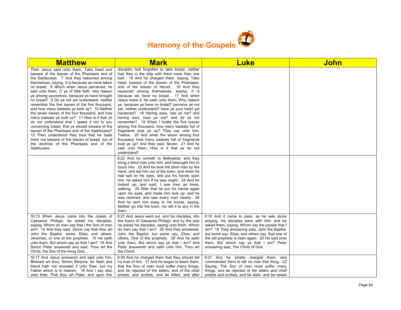

| <b>Matthew</b>                                                                                                                                                                                                                                                                                                                                                                                                                                                                                                                                                                                                                                                                                                                                                                                                                                                                                            | <b>Mark</b>                                                                                                                                                                                                                                                                                                                                                                                                                                                                                                                                                                                                                                                                                                                                                                                                                                                                                                               | <b>Luke</b>                                                                                                                                                                                                                                                                                                                                                                          | John |
|-----------------------------------------------------------------------------------------------------------------------------------------------------------------------------------------------------------------------------------------------------------------------------------------------------------------------------------------------------------------------------------------------------------------------------------------------------------------------------------------------------------------------------------------------------------------------------------------------------------------------------------------------------------------------------------------------------------------------------------------------------------------------------------------------------------------------------------------------------------------------------------------------------------|---------------------------------------------------------------------------------------------------------------------------------------------------------------------------------------------------------------------------------------------------------------------------------------------------------------------------------------------------------------------------------------------------------------------------------------------------------------------------------------------------------------------------------------------------------------------------------------------------------------------------------------------------------------------------------------------------------------------------------------------------------------------------------------------------------------------------------------------------------------------------------------------------------------------------|--------------------------------------------------------------------------------------------------------------------------------------------------------------------------------------------------------------------------------------------------------------------------------------------------------------------------------------------------------------------------------------|------|
| Then Jesus said unto them. Take heed and<br>beware of the leaven of the Pharisees and of<br>the Sadducees. 7 And they reasoned among<br>themselves, saying, It is because we have taken<br>no bread. 8 Which when Jesus perceived, he<br>said unto them, O ye of little faith, why reason<br>ye among yourselves, because ye have brought<br>no bread? 9 Do ye not yet understand, neither<br>remember the five loaves of the five thousand,<br>and how many baskets ye took up? 10 Neither<br>the seven loaves of the four thousand, and how<br>many baskets ye took up? 11 How is it that ye<br>do not understand that I spake it not to you<br>concerning bread, that ye should beware of the<br>leaven of the Pharisees and of the Sadducees?<br>12 Then understood they how that he bade<br>them not beware of the leaven of bread, but of<br>the doctrine of the Pharisees and of the<br>Sadducees. | disciples had forgotten to take bread, neither<br>had they in the ship with them more than one<br>loaf. 15 And he charged them, saying, Take<br>heed, beware of the leaven of the Pharisees,<br>and of the leaven of Herod. 16 And they<br>reasoned among themselves, saying, It is<br>because we have no bread. 17 And when<br>Jesus knew it, he saith unto them, Why reason<br>ye, because ye have no bread? perceive ye not<br>yet, neither understand? have ye your heart yet<br>hardened? 18 Having eyes, see ye not? and<br>having ears, hear ye not? and do ye not<br>remember? 19 When I brake the five loaves<br>among five thousand, how many baskets full of<br>fragments took ye up? They say unto him,<br>Twelve. 20 And when the seven among four<br>thousand, how many baskets full of fragments<br>took ye up? And they said, Seven. 21 And he<br>said unto them, How is it that ye do not<br>understand? |                                                                                                                                                                                                                                                                                                                                                                                      |      |
|                                                                                                                                                                                                                                                                                                                                                                                                                                                                                                                                                                                                                                                                                                                                                                                                                                                                                                           | 8:22 And he cometh to Bethsaida; and they<br>bring a blind man unto him, and besought him to<br>touch him. 23 And he took the blind man by the<br>hand, and led him out of the town; and when he<br>had spit on his eyes, and put his hands upon<br>him, he asked him if he saw ought. 24 And he<br>looked up, and said, I see men as trees,<br>walking. 25 After that he put his hands again<br>upon his eyes, and made him look up: and he<br>was restored, and saw every man clearly. 26<br>And he sent him away to his house, saying,<br>Neither go into the town, nor tell it to any in the<br>town.                                                                                                                                                                                                                                                                                                                 |                                                                                                                                                                                                                                                                                                                                                                                      |      |
| 16:13 When Jesus came into the coasts of<br>Caesarea Philippi, he asked his disciples,<br>saying, Whom do men say that I the Son of man<br>am? 14 And they said, Some say that thou art<br>John the Baptist: some, Elias; and others,<br>Jeremias, or one of the prophets. 15 He saith<br>unto them, But whom say ye that I am? 16 And<br>Simon Peter answered and said. Thou art the<br>Christ, the Son of the living God.                                                                                                                                                                                                                                                                                                                                                                                                                                                                               | 8:27 And Jesus went out, and his disciples, into<br>the towns of Caesarea Philippi: and by the way<br>he asked his disciples, saying unto them, Whom<br>do men say that I am? 28 And they answered.<br>John the Baptist: but some say, Elias; and<br>others, One of the prophets. 29 And he saith<br>unto them, But whom say ye that I am? And<br>Peter answereth and saith unto him. Thou art<br>the Christ.                                                                                                                                                                                                                                                                                                                                                                                                                                                                                                             | 9:18 And it came to pass, as he was alone<br>praying, his disciples were with him: and he<br>asked them, saying, Whom say the people that I<br>am? 19 They answering said, John the Baptist;<br>but some say, Elias; and others say, that one of<br>the old prophets is risen again. 20 He said unto<br>them, But whom say ye that I am? Peter<br>answering said, The Christ of God. |      |
| 16:17 And Jesus answered and said unto him.<br>Blessed art thou, Simon Barjona: for flesh and<br>blood hath not revealed it unto thee, but my<br>Father which is in heaven. 18 And I say also<br>unto thee, That thou art Peter, and upon this                                                                                                                                                                                                                                                                                                                                                                                                                                                                                                                                                                                                                                                            | 8:30 And he charged them that they should tell<br>no man of him. 31 And he began to teach them,<br>that the Son of man must suffer many things,<br>and be rejected of the elders, and of the chief<br>priests, and scribes, and be killed, and after                                                                                                                                                                                                                                                                                                                                                                                                                                                                                                                                                                                                                                                                      | 9:21 And he straitly charged them, and<br>commanded them to tell no man that thing: 22<br>Saying, The Son of man must suffer many<br>things, and be rejected of the elders and chief<br>priests and scribes, and be slain, and be raised                                                                                                                                             |      |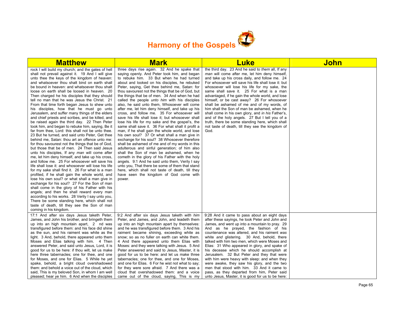

| <b>Matthew</b>                                                                                                                                                                                                                                                                                                                                                                                                                                                                                                                                                                                                                                                                                                                                                                                                                                                                                                                                                                                                                                                                                                                                                                                                                                                                                                                                                                                                                                                                                                                                                                                                                                                                          | <b>Mark</b>                                                                                                                                                                                                                                                                                                                                                                                                                                                                                                                                                                                                                                                                                                                                                                                                                                                                                                                                                                                                                                                                                                                                                                                                                                                                              | <b>Luke</b>                                                                                                                                                                                                                                                                                                                                                                                                                                                                                                                                                                                                                                                                                                                             | <b>John</b> |
|-----------------------------------------------------------------------------------------------------------------------------------------------------------------------------------------------------------------------------------------------------------------------------------------------------------------------------------------------------------------------------------------------------------------------------------------------------------------------------------------------------------------------------------------------------------------------------------------------------------------------------------------------------------------------------------------------------------------------------------------------------------------------------------------------------------------------------------------------------------------------------------------------------------------------------------------------------------------------------------------------------------------------------------------------------------------------------------------------------------------------------------------------------------------------------------------------------------------------------------------------------------------------------------------------------------------------------------------------------------------------------------------------------------------------------------------------------------------------------------------------------------------------------------------------------------------------------------------------------------------------------------------------------------------------------------------|------------------------------------------------------------------------------------------------------------------------------------------------------------------------------------------------------------------------------------------------------------------------------------------------------------------------------------------------------------------------------------------------------------------------------------------------------------------------------------------------------------------------------------------------------------------------------------------------------------------------------------------------------------------------------------------------------------------------------------------------------------------------------------------------------------------------------------------------------------------------------------------------------------------------------------------------------------------------------------------------------------------------------------------------------------------------------------------------------------------------------------------------------------------------------------------------------------------------------------------------------------------------------------------|-----------------------------------------------------------------------------------------------------------------------------------------------------------------------------------------------------------------------------------------------------------------------------------------------------------------------------------------------------------------------------------------------------------------------------------------------------------------------------------------------------------------------------------------------------------------------------------------------------------------------------------------------------------------------------------------------------------------------------------------|-------------|
| rock I will build my church; and the gates of hell<br>shall not prevail against it. 19 And I will give<br>unto thee the keys of the kingdom of heaven:<br>and whatsoever thou shalt bind on earth shall<br>be bound in heaven: and whatsoever thou shalt<br>loose on earth shall be loosed in heaven. 20<br>Then charged he his disciples that they should<br>tell no man that he was Jesus the Christ. 21<br>From that time forth began Jesus to shew unto<br>his disciples, how that he must go unto<br>Jerusalem, and suffer many things of the elders<br>and chief priests and scribes, and be killed, and<br>be raised again the third day. 22 Then Peter<br>took him, and began to rebuke him, saying, Be it<br>far from thee, Lord: this shall not be unto thee.<br>23 But he turned, and said unto Peter, Get thee<br>behind me, Satan: thou art an offence unto me:<br>for thou savourest not the things that be of God,<br>but those that be of men. 24 Then said Jesus<br>unto his disciples, If any man will come after<br>me, let him deny himself, and take up his cross,<br>and follow me. 25 For whosoever will save his<br>life shall lose it: and whosoever will lose his life<br>for my sake shall find it. 26 For what is a man<br>profited, if he shall gain the whole world, and<br>lose his own soul? or what shall a man give in<br>exchange for his soul? 27 For the Son of man<br>shall come in the glory of his Father with his<br>angels; and then he shall reward every man<br>according to his works. 28 Verily I say unto you,<br>There be some standing here, which shall not<br>taste of death, till they see the Son of man<br>coming in his kingdom. | three days rise again. 32 And he spake that<br>saying openly. And Peter took him, and began<br>to rebuke him. 33 But when he had turned<br>about and looked on his disciples, he rebuked<br>Peter, saying, Get thee behind me, Satan: for<br>thou savourest not the things that be of God, but<br>the things that be of men. 34 And when he had<br>called the people <i>unto him</i> with his disciples<br>also, he said unto them, Whosoever will come<br>after me, let him deny himself, and take up his<br>cross, and follow me. 35 For whosoever will<br>save his life shall lose it; but whosoever shall<br>lose his life for my sake and the gospel's, the<br>same shall save it. 36 For what shall it profit a<br>man, if he shall gain the whole world, and lose<br>his own soul? 37 Or what shall a man give in<br>exchange for his soul? 38 Whosoever therefore<br>shall be ashamed of me and of my words in this<br>adulterous and sinful generation; of him also<br>shall the Son of man be ashamed, when he<br>cometh in the glory of his Father with the holy<br>angels. 9:1 And he said unto them, Verily I say<br>unto you, That there be some of them that stand<br>here, which shall not taste of death, till they<br>have seen the kingdom of God come with<br>power. | the third day. 23 And he said to them all, If any<br>man will come after me, let him deny himself,<br>and take up his cross daily, and follow me. 24<br>For whosoever will save his life shall lose it: but<br>whosoever will lose his life for my sake, the<br>same shall save it. 25 For what is a man<br>advantaged, if he gain the whole world, and lose<br>himself, or be cast away? 26 For whosoever<br>shall be ashamed of me and of my words, of<br>him shall the Son of man be ashamed, when he<br>shall come in his own glory, and in his Father's,<br>and of the holy angels. 27 But I tell you of a<br>truth, there be some standing here, which shall<br>not taste of death, till they see the kingdom of<br>God.          |             |
| 17:1 And after six days Jesus taketh Peter,<br>James, and John his brother, and bringeth them<br>up into an high mountain apart, 2 nd was<br>transfigured before them: and his face did shine<br>as the sun, and his raiment was white as the<br>light. 3 And, behold, there appeared unto them<br>Moses and Elias talking with him. 4 Then<br>answered Peter, and said unto Jesus, Lord, it is<br>good for us to be here: if thou wilt, let us make<br>here three tabernacles; one for thee, and one<br>for Moses, and one for Elias. 5 While he yet<br>spake, behold, a bright cloud overshadowed<br>them: and behold a voice out of the cloud, which<br>said, This is my beloved Son, in whom I am well<br>pleased; hear ye him. 6 And when the disciples                                                                                                                                                                                                                                                                                                                                                                                                                                                                                                                                                                                                                                                                                                                                                                                                                                                                                                                            | 9:2 And after six days Jesus taketh with him<br>Peter, and James, and John, and leadeth them<br>up into an high mountain apart by themselves:<br>and he was transfigured before them. 3 And his<br>raiment became shining, exceeding white as<br>snow; so as no fuller on earth can white them.<br>4 And there appeared unto them Elias with<br>Moses: and they were talking with Jesus. 5 And<br>Peter answered and said to Jesus, Master, it is<br>good for us to be here: and let us make three<br>tabernacles; one for thee, and one for Moses,<br>and one for Elias. 6 For he wist not what to say:<br>for they were sore afraid. 7 And there was a<br>cloud that overshadowed them: and a voice<br>came out of the cloud, saying, This is my                                                                                                                                                                                                                                                                                                                                                                                                                                                                                                                                       | 9:28 And it came to pass about an eight days<br>after these sayings, he took Peter and John and<br>James, and went up into a mountain to pray. 29<br>And as he prayed, the fashion of his<br>countenance was altered, and his raiment was<br>white and glistering. 30 And, behold, there<br>talked with him two men, which were Moses and<br>Elias: 31 Who appeared in glory, and spake of<br>his decease which he should accomplish at<br>Jerusalem. 32 But Peter and they that were<br>with him were heavy with sleep: and when they<br>were awake, they saw his glory, and the two<br>men that stood with him. 33 And it came to<br>pass, as they departed from him, Peter said<br>unto Jesus, Master, it is good for us to be here: |             |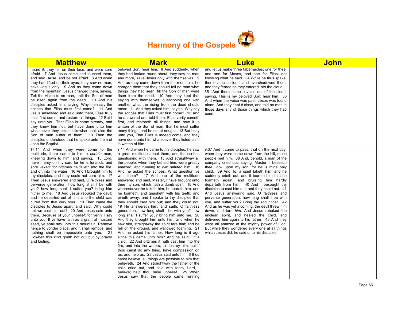

| <b>Matthew</b>                                                                                                                                                                                                                                                                                                                                                                                                                                                                                                                                                                                                                                                                                                                                                                                                                                                                                                                                                                                                                                                           | <b>Mark</b>                                                                                                                                                                                                                                                                                                                                                                                                                                                                                                                                                                                                                                                                                                                                                                                                                                                                                                                                                                                                                                                                                                                                                                                                                                                                                                                                                                                                                                                                                                     | <b>Luke</b>                                                                                                                                                                                                                                                                                                                                                                                                                                                                                                                                                                                                                                                                                                                                                                                                                                                                                                                                                                                     | <u>John</u> |
|--------------------------------------------------------------------------------------------------------------------------------------------------------------------------------------------------------------------------------------------------------------------------------------------------------------------------------------------------------------------------------------------------------------------------------------------------------------------------------------------------------------------------------------------------------------------------------------------------------------------------------------------------------------------------------------------------------------------------------------------------------------------------------------------------------------------------------------------------------------------------------------------------------------------------------------------------------------------------------------------------------------------------------------------------------------------------|-----------------------------------------------------------------------------------------------------------------------------------------------------------------------------------------------------------------------------------------------------------------------------------------------------------------------------------------------------------------------------------------------------------------------------------------------------------------------------------------------------------------------------------------------------------------------------------------------------------------------------------------------------------------------------------------------------------------------------------------------------------------------------------------------------------------------------------------------------------------------------------------------------------------------------------------------------------------------------------------------------------------------------------------------------------------------------------------------------------------------------------------------------------------------------------------------------------------------------------------------------------------------------------------------------------------------------------------------------------------------------------------------------------------------------------------------------------------------------------------------------------------|-------------------------------------------------------------------------------------------------------------------------------------------------------------------------------------------------------------------------------------------------------------------------------------------------------------------------------------------------------------------------------------------------------------------------------------------------------------------------------------------------------------------------------------------------------------------------------------------------------------------------------------------------------------------------------------------------------------------------------------------------------------------------------------------------------------------------------------------------------------------------------------------------------------------------------------------------------------------------------------------------|-------------|
| heard it, they fell on their face, and were sore<br>afraid. 7 And Jesus came and touched them,<br>and said, Arise, and be not afraid. 8 And when<br>they had lifted up their eyes, they saw no man,<br>save Jesus only. 9 And as they came down<br>from the mountain, Jesus charged them, saying,<br>Tell the vision to no man, until the Son of man<br>be risen again from the dead. 10 And his<br>disciples asked him, saying, Why then say the<br>scribes that Elias must first come? 11 And<br>Jesus answered and said unto them, Elias truly<br>shall first come, and restore all things. 12 But I<br>say unto you, That Elias is come already, and<br>they knew him not, but have done unto him<br>whatsoever they listed. Likewise shall also the<br>Son of man suffer of them. 13 Then the<br>disciples understood that he spake unto them of<br>John the Baptist.                                                                                                                                                                                               | beloved Son: hear him. 8 And suddenly, when<br>they had looked round about, they saw no man<br>any more, save Jesus only with themselves. 9<br>And as they came down from the mountain, he<br>charged them that they should tell no man what<br>things they had seen, till the Son of man were<br>risen from the dead. 10 And they kept that<br>saying with themselves, questioning one with<br>another what the rising from the dead should<br>mean. 11 And they asked him, saying, Why say<br>the scribes that Elias must first come? 12 And<br>he answered and told them, Elias verily cometh<br>first, and restoreth all things; and how it is<br>written of the Son of man, that he must suffer<br>many things, and be set at nought. 13 But I say<br>unto you, That Elias is indeed come, and they<br>have done unto him whatsoever they listed, as it<br>is written of him.                                                                                                                                                                                                                                                                                                                                                                                                                                                                                                                                                                                                                              | and let us make three tabernacles; one for thee,<br>and one for Moses, and one for Elias: not<br>knowing what he said. 34 While he thus spake,<br>there came a cloud, and overshadowed them:<br>and they feared as they entered into the cloud.<br>35 And there came a voice out of the cloud,<br>saying, This is my beloved Son: hear him. 36<br>And when the voice was past, Jesus was found<br>alone. And they kept it close, and told no man in<br>those days any of those things which they had<br>seen.                                                                                                                                                                                                                                                                                                                                                                                                                                                                                   |             |
| 17:14 And when they were come to the<br>multitude, there came to him a certain man,<br>kneeling down to him, and saying, 15 Lord,<br>have mercy on my son: for he is lunatick, and<br>sore vexed: for ofttimes he falleth into the fire,<br>and oft into the water. 16 And I brought him to<br>thy disciples, and they could not cure him. 17<br>Then Jesus answered and said, O faithless and<br>perverse generation, how long shall I be with<br>you? how long shall I suffer you? bring him<br>hither to me. 18 And Jesus rebuked the devil;<br>and he departed out of him: and the child was<br>cured from that very hour. 19 Then came the<br>disciples to Jesus apart, and said, Why could<br>not we cast him out? 20 And Jesus said unto<br>them, Because of your unbelief: for verily I say<br>unto you, If ye have faith as a grain of mustard<br>seed, ye shall say unto this mountain, Remove<br>hence to yonder place; and it shall remove; and<br>nothing shall be impossible unto you. 21<br>Howbeit this kind goeth not out but by prayer<br>and fasting. | 9:14 And when he came to his disciples, he saw<br>a great multitude about them, and the scribes<br>questioning with them. 15 And straightway all<br>the people, when they beheld him, were greatly<br>amazed, and running to him saluted him. 16<br>And he asked the scribes, What question ye<br>with them? 17 And one of the multitude<br>answered and said, Master, I have brought unto<br>thee my son, which hath a dumb spirit; 18 And<br>wheresoever he taketh him, he teareth him: and<br>he foameth, and gnasheth with his teeth, and<br>pineth away: and I spake to thy disciples that<br>they should cast him out; and they could not.<br>19 He answereth him, and saith, O faithless<br>generation, how long shall I be with you? how<br>long shall I suffer you? bring him unto me. 20<br>And they brought him unto him: and when he<br>saw him, straightway the spirit tare him; and he<br>fell on the ground, and wallowed foaming. 21<br>And he asked his father, How long is it ago<br>since this came unto him? And he said, Of a<br>child. 22 And ofttimes it hath cast him into the<br>fire, and into the waters, to destroy him: but if<br>thou canst do any thing, have compassion on<br>us, and help us. 23 Jesus said unto him, If thou<br>canst believe, all things are possible to him that<br>believeth. 24 And straightway the father of the<br>child cried out, and said with tears, Lord, I<br>believe; help thou mine unbelief. 25 When<br>Jesus saw that the people came running | 9:37 And it came to pass, that on the next day,<br>when they were come down from the hill, much<br>people met him. 38 And, behold, a man of the<br>company cried out, saying, Master, I beseech<br>thee, look upon my son: for he is mine only<br>child. 39 And, lo, a spirit taketh him, and he<br>suddenly crieth out; and it teareth him that he<br>foameth again, and bruising him hardly<br>departeth from him. 40 And I besought thy<br>disciples to cast him out; and they could not. 41<br>And Jesus answering said, O faithless and<br>perverse generation, how long shall I be with<br>you, and suffer you? Bring thy son hither. 42<br>And as he was yet a coming, the devil threw him<br>down, and tare him. And Jesus rebuked the<br>unclean spirit, and healed the child, and<br>delivered him again to his father. 43 And they<br>were all amazed at the mighty power of God.<br>But while they wondered every one at all things<br>which Jesus did, he said unto his disciples, |             |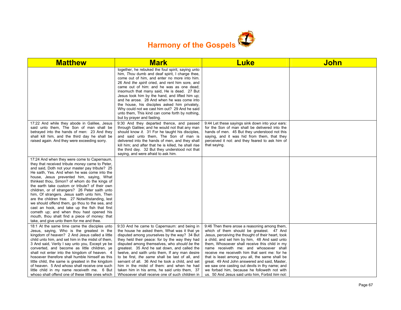

| <b>Matthew</b>                                                                                                                                                                                                                                                                                                                                                                                                                                                                                                                                                                                                                                                                                                                                     | <b>Mark</b>                                                                                                                                                                                                                                                                                                                                                                                                                                                                                                                                                                                           | <b>Luke</b>                                                                                                                                                                                                                                                                                                                                                                                                                                                                                                                                                                                           | John |
|----------------------------------------------------------------------------------------------------------------------------------------------------------------------------------------------------------------------------------------------------------------------------------------------------------------------------------------------------------------------------------------------------------------------------------------------------------------------------------------------------------------------------------------------------------------------------------------------------------------------------------------------------------------------------------------------------------------------------------------------------|-------------------------------------------------------------------------------------------------------------------------------------------------------------------------------------------------------------------------------------------------------------------------------------------------------------------------------------------------------------------------------------------------------------------------------------------------------------------------------------------------------------------------------------------------------------------------------------------------------|-------------------------------------------------------------------------------------------------------------------------------------------------------------------------------------------------------------------------------------------------------------------------------------------------------------------------------------------------------------------------------------------------------------------------------------------------------------------------------------------------------------------------------------------------------------------------------------------------------|------|
|                                                                                                                                                                                                                                                                                                                                                                                                                                                                                                                                                                                                                                                                                                                                                    | together, he rebuked the foul spirit, saying unto<br>him, Thou dumb and deaf spirit, I charge thee,<br>come out of him, and enter no more into him.<br>26 And the spirit cried, and rent him sore, and<br>came out of him: and he was as one dead;<br>insomuch that many said, He is dead. 27 But<br>Jesus took him by the hand, and lifted him up;<br>and he arose. 28 And when he was come into<br>the house, his disciples asked him privately,<br>Why could not we cast him out? 29 And he said<br>unto them, This kind can come forth by nothing,<br>but by prayer and fasting.                  |                                                                                                                                                                                                                                                                                                                                                                                                                                                                                                                                                                                                       |      |
| 17:22 And while they abode in Galilee, Jesus<br>said unto them. The Son of man shall be<br>betrayed into the hands of men: 23 And they<br>shall kill him, and the third day he shall be<br>raised again. And they were exceeding sorry.                                                                                                                                                                                                                                                                                                                                                                                                                                                                                                            | 9:30 And they departed thence, and passed<br>through Galilee; and he would not that any man<br>should know it. 31 For he taught his disciples,<br>and said unto them, The Son of man is<br>delivered into the hands of men, and they shall<br>kill him; and after that he is killed, he shall rise<br>the third day. 32 But they understood not that<br>saying, and were afraid to ask him.                                                                                                                                                                                                           | 9:44 Let these sayings sink down into your ears:<br>for the Son of man shall be delivered into the<br>hands of men. 45 But they understood not this<br>saying, and it was hid from them, that they<br>perceived it not: and they feared to ask him of<br>that saying.                                                                                                                                                                                                                                                                                                                                 |      |
| 17:24 And when they were come to Capernaum,<br>they that received tribute money came to Peter,<br>and said, Doth not your master pay tribute? 25<br>He saith, Yes. And when he was come into the<br>house, Jesus prevented him, saying, What<br>thinkest thou, Simon? of whom do the kings of<br>the earth take custom or tribute? of their own<br>children, or of strangers? 26 Peter saith unto<br>him, Of strangers. Jesus saith unto him, Then<br>are the children free. 27 Notwithstanding, lest<br>we should offend them, go thou to the sea, and<br>cast an hook, and take up the fish that first<br>cometh up; and when thou hast opened his<br>mouth, thou shalt find a piece of money: that<br>take, and give unto them for me and thee. |                                                                                                                                                                                                                                                                                                                                                                                                                                                                                                                                                                                                       |                                                                                                                                                                                                                                                                                                                                                                                                                                                                                                                                                                                                       |      |
| 18:1 At the same time came the disciples unto<br>Jesus, saying, Who is the greatest in the<br>kingdom of heaven? 2 And Jesus called a little<br>child unto him, and set him in the midst of them,<br>3 And said, Verily I say unto you, Except ye be<br>converted, and become as little children, ye<br>shall not enter into the kingdom of heaven. 4<br>hosoever therefore shall humble himself as this<br>little child, the same is greatest in the kingdom<br>of heaven. 5 And whoso shall receive one such<br>little child in my name receiveth me. 6 But<br>whoso shall offend one of these little ones which                                                                                                                                 | 9:33 And he came to Capernaum: and being in<br>the house he asked them, What was it that ye<br>disputed among yourselves by the way? 34 But<br>they held their peace: for by the way they had<br>disputed among themselves, who should be the<br>greatest. 35 And he sat down, and called the<br>twelve, and saith unto them, If any man desire<br>to be first, the same shall be last of all, and<br>servant of all. 36 And he took a child, and set<br>him in the midst of them: and when he had<br>taken him in his arms, he said unto them, 37<br>Whosoever shall receive one of such children in | 9:46 Then there arose a reasoning among them,<br>which of them should be greatest. 47 And<br>Jesus, perceiving the thought of their heart, took<br>a child, and set him by him, 48 And said unto<br>them. Whosoever shall receive this child in my<br>name receiveth me: and whosoever shall<br>receive me receiveth him that sent me: for he<br>that is least among you all, the same shall be<br>great. 49 And John answered and said, Master,<br>we saw one casting out devils in thy name; and<br>we forbad him, because he followeth not with<br>us. 50 And Jesus said unto him, Forbid him not: |      |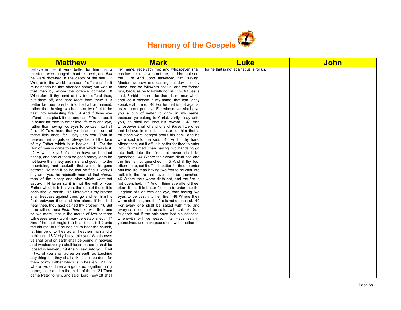

| <b>Matthew</b>                                                                                                                                                                                                                                                                                                                                                                                                                                                                                                                                                                                                                                                                                                                                                                                                                                                                                                                                                                                                                                                                                                                                                                                                                                                                                                                                                                                                                                                                                                                                                                                                                                                                                                                                                                                                                                                                                                                                                                                                                                                                                                                                                                                                                                                                                                                              | <b>Mark</b>                                                                                                                                                                                                                                                                                                                                                                                                                                                                                                                                                                                                                                                                                                                                                                                                                                                                                                                                                                                                                                                                                                                                                                                                                                                                                                                                                                                                                                                                                                                                                                                                                                                                                                                                                                                                                                                     | <b>Luke</b>                              | John |
|---------------------------------------------------------------------------------------------------------------------------------------------------------------------------------------------------------------------------------------------------------------------------------------------------------------------------------------------------------------------------------------------------------------------------------------------------------------------------------------------------------------------------------------------------------------------------------------------------------------------------------------------------------------------------------------------------------------------------------------------------------------------------------------------------------------------------------------------------------------------------------------------------------------------------------------------------------------------------------------------------------------------------------------------------------------------------------------------------------------------------------------------------------------------------------------------------------------------------------------------------------------------------------------------------------------------------------------------------------------------------------------------------------------------------------------------------------------------------------------------------------------------------------------------------------------------------------------------------------------------------------------------------------------------------------------------------------------------------------------------------------------------------------------------------------------------------------------------------------------------------------------------------------------------------------------------------------------------------------------------------------------------------------------------------------------------------------------------------------------------------------------------------------------------------------------------------------------------------------------------------------------------------------------------------------------------------------------------|-----------------------------------------------------------------------------------------------------------------------------------------------------------------------------------------------------------------------------------------------------------------------------------------------------------------------------------------------------------------------------------------------------------------------------------------------------------------------------------------------------------------------------------------------------------------------------------------------------------------------------------------------------------------------------------------------------------------------------------------------------------------------------------------------------------------------------------------------------------------------------------------------------------------------------------------------------------------------------------------------------------------------------------------------------------------------------------------------------------------------------------------------------------------------------------------------------------------------------------------------------------------------------------------------------------------------------------------------------------------------------------------------------------------------------------------------------------------------------------------------------------------------------------------------------------------------------------------------------------------------------------------------------------------------------------------------------------------------------------------------------------------------------------------------------------------------------------------------------------------|------------------------------------------|------|
| believe in me, it were better for him that a<br>millstone were hanged about his neck, and that<br>he were drowned in the depth of the sea. 7<br>Woe unto the world because of offences! for it<br>must needs be that offences come; but woe to<br>that man by whom the offence cometh! 8<br>Wherefore if thy hand or thy foot offend thee,<br>cut them off, and cast them from thee: it is<br>better for thee to enter into life halt or maimed,<br>rather than having two hands or two feet to be<br>cast into everlasting fire. 9 And if thine eye<br>offend thee, pluck it out, and cast it from thee: it<br>is better for thee to enter into life with one eye,<br>rather than having two eyes to be cast into hell<br>fire. 10 Take heed that ye despise not one of<br>these little ones; for I say unto you, That in<br>heaven their angels do always behold the face<br>of my Father which is in heaven. 11 For the<br>Son of man is come to save that which was lost.<br>12 How think ye? if a man have an hundred<br>sheep, and one of them be gone astray, doth he<br>not leave the ninety and nine, and goeth into the<br>mountains, and seeketh that which is gone<br>astray? 13 And if so be that he find it, verily I<br>say unto you, he rejoiceth more of that sheep,<br>than of the ninety and nine which went not<br>astray. 14 Even so it is not the will of your<br>Father which is in heaven, that one of these little<br>ones should perish. 15 Moreover if thy brother<br>shall trespass against thee, go and tell him his<br>fault between thee and him alone: if he shall<br>hear thee, thou hast gained thy brother. 16 But<br>if he will not hear thee, then take with thee one<br>or two more, that in the mouth of two or three<br>witnesses every word may be established. 17<br>And if he shall neglect to hear them, tell it unto<br>the church: but if he neglect to hear the church,<br>let him be unto thee as an heathen man and a<br>publican. 18 Verily I say unto you, Whatsoever<br>ye shall bind on earth shall be bound in heaven:<br>and whatsoever ye shall loose on earth shall be<br>loosed in heaven. 19 Again I say unto you, That<br>if two of you shall agree on earth as touching<br>any thing that they shall ask, it shall be done for<br>them of my Father which is in heaven. 20 For | my name, receiveth me: and whosoever shall<br>receive me, receiveth not me, but him that sent<br>me. 38 And John answered him, saying,<br>Master, we saw one casting out devils in thy<br>name, and he followeth not us: and we forbad<br>him, because he followeth not us. 39 But Jesus<br>said, Forbid him not: for there is no man which<br>shall do a miracle in my name, that can lightly<br>speak evil of me. 40 For he that is not against<br>us is on our part. 41 For whosoever shall give<br>you a cup of water to drink in my name,<br>because ye belong to Christ, verily I say unto<br>you, he shall not lose his reward. 42 And<br>whosoever shall offend one of these little ones<br>that believe in me, it is better for him that a<br>millstone were hanged about his neck, and he<br>were cast into the sea. 43 And if thy hand<br>offend thee, cut it off: it is better for thee to enter<br>into life maimed, than having two hands to go<br>into hell, into the fire that never shall be<br>quenched: 44 Where their worm dieth not, and<br>the fire is not quenched. 45 And if thy foot<br>offend thee, cut it off: it is better for thee to enter<br>halt into life, than having two feet to be cast into<br>hell, into the fire that never shall be quenched:<br>46 Where their worm dieth not, and the fire is<br>not quenched. 47 And if thine eye offend thee,<br>pluck it out: it is better for thee to enter into the<br>kingdom of God with one eye, than having two<br>eyes to be cast into hell fire: 48 Where their<br>worm dieth not, and the fire is not quenched. 49<br>For every one shall be salted with fire, and<br>every sacrifice shall be salted with salt. 50 Salt<br>is good: but if the salt have lost his saltness,<br>wherewith will ye season it? Have salt in<br>yourselves, and have peace one with another. | for he that is not against us is for us. |      |
| where two or three are gathered together in my<br>name, there am I in the midst of them. 21 Then<br>came Peter to him, and said, Lord, how oft shall                                                                                                                                                                                                                                                                                                                                                                                                                                                                                                                                                                                                                                                                                                                                                                                                                                                                                                                                                                                                                                                                                                                                                                                                                                                                                                                                                                                                                                                                                                                                                                                                                                                                                                                                                                                                                                                                                                                                                                                                                                                                                                                                                                                        |                                                                                                                                                                                                                                                                                                                                                                                                                                                                                                                                                                                                                                                                                                                                                                                                                                                                                                                                                                                                                                                                                                                                                                                                                                                                                                                                                                                                                                                                                                                                                                                                                                                                                                                                                                                                                                                                 |                                          |      |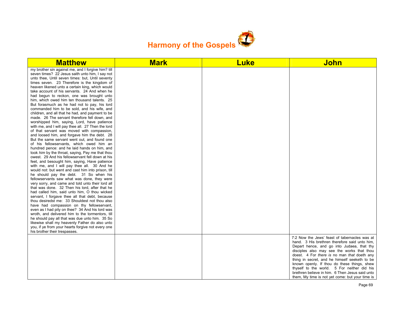

| <b>Matthew</b>                                                                                                                                                                                                                                                                                                                                                                                                                                                                                                                                                                                                                                                                                                                                                                                                                                                                                                                                                                                                                                                                                                                                                                                                                                                                                                                                                                                                                                                                                                                                                                                                                                                                                                                                                                                                                                                                                                             | <b>Mark</b> | <b>Luke</b> | <b>John</b>                                                                                                                                                                                                                                                                                                                                                                                                                                                                                    |
|----------------------------------------------------------------------------------------------------------------------------------------------------------------------------------------------------------------------------------------------------------------------------------------------------------------------------------------------------------------------------------------------------------------------------------------------------------------------------------------------------------------------------------------------------------------------------------------------------------------------------------------------------------------------------------------------------------------------------------------------------------------------------------------------------------------------------------------------------------------------------------------------------------------------------------------------------------------------------------------------------------------------------------------------------------------------------------------------------------------------------------------------------------------------------------------------------------------------------------------------------------------------------------------------------------------------------------------------------------------------------------------------------------------------------------------------------------------------------------------------------------------------------------------------------------------------------------------------------------------------------------------------------------------------------------------------------------------------------------------------------------------------------------------------------------------------------------------------------------------------------------------------------------------------------|-------------|-------------|------------------------------------------------------------------------------------------------------------------------------------------------------------------------------------------------------------------------------------------------------------------------------------------------------------------------------------------------------------------------------------------------------------------------------------------------------------------------------------------------|
| my brother sin against me, and I forgive him? till<br>seven times? 22 Jesus saith unto him, I say not<br>unto thee, Until seven times: but, Until seventy<br>times seven. 23 Therefore is the kingdom of<br>heaven likened unto a certain king, which would<br>take account of his servants. 24 And when he<br>had begun to reckon, one was brought unto<br>him, which owed him ten thousand talents. 25<br>But forasmuch as he had not to pay, his lord<br>commanded him to be sold, and his wife, and<br>children, and all that he had, and payment to be<br>made. 26 The servant therefore fell down, and<br>worshipped him, saying, Lord, have patience<br>with me, and I will pay thee all. 27 Then the lord<br>of that servant was moved with compassion,<br>and loosed him, and forgave him the debt. 28<br>But the same servant went out, and found one<br>of his fellowservants, which owed him an<br>hundred pence: and he laid hands on him, and<br>took him by the throat, saying, Pay me that thou<br>owest. 29 And his fellowservant fell down at his<br>feet, and besought him, saying, Have patience<br>with me, and I will pay thee all. 30 And he<br>would not: but went and cast him into prison, till<br>he should pay the debt. 31 So when his<br>fellowservants saw what was done, they were<br>very sorry, and came and told unto their lord all<br>that was done. 32 Then his lord, after that he<br>had called him, said unto him, O thou wicked<br>servant, I forgave thee all that debt, because<br>thou desiredst me: 33 Shouldest not thou also<br>have had compassion on thy fellowservant,<br>even as I had pity on thee? 34 And his lord was<br>wroth, and delivered him to the tormentors, till<br>he should pay all that was due unto him. 35 So<br>likewise shall my heavenly Father do also unto<br>you, if ye from your hearts forgive not every one<br>his brother their trespasses. |             |             |                                                                                                                                                                                                                                                                                                                                                                                                                                                                                                |
|                                                                                                                                                                                                                                                                                                                                                                                                                                                                                                                                                                                                                                                                                                                                                                                                                                                                                                                                                                                                                                                                                                                                                                                                                                                                                                                                                                                                                                                                                                                                                                                                                                                                                                                                                                                                                                                                                                                            |             |             | 7:2 Now the Jews' feast of tabernacles was at<br>hand. 3 His brethren therefore said unto him,<br>Depart hence, and go into Judaea, that thy<br>disciples also may see the works that thou<br>doest. 4 For there is no man that doeth any<br>thing in secret, and he himself seeketh to be<br>known openly. If thou do these things, shew<br>thyself to the world. 5 For neither did his<br>brethren believe in him. 6 Then Jesus said unto<br>them, My time is not yet come: but your time is |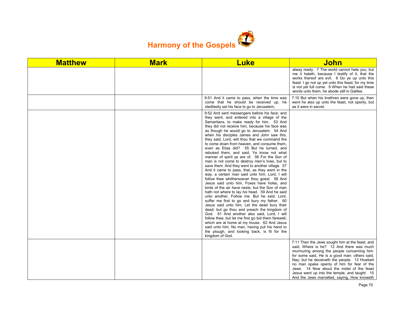

| <b>Matthew</b> | <b>Mark</b> | <b>Luke</b>                                                                                                                                                                                                                                                                                                                                                                                                                                                                                                                                                                                                                                                                                                                                                                                                                                                                                                                                                                                                                                                                                                                                                                                                                                                                                                                                                                                                             | <b>John</b>                                                                                                                                                                                                                                                                                                                                                                                                                           |
|----------------|-------------|-------------------------------------------------------------------------------------------------------------------------------------------------------------------------------------------------------------------------------------------------------------------------------------------------------------------------------------------------------------------------------------------------------------------------------------------------------------------------------------------------------------------------------------------------------------------------------------------------------------------------------------------------------------------------------------------------------------------------------------------------------------------------------------------------------------------------------------------------------------------------------------------------------------------------------------------------------------------------------------------------------------------------------------------------------------------------------------------------------------------------------------------------------------------------------------------------------------------------------------------------------------------------------------------------------------------------------------------------------------------------------------------------------------------------|---------------------------------------------------------------------------------------------------------------------------------------------------------------------------------------------------------------------------------------------------------------------------------------------------------------------------------------------------------------------------------------------------------------------------------------|
|                |             |                                                                                                                                                                                                                                                                                                                                                                                                                                                                                                                                                                                                                                                                                                                                                                                                                                                                                                                                                                                                                                                                                                                                                                                                                                                                                                                                                                                                                         | alway ready. 7 The world cannot hate you; but<br>me it hateth, because I testify of it, that the<br>works thereof are evil. 8 Go ye up unto this<br>feast: I go not up yet unto this feast; for my time<br>is not yet full come. 9 When he had said these<br>words unto them, he abode still in Galilee.                                                                                                                              |
|                |             | 9:51 And it came to pass, when the time was<br>come that he should be received up, he<br>stedfastly set his face to go to Jerusalem,                                                                                                                                                                                                                                                                                                                                                                                                                                                                                                                                                                                                                                                                                                                                                                                                                                                                                                                                                                                                                                                                                                                                                                                                                                                                                    | 7:10 But when his brethren were gone up, then<br>went he also up unto the feast, not openly, but<br>as it were in secret.                                                                                                                                                                                                                                                                                                             |
|                |             | 9:52 And sent messengers before his face: and<br>they went, and entered into a village of the<br>Samaritans, to make ready for him. 53 And<br>they did not receive him, because his face was<br>as though he would go to Jerusalem. 54 And<br>when his disciples James and John saw this,<br>they said, Lord, wilt thou that we command fire<br>to come down from heaven, and consume them,<br>even as Elias did? 55 But he turned, and<br>rebuked them, and said. Ye know not what<br>manner of spirit ye are of. 56 For the Son of<br>man is not come to destroy men's lives, but to<br>save them. And they went to another village. 57<br>And it came to pass, that, as they went in the<br>way, a certain man said unto him, Lord, I will<br>follow thee whithersoever thou goest. 58 And<br>Jesus said unto him, Foxes have holes, and<br>birds of the air have nests; but the Son of man<br>hath not where to lay his head. 59 And he said<br>unto another, Follow me. But he said, Lord,<br>suffer me first to go and bury my father. 60<br>Jesus said unto him, Let the dead bury their<br>dead: but go thou and preach the kingdom of<br>God. 61 And another also said, Lord, I will<br>follow thee; but let me first go bid them farewell,<br>which are at home at my house. 62 And Jesus<br>said unto him, No man, having put his hand to<br>the plough, and looking back, is fit for the<br>kingdom of God. |                                                                                                                                                                                                                                                                                                                                                                                                                                       |
|                |             |                                                                                                                                                                                                                                                                                                                                                                                                                                                                                                                                                                                                                                                                                                                                                                                                                                                                                                                                                                                                                                                                                                                                                                                                                                                                                                                                                                                                                         | 7:11 Then the Jews sought him at the feast, and<br>said, Where is he? 12 And there was much<br>murmuring among the people concerning him:<br>for some said, He is a good man: others said,<br>Nay; but he deceiveth the people. 13 Howbeit<br>no man spake openly of him for fear of the<br>Jews. 14 Now about the midst of the feast<br>Jesus went up into the temple, and taught. 15<br>And the Jews marvelled, saying, How knoweth |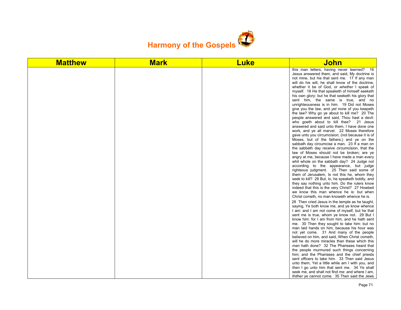

| <b>Matthew</b> | <b>Mark</b> | <b>Luke</b> | <b>John</b>                                                                                                                                                                                                                                                                                                                                                                                                                                                                                                                                                                                                                                                                                                                                                                                                                                                                                                                                                                                                                                                                                                                                                                                                                                                                                                                                                                                                                    |
|----------------|-------------|-------------|--------------------------------------------------------------------------------------------------------------------------------------------------------------------------------------------------------------------------------------------------------------------------------------------------------------------------------------------------------------------------------------------------------------------------------------------------------------------------------------------------------------------------------------------------------------------------------------------------------------------------------------------------------------------------------------------------------------------------------------------------------------------------------------------------------------------------------------------------------------------------------------------------------------------------------------------------------------------------------------------------------------------------------------------------------------------------------------------------------------------------------------------------------------------------------------------------------------------------------------------------------------------------------------------------------------------------------------------------------------------------------------------------------------------------------|
|                |             |             | this man letters, having never learned? 16<br>Jesus answered them, and said, My doctrine is<br>not mine, but his that sent me. 17 If any man<br>will do his will, he shall know of the doctrine,<br>whether it be of God, or whether I speak of<br>myself. 18 He that speaketh of himself seeketh<br>his own glory: but he that seeketh his glory that<br>sent him, the same is true, and no<br>unrighteousness is in him. 19 Did not Moses<br>give you the law, and yet none of you keepeth<br>the law? Why go ye about to kill me? 20 The<br>people answered and said, Thou hast a devil:<br>who goeth about to kill thee? 21 Jesus<br>answered and said unto them, I have done one<br>work, and ye all marvel. 22 Moses therefore<br>gave unto you circumcision; (not because it is of<br>Moses, but of the fathers;) and ye on the<br>sabbath day circumcise a man. 23 If a man on<br>the sabbath day receive circumcision, that the<br>law of Moses should not be broken; are ye<br>angry at me, because I have made a man every<br>whit whole on the sabbath day? 24 Judge not<br>according to the appearance, but judge<br>righteous judgment. 25 Then said some of<br>them of Jerusalem, Is not this he, whom they<br>seek to kill? 26 But, lo, he speaketh boldly, and<br>they say nothing unto him. Do the rulers know<br>indeed that this is the very Christ? 27 Howbeit<br>we know this man whence he is: but when |
|                |             |             | Christ cometh, no man knoweth whence he is.<br>28 Then cried Jesus in the temple as he taught,<br>saying, Ye both know me, and ye know whence<br>I am: and I am not come of myself, but he that<br>sent me is true, whom ye know not. 29 But I<br>know him: for I am from him, and he hath sent<br>me. 30 Then they sought to take him: but no<br>man laid hands on him, because his hour was<br>not yet come. 31 And many of the people<br>believed on him, and said, When Christ cometh,<br>will he do more miracles than these which this<br>man hath done? 32 The Pharisees heard that<br>the people murmured such things concerning<br>him; and the Pharisees and the chief priests<br>sent officers to take him. 33 Then said Jesus<br>unto them, Yet a little while am I with you, and<br>then I go unto him that sent me. 34 Ye shall<br>seek me, and shall not find me: and where I am,<br>thither ye cannot come. 35 Then said the Jews                                                                                                                                                                                                                                                                                                                                                                                                                                                                              |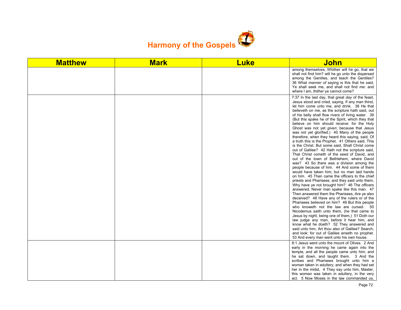

| <b>Matthew</b> | <b>Mark</b> | <b>Luke</b> | <b>John</b>                                                                                                                                                                                                                                                                                                                                                                                                                                                                                                                                                                                                                                                                                                                                                                                                                                                                                                                                                                                                                                                                                                                                                                                                                                                                                                                                                                                                                                                                                                                                                                                                                                                                 |
|----------------|-------------|-------------|-----------------------------------------------------------------------------------------------------------------------------------------------------------------------------------------------------------------------------------------------------------------------------------------------------------------------------------------------------------------------------------------------------------------------------------------------------------------------------------------------------------------------------------------------------------------------------------------------------------------------------------------------------------------------------------------------------------------------------------------------------------------------------------------------------------------------------------------------------------------------------------------------------------------------------------------------------------------------------------------------------------------------------------------------------------------------------------------------------------------------------------------------------------------------------------------------------------------------------------------------------------------------------------------------------------------------------------------------------------------------------------------------------------------------------------------------------------------------------------------------------------------------------------------------------------------------------------------------------------------------------------------------------------------------------|
|                |             |             | among themselves, Whither will he go, that we<br>shall not find him? will he go unto the dispersed<br>among the Gentiles, and teach the Gentiles?<br>36 What <i>manner</i> of saying is this that he said,<br>Ye shall seek me, and shall not find me: and<br>where I am, thither ye cannot come?                                                                                                                                                                                                                                                                                                                                                                                                                                                                                                                                                                                                                                                                                                                                                                                                                                                                                                                                                                                                                                                                                                                                                                                                                                                                                                                                                                           |
|                |             |             | 7:37 In the last day, that great day of the feast,<br>Jesus stood and cried, saying, If any man thirst,<br>let him come unto me, and drink. 38 He that<br>believeth on me, as the scripture hath said, out<br>of his belly shall flow rivers of living water. 39<br>(But this spake he of the Spirit, which they that<br>believe on him should receive: for the Holy<br>Ghost was not yet given; because that Jesus<br>was not yet glorified.) 40 Many of the people<br>therefore, when they heard this saying, said, Of<br>a truth this is the Prophet. 41 Others said, This<br>is the Christ. But some said, Shall Christ come<br>out of Galilee? 42 Hath not the scripture said,<br>That Christ cometh of the seed of David, and<br>out of the town of Bethlehem, where David<br>was? 43 So there was a division among the<br>people because of him. 44 And some of them<br>would have taken him; but no man laid hands<br>on him. 45 Then came the officers to the chief<br>priests and Pharisees; and they said unto them,<br>Why have ye not brought him? 46 The officers<br>answered, Never man spake like this man. 47<br>Then answered them the Pharisees, Are ye also<br>deceived? 48 Have any of the rulers or of the<br>Pharisees believed on him? 49 But this people<br>who knoweth not the law are cursed. 50<br>Nicodemus saith unto them, (he that came to<br>Jesus by night, being one of them, 51 Doth our<br>law judge any man, before it hear him, and<br>know what he doeth? 52 They answered and<br>said unto him, Art thou also of Galilee? Search,<br>and look: for out of Galilee ariseth no prophet.<br>53 And every man went unto his own house. |
|                |             |             | 8:1 Jesus went unto the mount of Olives. 2 And<br>early in the morning he came again into the<br>temple, and all the people came unto him; and<br>he sat down, and taught them. 3 And the<br>scribes and Pharisees brought unto him a                                                                                                                                                                                                                                                                                                                                                                                                                                                                                                                                                                                                                                                                                                                                                                                                                                                                                                                                                                                                                                                                                                                                                                                                                                                                                                                                                                                                                                       |
|                |             |             | woman taken in adultery; and when they had set<br>her in the midst, 4 They say unto him, Master,<br>this woman was taken in adultery, in the very<br>act. 5 Now Moses in the law commanded us,                                                                                                                                                                                                                                                                                                                                                                                                                                                                                                                                                                                                                                                                                                                                                                                                                                                                                                                                                                                                                                                                                                                                                                                                                                                                                                                                                                                                                                                                              |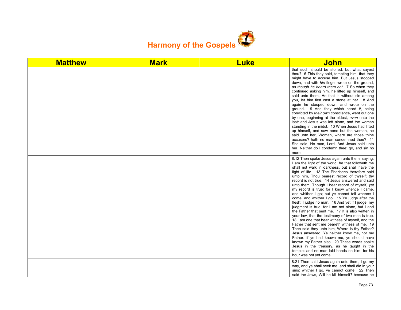

| <b>Matthew</b> | <b>Mark</b> | <b>Luke</b> | <u>John</u>                                                                                                                                                                                                                                                                                                                                                                                                                                                                                                                                                                                                                                                                                                                                                                                                                                                                                                                                                                                                                                                                                                                                             |
|----------------|-------------|-------------|---------------------------------------------------------------------------------------------------------------------------------------------------------------------------------------------------------------------------------------------------------------------------------------------------------------------------------------------------------------------------------------------------------------------------------------------------------------------------------------------------------------------------------------------------------------------------------------------------------------------------------------------------------------------------------------------------------------------------------------------------------------------------------------------------------------------------------------------------------------------------------------------------------------------------------------------------------------------------------------------------------------------------------------------------------------------------------------------------------------------------------------------------------|
|                |             |             | that such should be stoned: but what sayest<br>thou? 6 This they said, tempting him, that they<br>might have to accuse him. But Jesus stooped<br>down, and with his finger wrote on the ground,<br>as though he heard them not. 7 So when they<br>continued asking him, he lifted up himself, and<br>said unto them, He that is without sin among<br>you, let him first cast a stone at her. 8 And<br>again he stooped down, and wrote on the<br>ground. 9 And they which heard it, being<br>convicted by their own conscience, went out one<br>by one, beginning at the eldest, even unto the<br>last: and Jesus was left alone, and the woman<br>standing in the midst. 10 When Jesus had lifted<br>up himself, and saw none but the woman, he<br>said unto her, Woman, where are those thine<br>accusers? hath no man condemned thee? 11<br>She said, No man, Lord. And Jesus said unto<br>her, Neither do I condemn thee: go, and sin no<br>more.                                                                                                                                                                                                   |
|                |             |             | 8:12 Then spake Jesus again unto them, saying,<br>I am the light of the world: he that followeth me<br>shall not walk in darkness, but shall have the<br>light of life. 13 The Pharisees therefore said<br>unto him. Thou bearest record of thyself; thy<br>record is not true. 14 Jesus answered and said<br>unto them, Though I bear record of myself, yet<br>my record is true: for I know whence I came,<br>and whither I go; but ye cannot tell whence I<br>come, and whither I go. 15 Ye judge after the<br>flesh; I judge no man. 16 And yet if I judge, my<br>judgment is true: for I am not alone, but I and<br>the Father that sent me. 17 It is also written in<br>your law, that the testimony of two men is true.<br>18 I am one that bear witness of myself, and the<br>Father that sent me beareth witness of me. 19<br>Then said they unto him. Where is thy Father?<br>Jesus answered, Ye neither know me, nor my<br>Father: if ye had known me, ye should have<br>known my Father also. 20 These words spake<br>Jesus in the treasury, as he taught in the<br>temple: and no man laid hands on him; for his<br>hour was not yet come. |
|                |             |             | 8:21 Then said Jesus again unto them, I go my<br>way, and ye shall seek me, and shall die in your<br>sins: whither I go, ye cannot come. 22 Then<br>said the Jews, Will he kill himself? because he                                                                                                                                                                                                                                                                                                                                                                                                                                                                                                                                                                                                                                                                                                                                                                                                                                                                                                                                                     |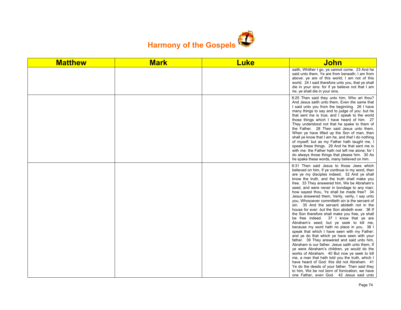

| <b>Matthew</b> | <b>Mark</b> | <b>Luke</b> | <b>John</b>                                                                                                                                                                                                                                                                                                                                                                                                                                                                                                                                                                                                                                                                                                                                                                                                                                                                                                                                                                                                                                                                                                                                                                                                                                                                            |
|----------------|-------------|-------------|----------------------------------------------------------------------------------------------------------------------------------------------------------------------------------------------------------------------------------------------------------------------------------------------------------------------------------------------------------------------------------------------------------------------------------------------------------------------------------------------------------------------------------------------------------------------------------------------------------------------------------------------------------------------------------------------------------------------------------------------------------------------------------------------------------------------------------------------------------------------------------------------------------------------------------------------------------------------------------------------------------------------------------------------------------------------------------------------------------------------------------------------------------------------------------------------------------------------------------------------------------------------------------------|
|                |             |             | saith, Whither I go, ye cannot come. 23 And he<br>said unto them, Ye are from beneath; I am from<br>above: ye are of this world; I am not of this<br>world. 24 I said therefore unto you, that ye shall<br>die in your sins: for if ye believe not that I am<br>he, ye shall die in your sins.                                                                                                                                                                                                                                                                                                                                                                                                                                                                                                                                                                                                                                                                                                                                                                                                                                                                                                                                                                                         |
|                |             |             | 8:25 Then said they unto him, Who art thou?<br>And Jesus saith unto them, Even the same that<br>I said unto you from the beginning. 26 I have<br>many things to say and to judge of you: but he<br>that sent me is true; and I speak to the world<br>those things which I have heard of him. 27<br>They understood not that he spake to them of<br>the Father. 28 Then said Jesus unto them,<br>When ye have lifted up the Son of man, then<br>shall ye know that I am he, and that I do nothing<br>of myself; but as my Father hath taught me, I<br>speak these things. 29 And he that sent me is<br>with me: the Father hath not left me alone; for I<br>do always those things that please him. 30 As<br>he spake these words, many believed on him.                                                                                                                                                                                                                                                                                                                                                                                                                                                                                                                                |
|                |             |             | 8:31 Then said Jesus to those Jews which<br>believed on him, If ye continue in my word, then<br>are ye my disciples indeed; 32 And ye shall<br>know the truth, and the truth shall make you<br>free. 33 They answered him, We be Abraham's<br>seed, and were never in bondage to any man:<br>how sayest thou, Ye shall be made free? 34<br>Jesus answered them, Verily, verily, I say unto<br>you, Whosoever committeth sin is the servant of<br>sin. 35 And the servant abideth not in the<br>house for ever: but the Son abideth ever. 36 If<br>the Son therefore shall make you free, ye shall<br>be free indeed. 37 I know that ye are<br>Abraham's seed; but ye seek to kill me,<br>because my word hath no place in you. 38 I<br>speak that which I have seen with my Father:<br>and ye do that which ye have seen with your<br>father. 39 They answered and said unto him,<br>Abraham is our father. Jesus saith unto them, If<br>ye were Abraham's children, ye would do the<br>works of Abraham. 40 But now ye seek to kill<br>me, a man that hath told you the truth, which I<br>have heard of God: this did not Abraham. 41<br>Ye do the deeds of your father. Then said they<br>to him, We be not born of fornication; we have<br>one Father, even God. 42 Jesus said unto |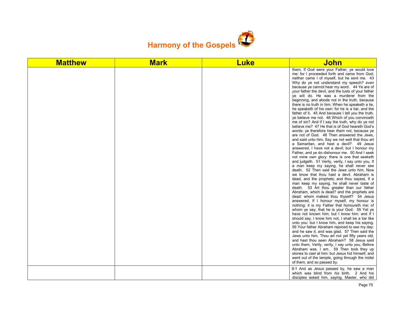

| <b>Matthew</b> | <b>Mark</b> | <b>Luke</b> | <u>John</u>                                                                                                                                                                                                                                                                                                                                                                                                                                                                                                                                                                                                                                                                                                                                                                                                                                                                                                                                                                                                                                                                                                                                                                                                                                                                                                                                                                                                                                                                                                                                                                                                                                                                                                                                                                                                                                                                                                                                                                                                                                                                                                                                                                                                                                                                                                     |
|----------------|-------------|-------------|-----------------------------------------------------------------------------------------------------------------------------------------------------------------------------------------------------------------------------------------------------------------------------------------------------------------------------------------------------------------------------------------------------------------------------------------------------------------------------------------------------------------------------------------------------------------------------------------------------------------------------------------------------------------------------------------------------------------------------------------------------------------------------------------------------------------------------------------------------------------------------------------------------------------------------------------------------------------------------------------------------------------------------------------------------------------------------------------------------------------------------------------------------------------------------------------------------------------------------------------------------------------------------------------------------------------------------------------------------------------------------------------------------------------------------------------------------------------------------------------------------------------------------------------------------------------------------------------------------------------------------------------------------------------------------------------------------------------------------------------------------------------------------------------------------------------------------------------------------------------------------------------------------------------------------------------------------------------------------------------------------------------------------------------------------------------------------------------------------------------------------------------------------------------------------------------------------------------------------------------------------------------------------------------------------------------|
|                |             |             | them, If God were your Father, ye would love<br>me: for I proceeded forth and came from God;<br>neither came I of myself, but he sent me. 43<br>Why do ye not understand my speech? even<br>because ye cannot hear my word. 44 Ye are of<br>your father the devil, and the lusts of your father<br>ye will do. He was a murderer from the<br>beginning, and abode not in the truth, because<br>there is no truth in him. When he speaketh a lie,<br>he speaketh of his own: for he is a liar, and the<br>father of it. 45 And because I tell you the truth,<br>ye believe me not. 46 Which of you convinceth<br>me of sin? And if I say the truth, why do ye not<br>believe me? 47 He that is of God heareth God's<br>words: ye therefore hear them not, because ye<br>are not of God. 48 Then answered the Jews,<br>and said unto him, Say we not well that thou art<br>a Samaritan, and hast a devil? 49 Jesus<br>answered, I have not a devil; but I honour my<br>Father, and ye do dishonour me. 50 And I seek<br>not mine own glory: there is one that seeketh<br>and judgeth. 51 Verily, verily, I say unto you, If<br>a man keep my saying, he shall never see<br>death. 52 Then said the Jews unto him, Now<br>we know that thou hast a devil. Abraham is<br>dead, and the prophets; and thou sayest, If a<br>man keep my saying, he shall never taste of<br>death. 53 Art thou greater than our father<br>Abraham, which is dead? and the prophets are<br>dead: whom makest thou thyself? 54 Jesus<br>answered, If I honour myself, my honour is<br>nothing: it is my Father that honoureth me; of<br>whom ye say, that he is your God: 55 Yet ye<br>have not known him; but I know him: and if I<br>should say, I know him not, I shall be a liar like<br>unto you: but I know him, and keep his saying.<br>56 Your father Abraham rejoiced to see my day:<br>and he saw it, and was glad. 57 Then said the<br>Jews unto him, Thou art not yet fifty years old,<br>and hast thou seen Abraham? 58 Jesus said<br>unto them, Verily, verily, I say unto you, Before<br>Abraham was, I am. 59 Then took they up<br>stones to cast at him: but Jesus hid himself, and<br>went out of the temple, going through the midst<br>of them, and so passed by.<br>9:1 And as <i>Jesus</i> passed by, he saw a man |
|                |             |             | which was blind from his birth. 2 And his<br>disciples asked him, saying, Master, who did                                                                                                                                                                                                                                                                                                                                                                                                                                                                                                                                                                                                                                                                                                                                                                                                                                                                                                                                                                                                                                                                                                                                                                                                                                                                                                                                                                                                                                                                                                                                                                                                                                                                                                                                                                                                                                                                                                                                                                                                                                                                                                                                                                                                                       |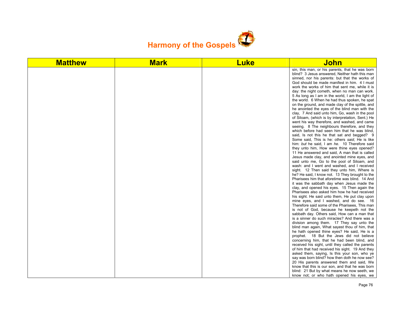

| <b>Matthew</b> | <b>Mark</b> | <b>Luke</b> | John                                                                                                                                                                                                                                                                                                                                                                                                                                                                                                                                                                                                                                                                                                                                                                                                                                                                                                                                                                                                                                                                                                                                                                                                                                                                                                                                                                                                                                                                                                                                                                                                                                                                                                                                                                                                                                                                                                                                                                                                                                                                                                                                                                                                                                                                                                                      |
|----------------|-------------|-------------|---------------------------------------------------------------------------------------------------------------------------------------------------------------------------------------------------------------------------------------------------------------------------------------------------------------------------------------------------------------------------------------------------------------------------------------------------------------------------------------------------------------------------------------------------------------------------------------------------------------------------------------------------------------------------------------------------------------------------------------------------------------------------------------------------------------------------------------------------------------------------------------------------------------------------------------------------------------------------------------------------------------------------------------------------------------------------------------------------------------------------------------------------------------------------------------------------------------------------------------------------------------------------------------------------------------------------------------------------------------------------------------------------------------------------------------------------------------------------------------------------------------------------------------------------------------------------------------------------------------------------------------------------------------------------------------------------------------------------------------------------------------------------------------------------------------------------------------------------------------------------------------------------------------------------------------------------------------------------------------------------------------------------------------------------------------------------------------------------------------------------------------------------------------------------------------------------------------------------------------------------------------------------------------------------------------------------|
|                |             |             | sin, this man, or his parents, that he was born<br>blind? 3 Jesus answered, Neither hath this man<br>sinned, nor his parents: but that the works of<br>God should be made manifest in him. 4 I must<br>work the works of him that sent me, while it is<br>day: the night cometh, when no man can work.<br>5 As long as I am in the world, I am the light of<br>the world. 6 When he had thus spoken, he spat<br>on the ground, and made clay of the spittle, and<br>he anointed the eyes of the blind man with the<br>clay, 7 And said unto him, Go, wash in the pool<br>of Siloam, (which is by interpretation, Sent.) He<br>went his way therefore, and washed, and came<br>seeing. 8 The neighbours therefore, and they<br>which before had seen him that he was blind,<br>said, Is not this he that sat and begged? 9<br>Some said. This is he: others said. He is like<br>him: but he said, I am he. 10 Therefore said<br>they unto him, How were thine eyes opened?<br>11 He answered and said, A man that is called<br>Jesus made clay, and anointed mine eyes, and<br>said unto me, Go to the pool of Siloam, and<br>wash: and I went and washed, and I received<br>sight. 12 Then said they unto him, Where is<br>he? He said, I know not. 13 They brought to the<br>Pharisees him that aforetime was blind. 14 And<br>it was the sabbath day when Jesus made the<br>clay, and opened his eyes. 15 Then again the<br>Pharisees also asked him how he had received<br>his sight. He said unto them, He put clay upon<br>mine eyes, and I washed, and do see. 16<br>Therefore said some of the Pharisees, This man<br>is not of God, because he keepeth not the<br>sabbath day. Others said, How can a man that<br>is a sinner do such miracles? And there was a<br>division among them. 17 They say unto the<br>blind man again, What sayest thou of him, that<br>he hath opened thine eyes? He said, He is a<br>prophet. 18 But the Jews did not believe<br>concerning him, that he had been blind, and<br>received his sight, until they called the parents<br>of him that had received his sight. 19 And they<br>asked them, saying, Is this your son, who ye<br>say was born blind? how then doth he now see?<br>20 His parents answered them and said, We<br>know that this is our son, and that he was born |
|                |             |             | blind: 21 But by what means he now seeth, we<br>know not; or who hath opened his eyes, we                                                                                                                                                                                                                                                                                                                                                                                                                                                                                                                                                                                                                                                                                                                                                                                                                                                                                                                                                                                                                                                                                                                                                                                                                                                                                                                                                                                                                                                                                                                                                                                                                                                                                                                                                                                                                                                                                                                                                                                                                                                                                                                                                                                                                                 |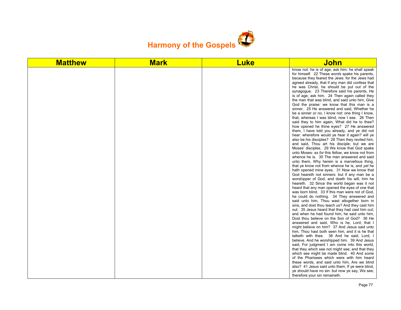

| <b>Matthew</b> | <b>Mark</b> | <b>Luke</b> | John                                                                                                                                                                                                                                                                                                                                                                                                                                                                                                                                                                                                                                                                                                                                                                                                                                                                                                                                                                                                                                                                                                                                                                                                                                                                                                                                                                                                                                                                                                                                                                                                                                                                                                                                                                                                                                                                                                                                                                                                                                                                                                                                                                                                                                                                                                                                                                                                         |
|----------------|-------------|-------------|--------------------------------------------------------------------------------------------------------------------------------------------------------------------------------------------------------------------------------------------------------------------------------------------------------------------------------------------------------------------------------------------------------------------------------------------------------------------------------------------------------------------------------------------------------------------------------------------------------------------------------------------------------------------------------------------------------------------------------------------------------------------------------------------------------------------------------------------------------------------------------------------------------------------------------------------------------------------------------------------------------------------------------------------------------------------------------------------------------------------------------------------------------------------------------------------------------------------------------------------------------------------------------------------------------------------------------------------------------------------------------------------------------------------------------------------------------------------------------------------------------------------------------------------------------------------------------------------------------------------------------------------------------------------------------------------------------------------------------------------------------------------------------------------------------------------------------------------------------------------------------------------------------------------------------------------------------------------------------------------------------------------------------------------------------------------------------------------------------------------------------------------------------------------------------------------------------------------------------------------------------------------------------------------------------------------------------------------------------------------------------------------------------------|
|                |             |             | know not: he is of age; ask him: he shall speak<br>for himself. 22 These words spake his parents,<br>because they feared the Jews: for the Jews had<br>agreed already, that if any man did confess that<br>he was Christ, he should be put out of the<br>synagogue. 23 Therefore said his parents, He<br>is of age; ask him. 24 Then again called they<br>the man that was blind, and said unto him, Give<br>God the praise: we know that this man is a<br>sinner. 25 He answered and said, Whether he<br>be a sinner or no, I know not: one thing I know,<br>that, whereas I was blind, now I see. 26 Then<br>said they to him again, What did he to thee?<br>how opened he thine eyes? 27 He answered<br>them, I have told you already, and ye did not<br>hear: wherefore would ye hear it again? will ye<br>also be his disciples? 28 Then they reviled him,<br>and said, Thou art his disciple; but we are<br>Moses' disciples. 29 We know that God spake<br>unto Moses: as for this fellow, we know not from<br>whence he is. 30 The man answered and said<br>unto them, Why herein is a marvellous thing,<br>that ye know not from whence he is, and yet he<br>hath opened mine eyes. 31 Now we know that<br>God heareth not sinners: but if any man be a<br>worshipper of God, and doeth his will, him he<br>heareth. 32 Since the world began was it not<br>heard that any man opened the eyes of one that<br>was born blind. 33 If this man were not of God,<br>he could do nothing. 34 They answered and<br>said unto him, Thou wast altogether born in<br>sins, and dost thou teach us? And they cast him<br>out. 35 Jesus heard that they had cast him out;<br>and when he had found him, he said unto him,<br>Dost thou believe on the Son of God? 36 He<br>answered and said, Who is he, Lord, that I<br>might believe on him? 37 And Jesus said unto<br>him, Thou hast both seen him, and it is he that<br>talketh with thee. 38 And he said, Lord, I<br>believe. And he worshipped him. 39 And Jesus<br>said, For judgment I am come into this world,<br>that they which see not might see; and that they<br>which see might be made blind. 40 And some<br>of the Pharisees which were with him heard<br>these words, and said unto him, Are we blind<br>also? 41 Jesus said unto them, If ye were blind,<br>ye should have no sin: but now ye say, We see;<br>therefore your sin remaineth. |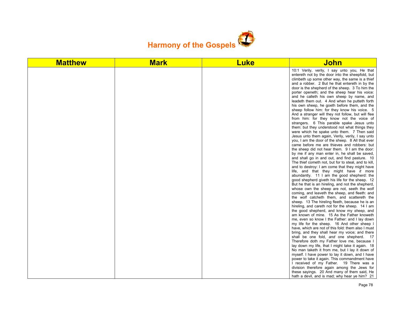

| <b>Matthew</b> | <b>Mark</b> | <b>Luke</b> | <u>John</u>                                                                                                                                                                                                                                                                                                                                                                                                                                                                                                                                                                                                                                                                                                                                                                                                                                                                                                                                                                                                                                                                                                                                                                                                                                                                                                                                                                                                                                                                                                                                                                                                                                                                                                                                                                                                                                                                                                                                                                                                                                                                                                                                                                                                                                                                                                                        |
|----------------|-------------|-------------|------------------------------------------------------------------------------------------------------------------------------------------------------------------------------------------------------------------------------------------------------------------------------------------------------------------------------------------------------------------------------------------------------------------------------------------------------------------------------------------------------------------------------------------------------------------------------------------------------------------------------------------------------------------------------------------------------------------------------------------------------------------------------------------------------------------------------------------------------------------------------------------------------------------------------------------------------------------------------------------------------------------------------------------------------------------------------------------------------------------------------------------------------------------------------------------------------------------------------------------------------------------------------------------------------------------------------------------------------------------------------------------------------------------------------------------------------------------------------------------------------------------------------------------------------------------------------------------------------------------------------------------------------------------------------------------------------------------------------------------------------------------------------------------------------------------------------------------------------------------------------------------------------------------------------------------------------------------------------------------------------------------------------------------------------------------------------------------------------------------------------------------------------------------------------------------------------------------------------------------------------------------------------------------------------------------------------------|
|                |             |             | 10:1 Verily, verily, I say unto you, He that<br>entereth not by the door into the sheepfold, but<br>climbeth up some other way, the same is a thief<br>and a robber. 2 But he that entereth in by the<br>door is the shepherd of the sheep. 3 To him the<br>porter openeth; and the sheep hear his voice:<br>and he calleth his own sheep by name, and<br>leadeth them out. 4 And when he putteth forth<br>his own sheep, he goeth before them, and the<br>sheep follow him: for they know his voice. 5<br>And a stranger will they not follow, but will flee<br>from him: for they know not the voice of<br>strangers. 6 This parable spake Jesus unto<br>them: but they understood not what things they<br>were which he spake unto them. 7 Then said<br>Jesus unto them again, Verily, verily, I say unto<br>you, I am the door of the sheep. 8 All that ever<br>came before me are thieves and robbers: but<br>the sheep did not hear them. 9 I am the door:<br>by me if any man enter in, he shall be saved,<br>and shall go in and out, and find pasture. 10<br>The thief cometh not, but for to steal, and to kill,<br>and to destroy: I am come that they might have<br>life, and that they might have it more<br>abundantly. 11 I am the good shepherd: the<br>good shepherd giveth his life for the sheep. 12<br>But he that is an hireling, and not the shepherd,<br>whose own the sheep are not, seeth the wolf<br>coming, and leaveth the sheep, and fleeth: and<br>the wolf catcheth them, and scattereth the<br>sheep. 13 The hireling fleeth, because he is an<br>hireling, and careth not for the sheep. 14 I am<br>the good shepherd, and know my sheep, and<br>am known of mine. 15 As the Father knoweth<br>me, even so know I the Father: and I lay down<br>my life for the sheep. 16 And other sheep I<br>have, which are not of this fold: them also I must<br>bring, and they shall hear my voice; and there<br>shall be one fold, and one shepherd. 17<br>Therefore doth my Father love me, because I<br>lay down my life, that I might take it again. 18<br>No man taketh it from me, but I lay it down of<br>myself. I have power to lay it down, and I have<br>power to take it again. This commandment have<br>I received of my Father. 19 There was a<br>division therefore again among the Jews for |
|                |             |             | these sayings. 20 And many of them said, He<br>hath a devil, and is mad; why hear ye him? 21                                                                                                                                                                                                                                                                                                                                                                                                                                                                                                                                                                                                                                                                                                                                                                                                                                                                                                                                                                                                                                                                                                                                                                                                                                                                                                                                                                                                                                                                                                                                                                                                                                                                                                                                                                                                                                                                                                                                                                                                                                                                                                                                                                                                                                       |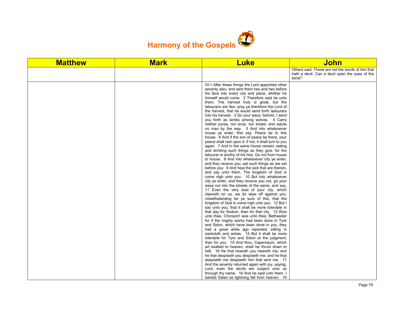

| Others said. These are not the words of him that<br>hath a devil. Can a devil open the eyes of the<br>blind?<br>10:1 After these things the Lord appointed other<br>seventy also, and sent them two and two before<br>his face into every city and place, whither he<br>himself would come. 2 Therefore said he unto<br>them, The harvest truly is great, but the<br>labourers are few: pray ye therefore the Lord of<br>the harvest, that he would send forth labourers<br>into his harvest. 3 Go your ways: behold, I send<br>you forth as lambs among wolves. 4 Carry<br>neither purse, nor scrip, nor shoes: and salute<br>no man by the way. 5 And into whatsoever<br>house ye enter, first say, Peace be to this<br>house. 6 And if the son of peace be there, your<br>peace shall rest upon it: if not, it shall turn to you<br>again. 7 And in the same house remain, eating<br>and drinking such things as they give: for the<br>labourer is worthy of his hire. Go not from house<br>to house. 8 And into whatsoever city ye enter,<br>and they receive you, eat such things as are set<br>before you: 9 And heal the sick that are therein,<br>and say unto them, The kingdom of God is<br>come nigh unto you. 10 But into whatsoever<br>city ye enter, and they receive you not, go your<br>ways out into the streets of the same, and say,<br>11 Even the very dust of your city, which<br>cleaveth on us, we do wipe off against you:<br>notwithstanding be ye sure of this, that the<br>kingdom of God is come nigh unto you. 12 But I<br>say unto you, that it shall be more tolerable in<br>that day for Sodom, than for that city. 13 Woe<br>unto thee, Chorazin! woe unto thee, Bethsaida!<br>for if the mighty works had been done in Tyre<br>and Sidon, which have been done in you, they<br>had a great while ago repented, sitting in<br>sackcloth and ashes. 14 But it shall be more<br>tolerable for Tyre and Sidon at the judgment,<br>than for you. 15 And thou, Capernaum, which<br>art exalted to heaven, shalt be thrust down to<br>hell. 16 He that heareth you heareth me; and<br>he that despiseth you despiseth me; and he that<br>despiseth me despiseth him that sent me. 17<br>And the seventy returned again with joy, saying,<br>Lord, even the devils are subject unto us | <b>Matthew</b> | <b>Mark</b> | <b>Luke</b>                                   | <b>John</b> |
|-------------------------------------------------------------------------------------------------------------------------------------------------------------------------------------------------------------------------------------------------------------------------------------------------------------------------------------------------------------------------------------------------------------------------------------------------------------------------------------------------------------------------------------------------------------------------------------------------------------------------------------------------------------------------------------------------------------------------------------------------------------------------------------------------------------------------------------------------------------------------------------------------------------------------------------------------------------------------------------------------------------------------------------------------------------------------------------------------------------------------------------------------------------------------------------------------------------------------------------------------------------------------------------------------------------------------------------------------------------------------------------------------------------------------------------------------------------------------------------------------------------------------------------------------------------------------------------------------------------------------------------------------------------------------------------------------------------------------------------------------------------------------------------------------------------------------------------------------------------------------------------------------------------------------------------------------------------------------------------------------------------------------------------------------------------------------------------------------------------------------------------------------------------------------------------------------------------------------------------------------------------------------------------------------------------------|----------------|-------------|-----------------------------------------------|-------------|
|                                                                                                                                                                                                                                                                                                                                                                                                                                                                                                                                                                                                                                                                                                                                                                                                                                                                                                                                                                                                                                                                                                                                                                                                                                                                                                                                                                                                                                                                                                                                                                                                                                                                                                                                                                                                                                                                                                                                                                                                                                                                                                                                                                                                                                                                                                                   |                |             |                                               |             |
|                                                                                                                                                                                                                                                                                                                                                                                                                                                                                                                                                                                                                                                                                                                                                                                                                                                                                                                                                                                                                                                                                                                                                                                                                                                                                                                                                                                                                                                                                                                                                                                                                                                                                                                                                                                                                                                                                                                                                                                                                                                                                                                                                                                                                                                                                                                   |                |             |                                               |             |
| beheld Satan as lightning fall from heaven. 19                                                                                                                                                                                                                                                                                                                                                                                                                                                                                                                                                                                                                                                                                                                                                                                                                                                                                                                                                                                                                                                                                                                                                                                                                                                                                                                                                                                                                                                                                                                                                                                                                                                                                                                                                                                                                                                                                                                                                                                                                                                                                                                                                                                                                                                                    |                |             | through thy name. 18 And he said unto them, I |             |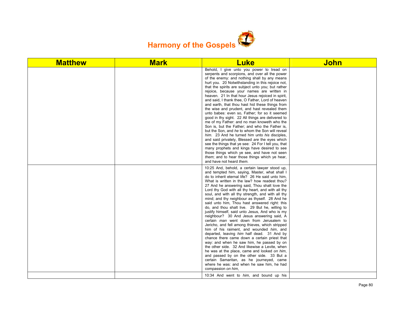

| <b>Matthew</b> | <b>Mark</b> | <b>Luke</b>                                                                                                                                                                                                                                                                                                                                                                                                                                                                                                                                                                                                                                                                                                                                                                                                                                                                                                                                                                                                                                                                                                                                                                                                             | <b>John</b> |
|----------------|-------------|-------------------------------------------------------------------------------------------------------------------------------------------------------------------------------------------------------------------------------------------------------------------------------------------------------------------------------------------------------------------------------------------------------------------------------------------------------------------------------------------------------------------------------------------------------------------------------------------------------------------------------------------------------------------------------------------------------------------------------------------------------------------------------------------------------------------------------------------------------------------------------------------------------------------------------------------------------------------------------------------------------------------------------------------------------------------------------------------------------------------------------------------------------------------------------------------------------------------------|-------------|
|                |             | Behold, I give unto you power to tread on<br>serpents and scorpions, and over all the power<br>of the enemy: and nothing shall by any means<br>hurt you. 20 Notwithstanding in this rejoice not,<br>that the spirits are subject unto you; but rather<br>rejoice, because your names are written in<br>heaven. 21 In that hour Jesus rejoiced in spirit,<br>and said, I thank thee, O Father, Lord of heaven<br>and earth, that thou hast hid these things from<br>the wise and prudent, and hast revealed them<br>unto babes: even so, Father; for so it seemed<br>good in thy sight. 22 All things are delivered to<br>me of my Father: and no man knoweth who the<br>Son is, but the Father; and who the Father is,<br>but the Son, and he to whom the Son will reveal<br>him. 23 And he turned him unto his disciples,<br>and said privately, Blessed are the eyes which<br>see the things that ye see: 24 For I tell you, that<br>many prophets and kings have desired to see<br>those things which ye see, and have not seen<br>them; and to hear those things which ye hear,<br>and have not heard them.                                                                                                         |             |
|                |             | 10:25 And, behold, a certain lawyer stood up,<br>and tempted him, saying, Master, what shall I<br>do to inherit eternal life? 26 He said unto him,<br>What is written in the law? how readest thou?<br>27 And he answering said, Thou shalt love the<br>Lord thy God with all thy heart, and with all thy<br>soul, and with all thy strength, and with all thy<br>mind; and thy neighbour as thyself. 28 And he<br>said unto him. Thou hast answered right: this<br>do, and thou shalt live. 29 But he, willing to<br>justify himself, said unto Jesus, And who is my<br>neighbour? 30 And Jesus answering said, A<br>certain <i>man</i> went down from Jerusalem to<br>Jericho, and fell among thieves, which stripped<br>him of his raiment, and wounded him, and<br>departed, leaving him half dead. 31 And by<br>chance there came down a certain priest that<br>way: and when he saw him, he passed by on<br>the other side. 32 And likewise a Levite, when<br>he was at the place, came and looked on him,<br>and passed by on the other side. 33 But a<br>certain Samaritan, as he journeyed, came<br>where he was: and when he saw him, he had<br>compassion on him,<br>10:34 And went to him, and bound up his |             |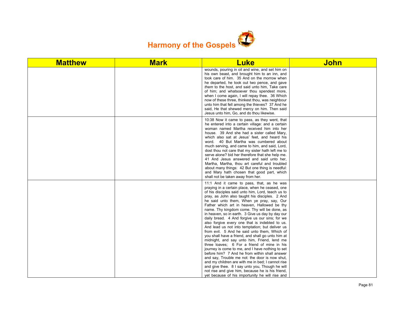

| <b>Matthew</b> | <b>Mark</b> | <b>Luke</b>                                                                                                                                                                                                                                                                                                                                                                                                                                                                                                                                                                                                                                                                                                                                                                                                                                                                                                                                                                                                                                                                                                                         | <b>John</b> |
|----------------|-------------|-------------------------------------------------------------------------------------------------------------------------------------------------------------------------------------------------------------------------------------------------------------------------------------------------------------------------------------------------------------------------------------------------------------------------------------------------------------------------------------------------------------------------------------------------------------------------------------------------------------------------------------------------------------------------------------------------------------------------------------------------------------------------------------------------------------------------------------------------------------------------------------------------------------------------------------------------------------------------------------------------------------------------------------------------------------------------------------------------------------------------------------|-------------|
|                |             | wounds, pouring in oil and wine, and set him on<br>his own beast, and brought him to an inn, and<br>took care of him. 35 And on the morrow when<br>he departed, he took out two pence, and gave<br>them to the host, and said unto him, Take care<br>of him; and whatsoever thou spendest more,<br>when I come again, I will repay thee. 36 Which<br>now of these three, thinkest thou, was neighbour<br>unto him that fell among the thieves? 37 And he<br>said. He that shewed mercy on him. Then said<br>Jesus unto him, Go, and do thou likewise.                                                                                                                                                                                                                                                                                                                                                                                                                                                                                                                                                                               |             |
|                |             | 10:38 Now it came to pass, as they went, that<br>he entered into a certain village: and a certain<br>woman named Martha received him into her<br>house. 39 And she had a sister called Mary,<br>which also sat at Jesus' feet, and heard his<br>word. 40 But Martha was cumbered about<br>much serving, and came to him, and said, Lord,<br>dost thou not care that my sister hath left me to<br>serve alone? bid her therefore that she help me.<br>41 And Jesus answered and said unto her,<br>Martha, Martha, thou art careful and troubled<br>about many things: 42 But one thing is needful:<br>and Mary hath chosen that good part, which<br>shall not be taken away from her.                                                                                                                                                                                                                                                                                                                                                                                                                                                |             |
|                |             | 11:1 And it came to pass, that, as he was<br>praying in a certain place, when he ceased, one<br>of his disciples said unto him, Lord, teach us to<br>pray, as John also taught his disciples. 2 And<br>he said unto them, When ye pray, say, Our<br>Father which art in heaven, Hallowed be thy<br>name. Thy kingdom come. Thy will be done, as<br>in heaven, so in earth. 3 Give us day by day our<br>daily bread. 4 And forgive us our sins; for we<br>also forgive every one that is indebted to us.<br>And lead us not into temptation; but deliver us<br>from evil. 5 And he said unto them, Which of<br>you shall have a friend, and shall go unto him at<br>midnight, and say unto him, Friend, lend me<br>three loaves; 6 For a friend of mine in his<br>journey is come to me, and I have nothing to set<br>before him? 7 And he from within shall answer<br>and say, Trouble me not: the door is now shut,<br>and my children are with me in bed; I cannot rise<br>and give thee. 8 I say unto you, Though he will<br>not rise and give him, because he is his friend,<br>yet because of his importunity he will rise and |             |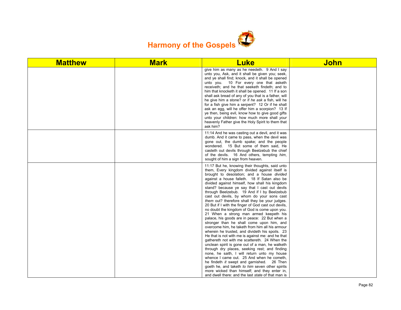

| <b>Matthew</b> | <b>Mark</b> | <b>Luke</b>                                                                                                                                                                                                                                                                                                                                                                                                                                                                                                                                                                                                                                                                                                                                                                                                                                                                                                                                                                                                                                                                                                                                                                                                                                                                                                        | <b>John</b> |
|----------------|-------------|--------------------------------------------------------------------------------------------------------------------------------------------------------------------------------------------------------------------------------------------------------------------------------------------------------------------------------------------------------------------------------------------------------------------------------------------------------------------------------------------------------------------------------------------------------------------------------------------------------------------------------------------------------------------------------------------------------------------------------------------------------------------------------------------------------------------------------------------------------------------------------------------------------------------------------------------------------------------------------------------------------------------------------------------------------------------------------------------------------------------------------------------------------------------------------------------------------------------------------------------------------------------------------------------------------------------|-------------|
|                |             | give him as many as he needeth. 9 And I say<br>unto you, Ask, and it shall be given you; seek,<br>and ye shall find; knock, and it shall be opened<br>unto you. 10 For every one that asketh<br>receiveth; and he that seeketh findeth; and to<br>him that knocketh it shall be opened. 11 If a son<br>shall ask bread of any of you that is a father, will<br>he give him a stone? or if he ask a fish, will he<br>for a fish give him a serpent? 12 Or if he shall<br>ask an egg, will he offer him a scorpion? 13 If<br>ye then, being evil, know how to give good gifts<br>unto your children: how much more shall your<br>heavenly Father give the Holy Spirit to them that<br>ask him?                                                                                                                                                                                                                                                                                                                                                                                                                                                                                                                                                                                                                       |             |
|                |             | 11:14 And he was casting out a devil, and it was<br>dumb. And it came to pass, when the devil was<br>gone out, the dumb spake; and the people<br>wondered. 15 But some of them said. He<br>casteth out devils through Beelzebub the chief<br>of the devils. 16 And others, tempting him,<br>sought of him a sign from heaven.                                                                                                                                                                                                                                                                                                                                                                                                                                                                                                                                                                                                                                                                                                                                                                                                                                                                                                                                                                                      |             |
|                |             | 11:17 But he, knowing their thoughts, said unto<br>them, Every kingdom divided against itself is<br>brought to desolation; and a house divided<br>against a house falleth. 18 If Satan also be<br>divided against himself, how shall his kingdom<br>stand? because ye say that I cast out devils<br>through Beelzebub. 19 And if I by Beelzebub<br>cast out devils, by whom do your sons cast<br>them out? therefore shall they be your judges.<br>20 But if I with the finger of God cast out devils,<br>no doubt the kingdom of God is come upon you.<br>21 When a strong man armed keepeth his<br>palace, his goods are in peace: 22 But when a<br>stronger than he shall come upon him, and<br>overcome him, he taketh from him all his armour<br>wherein he trusted, and divideth his spoils. 23<br>He that is not with me is against me: and he that<br>gathereth not with me scattereth. 24 When the<br>unclean spirit is gone out of a man, he walketh<br>through dry places, seeking rest; and finding<br>none, he saith, I will return unto my house<br>whence I came out. 25 And when he cometh.<br>he findeth it swept and garnished. 26 Then<br>goeth he, and taketh to him seven other spirits<br>more wicked than himself; and they enter in,<br>and dwell there: and the last state of that man is |             |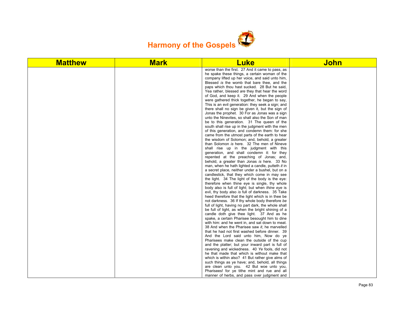

| <b>Matthew</b> | <b>Mark</b> | <b>Luke</b>                                                                                           | <b>John</b> |
|----------------|-------------|-------------------------------------------------------------------------------------------------------|-------------|
|                |             | worse than the first. 27 And it came to pass, as                                                      |             |
|                |             | he spake these things, a certain woman of the                                                         |             |
|                |             | company lifted up her voice, and said unto him,                                                       |             |
|                |             | Blessed is the womb that bare thee, and the                                                           |             |
|                |             | paps which thou hast sucked. 28 But he said,                                                          |             |
|                |             | Yea rather, blessed are they that hear the word                                                       |             |
|                |             | of God, and keep it. 29 And when the people                                                           |             |
|                |             | were gathered thick together, he began to say,                                                        |             |
|                |             | This is an evil generation: they seek a sign; and                                                     |             |
|                |             | there shall no sign be given it, but the sign of<br>Jonas the prophet. 30 For as Jonas was a sign     |             |
|                |             | unto the Ninevites, so shall also the Son of man                                                      |             |
|                |             | be to this generation. 31 The queen of the                                                            |             |
|                |             | south shall rise up in the judgment with the men                                                      |             |
|                |             | of this generation, and condemn them: for she                                                         |             |
|                |             | came from the utmost parts of the earth to hear                                                       |             |
|                |             | the wisdom of Solomon; and, behold, a greater                                                         |             |
|                |             | than Solomon is here. 32 The men of Nineve                                                            |             |
|                |             | shall rise up in the judgment with this                                                               |             |
|                |             | generation, and shall condemn it: for they                                                            |             |
|                |             | repented at the preaching of Jonas; and,                                                              |             |
|                |             | behold, a greater than Jonas is here. 33 No                                                           |             |
|                |             | man, when he hath lighted a candle, putteth it in                                                     |             |
|                |             | a secret place, neither under a bushel, but on a                                                      |             |
|                |             | candlestick, that they which come in may see                                                          |             |
|                |             | the light. 34 The light of the body is the eye:                                                       |             |
|                |             | therefore when thine eye is single, thy whole                                                         |             |
|                |             | body also is full of light; but when thine eye is                                                     |             |
|                |             | evil, thy body also is full of darkness. 35 Take<br>heed therefore that the light which is in thee be |             |
|                |             | not darkness. 36 If thy whole body therefore be                                                       |             |
|                |             | full of light, having no part dark, the whole shall                                                   |             |
|                |             | be full of light, as when the bright shining of a                                                     |             |
|                |             | candle doth give thee light. 37 And as he                                                             |             |
|                |             | spake, a certain Pharisee besought him to dine                                                        |             |
|                |             | with him: and he went in, and sat down to meat.                                                       |             |
|                |             | 38 And when the Pharisee saw it, he marvelled                                                         |             |
|                |             | that he had not first washed before dinner. 39                                                        |             |
|                |             | And the Lord said unto him, Now do ye                                                                 |             |
|                |             | Pharisees make clean the outside of the cup                                                           |             |
|                |             | and the platter; but your inward part is full of                                                      |             |
|                |             | ravening and wickedness. 40 Ye fools, did not                                                         |             |
|                |             | he that made that which is without make that                                                          |             |
|                |             | which is within also? 41 But rather give alms of                                                      |             |
|                |             | such things as ye have; and, behold, all things                                                       |             |
|                |             | are clean unto you. 42 But woe unto you,                                                              |             |
|                |             | Pharisees! for ye tithe mint and rue and all                                                          |             |
|                |             | manner of herbs, and pass over judgment and                                                           |             |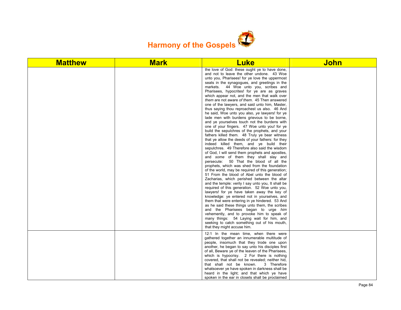

| <b>Matthew</b> | <b>Mark</b> | <b>Luke</b>                                                                                                                                                                                                                                                                                                                                                                                                                                                                                                                                                                                                                                                                                                                                                                                                                                                                                                                                                                                                                                                                                                                                                                                                                                                                                                                                                                                                                                                                                                                                                                                                                                                                                                                                                                                                   | <b>John</b> |
|----------------|-------------|---------------------------------------------------------------------------------------------------------------------------------------------------------------------------------------------------------------------------------------------------------------------------------------------------------------------------------------------------------------------------------------------------------------------------------------------------------------------------------------------------------------------------------------------------------------------------------------------------------------------------------------------------------------------------------------------------------------------------------------------------------------------------------------------------------------------------------------------------------------------------------------------------------------------------------------------------------------------------------------------------------------------------------------------------------------------------------------------------------------------------------------------------------------------------------------------------------------------------------------------------------------------------------------------------------------------------------------------------------------------------------------------------------------------------------------------------------------------------------------------------------------------------------------------------------------------------------------------------------------------------------------------------------------------------------------------------------------------------------------------------------------------------------------------------------------|-------------|
|                |             | the love of God: these ought ye to have done,<br>and not to leave the other undone. 43 Woe<br>unto you, Pharisees! for ye love the uppermost<br>seats in the synagogues, and greetings in the<br>markets. 44 Woe unto you, scribes and<br>Pharisees, hypocrites! for ye are as graves<br>which appear not, and the men that walk over<br>them are not aware of them. 45 Then answered<br>one of the lawyers, and said unto him, Master,<br>thus saying thou reproachest us also. 46 And<br>he said, Woe unto you also, ye lawyers! for ye<br>lade men with burdens grievous to be borne,<br>and ye yourselves touch not the burdens with<br>one of your fingers. 47 Woe unto you! for ye<br>build the sepulchres of the prophets, and your<br>fathers killed them. 48 Truly ye bear witness<br>that ye allow the deeds of your fathers: for they<br>indeed killed them, and ye build their<br>sepulchres. 49 Therefore also said the wisdom<br>of God, I will send them prophets and apostles,<br>and some of them they shall slay and<br>persecute: 50 That the blood of all the<br>prophets, which was shed from the foundation<br>of the world, may be required of this generation;<br>51 From the blood of Abel unto the blood of<br>Zacharias, which perished between the altar<br>and the temple: verily I say unto you, It shall be<br>required of this generation. 52 Woe unto you,<br>lawyers! for ye have taken away the key of<br>knowledge: ye entered not in yourselves, and<br>them that were entering in ye hindered. 53 And<br>as he said these things unto them, the scribes<br>and the Pharisees began to urge him<br>vehemently, and to provoke him to speak of<br>many things: 54 Laying wait for him, and<br>seeking to catch something out of his mouth,<br>that they might accuse him. |             |
|                |             | 12:1 In the mean time, when there were<br>gathered together an innumerable multitude of<br>people, insomuch that they trode one upon<br>another, he began to say unto his disciples first<br>of all, Beware ye of the leaven of the Pharisees,<br>which is hypocrisy. 2 For there is nothing<br>covered, that shall not be revealed; neither hid,<br>that shall not be known.<br>3 Therefore<br>whatsoever ye have spoken in darkness shall be<br>heard in the light; and that which ye have<br>spoken in the ear in closets shall be proclaimed                                                                                                                                                                                                                                                                                                                                                                                                                                                                                                                                                                                                                                                                                                                                                                                                                                                                                                                                                                                                                                                                                                                                                                                                                                                              |             |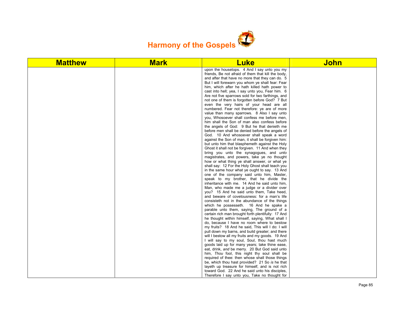

| <b>Matthew</b> | <b>Mark</b> | <b>Luke</b>                                                                                           | <b>John</b> |
|----------------|-------------|-------------------------------------------------------------------------------------------------------|-------------|
|                |             | upon the housetops. 4 And I say unto you my                                                           |             |
|                |             | friends. Be not afraid of them that kill the body,                                                    |             |
|                |             | and after that have no more that they can do. 5                                                       |             |
|                |             | But I will forewarn you whom ye shall fear: Fear<br>him, which after he hath killed hath power to     |             |
|                |             | cast into hell; yea, I say unto you, Fear him. 6                                                      |             |
|                |             | Are not five sparrows sold for two farthings, and                                                     |             |
|                |             | not one of them is forgotten before God? 7 But                                                        |             |
|                |             | even the very hairs of your head are all                                                              |             |
|                |             | numbered. Fear not therefore: ye are of more                                                          |             |
|                |             | value than many sparrows. 8 Also I say unto                                                           |             |
|                |             | you, Whosoever shall confess me before men,                                                           |             |
|                |             | him shall the Son of man also confess before                                                          |             |
|                |             | the angels of God: 9 But he that denieth me                                                           |             |
|                |             | before men shall be denied before the angels of                                                       |             |
|                |             | God. 10 And whosoever shall speak a word<br>against the Son of man, it shall be forgiven him:         |             |
|                |             | but unto him that blasphemeth against the Holy                                                        |             |
|                |             | Ghost it shall not be forgiven. 11 And when they                                                      |             |
|                |             | bring you unto the synagogues, and unto                                                               |             |
|                |             | magistrates, and powers, take ye no thought                                                           |             |
|                |             | how or what thing ye shall answer, or what ye                                                         |             |
|                |             | shall say: 12 For the Holy Ghost shall teach you                                                      |             |
|                |             | in the same hour what ye ought to say. 13 And                                                         |             |
|                |             | one of the company said unto him, Master,                                                             |             |
|                |             | speak to my brother, that he divide the<br>inheritance with me. 14 And he said unto him,              |             |
|                |             | Man, who made me a judge or a divider over                                                            |             |
|                |             | you? 15 And he said unto them, Take heed,                                                             |             |
|                |             | and beware of covetousness: for a man's life                                                          |             |
|                |             | consisteth not in the abundance of the things                                                         |             |
|                |             | which he possesseth. 16 And he spake a                                                                |             |
|                |             | parable unto them, saying, The ground of a                                                            |             |
|                |             | certain rich man brought forth plentifully: 17 And                                                    |             |
|                |             | he thought within himself, saying, What shall I                                                       |             |
|                |             | do, because I have no room where to bestow                                                            |             |
|                |             | my fruits? 18 And he said. This will I do: I will<br>pull down my barns, and build greater; and there |             |
|                |             | will I bestow all my fruits and my goods. 19 And                                                      |             |
|                |             | I will say to my soul, Soul, thou hast much                                                           |             |
|                |             | goods laid up for many years; take thine ease,                                                        |             |
|                |             | eat, drink, and be merry. 20 But God said unto                                                        |             |
|                |             | him, Thou fool, this night thy soul shall be                                                          |             |
|                |             | required of thee: then whose shall those things                                                       |             |
|                |             | be, which thou hast provided? 21 So is he that                                                        |             |
|                |             | layeth up treasure for himself, and is not rich                                                       |             |
|                |             | toward God. 22 And he said unto his disciples,                                                        |             |
|                |             | Therefore I say unto you, Take no thought for                                                         |             |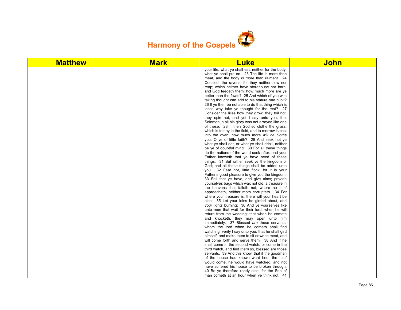

| <b>Matthew</b> | <b>Mark</b> | <b>Luke</b>                                                                                         | <b>John</b> |
|----------------|-------------|-----------------------------------------------------------------------------------------------------|-------------|
|                |             | your life, what ye shall eat; neither for the body,                                                 |             |
|                |             | what ye shall put on. 23 The life is more than                                                      |             |
|                |             | meat, and the body is more than raiment. 24                                                         |             |
|                |             | Consider the ravens: for they neither sow nor                                                       |             |
|                |             | reap; which neither have storehouse nor barn;                                                       |             |
|                |             | and God feedeth them: how much more are ye<br>better than the fowls? 25 And which of you with       |             |
|                |             | taking thought can add to his stature one cubit?                                                    |             |
|                |             | 26 If ye then be not able to do that thing which is                                                 |             |
|                |             | least, why take ye thought for the rest? 27                                                         |             |
|                |             | Consider the lilies how they grow: they toil not,                                                   |             |
|                |             | they spin not; and yet I say unto you, that                                                         |             |
|                |             | Solomon in all his glory was not arrayed like one                                                   |             |
|                |             | of these. 28 If then God so clothe the grass,                                                       |             |
|                |             | which is to day in the field, and to morrow is cast                                                 |             |
|                |             | into the oven; how much more will he clothe                                                         |             |
|                |             | you, O ye of little faith? 29 And seek not ye                                                       |             |
|                |             | what ye shall eat, or what ye shall drink, neither                                                  |             |
|                |             | be ye of doubtful mind. 30 For all these things<br>do the nations of the world seek after: and your |             |
|                |             | Father knoweth that ye have need of these                                                           |             |
|                |             | things. 31 But rather seek ye the kingdom of                                                        |             |
|                |             | God; and all these things shall be added unto                                                       |             |
|                |             | you. 32 Fear not, little flock; for it is your                                                      |             |
|                |             | Father's good pleasure to give you the kingdom.                                                     |             |
|                |             | 33 Sell that ye have, and give alms; provide                                                        |             |
|                |             | yourselves bags which wax not old, a treasure in                                                    |             |
|                |             | the heavens that faileth not, where no thief                                                        |             |
|                |             | approacheth, neither moth corrupteth. 34 For                                                        |             |
|                |             | where your treasure is, there will your heart be                                                    |             |
|                |             | also. 35 Let your loins be girded about, and                                                        |             |
|                |             | your lights burning; 36 And ye yourselves like                                                      |             |
|                |             | unto men that wait for their lord, when he will<br>return from the wedding; that when he cometh     |             |
|                |             | and knocketh, they may open unto him                                                                |             |
|                |             | immediately. 37 Blessed are those servants,                                                         |             |
|                |             | whom the lord when he cometh shall find                                                             |             |
|                |             | watching: verily I say unto you, that he shall gird                                                 |             |
|                |             | himself, and make them to sit down to meat, and                                                     |             |
|                |             | will come forth and serve them. 38 And if he                                                        |             |
|                |             | shall come in the second watch, or come in the                                                      |             |
|                |             | third watch, and find them so, blessed are those                                                    |             |
|                |             | servants. 39 And this know, that if the goodman                                                     |             |
|                |             | of the house had known what hour the thief                                                          |             |
|                |             | would come, he would have watched, and not                                                          |             |
|                |             | have suffered his house to be broken through.                                                       |             |
|                |             | 40 Be ye therefore ready also: for the Son of<br>man cometh at an hour when ye think not. 41        |             |
|                |             |                                                                                                     |             |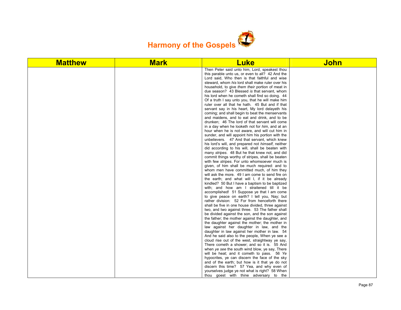

| <b>Matthew</b> | <b>Mark</b> | <b>Luke</b>                                                                                          | <b>John</b> |
|----------------|-------------|------------------------------------------------------------------------------------------------------|-------------|
|                |             | Then Peter said unto him, Lord, speakest thou                                                        |             |
|                |             | this parable unto us, or even to all? 42 And the                                                     |             |
|                |             | Lord said, Who then is that faithful and wise                                                        |             |
|                |             | steward, whom his lord shall make ruler over his<br>household, to give them their portion of meat in |             |
|                |             | due season? 43 Blessed is that servant, whom                                                         |             |
|                |             | his lord when he cometh shall find so doing. 44                                                      |             |
|                |             | Of a truth I say unto you, that he will make him                                                     |             |
|                |             | ruler over all that he hath. 45 But and if that                                                      |             |
|                |             | servant say in his heart, My lord delayeth his                                                       |             |
|                |             | coming; and shall begin to beat the menservants                                                      |             |
|                |             | and maidens, and to eat and drink, and to be                                                         |             |
|                |             | drunken; 46 The lord of that servant will come                                                       |             |
|                |             | in a day when he looketh not for him, and at an                                                      |             |
|                |             | hour when he is not aware, and will cut him in                                                       |             |
|                |             | sunder, and will appoint him his portion with the                                                    |             |
|                |             | unbelievers. 47 And that servant, which knew<br>his lord's will, and prepared not himself, neither   |             |
|                |             | did according to his will, shall be beaten with                                                      |             |
|                |             | many stripes. 48 But he that knew not, and did                                                       |             |
|                |             | commit things worthy of stripes, shall be beaten                                                     |             |
|                |             | with few stripes. For unto whomsoever much is                                                        |             |
|                |             | given, of him shall be much required: and to                                                         |             |
|                |             | whom men have committed much, of him they                                                            |             |
|                |             | will ask the more. 49 I am come to send fire on                                                      |             |
|                |             | the earth; and what will I, if it be already                                                         |             |
|                |             | kindled? 50 But I have a baptism to be baptized                                                      |             |
|                |             | with; and how am I straitened till it be<br>accomplished! 51 Suppose ye that I am come               |             |
|                |             | to give peace on earth? I tell you, Nay; but                                                         |             |
|                |             | rather division: 52 For from henceforth there                                                        |             |
|                |             | shall be five in one house divided, three against                                                    |             |
|                |             | two, and two against three. 53 The father shall                                                      |             |
|                |             | be divided against the son, and the son against                                                      |             |
|                |             | the father; the mother against the daughter, and                                                     |             |
|                |             | the daughter against the mother; the mother in                                                       |             |
|                |             | law against her daughter in law, and the                                                             |             |
|                |             | daughter in law against her mother in law. 54<br>And he said also to the people, When ye see a       |             |
|                |             | cloud rise out of the west, straightway ye say,                                                      |             |
|                |             | There cometh a shower; and so it is. 55 And                                                          |             |
|                |             | when ye see the south wind blow, ye say, There                                                       |             |
|                |             | will be heat; and it cometh to pass. 56 Ye                                                           |             |
|                |             | hypocrites, ye can discern the face of the sky                                                       |             |
|                |             | and of the earth; but how is it that ye do not                                                       |             |
|                |             | discern this time? 57 Yea, and why even of                                                           |             |
|                |             | yourselves judge ye not what is right? 58 When                                                       |             |
|                |             | thou goest with thine adversary to the                                                               |             |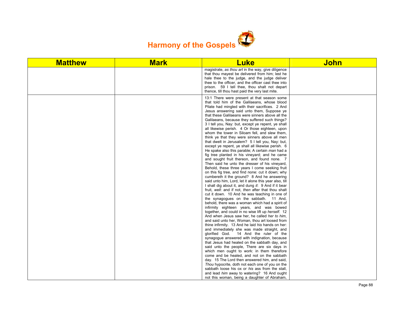

| <b>Matthew</b> | <b>Mark</b> | <b>Luke</b>                                                                                                                                                                                                                                                                                                                                                                                                                                                                                                                                                                                                                                                                                                                                                                                                                                                                                                                                                                                                                                                                                                                                                                                                                                                                                                                                                                                                                                                                                                                                                                                                                                                                                             | <b>John</b> |
|----------------|-------------|---------------------------------------------------------------------------------------------------------------------------------------------------------------------------------------------------------------------------------------------------------------------------------------------------------------------------------------------------------------------------------------------------------------------------------------------------------------------------------------------------------------------------------------------------------------------------------------------------------------------------------------------------------------------------------------------------------------------------------------------------------------------------------------------------------------------------------------------------------------------------------------------------------------------------------------------------------------------------------------------------------------------------------------------------------------------------------------------------------------------------------------------------------------------------------------------------------------------------------------------------------------------------------------------------------------------------------------------------------------------------------------------------------------------------------------------------------------------------------------------------------------------------------------------------------------------------------------------------------------------------------------------------------------------------------------------------------|-------------|
|                |             | magistrate, as thou art in the way, give diligence<br>that thou mayest be delivered from him; lest he<br>hale thee to the judge, and the judge deliver<br>thee to the officer, and the officer cast thee into<br>prison. 59 I tell thee, thou shalt not depart<br>thence, till thou hast paid the very last mite.                                                                                                                                                                                                                                                                                                                                                                                                                                                                                                                                                                                                                                                                                                                                                                                                                                                                                                                                                                                                                                                                                                                                                                                                                                                                                                                                                                                       |             |
|                |             | 13:1 There were present at that season some<br>that told him of the Galilaeans, whose blood<br>Pilate had mingled with their sacrifices. 2 And<br>Jesus answering said unto them, Suppose ye<br>that these Galilaeans were sinners above all the<br>Galilaeans, because they suffered such things?<br>3 I tell you, Nay: but, except ye repent, ye shall<br>all likewise perish. 4 Or those eighteen, upon<br>whom the tower in Siloam fell, and slew them,<br>think ye that they were sinners above all men<br>that dwelt in Jerusalem? 5 I tell you, Nay: but,<br>except ye repent, ye shall all likewise perish. 6<br>He spake also this parable; A certain man had a<br>fig tree planted in his vineyard; and he came<br>and sought fruit thereon, and found none. 7<br>Then said he unto the dresser of his vineyard,<br>Behold, these three years I come seeking fruit<br>on this fig tree, and find none: cut it down; why<br>cumbereth it the ground? 8 And he answering<br>said unto him, Lord, let it alone this year also, till<br>I shall dig about it, and dung it: 9 And if it bear<br>fruit, well: and if not, then after that thou shalt<br>cut it down. 10 And he was teaching in one of<br>the synagogues on the sabbath. 11 And,<br>behold, there was a woman which had a spirit of<br>infirmity eighteen years, and was bowed<br>together, and could in no wise lift up herself. 12<br>And when Jesus saw her, he called her to him,<br>and said unto her, Woman, thou art loosed from<br>thine infirmity. 13 And he laid his hands on her:<br>and immediately she was made straight, and<br>glorified God. 14 And the ruler of the<br>synagogue answered with indignation, because |             |
|                |             | that Jesus had healed on the sabbath day, and<br>said unto the people, There are six days in<br>which men ought to work: in them therefore                                                                                                                                                                                                                                                                                                                                                                                                                                                                                                                                                                                                                                                                                                                                                                                                                                                                                                                                                                                                                                                                                                                                                                                                                                                                                                                                                                                                                                                                                                                                                              |             |
|                |             | come and be healed, and not on the sabbath<br>day. 15 The Lord then answered him, and said,<br>Thou hypocrite, doth not each one of you on the<br>sabbath loose his ox or his ass from the stall,                                                                                                                                                                                                                                                                                                                                                                                                                                                                                                                                                                                                                                                                                                                                                                                                                                                                                                                                                                                                                                                                                                                                                                                                                                                                                                                                                                                                                                                                                                       |             |
|                |             | and lead him away to watering? 16 And ought<br>not this woman, being a daughter of Abraham,                                                                                                                                                                                                                                                                                                                                                                                                                                                                                                                                                                                                                                                                                                                                                                                                                                                                                                                                                                                                                                                                                                                                                                                                                                                                                                                                                                                                                                                                                                                                                                                                             |             |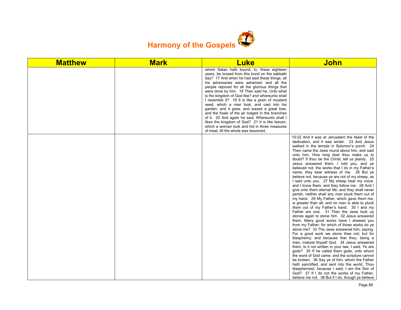

| <b>Matthew</b> | <b>Mark</b> | <b>Luke</b>                                                                                                                                                                                                                                                                                                                                                                                                                                                                                                                                                                                                                                                                                                                                        | <b>John</b>                                                                                                                                                                                                                                                                                                                                                                                                                                                                                                                                                                                                                                                                                                                                                                                                                                                                                                                                                                                                                                                                                                                                                                                                                                                                                                                                                                                                                                                                                                                                                                                                                                     |
|----------------|-------------|----------------------------------------------------------------------------------------------------------------------------------------------------------------------------------------------------------------------------------------------------------------------------------------------------------------------------------------------------------------------------------------------------------------------------------------------------------------------------------------------------------------------------------------------------------------------------------------------------------------------------------------------------------------------------------------------------------------------------------------------------|-------------------------------------------------------------------------------------------------------------------------------------------------------------------------------------------------------------------------------------------------------------------------------------------------------------------------------------------------------------------------------------------------------------------------------------------------------------------------------------------------------------------------------------------------------------------------------------------------------------------------------------------------------------------------------------------------------------------------------------------------------------------------------------------------------------------------------------------------------------------------------------------------------------------------------------------------------------------------------------------------------------------------------------------------------------------------------------------------------------------------------------------------------------------------------------------------------------------------------------------------------------------------------------------------------------------------------------------------------------------------------------------------------------------------------------------------------------------------------------------------------------------------------------------------------------------------------------------------------------------------------------------------|
|                |             | whom Satan hath bound, lo, these eighteen<br>years, be loosed from this bond on the sabbath<br>day? 17 And when he had said these things, all<br>his adversaries were ashamed: and all the<br>people rejoiced for all the glorious things that<br>were done by him. 18 Then said he, Unto what<br>is the kingdom of God like? and whereunto shall<br>I resemble it? 19 It is like a grain of mustard<br>seed, which a man took, and cast into his<br>garden; and it grew, and waxed a great tree;<br>and the fowls of the air lodged in the branches<br>of it. 20 And again he said, Whereunto shall I<br>liken the kingdom of God? 21 It is like leaven,<br>which a woman took and hid in three measures<br>of meal, till the whole was leavened. |                                                                                                                                                                                                                                                                                                                                                                                                                                                                                                                                                                                                                                                                                                                                                                                                                                                                                                                                                                                                                                                                                                                                                                                                                                                                                                                                                                                                                                                                                                                                                                                                                                                 |
|                |             |                                                                                                                                                                                                                                                                                                                                                                                                                                                                                                                                                                                                                                                                                                                                                    | 10:22 And it was at Jerusalem the feast of the<br>dedication, and it was winter. 23 And Jesus<br>walked in the temple in Solomon's porch. 24<br>Then came the Jews round about him, and said<br>unto him, How long dost thou make us to<br>doubt? If thou be the Christ, tell us plainly. 25<br>Jesus answered them, I told you, and ye<br>believed not: the works that I do in my Father's<br>name, they bear witness of me. 26 But ye<br>believe not, because ye are not of my sheep, as<br>I said unto you. 27 My sheep hear my voice,<br>and I know them, and they follow me: 28 And I<br>give unto them eternal life; and they shall never<br>perish, neither shall any man pluck them out of<br>my hand. 29 My Father, which gave them me,<br>is greater than all; and no man is able to pluck<br>them out of my Father's hand. 30 I and my<br>Father are one. 31 Then the Jews took up<br>stones again to stone him. 32 Jesus answered<br>them, Many good works have I shewed you<br>from my Father; for which of those works do ye<br>stone me? 33 The Jews answered him, saying,<br>For a good work we stone thee not; but for<br>blasphemy; and because that thou, being a<br>man, makest thyself God. 34 Jesus answered<br>them, Is it not written in your law, I said, Ye are<br>gods? 35 If he called them gods, unto whom<br>the word of God came, and the scripture cannot<br>be broken; 36 Say ye of him, whom the Father<br>hath sanctified, and sent into the world, Thou<br>blasphemest; because I said, I am the Son of<br>God? 37 If I do not the works of my Father,<br>believe me not. 38 But if I do, though ye believe |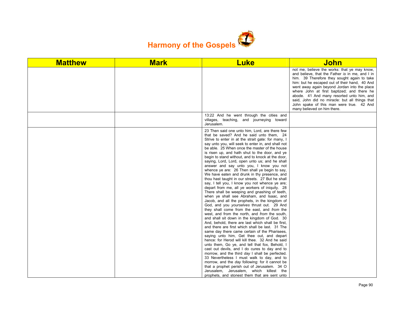

| <b>Matthew</b> | <b>Mark</b> | <b>Luke</b>                                                                                                                                                                                                                                                                                                                                                                                                                                                                                                                                                                                                                                                                                                                                                                                                                                                                                                                                                                                                                                                                                                                                                                                                                                                                                                                                                                                                                                                                                                                                                                                                                                                                                                                    | <b>John</b>                                                                                                                                                                                                                                                                                                                                                                                                                                                             |
|----------------|-------------|--------------------------------------------------------------------------------------------------------------------------------------------------------------------------------------------------------------------------------------------------------------------------------------------------------------------------------------------------------------------------------------------------------------------------------------------------------------------------------------------------------------------------------------------------------------------------------------------------------------------------------------------------------------------------------------------------------------------------------------------------------------------------------------------------------------------------------------------------------------------------------------------------------------------------------------------------------------------------------------------------------------------------------------------------------------------------------------------------------------------------------------------------------------------------------------------------------------------------------------------------------------------------------------------------------------------------------------------------------------------------------------------------------------------------------------------------------------------------------------------------------------------------------------------------------------------------------------------------------------------------------------------------------------------------------------------------------------------------------|-------------------------------------------------------------------------------------------------------------------------------------------------------------------------------------------------------------------------------------------------------------------------------------------------------------------------------------------------------------------------------------------------------------------------------------------------------------------------|
|                |             |                                                                                                                                                                                                                                                                                                                                                                                                                                                                                                                                                                                                                                                                                                                                                                                                                                                                                                                                                                                                                                                                                                                                                                                                                                                                                                                                                                                                                                                                                                                                                                                                                                                                                                                                | not me, believe the works: that ye may know,<br>and believe, that the Father is in me, and I in<br>him. 39 Therefore they sought again to take<br>him: but he escaped out of their hand, 40 And<br>went away again beyond Jordan into the place<br>where John at first baptized; and there he<br>abode. 41 And many resorted unto him, and<br>said, John did no miracle: but all things that<br>John spake of this man were true. 42 And<br>many believed on him there. |
|                |             | 13:22 And he went through the cities and<br>villages, teaching, and journeying toward<br>Jerusalem.                                                                                                                                                                                                                                                                                                                                                                                                                                                                                                                                                                                                                                                                                                                                                                                                                                                                                                                                                                                                                                                                                                                                                                                                                                                                                                                                                                                                                                                                                                                                                                                                                            |                                                                                                                                                                                                                                                                                                                                                                                                                                                                         |
|                |             | 23 Then said one unto him, Lord, are there few<br>that be saved? And he said unto them, 24<br>Strive to enter in at the strait gate: for many, I<br>say unto you, will seek to enter in, and shall not<br>be able. 25 When once the master of the house<br>is risen up, and hath shut to the door, and ye<br>begin to stand without, and to knock at the door,<br>saying, Lord, Lord, open unto us; and he shall<br>answer and say unto you, I know you not<br>whence ye are: 26 Then shall ye begin to say,<br>We have eaten and drunk in thy presence, and<br>thou hast taught in our streets. 27 But he shall<br>say, I tell you, I know you not whence ye are;<br>depart from me, all ye workers of iniquity. 28<br>There shall be weeping and gnashing of teeth,<br>when ye shall see Abraham, and Isaac, and<br>Jacob, and all the prophets, in the kingdom of<br>God, and you yourselves thrust out. 29 And<br>they shall come from the east, and from the<br>west, and from the north, and from the south,<br>and shall sit down in the kingdom of God. 30<br>And, behold, there are last which shall be first,<br>and there are first which shall be last. 31 The<br>same day there came certain of the Pharisees,<br>saying unto him, Get thee out, and depart<br>hence: for Herod will kill thee. 32 And he said<br>unto them, Go ye, and tell that fox, Behold, I<br>cast out devils, and I do cures to day and to<br>morrow, and the third day I shall be perfected.<br>33 Nevertheless I must walk to day, and to<br>morrow, and the day following: for it cannot be<br>that a prophet perish out of Jerusalem. 34 O<br>Jerusalem, Jerusalem, which killest the<br>prophets, and stonest them that are sent unto |                                                                                                                                                                                                                                                                                                                                                                                                                                                                         |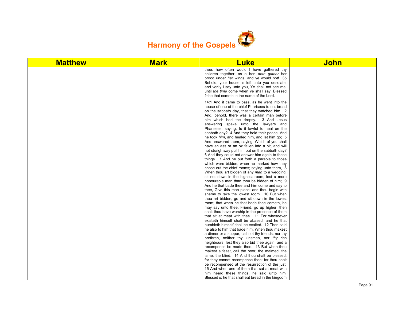

| <b>Matthew</b> | <b>Mark</b> | <b>Luke</b>                                                                                                                                                                                                                                                                                                                                                                                                                                                                                                                                                                                                                                                                                                                                                                                                                                                                                                                                                                                                                                                                                                                                                                                                                                                                                                                                                                                                                                                                                                                                                                                                                                                                                                              | <b>John</b> |
|----------------|-------------|--------------------------------------------------------------------------------------------------------------------------------------------------------------------------------------------------------------------------------------------------------------------------------------------------------------------------------------------------------------------------------------------------------------------------------------------------------------------------------------------------------------------------------------------------------------------------------------------------------------------------------------------------------------------------------------------------------------------------------------------------------------------------------------------------------------------------------------------------------------------------------------------------------------------------------------------------------------------------------------------------------------------------------------------------------------------------------------------------------------------------------------------------------------------------------------------------------------------------------------------------------------------------------------------------------------------------------------------------------------------------------------------------------------------------------------------------------------------------------------------------------------------------------------------------------------------------------------------------------------------------------------------------------------------------------------------------------------------------|-------------|
|                |             | thee; how often would I have gathered thy<br>children together, as a hen doth gather her<br>brood under her wings, and ye would not! 35<br>Behold, your house is left unto you desolate:<br>and verily I say unto you, Ye shall not see me,<br>until the time come when ye shall say, Blessed<br>is he that cometh in the name of the Lord.                                                                                                                                                                                                                                                                                                                                                                                                                                                                                                                                                                                                                                                                                                                                                                                                                                                                                                                                                                                                                                                                                                                                                                                                                                                                                                                                                                              |             |
|                |             | 14:1 And it came to pass, as he went into the<br>house of one of the chief Pharisees to eat bread<br>on the sabbath day, that they watched him. 2<br>And, behold, there was a certain man before<br>him which had the dropsy. 3 And Jesus<br>answering spake unto the lawyers and<br>Pharisees, saying, Is it lawful to heal on the<br>sabbath day? 4 And they held their peace. And<br>he took him, and healed him, and let him go; 5<br>And answered them, saying, Which of you shall<br>have an ass or an ox fallen into a pit, and will<br>not straightway pull him out on the sabbath day?<br>6 And they could not answer him again to these<br>things. 7 And he put forth a parable to those<br>which were bidden, when he marked how they<br>chose out the chief rooms; saying unto them, 8<br>When thou art bidden of any man to a wedding,<br>sit not down in the highest room; lest a more<br>honourable man than thou be bidden of him; 9<br>And he that bade thee and him come and say to<br>thee, Give this man place; and thou begin with<br>shame to take the lowest room. 10 But when<br>thou art bidden, go and sit down in the lowest<br>room; that when he that bade thee cometh, he<br>may say unto thee, Friend, go up higher: then<br>shalt thou have worship in the presence of them<br>that sit at meat with thee. 11 For whosoever<br>exalteth himself shall be abased; and he that<br>humbleth himself shall be exalted. 12 Then said<br>he also to him that bade him, When thou makest<br>a dinner or a supper, call not thy friends, nor thy<br>brethren, neither thy kinsmen, nor thy rich<br>neighbours; lest they also bid thee again, and a<br>recompence be made thee. 13 But when thou |             |
|                |             | makest a feast, call the poor, the maimed, the<br>lame, the blind: 14 And thou shalt be blessed;<br>for they cannot recompense thee: for thou shalt                                                                                                                                                                                                                                                                                                                                                                                                                                                                                                                                                                                                                                                                                                                                                                                                                                                                                                                                                                                                                                                                                                                                                                                                                                                                                                                                                                                                                                                                                                                                                                      |             |
|                |             | be recompensed at the resurrection of the just.<br>15 And when one of them that sat at meat with<br>him heard these things, he said unto him,                                                                                                                                                                                                                                                                                                                                                                                                                                                                                                                                                                                                                                                                                                                                                                                                                                                                                                                                                                                                                                                                                                                                                                                                                                                                                                                                                                                                                                                                                                                                                                            |             |
|                |             | Blessed is he that shall eat bread in the kingdom                                                                                                                                                                                                                                                                                                                                                                                                                                                                                                                                                                                                                                                                                                                                                                                                                                                                                                                                                                                                                                                                                                                                                                                                                                                                                                                                                                                                                                                                                                                                                                                                                                                                        |             |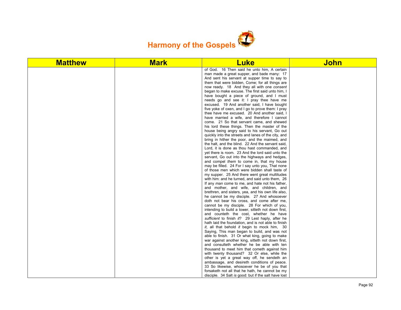

| <b>Matthew</b> | <b>Mark</b> | <b>Luke</b>                                                                                      | <b>John</b> |
|----------------|-------------|--------------------------------------------------------------------------------------------------|-------------|
|                |             | of God. 16 Then said he unto him, A certain                                                      |             |
|                |             | man made a great supper, and bade many: 17                                                       |             |
|                |             | And sent his servant at supper time to say to                                                    |             |
|                |             | them that were bidden, Come; for all things are                                                  |             |
|                |             | now ready. 18 And they all with one consent                                                      |             |
|                |             | began to make excuse. The first said unto him, I                                                 |             |
|                |             | have bought a piece of ground, and I must                                                        |             |
|                |             | needs go and see it: I pray thee have me                                                         |             |
|                |             | excused. 19 And another said, I have bought<br>five yoke of oxen, and I go to prove them: I pray |             |
|                |             | thee have me excused. 20 And another said, I                                                     |             |
|                |             | have married a wife, and therefore I cannot                                                      |             |
|                |             | come. 21 So that servant came, and shewed                                                        |             |
|                |             | his lord these things. Then the master of the                                                    |             |
|                |             | house being angry said to his servant. Go out                                                    |             |
|                |             | quickly into the streets and lanes of the city, and                                              |             |
|                |             | bring in hither the poor, and the maimed, and                                                    |             |
|                |             | the halt, and the blind. 22 And the servant said,                                                |             |
|                |             | Lord, it is done as thou hast commanded, and                                                     |             |
|                |             | yet there is room. 23 And the lord said unto the                                                 |             |
|                |             | servant. Go out into the highways and hedges,                                                    |             |
|                |             | and compel them to come in, that my house                                                        |             |
|                |             | may be filled. 24 For I say unto you, That none                                                  |             |
|                |             | of those men which were bidden shall taste of                                                    |             |
|                |             | my supper. 25 And there went great multitudes                                                    |             |
|                |             | with him: and he turned, and said unto them, 26                                                  |             |
|                |             | If any man come to me, and hate not his father,                                                  |             |
|                |             | and mother, and wife, and children, and<br>brethren, and sisters, yea, and his own life also,    |             |
|                |             | he cannot be my disciple. 27 And whosoever                                                       |             |
|                |             | doth not bear his cross, and come after me,                                                      |             |
|                |             | cannot be my disciple. 28 For which of you,                                                      |             |
|                |             | intending to build a tower, sitteth not down first,                                              |             |
|                |             | and counteth the cost, whether he have                                                           |             |
|                |             | sufficient to finish it? 29 Lest haply, after he                                                 |             |
|                |             | hath laid the foundation, and is not able to finish                                              |             |
|                |             | it, all that behold it begin to mock him, 30                                                     |             |
|                |             | Saying, This man began to build, and was not                                                     |             |
|                |             | able to finish. 31 Or what king, going to make                                                   |             |
|                |             | war against another king, sitteth not down first,                                                |             |
|                |             | and consulteth whether he be able with ten                                                       |             |
|                |             | thousand to meet him that cometh against him                                                     |             |
|                |             | with twenty thousand? 32 Or else, while the                                                      |             |
|                |             | other is yet a great way off, he sendeth an                                                      |             |
|                |             | ambassage, and desireth conditions of peace.                                                     |             |
|                |             | 33 So likewise, whosoever he be of you that                                                      |             |
|                |             | forsaketh not all that he hath, he cannot be my                                                  |             |
|                |             | disciple. 34 Salt is good: but if the salt have lost                                             |             |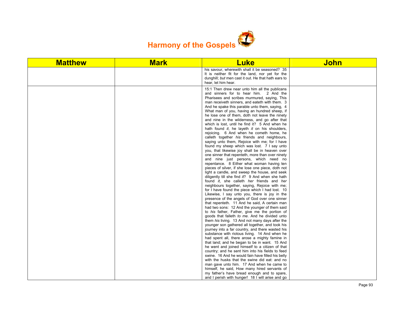

| <b>Matthew</b> | <b>Mark</b> | <b>Luke</b>                                                                                                                                                                                                                                                                                                                                                                                                                                                                                                                                                                                                                                                                                                                                                                                                                                                                                                                                                                                                                                                                                                                                                                                                                                                                                                                                                                                                                                                                                                                                                                                                                                                                                                                                                                                                                                                                 | <b>John</b> |
|----------------|-------------|-----------------------------------------------------------------------------------------------------------------------------------------------------------------------------------------------------------------------------------------------------------------------------------------------------------------------------------------------------------------------------------------------------------------------------------------------------------------------------------------------------------------------------------------------------------------------------------------------------------------------------------------------------------------------------------------------------------------------------------------------------------------------------------------------------------------------------------------------------------------------------------------------------------------------------------------------------------------------------------------------------------------------------------------------------------------------------------------------------------------------------------------------------------------------------------------------------------------------------------------------------------------------------------------------------------------------------------------------------------------------------------------------------------------------------------------------------------------------------------------------------------------------------------------------------------------------------------------------------------------------------------------------------------------------------------------------------------------------------------------------------------------------------------------------------------------------------------------------------------------------------|-------------|
|                |             | his savour, wherewith shall it be seasoned? 35<br>It is neither fit for the land, nor yet for the<br>dunghill; but men cast it out. He that hath ears to<br>hear, let him hear.                                                                                                                                                                                                                                                                                                                                                                                                                                                                                                                                                                                                                                                                                                                                                                                                                                                                                                                                                                                                                                                                                                                                                                                                                                                                                                                                                                                                                                                                                                                                                                                                                                                                                             |             |
|                |             | 15:1 Then drew near unto him all the publicans<br>and sinners for to hear him. 2 And the<br>Pharisees and scribes murmured, saying, This<br>man receiveth sinners, and eateth with them. 3<br>And he spake this parable unto them, saying, 4<br>What man of you, having an hundred sheep, if<br>he lose one of them, doth not leave the ninety<br>and nine in the wilderness, and go after that<br>which is lost, until he find it? 5 And when he<br>hath found it, he layeth it on his shoulders,<br>rejoicing. 6 And when he cometh home, he<br>calleth together his friends and neighbours,<br>saying unto them. Rejoice with me; for I have<br>found my sheep which was lost. 7 I say unto<br>you, that likewise joy shall be in heaven over<br>one sinner that repenteth, more than over ninety<br>and nine just persons, which need no<br>repentance. 8 Either what woman having ten<br>pieces of silver, if she lose one piece, doth not<br>light a candle, and sweep the house, and seek<br>diligently till she find it? 9 And when she hath<br>found it, she calleth her friends and her<br>neighbours together, saying, Rejoice with me;<br>for I have found the piece which I had lost. 10<br>Likewise, I say unto you, there is joy in the<br>presence of the angels of God over one sinner<br>that repenteth. 11 And he said, A certain man<br>had two sons: 12 And the younger of them said<br>to his father, Father, give me the portion of<br>goods that falleth to me. And he divided unto<br>them his living. 13 And not many days after the<br>younger son gathered all together, and took his<br>journey into a far country, and there wasted his<br>substance with riotous living. 14 And when he<br>had spent all, there arose a mighty famine in<br>that land; and he began to be in want. 15 And<br>he went and joined himself to a citizen of that |             |
|                |             | country; and he sent him into his fields to feed<br>swine. 16 And he would fain have filled his belly                                                                                                                                                                                                                                                                                                                                                                                                                                                                                                                                                                                                                                                                                                                                                                                                                                                                                                                                                                                                                                                                                                                                                                                                                                                                                                                                                                                                                                                                                                                                                                                                                                                                                                                                                                       |             |
|                |             | with the husks that the swine did eat: and no<br>man gave unto him. 17 And when he came to<br>himself, he said, How many hired servants of                                                                                                                                                                                                                                                                                                                                                                                                                                                                                                                                                                                                                                                                                                                                                                                                                                                                                                                                                                                                                                                                                                                                                                                                                                                                                                                                                                                                                                                                                                                                                                                                                                                                                                                                  |             |
|                |             | my father's have bread enough and to spare,<br>and I perish with hunger! 18 I will arise and go                                                                                                                                                                                                                                                                                                                                                                                                                                                                                                                                                                                                                                                                                                                                                                                                                                                                                                                                                                                                                                                                                                                                                                                                                                                                                                                                                                                                                                                                                                                                                                                                                                                                                                                                                                             |             |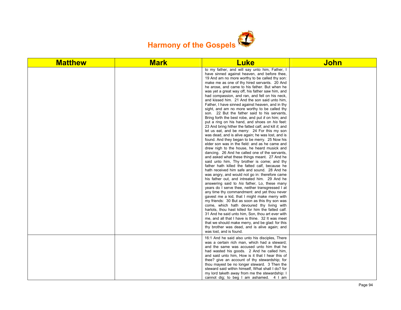

| <b>Matthew</b> | <b>Mark</b> | <b>Luke</b>                                                                                                                                                                                                                                                                                                                                                                                                                                                                                                                                                                                                                                                                                                                                                                                                                                                                                                                                                                                                                                                                                                                                                                                                                                                                                                                                                                                                                                  | <b>John</b> |
|----------------|-------------|----------------------------------------------------------------------------------------------------------------------------------------------------------------------------------------------------------------------------------------------------------------------------------------------------------------------------------------------------------------------------------------------------------------------------------------------------------------------------------------------------------------------------------------------------------------------------------------------------------------------------------------------------------------------------------------------------------------------------------------------------------------------------------------------------------------------------------------------------------------------------------------------------------------------------------------------------------------------------------------------------------------------------------------------------------------------------------------------------------------------------------------------------------------------------------------------------------------------------------------------------------------------------------------------------------------------------------------------------------------------------------------------------------------------------------------------|-------------|
|                |             | to my father, and will say unto him, Father, I<br>have sinned against heaven, and before thee,<br>19 And am no more worthy to be called thy son:<br>make me as one of thy hired servants. 20 And<br>he arose, and came to his father. But when he<br>was yet a great way off, his father saw him, and<br>had compassion, and ran, and fell on his neck,<br>and kissed him. 21 And the son said unto him,<br>Father, I have sinned against heaven, and in thy<br>sight, and am no more worthy to be called thy<br>son. 22 But the father said to his servants,<br>Bring forth the best robe, and put it on him; and<br>put a ring on his hand, and shoes on his feet:<br>23 And bring hither the fatted calf, and kill it; and<br>let us eat, and be merry: 24 For this my son<br>was dead, and is alive again; he was lost, and is<br>found. And they began to be merry. 25 Now his<br>elder son was in the field: and as he came and<br>drew nigh to the house, he heard musick and<br>dancing. 26 And he called one of the servants,<br>and asked what these things meant. 27 And he<br>said unto him, Thy brother is come; and thy<br>father hath killed the fatted calf, because he<br>hath received him safe and sound. 28 And he<br>was angry, and would not go in: therefore came<br>his father out, and intreated him. 29 And he<br>answering said to his father, Lo, these many<br>years do I serve thee, neither transgressed I at |             |
|                |             | any time thy commandment: and yet thou never<br>gavest me a kid, that I might make merry with<br>my friends: 30 But as soon as this thy son was<br>come, which hath devoured thy living with<br>harlots, thou hast killed for him the fatted calf.<br>31 And he said unto him, Son, thou art ever with<br>me, and all that I have is thine. 32 It was meet<br>that we should make merry, and be glad: for this<br>thy brother was dead, and is alive again; and<br>was lost, and is found.                                                                                                                                                                                                                                                                                                                                                                                                                                                                                                                                                                                                                                                                                                                                                                                                                                                                                                                                                   |             |
|                |             | 16:1 And he said also unto his disciples, There<br>was a certain rich man, which had a steward;<br>and the same was accused unto him that he<br>had wasted his goods. 2 And he called him,<br>and said unto him, How is it that I hear this of<br>thee? give an account of thy stewardship; for<br>thou mayest be no longer steward. 3 Then the<br>steward said within himself, What shall I do? for<br>my lord taketh away from me the stewardship: I<br>cannot dig; to beg I am ashamed. 4 I am                                                                                                                                                                                                                                                                                                                                                                                                                                                                                                                                                                                                                                                                                                                                                                                                                                                                                                                                            |             |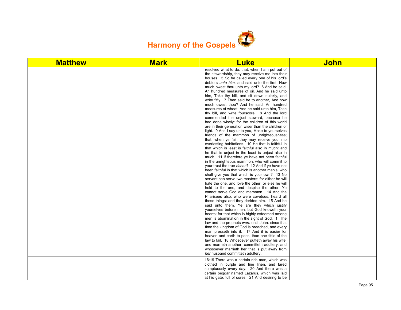

| <b>Matthew</b> | <b>Mark</b> | <b>Luke</b>                                                                                                                                                                                                                                                                                                                                                                                                                                                                                                                                                                                                                                                                                                                                                                                                                                                                                                                                                                                                                                                                                                                                                                                                                                                                                                                                                                                                                                                                                                                                                                                                                                                                                                                                                                                                                                                                                                                                                                                                                                                                                                                                                                                                  | <b>John</b> |
|----------------|-------------|--------------------------------------------------------------------------------------------------------------------------------------------------------------------------------------------------------------------------------------------------------------------------------------------------------------------------------------------------------------------------------------------------------------------------------------------------------------------------------------------------------------------------------------------------------------------------------------------------------------------------------------------------------------------------------------------------------------------------------------------------------------------------------------------------------------------------------------------------------------------------------------------------------------------------------------------------------------------------------------------------------------------------------------------------------------------------------------------------------------------------------------------------------------------------------------------------------------------------------------------------------------------------------------------------------------------------------------------------------------------------------------------------------------------------------------------------------------------------------------------------------------------------------------------------------------------------------------------------------------------------------------------------------------------------------------------------------------------------------------------------------------------------------------------------------------------------------------------------------------------------------------------------------------------------------------------------------------------------------------------------------------------------------------------------------------------------------------------------------------------------------------------------------------------------------------------------------------|-------------|
|                |             | resolved what to do, that, when I am put out of<br>the stewardship, they may receive me into their<br>houses. 5 So he called every one of his lord's<br>debtors <i>unto him</i> , and said unto the first, How<br>much owest thou unto my lord? 6 And he said,<br>An hundred measures of oil. And he said unto<br>him, Take thy bill, and sit down quickly, and<br>write fifty. 7 Then said he to another, And how<br>much owest thou? And he said, An hundred<br>measures of wheat. And he said unto him, Take<br>thy bill, and write fourscore. 8 And the lord<br>commended the unjust steward, because he<br>had done wisely: for the children of this world<br>are in their generation wiser than the children of<br>light. 9 And I say unto you, Make to yourselves<br>friends of the mammon of unrighteousness;<br>that, when ye fail, they may receive you into<br>everlasting habitations. 10 He that is faithful in<br>that which is least is faithful also in much: and<br>he that is unjust in the least is unjust also in<br>much. 11 If therefore ye have not been faithful<br>in the unrighteous mammon, who will commit to<br>your trust the true riches? 12 And if ye have not<br>been faithful in that which is another man's, who<br>shall give you that which is your own? 13 No<br>servant can serve two masters: for either he will<br>hate the one, and love the other; or else he will<br>hold to the one, and despise the other. Ye<br>cannot serve God and mammon. 14 And the<br>Pharisees also, who were covetous, heard all<br>these things: and they derided him. 15 And he<br>said unto them, Ye are they which justify<br>yourselves before men; but God knoweth your<br>hearts: for that which is highly esteemed among<br>men is abomination in the sight of God. 1 The<br>law and the prophets were until John: since that<br>time the kingdom of God is preached, and every<br>man presseth into it. 17 And it is easier for<br>heaven and earth to pass, than one tittle of the<br>law to fail. 18 Whosoever putteth away his wife,<br>and marrieth another, committeth adultery: and<br>whosoever marrieth her that is put away from<br>her husband committeth adultery. |             |
|                |             | 16:19 There was a certain rich man, which was<br>clothed in purple and fine linen, and fared<br>sumptuously every day: 20 And there was a<br>certain beggar named Lazarus, which was laid<br>at his gate, full of sores, 21 And desiring to be                                                                                                                                                                                                                                                                                                                                                                                                                                                                                                                                                                                                                                                                                                                                                                                                                                                                                                                                                                                                                                                                                                                                                                                                                                                                                                                                                                                                                                                                                                                                                                                                                                                                                                                                                                                                                                                                                                                                                               |             |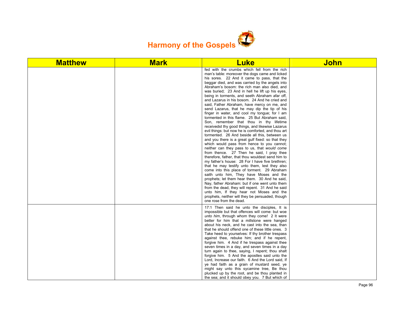

| <b>Matthew</b> | <b>Mark</b> | <b>Luke</b>                                                                                                                                                                                                                                                                                                                                                                                                                                                                                                                                                                                                                                                                                                                                                                                                                                                                                                                                                                                                                                                                                                                                                                                                                                                                                                                                                                                                                                                                                                                                       | <b>John</b> |
|----------------|-------------|---------------------------------------------------------------------------------------------------------------------------------------------------------------------------------------------------------------------------------------------------------------------------------------------------------------------------------------------------------------------------------------------------------------------------------------------------------------------------------------------------------------------------------------------------------------------------------------------------------------------------------------------------------------------------------------------------------------------------------------------------------------------------------------------------------------------------------------------------------------------------------------------------------------------------------------------------------------------------------------------------------------------------------------------------------------------------------------------------------------------------------------------------------------------------------------------------------------------------------------------------------------------------------------------------------------------------------------------------------------------------------------------------------------------------------------------------------------------------------------------------------------------------------------------------|-------------|
|                |             | fed with the crumbs which fell from the rich<br>man's table: moreover the dogs came and licked<br>his sores. 22 And it came to pass, that the<br>beggar died, and was carried by the angels into<br>Abraham's bosom: the rich man also died, and<br>was buried; 23 And in hell he lift up his eyes,<br>being in torments, and seeth Abraham afar off,<br>and Lazarus in his bosom. 24 And he cried and<br>said, Father Abraham, have mercy on me, and<br>send Lazarus, that he may dip the tip of his<br>finger in water, and cool my tongue; for I am<br>tormented in this flame. 25 But Abraham said,<br>Son, remember that thou in thy lifetime<br>receivedst thy good things, and likewise Lazarus<br>evil things: but now he is comforted, and thou art<br>tormented. 26 And beside all this, between us<br>and you there is a great gulf fixed: so that they<br>which would pass from hence to you cannot;<br>neither can they pass to us, that would come<br>from thence. 27 Then he said, I pray thee<br>therefore, father, that thou wouldest send him to<br>my father's house: 28 For I have five brethren;<br>that he may testify unto them, lest they also<br>come into this place of torment. 29 Abraham<br>saith unto him, They have Moses and the<br>prophets; let them hear them. 30 And he said,<br>Nay, father Abraham: but if one went unto them<br>from the dead, they will repent. 31 And he said<br>unto him, If they hear not Moses and the<br>prophets, neither will they be persuaded, though<br>one rose from the dead. |             |
|                |             | 17:1 Then said he unto the disciples, It is<br>impossible but that offences will come: but woe<br>unto him, through whom they come! 2 It were<br>better for him that a millstone were hanged<br>about his neck, and he cast into the sea, than<br>that he should offend one of these little ones. 3<br>Take heed to yourselves: If thy brother trespass<br>against thee, rebuke him; and if he repent,<br>forgive him. 4 And if he trespass against thee<br>seven times in a day, and seven times in a day<br>turn again to thee, saying, I repent; thou shalt<br>forgive him. 5 And the apostles said unto the<br>Lord, Increase our faith. 6 And the Lord said, If<br>ye had faith as a grain of mustard seed, ye<br>might say unto this sycamine tree, Be thou<br>plucked up by the root, and be thou planted in<br>the sea; and it should obey you. 7 But which of                                                                                                                                                                                                                                                                                                                                                                                                                                                                                                                                                                                                                                                                            |             |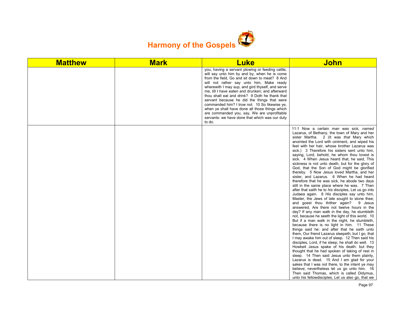

| <b>Matthew</b> | <b>Mark</b> | <b>Luke</b>                                                                                                                                                                                                                                                                                                                                                                                                                                                                                                                                                                                                           | <b>John</b>                                                                                                                                                                                                                                                                                                                                                                                                                                                                                                                                                                                                                                                                                                                                                                                                                                                                                                                                                                                                                                                                                                                                                                                                                                                                                                                                                                                                                                                                                                                                                                                                                                                                                                                                                    |
|----------------|-------------|-----------------------------------------------------------------------------------------------------------------------------------------------------------------------------------------------------------------------------------------------------------------------------------------------------------------------------------------------------------------------------------------------------------------------------------------------------------------------------------------------------------------------------------------------------------------------------------------------------------------------|----------------------------------------------------------------------------------------------------------------------------------------------------------------------------------------------------------------------------------------------------------------------------------------------------------------------------------------------------------------------------------------------------------------------------------------------------------------------------------------------------------------------------------------------------------------------------------------------------------------------------------------------------------------------------------------------------------------------------------------------------------------------------------------------------------------------------------------------------------------------------------------------------------------------------------------------------------------------------------------------------------------------------------------------------------------------------------------------------------------------------------------------------------------------------------------------------------------------------------------------------------------------------------------------------------------------------------------------------------------------------------------------------------------------------------------------------------------------------------------------------------------------------------------------------------------------------------------------------------------------------------------------------------------------------------------------------------------------------------------------------------------|
|                |             | you, having a servant plowing or feeding cattle,<br>will say unto him by and by, when he is come<br>from the field, Go and sit down to meat? 8 And<br>will not rather say unto him, Make ready<br>wherewith I may sup, and gird thyself, and serve<br>me, till I have eaten and drunken; and afterward<br>thou shalt eat and drink? 9 Doth he thank that<br>servant because he did the things that were<br>commanded him? I trow not. 10 So likewise ye.<br>when ye shall have done all those things which<br>are commanded you, say, We are unprofitable<br>servants: we have done that which was our duty<br>to do. |                                                                                                                                                                                                                                                                                                                                                                                                                                                                                                                                                                                                                                                                                                                                                                                                                                                                                                                                                                                                                                                                                                                                                                                                                                                                                                                                                                                                                                                                                                                                                                                                                                                                                                                                                                |
|                |             |                                                                                                                                                                                                                                                                                                                                                                                                                                                                                                                                                                                                                       | 11:1 Now a certain man was sick, named<br>Lazarus, of Bethany, the town of Mary and her<br>sister Martha. 2 (It was that Mary which<br>anointed the Lord with ointment, and wiped his<br>feet with her hair, whose brother Lazarus was<br>sick.) 3 Therefore his sisters sent unto him,<br>saying, Lord, behold, he whom thou lovest is<br>sick. 4 When Jesus heard that, he said, This<br>sickness is not unto death, but for the glory of<br>God, that the Son of God might be glorified<br>thereby. 5 Now Jesus loved Martha, and her<br>sister, and Lazarus. 6 When he had heard<br>therefore that he was sick, he abode two days<br>still in the same place where he was. 7 Then<br>after that saith he to his disciples, Let us go into<br>Judaea again. 8 His disciples say unto him,<br>Master, the Jews of late sought to stone thee;<br>and goest thou thither again? 9 Jesus<br>answered, Are there not twelve hours in the<br>day? If any man walk in the day, he stumbleth<br>not, because he seeth the light of this world. 10<br>But if a man walk in the night, he stumbleth,<br>because there is no light in him. 11 These<br>things said he: and after that he saith unto<br>them, Our friend Lazarus sleepeth; but I go, that<br>I may awake him out of sleep. 12 Then said his<br>disciples, Lord, if he sleep, he shall do well. 13<br>Howbeit Jesus spake of his death: but they<br>thought that he had spoken of taking of rest in<br>sleep. 14 Then said Jesus unto them plainly,<br>Lazarus is dead. 15 And I am glad for your<br>sakes that I was not there, to the intent ye may<br>believe; nevertheless let us go unto him. 16<br>Then said Thomas, which is called Didymus,<br>unto his fellowdisciples, Let us also go, that we |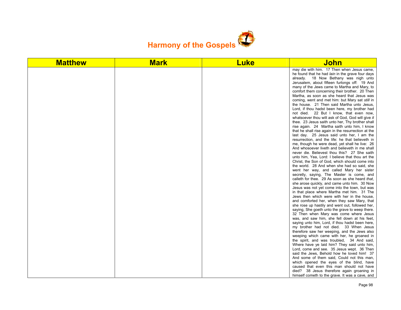

| <b>Matthew</b> | <b>Mark</b> | <b>Luke</b> | <u>John</u>                                                                                                                                                                                                                                                                                                                                                                                                                                                                                                                                                                                                                                                                                                                                                                                                                                                                                                                                                                                                                                                                                                                                                                                                                                                                                                                                                                                                                                                                                                                                                                                                                                                                                                                                                                                                                                                                                                                                                                                                                                                                                                                                                                                                                                                                                  |
|----------------|-------------|-------------|----------------------------------------------------------------------------------------------------------------------------------------------------------------------------------------------------------------------------------------------------------------------------------------------------------------------------------------------------------------------------------------------------------------------------------------------------------------------------------------------------------------------------------------------------------------------------------------------------------------------------------------------------------------------------------------------------------------------------------------------------------------------------------------------------------------------------------------------------------------------------------------------------------------------------------------------------------------------------------------------------------------------------------------------------------------------------------------------------------------------------------------------------------------------------------------------------------------------------------------------------------------------------------------------------------------------------------------------------------------------------------------------------------------------------------------------------------------------------------------------------------------------------------------------------------------------------------------------------------------------------------------------------------------------------------------------------------------------------------------------------------------------------------------------------------------------------------------------------------------------------------------------------------------------------------------------------------------------------------------------------------------------------------------------------------------------------------------------------------------------------------------------------------------------------------------------------------------------------------------------------------------------------------------------|
|                |             |             | may die with him. 17 Then when Jesus came,<br>he found that he had lain in the grave four days<br>already. 18 Now Bethany was nigh unto<br>Jerusalem, about fifteen furlongs off: 19 And<br>many of the Jews came to Martha and Mary, to<br>comfort them concerning their brother. 20 Then<br>Martha, as soon as she heard that Jesus was<br>coming, went and met him: but Mary sat <i>still</i> in<br>the house. 21 Then said Martha unto Jesus,<br>Lord, if thou hadst been here, my brother had<br>not died. 22 But I know, that even now,<br>whatsoever thou wilt ask of God, God will give it<br>thee. 23 Jesus saith unto her, Thy brother shall<br>rise again. 24 Martha saith unto him, I know<br>that he shall rise again in the resurrection at the<br>last day. 25 Jesus said unto her, I am the<br>resurrection, and the life: he that believeth in<br>me, though he were dead, yet shall he live: 26<br>And whosoever liveth and believeth in me shall<br>never die. Believest thou this? 27 She saith<br>unto him, Yea, Lord: I believe that thou art the<br>Christ, the Son of God, which should come into<br>the world. 28 And when she had so said, she<br>went her way, and called Mary her sister<br>secretly, saying, The Master is come, and<br>calleth for thee. 29 As soon as she heard that,<br>she arose quickly, and came unto him. 30 Now<br>Jesus was not yet come into the town, but was<br>in that place where Martha met him. 31 The<br>Jews then which were with her in the house,<br>and comforted her, when they saw Mary, that<br>she rose up hastily and went out, followed her,<br>saying, She goeth unto the grave to weep there.<br>32 Then when Mary was come where Jesus<br>was, and saw him, she fell down at his feet,<br>saying unto him, Lord, if thou hadst been here,<br>my brother had not died. 33 When Jesus<br>therefore saw her weeping, and the Jews also<br>weeping which came with her, he groaned in<br>the spirit, and was troubled, 34 And said,<br>Where have ye laid him? They said unto him,<br>Lord, come and see. 35 Jesus wept. 36 Then<br>said the Jews, Behold how he loved him! 37<br>And some of them said, Could not this man,<br>which opened the eyes of the blind, have<br>caused that even this man should not have |
|                |             |             | died? 38 Jesus therefore again groaning in<br>himself cometh to the grave. It was a cave, and                                                                                                                                                                                                                                                                                                                                                                                                                                                                                                                                                                                                                                                                                                                                                                                                                                                                                                                                                                                                                                                                                                                                                                                                                                                                                                                                                                                                                                                                                                                                                                                                                                                                                                                                                                                                                                                                                                                                                                                                                                                                                                                                                                                                |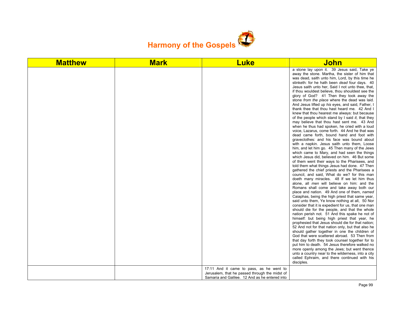

| <b>Matthew</b> | <b>Mark</b> | <b>Luke</b>                                                                                      | <b>John</b>                                                                                                                                                                                                                                                                                                                                                                                                                                                                                                                                                                                                                                                                                                                                                                                                                                                                                                                                                                                                                                                                                                                                                                                                                                                                                                                                                                                                                                                                                                                                                                                                                                                                                                                                                                                                                                                                                                                                                                                                                                                                                                                                                                                                                                                 |
|----------------|-------------|--------------------------------------------------------------------------------------------------|-------------------------------------------------------------------------------------------------------------------------------------------------------------------------------------------------------------------------------------------------------------------------------------------------------------------------------------------------------------------------------------------------------------------------------------------------------------------------------------------------------------------------------------------------------------------------------------------------------------------------------------------------------------------------------------------------------------------------------------------------------------------------------------------------------------------------------------------------------------------------------------------------------------------------------------------------------------------------------------------------------------------------------------------------------------------------------------------------------------------------------------------------------------------------------------------------------------------------------------------------------------------------------------------------------------------------------------------------------------------------------------------------------------------------------------------------------------------------------------------------------------------------------------------------------------------------------------------------------------------------------------------------------------------------------------------------------------------------------------------------------------------------------------------------------------------------------------------------------------------------------------------------------------------------------------------------------------------------------------------------------------------------------------------------------------------------------------------------------------------------------------------------------------------------------------------------------------------------------------------------------------|
|                |             | 17:11 And it came to pass, as he went to                                                         | a stone lay upon it. 39 Jesus said, Take ye<br>away the stone. Martha, the sister of him that<br>was dead, saith unto him, Lord, by this time he<br>stinketh: for he hath been dead four days. 40<br>Jesus saith unto her, Said I not unto thee, that,<br>if thou wouldest believe, thou shouldest see the<br>glory of God? 41 Then they took away the<br>stone from the place where the dead was laid.<br>And Jesus lifted up his eyes, and said, Father, I<br>thank thee that thou hast heard me. 42 And I<br>knew that thou hearest me always: but because<br>of the people which stand by I said it, that they<br>may believe that thou hast sent me. 43 And<br>when he thus had spoken, he cried with a loud<br>voice, Lazarus, come forth. 44 And he that was<br>dead came forth, bound hand and foot with<br>graveclothes: and his face was bound about<br>with a napkin. Jesus saith unto them, Loose<br>him, and let him go. 45 Then many of the Jews<br>which came to Mary, and had seen the things<br>which Jesus did, believed on him. 46 But some<br>of them went their ways to the Pharisees, and<br>told them what things Jesus had done. 47 Then<br>gathered the chief priests and the Pharisees a<br>council, and said, What do we? for this man<br>doeth many miracles. 48 If we let him thus<br>alone, all men will believe on him: and the<br>Romans shall come and take away both our<br>place and nation. 49 And one of them, named<br>Caiaphas, being the high priest that same year,<br>said unto them, Ye know nothing at all, 50 Nor<br>consider that it is expedient for us, that one man<br>should die for the people, and that the whole<br>nation perish not. 51 And this spake he not of<br>himself: but being high priest that year, he<br>prophesied that Jesus should die for that nation;<br>52 And not for that nation only, but that also he<br>should gather together in one the children of<br>God that were scattered abroad. 53 Then from<br>that day forth they took counsel together for to<br>put him to death. 54 Jesus therefore walked no<br>more openly among the Jews; but went thence<br>unto a country near to the wilderness, into a city<br>called Ephraim, and there continued with his<br>disciples. |
|                |             | Jerusalem, that he passed through the midst of<br>Samaria and Galilee. 12 And as he entered into |                                                                                                                                                                                                                                                                                                                                                                                                                                                                                                                                                                                                                                                                                                                                                                                                                                                                                                                                                                                                                                                                                                                                                                                                                                                                                                                                                                                                                                                                                                                                                                                                                                                                                                                                                                                                                                                                                                                                                                                                                                                                                                                                                                                                                                                             |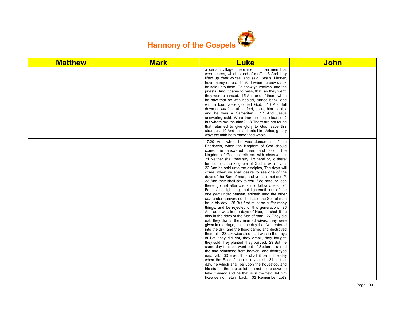

| <b>Matthew</b> | <b>Mark</b> | <b>Luke</b>                                                                                                                                                                                                                                                                                                                                                                                                                                                                                                                                                                                                                                                                                                                                                                                                                                                                                                                                                                                                                                                                                                                                                                                                                                                                                                                                                                                                                                                                                                                                                                                                                                       | <b>John</b> |
|----------------|-------------|---------------------------------------------------------------------------------------------------------------------------------------------------------------------------------------------------------------------------------------------------------------------------------------------------------------------------------------------------------------------------------------------------------------------------------------------------------------------------------------------------------------------------------------------------------------------------------------------------------------------------------------------------------------------------------------------------------------------------------------------------------------------------------------------------------------------------------------------------------------------------------------------------------------------------------------------------------------------------------------------------------------------------------------------------------------------------------------------------------------------------------------------------------------------------------------------------------------------------------------------------------------------------------------------------------------------------------------------------------------------------------------------------------------------------------------------------------------------------------------------------------------------------------------------------------------------------------------------------------------------------------------------------|-------------|
|                |             | a certain village, there met him ten men that<br>were lepers, which stood afar off: 13 And they<br>lifted up their voices, and said, Jesus, Master,<br>have mercy on us. 14 And when he saw them,<br>he said unto them, Go shew yourselves unto the<br>priests. And it came to pass, that, as they went,<br>they were cleansed. 15 And one of them, when<br>he saw that he was healed, turned back, and<br>with a loud voice glorified God, 16 And fell<br>down on his face at his feet, giving him thanks:<br>and he was a Samaritan. 17 And Jesus<br>answering said, Were there not ten cleansed?<br>but where are the nine? 18 There are not found<br>that returned to give glory to God, save this<br>stranger. 19 And he said unto him, Arise, go thy<br>way: thy faith hath made thee whole.                                                                                                                                                                                                                                                                                                                                                                                                                                                                                                                                                                                                                                                                                                                                                                                                                                                |             |
|                |             | 17:20 And when he was demanded of the<br>Pharisees, when the kingdom of God should<br>come, he answered them and said, The<br>kingdom of God cometh not with observation:<br>21 Neither shall they say, Lo here! or, lo there!<br>for, behold, the kingdom of God is within you.<br>22 And he said unto the disciples, The days will<br>come, when ye shall desire to see one of the<br>days of the Son of man, and ye shall not see it.<br>23 And they shall say to you, See here; or, see<br>there: go not after them, nor follow them. 24<br>For as the lightning, that lighteneth out of the<br>one part under heaven, shineth unto the other<br>part under heaven; so shall also the Son of man<br>be in his day. 25 But first must he suffer many<br>things, and be rejected of this generation. 26<br>And as it was in the days of Noe, so shall it be<br>also in the days of the Son of man. 27 They did<br>eat, they drank, they married wives, they were<br>given in marriage, until the day that Noe entered<br>into the ark, and the flood came, and destroyed<br>them all. 28 Likewise also as it was in the days<br>of Lot; they did eat, they drank, they bought,<br>they sold, they planted, they builded; 29 But the<br>same day that Lot went out of Sodom it rained<br>fire and brimstone from heaven, and destroyed<br>them all. 30 Even thus shall it be in the day<br>when the Son of man is revealed. 31 In that<br>day, he which shall be upon the housetop, and<br>his stuff in the house, let him not come down to<br>take it away: and he that is in the field, let him<br>likewise not return back. 32 Remember Lot's |             |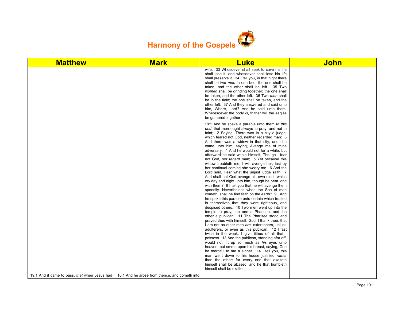

| <b>Matthew</b>                                | <b>Mark</b>                                    | <b>Luke</b>                                                                                                                                                                                                                                                                                                                                                                                                                                                                                                                                                                                                                                                                                                                                                                                                                                                                                                                                                                                                                                                                                                                                                                                                                                                                                                                                                                                                                                                                                                                                                                                                                                                                                                     | <b>John</b> |
|-----------------------------------------------|------------------------------------------------|-----------------------------------------------------------------------------------------------------------------------------------------------------------------------------------------------------------------------------------------------------------------------------------------------------------------------------------------------------------------------------------------------------------------------------------------------------------------------------------------------------------------------------------------------------------------------------------------------------------------------------------------------------------------------------------------------------------------------------------------------------------------------------------------------------------------------------------------------------------------------------------------------------------------------------------------------------------------------------------------------------------------------------------------------------------------------------------------------------------------------------------------------------------------------------------------------------------------------------------------------------------------------------------------------------------------------------------------------------------------------------------------------------------------------------------------------------------------------------------------------------------------------------------------------------------------------------------------------------------------------------------------------------------------------------------------------------------------|-------------|
|                                               |                                                | wife. 33 Whosoever shall seek to save his life<br>shall lose it; and whosoever shall lose his life<br>shall preserve it. 34 I tell you, in that night there<br>shall be two men in one bed; the one shall be<br>taken, and the other shall be left. 35 Two<br>women shall be grinding together; the one shall<br>be taken, and the other left. 36 Two men shall<br>be in the field: the one shall be taken, and the<br>other left. 37 And they answered and said unto<br>him, Where, Lord? And he said unto them,<br>Wheresoever the body is, thither will the eagles<br>be gathered together.                                                                                                                                                                                                                                                                                                                                                                                                                                                                                                                                                                                                                                                                                                                                                                                                                                                                                                                                                                                                                                                                                                                  |             |
|                                               |                                                | 18:1 And he spake a parable unto them to this<br>end, that men ought always to pray, and not to<br>faint; 2 Saying, There was in a city a judge,<br>which feared not God, neither regarded man: 3<br>And there was a widow in that city; and she<br>came unto him, saying, Avenge me of mine<br>adversary. 4 And he would not for a while: but<br>afterward he said within himself, Though I fear<br>not God, nor regard man; 5 Yet because this<br>widow troubleth me, I will avenge her, lest by<br>her continual coming she weary me. 6 And the<br>Lord said, Hear what the unjust judge saith. 7<br>And shall not God avenge his own elect, which<br>cry day and night unto him, though he bear long<br>with them? 8 I tell you that he will avenge them<br>speedily. Nevertheless when the Son of man<br>cometh, shall he find faith on the earth? 9 And<br>he spake this parable unto certain which trusted<br>in themselves that they were righteous, and<br>despised others: 10 Two men went up into the<br>temple to pray; the one a Pharisee, and the<br>other a publican. 11 The Pharisee stood and<br>prayed thus with himself, God, I thank thee, that<br>I am not as other men are, extortioners, unjust,<br>adulterers, or even as this publican. 12 I fast<br>twice in the week, I give tithes of all that I<br>possess. 13 And the publican, standing afar off,<br>would not lift up so much as his eyes unto<br>heaven, but smote upon his breast, saying, God<br>be merciful to me a sinner. 14 I tell you, this<br>man went down to his house justified rather<br>than the other: for every one that exalteth<br>himself shall be abased; and he that humbleth<br>himself shall be exalted. |             |
| 19:1 And it came to pass, that when Jesus had | 10:1 And he arose from thence, and cometh into |                                                                                                                                                                                                                                                                                                                                                                                                                                                                                                                                                                                                                                                                                                                                                                                                                                                                                                                                                                                                                                                                                                                                                                                                                                                                                                                                                                                                                                                                                                                                                                                                                                                                                                                 |             |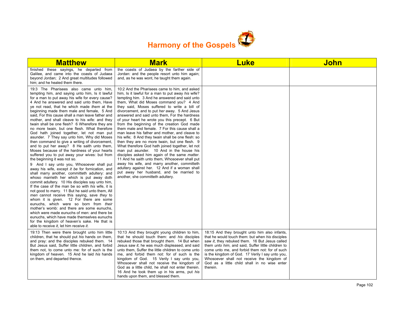

| <b>Matthew</b>                                                                                                                                                                                                                                                                                                                                                                                                                                                                                                                                                                                                                                                                                                                                                                                                                                                                                                                                                                                                                                                                                                                                                                                                                                                                                                                                                                                                                                                                                                                                                        | <b>Mark</b>                                                                                                                                                                                                                                                                                                                                                                                                                                                                                                                                                                                                                                                                                                                                                                                                                                                                                                                                                                                                                                     | <b>Luke</b>                                                                                                                                                                                                                                                                                                                                                                                                                       | <b>John</b> |
|-----------------------------------------------------------------------------------------------------------------------------------------------------------------------------------------------------------------------------------------------------------------------------------------------------------------------------------------------------------------------------------------------------------------------------------------------------------------------------------------------------------------------------------------------------------------------------------------------------------------------------------------------------------------------------------------------------------------------------------------------------------------------------------------------------------------------------------------------------------------------------------------------------------------------------------------------------------------------------------------------------------------------------------------------------------------------------------------------------------------------------------------------------------------------------------------------------------------------------------------------------------------------------------------------------------------------------------------------------------------------------------------------------------------------------------------------------------------------------------------------------------------------------------------------------------------------|-------------------------------------------------------------------------------------------------------------------------------------------------------------------------------------------------------------------------------------------------------------------------------------------------------------------------------------------------------------------------------------------------------------------------------------------------------------------------------------------------------------------------------------------------------------------------------------------------------------------------------------------------------------------------------------------------------------------------------------------------------------------------------------------------------------------------------------------------------------------------------------------------------------------------------------------------------------------------------------------------------------------------------------------------|-----------------------------------------------------------------------------------------------------------------------------------------------------------------------------------------------------------------------------------------------------------------------------------------------------------------------------------------------------------------------------------------------------------------------------------|-------------|
| finished these sayings, he departed from<br>Galilee, and came into the coasts of Judaea<br>beyond Jordan; 2 And great multitudes followed<br>him; and he healed them there.                                                                                                                                                                                                                                                                                                                                                                                                                                                                                                                                                                                                                                                                                                                                                                                                                                                                                                                                                                                                                                                                                                                                                                                                                                                                                                                                                                                           | the coasts of Judaea by the farther side of<br>Jordan: and the people resort unto him again;<br>and, as he was wont, he taught them again.                                                                                                                                                                                                                                                                                                                                                                                                                                                                                                                                                                                                                                                                                                                                                                                                                                                                                                      |                                                                                                                                                                                                                                                                                                                                                                                                                                   |             |
| 19:3 The Pharisees also came unto him,<br>tempting him, and saying unto him, Is it lawful<br>for a man to put away his wife for every cause?<br>4 And he answered and said unto them, Have<br>ye not read, that he which made them at the<br>beginning made them male and female, 5 And<br>said. For this cause shall a man leave father and<br>mother, and shall cleave to his wife: and they<br>twain shall be one flesh? 6 Wherefore they are<br>no more twain, but one flesh. What therefore<br>God hath joined together, let not man put<br>asunder. 7 They say unto him, Why did Moses<br>then command to give a writing of divorcement,<br>and to put her away? 8 He saith unto them,<br>Moses because of the hardness of your hearts<br>suffered you to put away your wives: but from<br>the beginning it was not so.<br>9 And I say unto you, Whosoever shall put<br>away his wife, except it be for fornication, and<br>shall marry another, committeth adultery: and<br>whoso marrieth her which is put away doth<br>commit adultery. 10 His disciples say unto him,<br>If the case of the man be so with his wife, it is<br>not good to marry. 11 But he said unto them, All<br>men cannot receive this saying, save they to<br>whom it is given. 12 For there are some<br>eunuchs, which were so born from their<br>mother's womb: and there are some eunuchs.<br>which were made eunuchs of men: and there be<br>eunuchs, which have made themselves eunuchs<br>for the kingdom of heaven's sake. He that is<br>able to receive it, let him receive it. | 10:2 And the Pharisees came to him, and asked<br>him, Is it lawful for a man to put away his wife?<br>tempting him. 3 And he answered and said unto<br>them, What did Moses command you? 4 And<br>they said. Moses suffered to write a bill of<br>divorcement, and to put her away. 5 And Jesus<br>answered and said unto them. For the hardness<br>of your heart he wrote you this precept. 6 But<br>from the beginning of the creation God made<br>them male and female. 7 For this cause shall a<br>man leave his father and mother, and cleave to<br>his wife: 8 And they twain shall be one flesh: so<br>then they are no more twain, but one flesh. 9<br>What therefore God hath joined together, let not<br>man put asunder. 10 And in the house his<br>disciples asked him again of the same matter.<br>11 And he saith unto them, Whosoever shall put<br>away his wife, and marry another, committeth<br>adultery against her. 12 And if a woman shall<br>put away her husband, and be married to<br>another, she committeth adultery. |                                                                                                                                                                                                                                                                                                                                                                                                                                   |             |
| 19:13 Then were there brought unto him little<br>children, that he should put his hands on them,<br>and pray: and the disciples rebuked them. 14<br>But Jesus said, Suffer little children, and forbid<br>them not, to come unto me: for of such is the<br>kingdom of heaven. 15 And he laid his hands<br>on them, and departed thence.                                                                                                                                                                                                                                                                                                                                                                                                                                                                                                                                                                                                                                                                                                                                                                                                                                                                                                                                                                                                                                                                                                                                                                                                                               | 10:13 And they brought young children to him,<br>that he should touch them: and his disciples<br>rebuked those that brought them. 14 But when<br>Jesus saw it, he was much displeased, and said<br>unto them. Suffer the little children to come unto<br>me, and forbid them not: for of such is the<br>kingdom of God. 15 Verily I say unto you,<br>Whosoever shall not receive the kingdom of<br>God as a little child, he shall not enter therein.<br>16 And he took them up in his arms, put his<br>hands upon them, and blessed them.                                                                                                                                                                                                                                                                                                                                                                                                                                                                                                      | 18:15 And they brought unto him also infants,<br>that he would touch them: but when his disciples<br>saw it, they rebuked them. 16 But Jesus called<br>them <i>unto him</i> , and said, Suffer little children to<br>come unto me, and forbid them not: for of such<br>is the kingdom of God. 17 Verily I say unto you,<br>Whosoever shall not receive the kingdom of<br>God as a little child shall in no wise enter<br>therein. |             |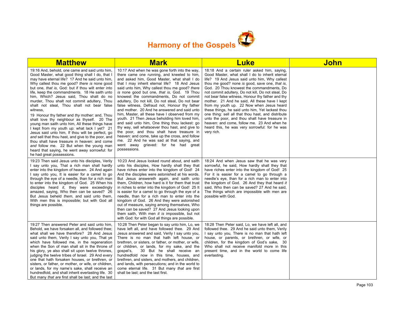

| <b>Matthew</b>                                                                                                                                                                                                                                                                                                                                                                                                                                                                                                                                                                                                                                                                                                                                                                                                                                                                                                                                             | <b>Mark</b>                                                                                                                                                                                                                                                                                                                                                                                                                                                                                                                                                                                                                                                                                                                                                                                                                                                                                               | <b>Luke</b>                                                                                                                                                                                                                                                                                                                                                                                                                                                                                                                                                                                                                                                                                                                        | <b>John</b> |
|------------------------------------------------------------------------------------------------------------------------------------------------------------------------------------------------------------------------------------------------------------------------------------------------------------------------------------------------------------------------------------------------------------------------------------------------------------------------------------------------------------------------------------------------------------------------------------------------------------------------------------------------------------------------------------------------------------------------------------------------------------------------------------------------------------------------------------------------------------------------------------------------------------------------------------------------------------|-----------------------------------------------------------------------------------------------------------------------------------------------------------------------------------------------------------------------------------------------------------------------------------------------------------------------------------------------------------------------------------------------------------------------------------------------------------------------------------------------------------------------------------------------------------------------------------------------------------------------------------------------------------------------------------------------------------------------------------------------------------------------------------------------------------------------------------------------------------------------------------------------------------|------------------------------------------------------------------------------------------------------------------------------------------------------------------------------------------------------------------------------------------------------------------------------------------------------------------------------------------------------------------------------------------------------------------------------------------------------------------------------------------------------------------------------------------------------------------------------------------------------------------------------------------------------------------------------------------------------------------------------------|-------------|
| 19:16 And, behold, one came and said unto him,<br>Good Master, what good thing shall I do, that I<br>may have eternal life? 17 And he said unto him.<br>Why callest thou me good? there is none good<br>but one, that is, God: but if thou wilt enter into<br>life, keep the commandments. 18 He saith unto<br>him, Which? Jesus said, Thou shalt do no<br>murder, Thou shalt not commit adultery, Thou<br>shalt not steal, Thou shalt not bear false<br>witness,<br>19 Honour thy father and thy mother: and, Thou<br>shalt love thy neighbour as thyself. 20 The<br>young man saith unto him, All these things have<br>I kept from my youth up: what lack I yet? 21<br>Jesus said unto him, If thou wilt be perfect, go<br>and sell that thou hast, and give to the poor, and<br>thou shalt have treasure in heaven: and come<br>and follow me. 22 But when the young man<br>heard that saying, he went away sorrowful: for<br>he had great possessions. | 10:17 And when he was gone forth into the way,<br>there came one running, and kneeled to him,<br>and asked him, Good Master, what shall I do<br>that I may inherit eternal life? 18 And Jesus<br>said unto him, Why callest thou me good? there<br>is none good but one, that is, God. 19 Thou<br>knowest the commandments, Do not commit<br>adultery, Do not kill, Do not steal, Do not bear<br>false witness, Defraud not, Honour thy father<br>and mother. 20 And he answered and said unto<br>him, Master, all these have I observed from my<br>youth. 21 Then Jesus beholding him loved him,<br>and said unto him, One thing thou lackest: go<br>thy way, sell whatsoever thou hast, and give to<br>the poor, and thou shalt have treasure in<br>heaven: and come, take up the cross, and follow<br>me. 22 And he was sad at that saying, and<br>went away grieved: for he had great<br>possessions. | 18:18 And a certain ruler asked him, saying,<br>Good Master, what shall I do to inherit eternal<br>life? 19 And Jesus said unto him, Why callest<br>thou me good? none is good, save one, that is,<br>God. 20 Thou knowest the commandments, Do<br>not commit adultery, Do not kill, Do not steal, Do<br>not bear false witness, Honour thy father and thy<br>mother. 21 And he said, All these have I kept<br>from my youth up. 22 Now when Jesus heard<br>these things, he said unto him, Yet lackest thou<br>one thing: sell all that thou hast, and distribute<br>unto the poor, and thou shalt have treasure in<br>heaven: and come, follow me. 23 And when he<br>heard this, he was very sorrowful: for he was<br>very rich. |             |
| 19:23 Then said Jesus unto his disciples, Verily<br>I say unto you, That a rich man shall hardly<br>enter into the kingdom of heaven. 24 And again<br>I say unto you, It is easier for a camel to go<br>through the eye of a needle, than for a rich man<br>to enter into the kingdom of God. 25 When his<br>disciples heard it, they were exceedingly<br>amazed, saying, Who then can be saved? 26<br>But Jesus beheld them, and said unto them,<br>With men this is impossible; but with God all<br>things are possible.                                                                                                                                                                                                                                                                                                                                                                                                                                 | 10:23 And Jesus looked round about, and saith<br>unto his disciples, How hardly shall they that<br>have riches enter into the kingdom of God! 24<br>And the disciples were astonished at his words.<br>But Jesus answereth again, and saith unto<br>them, Children, how hard is it for them that trust<br>in riches to enter into the kingdom of God! 25 It<br>is easier for a camel to go through the eye of a<br>needle, than for a rich man to enter into the<br>kingdom of God. 26 And they were astonished<br>out of measure, saying among themselves, Who<br>then can be saved? 27 And Jesus looking upon<br>them saith, With men it is impossible, but not<br>with God: for with God all things are possible.                                                                                                                                                                                      | 18:24 And when Jesus saw that he was very<br>sorrowful, he said, How hardly shall they that<br>have riches enter into the kingdom of God! 25<br>For it is easier for a camel to go through a<br>needle's eye, than for a rich man to enter into<br>the kingdom of God. 26 And they that heard it<br>said. Who then can be saved? 27 And he said.<br>The things which are impossible with men are<br>possible with God.                                                                                                                                                                                                                                                                                                             |             |
| 19:27 Then answered Peter and said unto him.<br>Behold, we have forsaken all, and followed thee;<br>what shall we have therefore? 28 And Jesus<br>said unto them, Verily I say unto you, That ye<br>which have followed me, in the regeneration<br>when the Son of man shall sit in the throne of<br>his glory, ye also shall sit upon twelve thrones,<br>judging the twelve tribes of Israel. 29 And every<br>one that hath forsaken houses, or brethren, or<br>sisters, or father, or mother, or wife, or children,<br>or lands, for my name's sake, shall receive an<br>hundredfold, and shall inherit everlasting life. 30<br>But many that are first shall be last; and the last                                                                                                                                                                                                                                                                      | 10:28 Then Peter began to say unto him, Lo, we<br>have left all, and have followed thee. 29 And<br>Jesus answered and said, Verily I say unto you,<br>There is no man that hath left house, or<br>brethren, or sisters, or father, or mother, or wife,<br>or children, or lands, for my sake, and the<br>qospel's,<br>30 But he shall receive an<br>hundredfold now in this time, houses, and<br>brethren, and sisters, and mothers, and children,<br>and lands, with persecutions; and in the world to<br>come eternal life. 31 But many that are first<br>shall be last; and the last first.                                                                                                                                                                                                                                                                                                            | 18:28 Then Peter said, Lo, we have left all, and<br>followed thee. 29 And he said unto them, Verily<br>I say unto you, There is no man that hath left<br>house, or parents, or brethren, or wife, or<br>children, for the kingdom of God's sake, 30<br>Who shall not receive manifold more in this<br>present time, and in the world to come life<br>everlasting.                                                                                                                                                                                                                                                                                                                                                                  |             |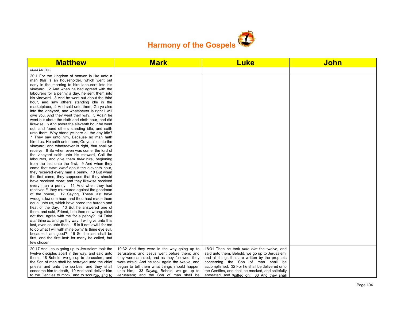

| <b>Matthew</b>                                                                                                                                                                                                                                                                                                                                                                                                                                                                                                                                                                                                                                                                                                                                                                                                                                                                                                                                                                                                                                                                                                                                                                                                                                                                                                                                                                                                                                                                                                                                                                                                                                                                                                                                                                                                                                                                                                                                           | <b>Mark</b>                                                                                                                                                                                                                                                                                                                      | <b>Luke</b>                                                                                                                                                                                                                                                                                                                                    | <b>John</b> |
|----------------------------------------------------------------------------------------------------------------------------------------------------------------------------------------------------------------------------------------------------------------------------------------------------------------------------------------------------------------------------------------------------------------------------------------------------------------------------------------------------------------------------------------------------------------------------------------------------------------------------------------------------------------------------------------------------------------------------------------------------------------------------------------------------------------------------------------------------------------------------------------------------------------------------------------------------------------------------------------------------------------------------------------------------------------------------------------------------------------------------------------------------------------------------------------------------------------------------------------------------------------------------------------------------------------------------------------------------------------------------------------------------------------------------------------------------------------------------------------------------------------------------------------------------------------------------------------------------------------------------------------------------------------------------------------------------------------------------------------------------------------------------------------------------------------------------------------------------------------------------------------------------------------------------------------------------------|----------------------------------------------------------------------------------------------------------------------------------------------------------------------------------------------------------------------------------------------------------------------------------------------------------------------------------|------------------------------------------------------------------------------------------------------------------------------------------------------------------------------------------------------------------------------------------------------------------------------------------------------------------------------------------------|-------------|
| shall be first.                                                                                                                                                                                                                                                                                                                                                                                                                                                                                                                                                                                                                                                                                                                                                                                                                                                                                                                                                                                                                                                                                                                                                                                                                                                                                                                                                                                                                                                                                                                                                                                                                                                                                                                                                                                                                                                                                                                                          |                                                                                                                                                                                                                                                                                                                                  |                                                                                                                                                                                                                                                                                                                                                |             |
| 20:1 For the kingdom of heaven is like unto a<br>man that is an householder, which went out<br>early in the morning to hire labourers into his<br>vineyard. 2 And when he had agreed with the<br>labourers for a penny a day, he sent them into<br>his vineyard. 3 And he went out about the third<br>hour, and saw others standing idle in the<br>marketplace, 4 And said unto them; Go ye also<br>into the vineyard, and whatsoever is right I will<br>give you. And they went their way. 5 Again he<br>went out about the sixth and ninth hour, and did<br>likewise. 6 And about the eleventh hour he went<br>out, and found others standing idle, and saith<br>unto them, Why stand ye here all the day idle?<br>7 They say unto him, Because no man hath<br>hired us. He saith unto them, Go ye also into the<br>vineyard; and whatsoever is right, that shall ye<br>receive. 8 So when even was come, the lord of<br>the vineyard saith unto his steward, Call the<br>labourers, and give them their hire, beginning<br>from the last unto the first. 9 And when they<br>came that were hired about the eleventh hour,<br>they received every man a penny. 10 But when<br>the first came, they supposed that they should<br>have received more; and they likewise received<br>every man a penny. 11 And when they had<br>received it, they murmured against the goodman<br>of the house, 12 Saying, These last have<br>wrought but one hour, and thou hast made them<br>equal unto us, which have borne the burden and<br>heat of the day. 13 But he answered one of<br>them, and said, Friend, I do thee no wrong: didst<br>not thou agree with me for a penny? 14 Take<br>that thine is, and go thy way: I will give unto this<br>last, even as unto thee. 15 ls it not lawful for me<br>to do what I will with mine own? Is thine eye evil,<br>because I am good? 16 So the last shall be<br>first, and the first last: for many be called, but |                                                                                                                                                                                                                                                                                                                                  |                                                                                                                                                                                                                                                                                                                                                |             |
| few chosen.<br>20:17 And Jesus going up to Jerusalem took the<br>twelve disciples apart in the way, and said unto<br>them, 18 Behold, we go up to Jerusalem; and<br>the Son of man shall be betrayed unto the chief<br>priests and unto the scribes, and they shall<br>condemn him to death, 19 And shall deliver him<br>to the Gentiles to mock, and to scourge, and to                                                                                                                                                                                                                                                                                                                                                                                                                                                                                                                                                                                                                                                                                                                                                                                                                                                                                                                                                                                                                                                                                                                                                                                                                                                                                                                                                                                                                                                                                                                                                                                 | 10:32 And they were in the way going up to<br>Jerusalem; and Jesus went before them: and<br>they were amazed; and as they followed, they<br>were afraid. And he took again the twelve, and<br>began to tell them what things should happen<br>unto him, 33 Saying, Behold, we go up to<br>Jerusalem; and the Son of man shall be | 18:31 Then he took unto him the twelve, and<br>said unto them, Behold, we go up to Jerusalem,<br>and all things that are written by the prophets<br>concerning the Son of man shall be<br>accomplished. 32 For he shall be delivered unto<br>the Gentiles, and shall be mocked, and spitefully<br>entreated, and spitted on: 33 And they shall |             |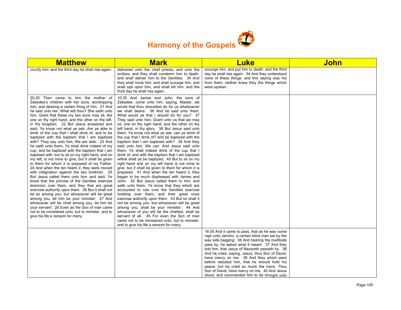

| <b>Matthew</b>                                                                                                                                                                                                                                                                                                                                                                                                                                                                                                                                                                                                                                                                                                                                                                                                                                                                                                                                                                                                                                                                                                                                                                                                                                                                                                                                                                                                                        | <b>Mark</b>                                                                                                                                                                                                                                                                                                                                                                                                                                                                                                                                                                                                                                                                                                                                                                                                                                                                                                                                                                                                                                                                                                                                                                                                                                                                                                                                                                                                                                                                                               | <b>Luke</b>                                                                                                                                                                                                                                                                                                                                                                                                                                                                                                                                         | <b>John</b> |
|---------------------------------------------------------------------------------------------------------------------------------------------------------------------------------------------------------------------------------------------------------------------------------------------------------------------------------------------------------------------------------------------------------------------------------------------------------------------------------------------------------------------------------------------------------------------------------------------------------------------------------------------------------------------------------------------------------------------------------------------------------------------------------------------------------------------------------------------------------------------------------------------------------------------------------------------------------------------------------------------------------------------------------------------------------------------------------------------------------------------------------------------------------------------------------------------------------------------------------------------------------------------------------------------------------------------------------------------------------------------------------------------------------------------------------------|-----------------------------------------------------------------------------------------------------------------------------------------------------------------------------------------------------------------------------------------------------------------------------------------------------------------------------------------------------------------------------------------------------------------------------------------------------------------------------------------------------------------------------------------------------------------------------------------------------------------------------------------------------------------------------------------------------------------------------------------------------------------------------------------------------------------------------------------------------------------------------------------------------------------------------------------------------------------------------------------------------------------------------------------------------------------------------------------------------------------------------------------------------------------------------------------------------------------------------------------------------------------------------------------------------------------------------------------------------------------------------------------------------------------------------------------------------------------------------------------------------------|-----------------------------------------------------------------------------------------------------------------------------------------------------------------------------------------------------------------------------------------------------------------------------------------------------------------------------------------------------------------------------------------------------------------------------------------------------------------------------------------------------------------------------------------------------|-------------|
| crucify him: and the third day he shall rise again.                                                                                                                                                                                                                                                                                                                                                                                                                                                                                                                                                                                                                                                                                                                                                                                                                                                                                                                                                                                                                                                                                                                                                                                                                                                                                                                                                                                   | delivered unto the chief priests, and unto the<br>scribes; and they shall condemn him to death,<br>and shall deliver him to the Gentiles: 34 And<br>they shall mock him, and shall scourge him, and<br>shall spit upon him, and shall kill him: and the<br>third day he shall rise again.                                                                                                                                                                                                                                                                                                                                                                                                                                                                                                                                                                                                                                                                                                                                                                                                                                                                                                                                                                                                                                                                                                                                                                                                                 | scourge him, and put him to death: and the third<br>day he shall rise again. 34 And they understood<br>none of these things: and this saying was hid<br>from them, neither knew they the things which<br>were spoken.                                                                                                                                                                                                                                                                                                                               |             |
| 20:20 Then came to him the mother of<br>Zebedee's children with her sons, worshipping<br>him, and desiring a certain thing of him. 21 And<br>he said unto her, What wilt thou? She saith unto<br>him, Grant that these my two sons may sit, the<br>one on thy right hand, and the other on the left,<br>in thy kingdom. 22 But Jesus answered and<br>said, Ye know not what ye ask. Are ye able to<br>drink of the cup that I shall drink of, and to be<br>baptized with the baptism that I am baptized<br>with? They say unto him, We are able. 23 And<br>he saith unto them. Ye shall drink indeed of my<br>cup, and be baptized with the baptism that I am<br>baptized with: but to sit on my right hand, and on<br>my left, is not mine to give, but it shall be given<br>to them for whom it is prepared of my Father.<br>24 And when the ten heard it, they were moved<br>with indignation against the two brethren. 25<br>But Jesus called them <i>unto him</i> , and said, Ye<br>know that the princes of the Gentiles exercise<br>dominion over them, and they that are great<br>exercise authority upon them. 26 But it shall not<br>be so among you: but whosoever will be great<br>among you, let him be your minister; 27 And<br>whosoever will be chief among you, let him be<br>your servant: 28 Even as the Son of man came<br>not to be ministered unto, but to minister, and to<br>give his life a ransom for many. | 10:35 And James and John, the sons of<br>Zebedee, come unto him, saying, Master, we<br>would that thou shouldest do for us whatsoever<br>we shall desire. 36 And he said unto them,<br>What would ye that I should do for you? 37<br>They said unto him, Grant unto us that we may<br>sit, one on thy right hand, and the other on thy<br>left hand, in thy glory. 38 But Jesus said unto<br>them, Ye know not what ye ask: can ye drink of<br>the cup that I drink of? and be baptized with the<br>baptism that I am baptized with? 39 And they<br>said unto him, We can. And Jesus said unto<br>them. Ye shall indeed drink of the cup that I<br>drink of; and with the baptism that I am baptized<br>withal shall ye be baptized: 40 But to sit on my<br>right hand and on my left hand is not mine to<br>give; but it shall be given to them for whom it is<br>prepared. 41 And when the ten heard it, they<br>began to be much displeased with James and<br>John. 42 But Jesus called them to him, and<br>saith unto them, Ye know that they which are<br>accounted to rule over the Gentiles exercise<br>lordship over them; and their great ones<br>exercise authority upon them. 43 But so shall it<br>not be among you: but whosoever will be great<br>among you, shall be your minister: 44 And<br>whosoever of you will be the chiefest, shall be<br>servant of all. 45 For even the Son of man<br>came not to be ministered unto, but to minister,<br>and to give his life a ransom for many. |                                                                                                                                                                                                                                                                                                                                                                                                                                                                                                                                                     |             |
|                                                                                                                                                                                                                                                                                                                                                                                                                                                                                                                                                                                                                                                                                                                                                                                                                                                                                                                                                                                                                                                                                                                                                                                                                                                                                                                                                                                                                                       |                                                                                                                                                                                                                                                                                                                                                                                                                                                                                                                                                                                                                                                                                                                                                                                                                                                                                                                                                                                                                                                                                                                                                                                                                                                                                                                                                                                                                                                                                                           | 18:35 And it came to pass, that as he was come<br>nigh unto Jericho, a certain blind man sat by the<br>way side begging: 36 And hearing the multitude<br>pass by, he asked what it meant. 37 And they<br>told him, that Jesus of Nazareth passeth by. 38<br>And he cried, saying, Jesus, thou Son of David,<br>have mercy on me. 39 And they which went<br>before rebuked him, that he should hold his<br>peace: but he cried so much the more, Thou<br>Son of David, have mercy on me. 40 And Jesus<br>stood, and commanded him to be brought unto |             |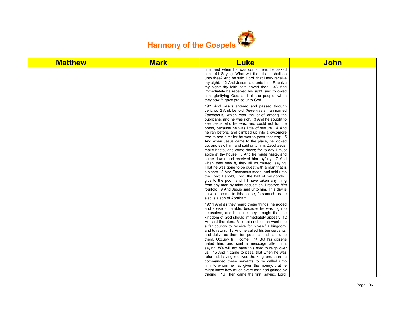

| <b>Matthew</b> | <b>Mark</b> | <b>Luke</b>                                                                                                                                                                                                                                                                                                                                                                                                                                                                                                                                                                                                                                                                                                                                                                                                                                                                                                                                                                                                                                                                                  | <b>John</b> |
|----------------|-------------|----------------------------------------------------------------------------------------------------------------------------------------------------------------------------------------------------------------------------------------------------------------------------------------------------------------------------------------------------------------------------------------------------------------------------------------------------------------------------------------------------------------------------------------------------------------------------------------------------------------------------------------------------------------------------------------------------------------------------------------------------------------------------------------------------------------------------------------------------------------------------------------------------------------------------------------------------------------------------------------------------------------------------------------------------------------------------------------------|-------------|
|                |             | him: and when he was come near, he asked<br>him, 41 Saying, What wilt thou that I shall do<br>unto thee? And he said, Lord, that I may receive<br>my sight. 42 And Jesus said unto him, Receive<br>thy sight: thy faith hath saved thee. 43 And<br>immediately he received his sight, and followed<br>him, glorifying God: and all the people, when<br>they saw it, gave praise unto God.                                                                                                                                                                                                                                                                                                                                                                                                                                                                                                                                                                                                                                                                                                    |             |
|                |             | 19:1 And Jesus entered and passed through<br>Jericho. 2 And, behold, there was a man named<br>Zacchaeus, which was the chief among the<br>publicans, and he was rich. 3 And he sought to<br>see Jesus who he was; and could not for the<br>press, because he was little of stature. 4 And<br>he ran before, and climbed up into a sycomore<br>tree to see him: for he was to pass that way. 5<br>And when Jesus came to the place, he looked<br>up, and saw him, and said unto him, Zacchaeus,<br>make haste, and come down; for to day I must<br>abide at thy house. 6 And he made haste, and<br>came down, and received him joyfully. 7 And<br>when they saw it, they all murmured, saying,<br>That he was gone to be guest with a man that is<br>a sinner. 8 And Zacchaeus stood, and said unto<br>the Lord; Behold, Lord, the half of my goods I<br>give to the poor; and if I have taken any thing<br>from any man by false accusation, I restore him<br>fourfold. 9 And Jesus said unto him, This day is<br>salvation come to this house, forsomuch as he<br>also is a son of Abraham. |             |
|                |             | 19:11 And as they heard these things, he added<br>and spake a parable, because he was nigh to<br>Jerusalem, and because they thought that the<br>kingdom of God should immediately appear. 12<br>He said therefore, A certain nobleman went into<br>a far country to receive for himself a kingdom,<br>and to return. 13 And he called his ten servants,<br>and delivered them ten pounds, and said unto<br>them, Occupy till I come. 14 But his citizens<br>hated him, and sent a message after him,<br>saying, We will not have this man to reign over<br>us. 15 And it came to pass, that when he was<br>returned, having received the kingdom, then he<br>commanded these servants to be called unto<br>him, to whom he had given the money, that he<br>might know how much every man had gained by<br>trading. 16 Then came the first, saying, Lord,                                                                                                                                                                                                                                    |             |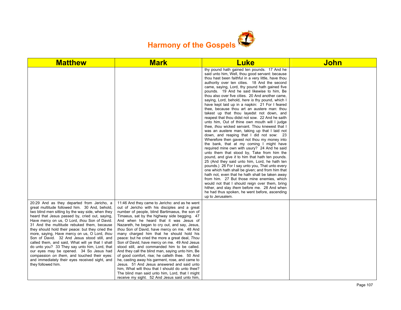

| <b>Matthew</b>                                                                                                                                                                                                                                                                                                                                                                                                                                                                                                                                                                                                                                                                                                            | <b>Mark</b>                                                                                                                                                                                                                                                                                                                                                                                                                                                                                                                                                                                                                                                                                                                                                                                                                                                                                               | <b>Luke</b>                                                                                                                                                                                                                                                                                                                                                                                                                                                                                                                                                                                                                                                                                                                                                                                                                                                                                                                                                                                                                                                                                                                                                                                                                                                                                                                                                                                                                                                                                  | <b>John</b> |
|---------------------------------------------------------------------------------------------------------------------------------------------------------------------------------------------------------------------------------------------------------------------------------------------------------------------------------------------------------------------------------------------------------------------------------------------------------------------------------------------------------------------------------------------------------------------------------------------------------------------------------------------------------------------------------------------------------------------------|-----------------------------------------------------------------------------------------------------------------------------------------------------------------------------------------------------------------------------------------------------------------------------------------------------------------------------------------------------------------------------------------------------------------------------------------------------------------------------------------------------------------------------------------------------------------------------------------------------------------------------------------------------------------------------------------------------------------------------------------------------------------------------------------------------------------------------------------------------------------------------------------------------------|----------------------------------------------------------------------------------------------------------------------------------------------------------------------------------------------------------------------------------------------------------------------------------------------------------------------------------------------------------------------------------------------------------------------------------------------------------------------------------------------------------------------------------------------------------------------------------------------------------------------------------------------------------------------------------------------------------------------------------------------------------------------------------------------------------------------------------------------------------------------------------------------------------------------------------------------------------------------------------------------------------------------------------------------------------------------------------------------------------------------------------------------------------------------------------------------------------------------------------------------------------------------------------------------------------------------------------------------------------------------------------------------------------------------------------------------------------------------------------------------|-------------|
|                                                                                                                                                                                                                                                                                                                                                                                                                                                                                                                                                                                                                                                                                                                           |                                                                                                                                                                                                                                                                                                                                                                                                                                                                                                                                                                                                                                                                                                                                                                                                                                                                                                           | thy pound hath gained ten pounds. 17 And he<br>said unto him, Well, thou good servant: because<br>thou hast been faithful in a very little, have thou<br>authority over ten cities. 18 And the second<br>came, saying, Lord, thy pound hath gained five<br>pounds. 19 And he said likewise to him, Be<br>thou also over five cities. 20 And another came,<br>saying, Lord, behold, here is thy pound, which I<br>have kept laid up in a napkin: 21 For I feared<br>thee, because thou art an austere man: thou<br>takest up that thou layedst not down, and<br>reapest that thou didst not sow. 22 And he saith<br>unto him, Out of thine own mouth will I judge<br>thee, thou wicked servant. Thou knewest that I<br>was an austere man, taking up that I laid not<br>down, and reaping that I did not sow: 23<br>Wherefore then gavest not thou my money into<br>the bank, that at my coming I might have<br>required mine own with usury? 24 And he said<br>unto them that stood by. Take from him the<br>pound, and give it to him that hath ten pounds.<br>25 (And they said unto him, Lord, he hath ten<br>pounds.) 26 For I say unto you, That unto every<br>one which hath shall be given; and from him that<br>hath not, even that he hath shall be taken away<br>from him. 27 But those mine enemies, which<br>would not that I should reign over them, bring<br>hither, and slay them before me. 28 And when<br>he had thus spoken, he went before, ascending<br>up to Jerusalem. |             |
| 20:29 And as they departed from Jericho, a<br>great multitude followed him. 30 And, behold,<br>two blind men sitting by the way side, when they<br>heard that Jesus passed by, cried out, saying,<br>Have mercy on us, O Lord, thou Son of David.<br>31 And the multitude rebuked them, because<br>they should hold their peace: but they cried the<br>more, saying, Have mercy on us, O Lord, thou<br>Son of David. 32 And Jesus stood still, and<br>called them, and said, What will ye that I shall<br>do unto you? 33 They say unto him, Lord, that<br>our eyes may be opened. 34 So Jesus had<br>compassion on them, and touched their eyes:<br>and immediately their eyes received sight, and<br>they followed him. | 11:46 And they came to Jericho: and as he went<br>out of Jericho with his disciples and a great<br>number of people, blind Bartimaeus, the son of<br>Timaeus, sat by the highway side begging. 47<br>And when he heard that it was Jesus of<br>Nazareth, he began to cry out, and say, Jesus,<br>thou Son of David, have mercy on me. 48 And<br>many charged him that he should hold his<br>peace: but he cried the more a great deal, Thou<br>Son of David, have mercy on me. 49 And Jesus<br>stood still, and commanded him to be called.<br>And they call the blind man, saying unto him, Be<br>of good comfort, rise; he calleth thee. 50 And<br>he, casting away his garment, rose, and came to<br>Jesus. 51 And Jesus answered and said unto<br>him, What wilt thou that I should do unto thee?<br>The blind man said unto him, Lord, that I might<br>receive my sight. 52 And Jesus said unto him, |                                                                                                                                                                                                                                                                                                                                                                                                                                                                                                                                                                                                                                                                                                                                                                                                                                                                                                                                                                                                                                                                                                                                                                                                                                                                                                                                                                                                                                                                                              |             |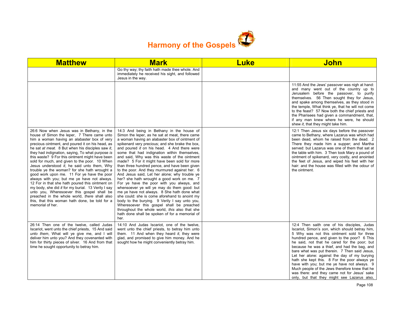

| <b>Matthew</b>                                                                                                                                                                                                                                                                                                                                                                                                                                                                                                                                                                                                                                                                                                                                                                                                                                                                     | <b>Mark</b>                                                                                                                                                                                                                                                                                                                                                                                                                                                                                                                                                                                                                                                                                                                                                                                                                                                                                                                                                                                            | <b>Luke</b> | John                                                                                                                                                                                                                                                                                                                                                                                                                                                                                                                                                                                                                                          |
|------------------------------------------------------------------------------------------------------------------------------------------------------------------------------------------------------------------------------------------------------------------------------------------------------------------------------------------------------------------------------------------------------------------------------------------------------------------------------------------------------------------------------------------------------------------------------------------------------------------------------------------------------------------------------------------------------------------------------------------------------------------------------------------------------------------------------------------------------------------------------------|--------------------------------------------------------------------------------------------------------------------------------------------------------------------------------------------------------------------------------------------------------------------------------------------------------------------------------------------------------------------------------------------------------------------------------------------------------------------------------------------------------------------------------------------------------------------------------------------------------------------------------------------------------------------------------------------------------------------------------------------------------------------------------------------------------------------------------------------------------------------------------------------------------------------------------------------------------------------------------------------------------|-------------|-----------------------------------------------------------------------------------------------------------------------------------------------------------------------------------------------------------------------------------------------------------------------------------------------------------------------------------------------------------------------------------------------------------------------------------------------------------------------------------------------------------------------------------------------------------------------------------------------------------------------------------------------|
|                                                                                                                                                                                                                                                                                                                                                                                                                                                                                                                                                                                                                                                                                                                                                                                                                                                                                    | Go thy way; thy faith hath made thee whole. And<br>immediately he received his sight, and followed<br>Jesus in the way.                                                                                                                                                                                                                                                                                                                                                                                                                                                                                                                                                                                                                                                                                                                                                                                                                                                                                |             |                                                                                                                                                                                                                                                                                                                                                                                                                                                                                                                                                                                                                                               |
|                                                                                                                                                                                                                                                                                                                                                                                                                                                                                                                                                                                                                                                                                                                                                                                                                                                                                    |                                                                                                                                                                                                                                                                                                                                                                                                                                                                                                                                                                                                                                                                                                                                                                                                                                                                                                                                                                                                        |             | 11:55 And the Jews' passover was nigh at hand:<br>and many went out of the country up to<br>Jerusalem before the passover, to purify<br>themselves. 56 Then sought they for Jesus,<br>and spake among themselves, as they stood in<br>the temple, What think ye, that he will not come<br>to the feast? 57 Now both the chief priests and<br>the Pharisees had given a commandment, that,<br>if any man knew where he were, he should<br>shew it, that they might take him.                                                                                                                                                                   |
| 26:6 Now when Jesus was in Bethany, in the<br>house of Simon the leper, 7 There came unto<br>him a woman having an alabaster box of very<br>precious ointment, and poured it on his head, as<br>he sat at meat. 8 But when his disciples saw it,<br>they had indignation, saying, To what purpose is<br>this waste? 9 For this ointment might have been<br>sold for much, and given to the poor. 10 When<br>Jesus understood it, he said unto them, Why<br>trouble ye the woman? for she hath wrought a<br>good work upon me. 11 For ye have the poor<br>always with you; but me ye have not always.<br>12 For in that she hath poured this ointment on<br>my body, she did it for my burial. 13 Verily I say<br>unto you, Wheresoever this gospel shall be<br>preached in the whole world, there shall also<br>this, that this woman hath done, be told for a<br>memorial of her. | 14:3 And being in Bethany in the house of<br>Simon the leper, as he sat at meat, there came<br>a woman having an alabaster box of ointment of<br>spikenard very precious; and she brake the box,<br>and poured it on his head. 4 And there were<br>some that had indignation within themselves,<br>and said, Why was this waste of the ointment<br>made? 5 For it might have been sold for more<br>than three hundred pence, and have been given<br>to the poor. And they murmured against her. 6<br>And Jesus said, Let her alone; why trouble ye<br>her? she hath wrought a good work on me. 7<br>For ye have the poor with you always, and<br>whensoever ye will ye may do them good: but<br>me ye have not always. 8 She hath done what<br>she could: she is come aforehand to anoint my<br>body to the burying. 9 Verily I say unto you,<br>Wheresoever this gospel shall be preached<br>throughout the whole world, this also that she<br>hath done shall be spoken of for a memorial of<br>her. |             | 12:1 Then Jesus six days before the passover<br>came to Bethany, where Lazarus was which had<br>been dead, whom he raised from the dead. 2<br>There they made him a supper; and Martha<br>served: but Lazarus was one of them that sat at<br>the table with him. 3 Then took Mary a pound of<br>ointment of spikenard, very costly, and anointed<br>the feet of Jesus, and wiped his feet with her<br>hair: and the house was filled with the odour of<br>the ointment.                                                                                                                                                                       |
| 26:14 Then one of the twelve, called Judas<br>Iscariot, went unto the chief priests, 15 And said<br>unto them, What will ye give me, and I will<br>deliver him unto you? And they covenanted with<br>him for thirty pieces of silver. 16 And from that<br>time he sought opportunity to betray him.                                                                                                                                                                                                                                                                                                                                                                                                                                                                                                                                                                                | 14:10 And Judas Iscariot, one of the twelve,<br>went unto the chief priests, to betray him unto<br>them. 11 And when they heard it, they were<br>glad, and promised to give him money. And he<br>sought how he might conveniently betray him.                                                                                                                                                                                                                                                                                                                                                                                                                                                                                                                                                                                                                                                                                                                                                          |             | 12:4 Then saith one of his disciples, Judas<br>Iscariot, Simon's son, which should betray him,<br>5 Why was not this ointment sold for three<br>hundred pence, and given to the poor? 6 This<br>he said, not that he cared for the poor; but<br>because he was a thief, and had the bag, and<br>bare what was put therein. 7 Then said Jesus,<br>Let her alone: against the day of my burying<br>hath she kept this. 8 For the poor always ye<br>have with you; but me ye have not always. 9<br>Much people of the Jews therefore knew that he<br>was there: and they came not for Jesus' sake<br>only, but that they might see Lazarus also, |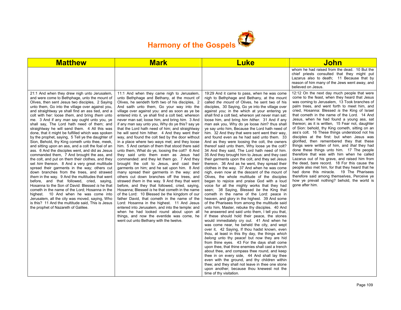

| <b>Matthew</b>                                                                                                                                                                                                                                                                                                                                                                                                                                                                                                                                                                                                                                                                                                                                                                                                                                                                                                                                                                                                                                                                                                                                                                                                                                                                                                                                                             | <b>Mark</b>                                                                                                                                                                                                                                                                                                                                                                                                                                                                                                                                                                                                                                                                                                                                                                                                                                                                                                                                                                                                                                                                                                                                                                                                                                                                                                                                                                                                                                                                                         | <b>Luke</b>                                                                                                                                                                                                                                                                                                                                                                                                                                                                                                                                                                                                                                                                                                                                                                                                                                                                                                                                                                                                                                                                                                                                                                                                                                                                                                                                                                                                                                                                                                                                                                                                                                                                                                                                                                                                                                                                                                                                                                                                                                                                                                  | John                                                                                                                                                                                                                                                                                                                                                                                                                                                                                                                                                                                                                                                                                                                                                                                                                                                                                                                                                                                                                                                         |
|----------------------------------------------------------------------------------------------------------------------------------------------------------------------------------------------------------------------------------------------------------------------------------------------------------------------------------------------------------------------------------------------------------------------------------------------------------------------------------------------------------------------------------------------------------------------------------------------------------------------------------------------------------------------------------------------------------------------------------------------------------------------------------------------------------------------------------------------------------------------------------------------------------------------------------------------------------------------------------------------------------------------------------------------------------------------------------------------------------------------------------------------------------------------------------------------------------------------------------------------------------------------------------------------------------------------------------------------------------------------------|-----------------------------------------------------------------------------------------------------------------------------------------------------------------------------------------------------------------------------------------------------------------------------------------------------------------------------------------------------------------------------------------------------------------------------------------------------------------------------------------------------------------------------------------------------------------------------------------------------------------------------------------------------------------------------------------------------------------------------------------------------------------------------------------------------------------------------------------------------------------------------------------------------------------------------------------------------------------------------------------------------------------------------------------------------------------------------------------------------------------------------------------------------------------------------------------------------------------------------------------------------------------------------------------------------------------------------------------------------------------------------------------------------------------------------------------------------------------------------------------------------|--------------------------------------------------------------------------------------------------------------------------------------------------------------------------------------------------------------------------------------------------------------------------------------------------------------------------------------------------------------------------------------------------------------------------------------------------------------------------------------------------------------------------------------------------------------------------------------------------------------------------------------------------------------------------------------------------------------------------------------------------------------------------------------------------------------------------------------------------------------------------------------------------------------------------------------------------------------------------------------------------------------------------------------------------------------------------------------------------------------------------------------------------------------------------------------------------------------------------------------------------------------------------------------------------------------------------------------------------------------------------------------------------------------------------------------------------------------------------------------------------------------------------------------------------------------------------------------------------------------------------------------------------------------------------------------------------------------------------------------------------------------------------------------------------------------------------------------------------------------------------------------------------------------------------------------------------------------------------------------------------------------------------------------------------------------------------------------------------------------|--------------------------------------------------------------------------------------------------------------------------------------------------------------------------------------------------------------------------------------------------------------------------------------------------------------------------------------------------------------------------------------------------------------------------------------------------------------------------------------------------------------------------------------------------------------------------------------------------------------------------------------------------------------------------------------------------------------------------------------------------------------------------------------------------------------------------------------------------------------------------------------------------------------------------------------------------------------------------------------------------------------------------------------------------------------|
|                                                                                                                                                                                                                                                                                                                                                                                                                                                                                                                                                                                                                                                                                                                                                                                                                                                                                                                                                                                                                                                                                                                                                                                                                                                                                                                                                                            |                                                                                                                                                                                                                                                                                                                                                                                                                                                                                                                                                                                                                                                                                                                                                                                                                                                                                                                                                                                                                                                                                                                                                                                                                                                                                                                                                                                                                                                                                                     |                                                                                                                                                                                                                                                                                                                                                                                                                                                                                                                                                                                                                                                                                                                                                                                                                                                                                                                                                                                                                                                                                                                                                                                                                                                                                                                                                                                                                                                                                                                                                                                                                                                                                                                                                                                                                                                                                                                                                                                                                                                                                                              | whom he had raised from the dead. 10 But the<br>chief priests consulted that they might put<br>Lazarus also to death; 11 Because that by<br>reason of him many of the Jews went away, and<br>believed on Jesus.                                                                                                                                                                                                                                                                                                                                                                                                                                                                                                                                                                                                                                                                                                                                                                                                                                              |
| 21:1 And when they drew nigh unto Jerusalem,<br>and were come to Bethphage, unto the mount of<br>Olives, then sent Jesus two disciples, 2 Saying<br>unto them, Go into the village over against you,<br>and straightway ye shall find an ass tied, and a<br>colt with her: loose them, and bring them unto<br>me. 3 And if any man say ought unto you, ye<br>shall say, The Lord hath need of them; and<br>straightway he will send them. 4 All this was<br>done, that it might be fulfilled which was spoken<br>by the prophet, saying, 5 Tell ye the daughter of<br>Sion, Behold, thy King cometh unto thee, meek,<br>and sitting upon an ass, and a colt the foal of an<br>ass. 6 And the disciples went, and did as Jesus<br>commanded them, 7 And brought the ass, and<br>the colt, and put on them their clothes, and they<br>set him thereon. 8 And a very great multitude<br>spread their garments in the way; others cut<br>down branches from the trees, and strawed<br>them in the way. 9 And the multitudes that went<br>before, and that followed, cried, saying,<br>Hosanna to the Son of David: Blessed is he that<br>cometh in the name of the Lord: Hosanna in the<br>highest. 10 And when he was come into<br>Jerusalem, all the city was moved, saying, Who<br>is this? 11 And the multitude said. This is Jesus<br>the prophet of Nazareth of Galilee. | 11:1 And when they came nigh to Jerusalem,<br>unto Bethphage and Bethany, at the mount of<br>Olives, he sendeth forth two of his disciples, 2<br>And saith unto them, Go your way into the<br>village over against you: and as soon as ye be<br>entered into it, ye shall find a colt tied, whereon<br>never man sat; loose him, and bring him. 3 And<br>if any man say unto you, Why do ye this? say ye<br>that the Lord hath need of him; and straightway<br>he will send him hither. 4 And they went their<br>way, and found the colt tied by the door without<br>in a place where two ways met; and they loose<br>him. 5 And certain of them that stood there said<br>unto them, What do ye, loosing the colt? 6 And<br>they said unto them even as Jesus had<br>commanded: and they let them go. 7 And they<br>brought the colt to Jesus, and cast their<br>garments on him; and he sat upon him. 8 And<br>many spread their garments in the way: and<br>others cut down branches off the trees, and<br>strawed them in the way. 9 And they that went<br>before, and they that followed, cried, saying,<br>Hosanna; Blessed is he that cometh in the name<br>of the Lord: 10 Blessed be the kingdom of our<br>father David, that cometh in the name of the<br>Lord: Hosanna in the highest. 11 And Jesus<br>entered into Jerusalem, and into the temple: and<br>when he had looked round about upon all<br>things, and now the eventide was come, he<br>went out unto Bethany with the twelve. | 19:29 And it came to pass, when he was come<br>nigh to Bethphage and Bethany, at the mount<br>called the mount of Olives, he sent two of his<br>disciples, 30 Saying, Go ye into the village over<br>against you; in the which at your entering ye<br>shall find a colt tied, whereon yet never man sat:<br>loose him, and bring him hither. 31 And if any<br>man ask you, Why do ye loose him? thus shall<br>ye say unto him, Because the Lord hath need of<br>him. 32 And they that were sent went their way,<br>and found even as he had said unto them. 33<br>And as they were loosing the colt, the owners<br>thereof said unto them, Why loose ye the colt?<br>34 And they said, The Lord hath need of him.<br>35 And they brought him to Jesus: and they cast<br>their garments upon the colt, and they set Jesus<br>thereon. 36 And as he went, they spread their<br>clothes in the way. 37 And when he was come<br>nigh, even now at the descent of the mount of<br>Olives, the whole multitude of the disciples<br>began to rejoice and praise God with a loud<br>voice for all the mighty works that they had<br>seen; 38 Saying, Blessed be the King that<br>cometh in the name of the Lord: peace in<br>heaven, and glory in the highest. 39 And some<br>of the Pharisees from among the multitude said<br>unto him, Master, rebuke thy disciples. 40 And<br>he answered and said unto them, I tell you that,<br>if these should hold their peace, the stones<br>would immediately cry out. 41 And when he<br>was come near, he beheld the city, and wept<br>over it, 42 Saying, If thou hadst known, even<br>thou, at least in this thy day, the things which<br>belong unto thy peace! but now they are hid<br>from thine eyes. 43 For the days shall come<br>upon thee, that thine enemies shall cast a trench<br>about thee, and compass thee round, and keep<br>thee in on every side, 44 And shall lay thee<br>even with the ground, and thy children within<br>thee; and they shall not leave in thee one stone<br>upon another; because thou knewest not the<br>time of thy visitation. | 12:12 On the next day much people that were<br>come to the feast, when they heard that Jesus<br>was coming to Jerusalem, 13 Took branches of<br>palm trees, and went forth to meet him, and<br>cried, Hosanna: Blessed is the King of Israel<br>that cometh in the name of the Lord. 14 And<br>Jesus, when he had found a young ass, sat<br>thereon; as it is written, 15 Fear not, daughter<br>of Sion: behold, thy King cometh, sitting on an<br>ass's colt. 16 These things understood not his<br>disciples at the first: but when Jesus was<br>glorified, then remembered they that these<br>things were written of him, and that they had<br>done these things unto him. 17 The people<br>therefore that was with him when he called<br>Lazarus out of his grave, and raised him from<br>the dead, bare record. 18 For this cause the<br>people also met him, for that they heard that he<br>had done this miracle. 19 The Pharisees<br>therefore said among themselves, Perceive ye<br>how ye prevail nothing? behold, the world is<br>gone after him. |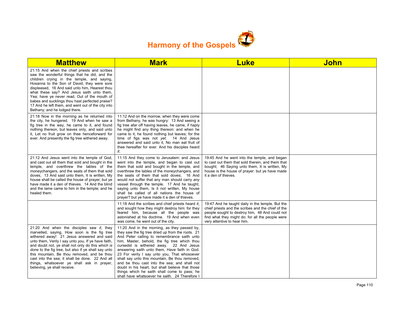

| <b>Matthew</b>                                                                                                                                                                                                                                                                                                                                                                                                                                                                           | <b>Mark</b>                                                                                                                                                                                                                                                                                                                                                                                                                                                                                                                                                                                          | <b>Luke</b>                                                                                                                                                                                                                                 | <b>John</b> |
|------------------------------------------------------------------------------------------------------------------------------------------------------------------------------------------------------------------------------------------------------------------------------------------------------------------------------------------------------------------------------------------------------------------------------------------------------------------------------------------|------------------------------------------------------------------------------------------------------------------------------------------------------------------------------------------------------------------------------------------------------------------------------------------------------------------------------------------------------------------------------------------------------------------------------------------------------------------------------------------------------------------------------------------------------------------------------------------------------|---------------------------------------------------------------------------------------------------------------------------------------------------------------------------------------------------------------------------------------------|-------------|
| 21:15 And when the chief priests and scribes<br>saw the wonderful things that he did, and the<br>children crying in the temple, and saying,<br>Hosanna to the Son of David; they were sore<br>displeased, 16 And said unto him, Hearest thou<br>what these say? And Jesus saith unto them,<br>Yea; have ye never read, Out of the mouth of<br>babes and sucklings thou hast perfected praise?<br>17 And he left them, and went out of the city into<br>Bethany; and he lodged there.     |                                                                                                                                                                                                                                                                                                                                                                                                                                                                                                                                                                                                      |                                                                                                                                                                                                                                             |             |
| 21:18 Now in the morning as he returned into<br>the city, he hungered. 19 And when he saw a<br>fig tree in the way, he came to it, and found<br>nothing thereon, but leaves only, and said unto<br>it, Let no fruit grow on thee henceforward for<br>ever. And presently the fig tree withered away.                                                                                                                                                                                     | 11:12 And on the morrow, when they were come<br>from Bethany, he was hungry: 13 And seeing a<br>fig tree afar off having leaves, he came, if haply<br>he might find any thing thereon: and when he<br>came to it, he found nothing but leaves; for the<br>time of figs was not yet. 14 And Jesus<br>answered and said unto it, No man eat fruit of<br>thee hereafter for ever. And his disciples heard<br>it.                                                                                                                                                                                        |                                                                                                                                                                                                                                             |             |
| 21:12 And Jesus went into the temple of God.<br>and cast out all them that sold and bought in the<br>temple, and overthrew the tables of the<br>moneychangers, and the seats of them that sold<br>doves, 13 And said unto them, It is written, My<br>house shall be called the house of prayer; but ye<br>have made it a den of thieves. 14 And the blind<br>and the lame came to him in the temple: and he<br>healed them.                                                              | 11:15 And they come to Jerusalem: and Jesus<br>went into the temple, and began to cast out<br>them that sold and bought in the temple, and<br>overthrew the tables of the moneychangers, and<br>the seats of them that sold doves: 16 And<br>would not suffer that any man should carry any<br>vessel through the temple. 17 And he taught,<br>saying unto them, Is it not written, My house<br>shall be called of all nations the house of<br>prayer? but ye have made it a den of thieves.                                                                                                         | 19:45 And he went into the temple, and began<br>to cast out them that sold therein, and them that<br>bought; 46 Saying unto them, It is written, My<br>house is the house of prayer: but ye have made<br>it a den of thieves.               |             |
|                                                                                                                                                                                                                                                                                                                                                                                                                                                                                          | 11:18 And the scribes and chief priests heard it,<br>and sought how they might destroy him: for they<br>feared him, because all the people was<br>astonished at his doctrine. 19 And when even<br>was come, he went out of the city.                                                                                                                                                                                                                                                                                                                                                                 | 19:47 And he taught daily in the temple. But the<br>chief priests and the scribes and the chief of the<br>people sought to destroy him, 48 And could not<br>find what they might do: for all the people were<br>very attentive to hear him. |             |
| 21:20 And when the disciples saw it, they<br>marvelled, saying, How soon is the fig tree<br>withered away! 21 Jesus answered and said<br>unto them, Verily I say unto you, If ye have faith,<br>and doubt not, ye shall not only do this which is<br>done to the fig tree, but also if ye shall say unto<br>this mountain, Be thou removed, and be thou<br>cast into the sea; it shall be done. 22 And all<br>things, whatsoever ye shall ask in prayer,<br>believing, ye shall receive. | 11:20 And in the morning, as they passed by,<br>they saw the fig tree dried up from the roots. 21<br>And Peter calling to remembrance saith unto<br>him, Master, behold, the fig tree which thou<br>cursedst is withered away. 22 And Jesus<br>answering saith unto them, Have faith in God.<br>23 For verily I say unto you, That whosoever<br>shall say unto this mountain. Be thou removed,<br>and be thou cast into the sea; and shall not<br>doubt in his heart, but shall believe that those<br>things which he saith shall come to pass; he<br>shall have whatsoever he saith. 24 Therefore I |                                                                                                                                                                                                                                             |             |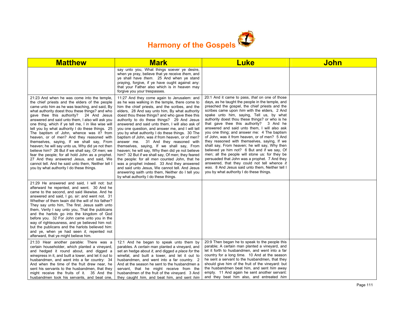

| <b>Matthew</b>                                                                                                                                                                                                                                                                                                                                                                                                                                                                                                                                                                                                                                                                                                                                                                                                                                             | <b>Mark</b>                                                                                                                                                                                                                                                                                                                                                                                                                                                                                                                                                                                                                                                                                                                                                                                                                                                                                                                                                | <b>Luke</b>                                                                                                                                                                                                                                                                                                                                                                                                                                                                                                                                                                                                                                                                                                                                                                                                                                                                                       | John |
|------------------------------------------------------------------------------------------------------------------------------------------------------------------------------------------------------------------------------------------------------------------------------------------------------------------------------------------------------------------------------------------------------------------------------------------------------------------------------------------------------------------------------------------------------------------------------------------------------------------------------------------------------------------------------------------------------------------------------------------------------------------------------------------------------------------------------------------------------------|------------------------------------------------------------------------------------------------------------------------------------------------------------------------------------------------------------------------------------------------------------------------------------------------------------------------------------------------------------------------------------------------------------------------------------------------------------------------------------------------------------------------------------------------------------------------------------------------------------------------------------------------------------------------------------------------------------------------------------------------------------------------------------------------------------------------------------------------------------------------------------------------------------------------------------------------------------|---------------------------------------------------------------------------------------------------------------------------------------------------------------------------------------------------------------------------------------------------------------------------------------------------------------------------------------------------------------------------------------------------------------------------------------------------------------------------------------------------------------------------------------------------------------------------------------------------------------------------------------------------------------------------------------------------------------------------------------------------------------------------------------------------------------------------------------------------------------------------------------------------|------|
|                                                                                                                                                                                                                                                                                                                                                                                                                                                                                                                                                                                                                                                                                                                                                                                                                                                            | say unto you, What things soever ye desire,<br>when ye pray, believe that ye receive them, and<br>ye shall have them. 25 And when ye stand<br>praying, forgive, if ye have ought against any:<br>that your Father also which is in heaven may<br>forgive you your trespasses.                                                                                                                                                                                                                                                                                                                                                                                                                                                                                                                                                                                                                                                                              |                                                                                                                                                                                                                                                                                                                                                                                                                                                                                                                                                                                                                                                                                                                                                                                                                                                                                                   |      |
| 21:23 And when he was come into the temple,<br>the chief priests and the elders of the people<br>came unto him as he was teaching, and said, By<br>what authority doest thou these things? and who<br>gave thee this authority? 24 And Jesus<br>answered and said unto them, I also will ask you<br>one thing, which if ye tell me, I in like wise will<br>tell you by what authority I do these things. 25<br>The baptism of John, whence was it? from<br>heaven, or of men? And they reasoned with<br>themselves, saying, If we shall say, From<br>heaven; he will say unto us, Why did ye not then<br>believe him? 26 But if we shall say, Of men; we<br>fear the people; for all hold John as a prophet.<br>27 And they answered Jesus, and said, We<br>cannot tell. And he said unto them, Neither tell I<br>you by what authority I do these things. | 11:27 And they come again to Jerusalem: and<br>as he was walking in the temple, there come to<br>him the chief priests, and the scribes, and the<br>elders, 28 And say unto him, By what authority<br>doest thou these things? and who gave thee this<br>authority to do these things? 29 And Jesus<br>answered and said unto them, I will also ask of<br>you one question, and answer me, and I will tell<br>you by what authority I do these things. 30 The<br>baptism of John, was it from heaven, or of men?<br>answer me. 31 And they reasoned with<br>themselves, saying, If we shall say, From<br>heaven; he will say, Why then did ye not believe<br>him? 32 But if we shall say, Of men; they feared<br>the people: for all men counted John, that he<br>was a prophet indeed. 33 And they answered<br>and said unto Jesus, We cannot tell. And Jesus<br>answering saith unto them, Neither do I tell you<br>by what authority I do these things. | 20:1 And it came to pass, that on one of those<br>days, as he taught the people in the temple, and<br>preached the gospel, the chief priests and the<br>scribes came upon him with the elders, 2 And<br>spake unto him, saying, Tell us, by what<br>authority doest thou these things? or who is he<br>that gave thee this authority? 3 And he<br>answered and said unto them, I will also ask<br>you one thing; and answer me: 4 The baptism<br>of John, was it from heaven, or of men? 5 And<br>they reasoned with themselves, saying, If we<br>shall say, From heaven; he will say, Why then<br>believed ye him not? 6 But and if we say, Of<br>men; all the people will stone us: for they be<br>persuaded that John was a prophet. 7 And they<br>answered, that they could not tell whence it<br>was. 8 And Jesus said unto them, Neither tell I<br>you by what authority I do these things. |      |
| 21:29 He answered and said, I will not: but<br>afterward he repented, and went. 30 And he<br>came to the second, and said likewise. And he<br>answered and said, I go, sir: and went not. 31<br>Whether of them twain did the will of his father?<br>They say unto him, The first. Jesus saith unto<br>them, Verily I say unto you, That the publicans<br>and the harlots go into the kingdom of God<br>before you. 32 For John came unto you in the<br>way of righteousness, and ye believed him not:<br>but the publicans and the harlots believed him:<br>and ye, when ye had seen it, repented not<br>afterward, that ye might believe him.                                                                                                                                                                                                            |                                                                                                                                                                                                                                                                                                                                                                                                                                                                                                                                                                                                                                                                                                                                                                                                                                                                                                                                                            |                                                                                                                                                                                                                                                                                                                                                                                                                                                                                                                                                                                                                                                                                                                                                                                                                                                                                                   |      |
| 21:33 Hear another parable: There was a<br>certain householder, which planted a vineyard,<br>and hedged it round about, and digged a<br>winepress in it, and built a tower, and let it out to<br>husbandmen, and went into a far country: 34<br>And when the time of the fruit drew near, he<br>sent his servants to the husbandmen, that they<br>might receive the fruits of it. 35 And the<br>husbandmen took his servants, and beat one,                                                                                                                                                                                                                                                                                                                                                                                                                | 12:1 And he began to speak unto them by<br>parables. A certain man planted a vinevard, and<br>set an hedge about it, and digged a place for the<br>winefat, and built a tower, and let it out to<br>husbandmen, and went into a far country. 2<br>And at the season he sent to the husbandmen a<br>servant, that he might receive from the<br>husbandmen of the fruit of the vineyard. 3 And<br>they caught him, and beat him, and sent him                                                                                                                                                                                                                                                                                                                                                                                                                                                                                                                | 20:9 Then began he to speak to the people this<br>parable; A certain man planted a vineyard, and<br>let it forth to husbandmen, and went into a far<br>country for a long time. 10 And at the season<br>he sent a servant to the husbandmen, that they<br>should give him of the fruit of the vineyard: but<br>the husbandmen beat him, and sent him away<br>empty. 11 And again he sent another servant:<br>and they beat him also, and entreated him                                                                                                                                                                                                                                                                                                                                                                                                                                            |      |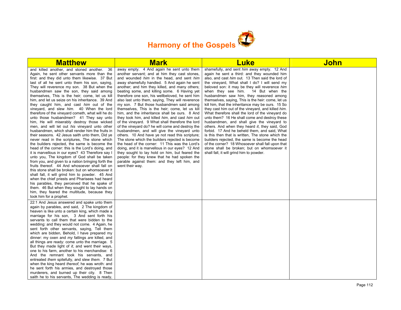

| <b>Matthew</b>                                                                                                                                                                                                                                                                                                                                                                                                                                                                                                                                                                                                                                                                                                                                                                                                                                                                                                                                                                                                                                                                                                                                                                                                                                                                                                                                                                                                                                                                                        | <b>Mark</b>                                                                                                                                                                                                                                                                                                                                                                                                                                                                                                                                                                                                                                                                                                                                                                                                                                                                                                                                                                                                                                                                                                                                 | <b>Luke</b>                                                                                                                                                                                                                                                                                                                                                                                                                                                                                                                                                                                                                                                                                                                                                                                                                                                                                                                                                                                                     | John |
|-------------------------------------------------------------------------------------------------------------------------------------------------------------------------------------------------------------------------------------------------------------------------------------------------------------------------------------------------------------------------------------------------------------------------------------------------------------------------------------------------------------------------------------------------------------------------------------------------------------------------------------------------------------------------------------------------------------------------------------------------------------------------------------------------------------------------------------------------------------------------------------------------------------------------------------------------------------------------------------------------------------------------------------------------------------------------------------------------------------------------------------------------------------------------------------------------------------------------------------------------------------------------------------------------------------------------------------------------------------------------------------------------------------------------------------------------------------------------------------------------------|---------------------------------------------------------------------------------------------------------------------------------------------------------------------------------------------------------------------------------------------------------------------------------------------------------------------------------------------------------------------------------------------------------------------------------------------------------------------------------------------------------------------------------------------------------------------------------------------------------------------------------------------------------------------------------------------------------------------------------------------------------------------------------------------------------------------------------------------------------------------------------------------------------------------------------------------------------------------------------------------------------------------------------------------------------------------------------------------------------------------------------------------|-----------------------------------------------------------------------------------------------------------------------------------------------------------------------------------------------------------------------------------------------------------------------------------------------------------------------------------------------------------------------------------------------------------------------------------------------------------------------------------------------------------------------------------------------------------------------------------------------------------------------------------------------------------------------------------------------------------------------------------------------------------------------------------------------------------------------------------------------------------------------------------------------------------------------------------------------------------------------------------------------------------------|------|
| and killed another, and stoned another. 36<br>Again, he sent other servants more than the<br>first: and they did unto them likewise. 37 But<br>last of all he sent unto them his son, saying,<br>They will reverence my son. 38 But when the<br>husbandmen saw the son, they said among<br>themselves. This is the heir; come, let us kill<br>him, and let us seize on his inheritance. 39 And<br>they caught him, and cast him out of the<br>vinevard, and slew him. 40 When the lord<br>therefore of the vineyard cometh, what will he do<br>unto those husbandmen? 41 They say unto<br>him, He will miserably destroy those wicked<br>men, and will let out his vineyard unto other<br>husbandmen, which shall render him the fruits in<br>their seasons. 42 Jesus saith unto them, Did ye<br>never read in the scriptures, The stone which<br>the builders rejected, the same is become the<br>head of the corner: this is the Lord's doing, and<br>it is marvellous in our eyes? 43 Therefore say I<br>unto you, The kingdom of God shall be taken<br>from you, and given to a nation bringing forth the<br>fruits thereof. 44 And whosoever shall fall on<br>this stone shall be broken: but on whomsoever it<br>shall fall, it will grind him to powder. 45 And<br>when the chief priests and Pharisees had heard<br>his parables, they perceived that he spake of<br>them. 46 But when they sought to lay hands on<br>him, they feared the multitude, because they<br>took him for a prophet. | away empty. 4 And again he sent unto them<br>another servant; and at him they cast stones,<br>and wounded him in the head, and sent him<br>away shamefully handled. 5 And again he sent<br>another; and him they killed, and many others;<br>beating some, and killing some. 6 Having yet<br>therefore one son, his wellbeloved, he sent him<br>also last unto them, saying, They will reverence<br>my son. 7 But those husbandmen said among<br>themselves. This is the heir; come, let us kill<br>him, and the inheritance shall be ours. 8 And<br>they took him, and killed him, and cast him out<br>of the vineyard. 9 What shall therefore the lord<br>of the vineyard do? he will come and destroy the<br>husbandmen, and will give the vineyard unto<br>others. 10 And have ye not read this scripture;<br>The stone which the builders rejected is become<br>the head of the corner: 11 This was the Lord's<br>doing, and it is marvellous in our eyes? 12 And<br>they sought to lay hold on him, but feared the<br>people: for they knew that he had spoken the<br>parable against them: and they left him, and<br>went their way. | shamefully, and sent him away empty. 12 And<br>again he sent a third: and they wounded him<br>also, and cast him out. 13 Then said the lord of<br>the vineyard, What shall I do? I will send my<br>beloved son: it may be they will reverence him<br>when they see him. 14 But when the<br>husbandmen saw him, they reasoned among<br>themselves, saying, This is the heir: come, let us<br>kill him, that the inheritance may be ours. 15 So<br>they cast him out of the vineyard, and killed him.<br>What therefore shall the lord of the vineyard do<br>unto them? 16 He shall come and destroy these<br>husbandmen, and shall give the vineyard to<br>others. And when they heard it, they said, God<br>forbid. 17 And he beheld them, and said, What<br>is this then that is written, The stone which the<br>builders rejected, the same is become the head<br>of the corner? 18 Whosoever shall fall upon that<br>stone shall be broken; but on whomsoever it<br>shall fall, it will grind him to powder. |      |
| 22:1 And Jesus answered and spake unto them<br>again by parables, and said, 2 The kingdom of<br>heaven is like unto a certain king, which made a<br>marriage for his son, 3 And sent forth his<br>servants to call them that were bidden to the<br>wedding: and they would not come. 4 Again, he<br>sent forth other servants, saying, Tell them<br>which are bidden, Behold, I have prepared my<br>dinner: my oxen and my fatlings are killed, and<br>all things are ready: come unto the marriage. 5<br>But they made light of it, and went their ways,<br>one to his farm, another to his merchandise: 6<br>And the remnant took his servants, and<br>entreated them spitefully, and slew them. 7 But<br>when the king heard thereof, he was wroth: and<br>he sent forth his armies, and destroyed those<br>murderers, and burned up their city. 8 Then<br>saith he to his servants, The wedding is ready,                                                                                                                                                                                                                                                                                                                                                                                                                                                                                                                                                                                         |                                                                                                                                                                                                                                                                                                                                                                                                                                                                                                                                                                                                                                                                                                                                                                                                                                                                                                                                                                                                                                                                                                                                             |                                                                                                                                                                                                                                                                                                                                                                                                                                                                                                                                                                                                                                                                                                                                                                                                                                                                                                                                                                                                                 |      |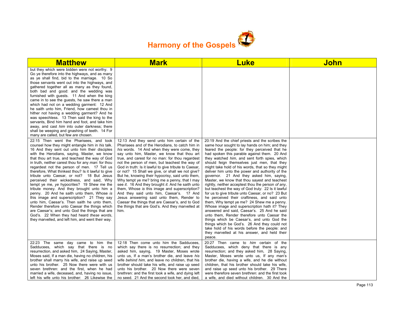

| <b>Matthew</b>                                                                                                                                                                                                                                                                                                                                                                                                                                                                                                                                                                                                                                                                                                                                                                                                                                                                                                                                      | <b>Mark</b>                                                                                                                                                                                                                                                                                                                                                                                                                                                                                                                                                                                                                                                                                                                                                                                                                      | <b>Luke</b>                                                                                                                                                                                                                                                                                                                                                                                                                                                                                                                                                                                                                                                                                                                                                                                                                                                                                                                                                                                                                                                                                                                  | <b>John</b> |
|-----------------------------------------------------------------------------------------------------------------------------------------------------------------------------------------------------------------------------------------------------------------------------------------------------------------------------------------------------------------------------------------------------------------------------------------------------------------------------------------------------------------------------------------------------------------------------------------------------------------------------------------------------------------------------------------------------------------------------------------------------------------------------------------------------------------------------------------------------------------------------------------------------------------------------------------------------|----------------------------------------------------------------------------------------------------------------------------------------------------------------------------------------------------------------------------------------------------------------------------------------------------------------------------------------------------------------------------------------------------------------------------------------------------------------------------------------------------------------------------------------------------------------------------------------------------------------------------------------------------------------------------------------------------------------------------------------------------------------------------------------------------------------------------------|------------------------------------------------------------------------------------------------------------------------------------------------------------------------------------------------------------------------------------------------------------------------------------------------------------------------------------------------------------------------------------------------------------------------------------------------------------------------------------------------------------------------------------------------------------------------------------------------------------------------------------------------------------------------------------------------------------------------------------------------------------------------------------------------------------------------------------------------------------------------------------------------------------------------------------------------------------------------------------------------------------------------------------------------------------------------------------------------------------------------------|-------------|
| but they which were bidden were not worthy. 9<br>Go ye therefore into the highways, and as many<br>as ye shall find, bid to the marriage. 10 So<br>those servants went out into the highways, and<br>gathered together all as many as they found,<br>both bad and good: and the wedding was<br>furnished with guests. 11 And when the king<br>came in to see the guests, he saw there a man<br>which had not on a wedding garment: 12 And<br>he saith unto him, Friend, how camest thou in<br>hither not having a wedding garment? And he<br>was speechless. 13 Then said the king to the<br>servants, Bind him hand and foot, and take him<br>away, and cast him into outer darkness; there<br>shall be weeping and gnashing of teeth. 14 For<br>many are called, but few are chosen.                                                                                                                                                              |                                                                                                                                                                                                                                                                                                                                                                                                                                                                                                                                                                                                                                                                                                                                                                                                                                  |                                                                                                                                                                                                                                                                                                                                                                                                                                                                                                                                                                                                                                                                                                                                                                                                                                                                                                                                                                                                                                                                                                                              |             |
| 22:15 Then went the Pharisees, and took<br>counsel how they might entangle him in his talk.<br>16 And they sent out unto him their disciples<br>with the Herodians, saying, Master, we know<br>that thou art true, and teachest the way of God<br>in truth, neither carest thou for any man: for thou<br>regardest not the person of men. 17 Tell us<br>therefore, What thinkest thou? Is it lawful to give<br>tribute unto Caesar, or not? 18 But Jesus<br>perceived their wickedness, and said, Why<br>tempt ye me, ye hypocrites? 19 Shew me the<br>tribute money. And they brought unto him a<br>penny. 20 And he saith unto them, Whose is<br>this image and superscription? 21 They say<br>unto him, Caesar's. Then saith he unto them,<br>Render therefore unto Caesar the things which<br>are Caesar's; and unto God the things that are<br>God's. 22 When they had heard these words,<br>they marvelled, and left him, and went their way. | 12:13 And they send unto him certain of the<br>Pharisees and of the Herodians, to catch him in<br>his words. 14 And when they were come, they<br>say unto him, Master, we know that thou art<br>true, and carest for no man: for thou regardest<br>not the person of men, but teachest the way of<br>God in truth: Is it lawful to give tribute to Caesar,<br>or not? 15 Shall we give, or shall we not give?<br>But he, knowing their hypocrisy, said unto them,<br>Why tempt ye me? bring me a penny, that I may<br>see it. 16 And they brought it. And he saith unto<br>them, Whose is this image and superscription?<br>And they said unto him, Caesar's. 17 And<br>Jesus answering said unto them, Render to<br>Caesar the things that are Caesar's, and to God<br>the things that are God's. And they marvelled at<br>him. | 20:19 And the chief priests and the scribes the<br>same hour sought to lay hands on him; and they<br>feared the people: for they perceived that he<br>had spoken this parable against them. 20 And<br>they watched him, and sent forth spies, which<br>should feign themselves just men, that they<br>might take hold of his words, that so they might<br>deliver him unto the power and authority of the<br>governor. 21 And they asked him, saying,<br>Master, we know that thou sayest and teachest<br>rightly, neither acceptest thou the person of any,<br>but teachest the way of God truly: 22 Is it lawful<br>for us to give tribute unto Caesar, or no? 23 But<br>he perceived their craftiness, and said unto<br>them, Why tempt ye me? 24 Shew me a penny.<br>Whose image and superscription hath it? They<br>answered and said, Caesar's. 25 And he said<br>unto them, Render therefore unto Caesar the<br>things which be Caesar's, and unto God the<br>things which be God's. 26 And they could not<br>take hold of his words before the people: and<br>they marvelled at his answer, and held their<br>peace. |             |
| 22:23 The same day came to him the<br>Sadducees, which say that there is no<br>resurrection, and asked him, 24 Saying, Master,<br>Moses said, If a man die, having no children, his<br>brother shall marry his wife, and raise up seed<br>unto his brother. 25 Now there were with us<br>seven brethren: and the first, when he had<br>married a wife, deceased, and, having no issue,<br>left his wife unto his brother: 26 Likewise the                                                                                                                                                                                                                                                                                                                                                                                                                                                                                                           | 12:18 Then come unto him the Sadducees,<br>which say there is no resurrection; and they<br>asked him, saying, 19 Master, Moses wrote<br>unto us, If a man's brother die, and leave his<br>wife behind him, and leave no children, that his<br>brother should take his wife, and raise up seed<br>unto his brother. 20 Now there were seven<br>brethren: and the first took a wife, and dying left<br>no seed. 21 And the second took her, and died,                                                                                                                                                                                                                                                                                                                                                                              | 20:27 Then came to him certain of the<br>Sadducees, which deny that there is any<br>resurrection; and they asked him, 28 Saying,<br>Master, Moses wrote unto us, If any man's<br>brother die, having a wife, and he die without<br>children, that his brother should take his wife,<br>and raise up seed unto his brother. 29 There<br>were therefore seven brethren: and the first took<br>a wife, and died without children. 30 And the                                                                                                                                                                                                                                                                                                                                                                                                                                                                                                                                                                                                                                                                                    |             |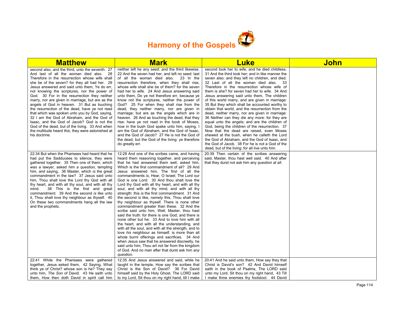

| <b>Matthew</b>                                                                                                                                                                                                                                                                                                                                                                                                                                                                                                                                                                                                                                                                                                                                                               | <b>Mark</b>                                                                                                                                                                                                                                                                                                                                                                                                                                                                                                                                                                                                                                                                                                                                                                                                                                                                                                                                                                                                                                                                                                                                                                                              | <u>Luke</u>                                                                                                                                                                                                                                                                                                                                                                                                                                                                                                                                                                                                                                                                                                                                                                                                                                                                                                                                                               | <u>John</u> |
|------------------------------------------------------------------------------------------------------------------------------------------------------------------------------------------------------------------------------------------------------------------------------------------------------------------------------------------------------------------------------------------------------------------------------------------------------------------------------------------------------------------------------------------------------------------------------------------------------------------------------------------------------------------------------------------------------------------------------------------------------------------------------|----------------------------------------------------------------------------------------------------------------------------------------------------------------------------------------------------------------------------------------------------------------------------------------------------------------------------------------------------------------------------------------------------------------------------------------------------------------------------------------------------------------------------------------------------------------------------------------------------------------------------------------------------------------------------------------------------------------------------------------------------------------------------------------------------------------------------------------------------------------------------------------------------------------------------------------------------------------------------------------------------------------------------------------------------------------------------------------------------------------------------------------------------------------------------------------------------------|---------------------------------------------------------------------------------------------------------------------------------------------------------------------------------------------------------------------------------------------------------------------------------------------------------------------------------------------------------------------------------------------------------------------------------------------------------------------------------------------------------------------------------------------------------------------------------------------------------------------------------------------------------------------------------------------------------------------------------------------------------------------------------------------------------------------------------------------------------------------------------------------------------------------------------------------------------------------------|-------------|
| second also, and the third, unto the seventh. 27<br>And last of all the woman died also. 28<br>Therefore in the resurrection whose wife shall<br>she be of the seven? for they all had her. 29<br>Jesus answered and said unto them, Ye do err,<br>not knowing the scriptures, nor the power of<br>God. 30 For in the resurrection they neither<br>marry, nor are given in marriage, but are as the<br>angels of God in heaven. 31 But as touching<br>the resurrection of the dead, have ye not read<br>that which was spoken unto you by God, saying,<br>32 I am the God of Abraham, and the God of<br>Isaac, and the God of Jacob? God is not the<br>God of the dead, but of the living. 33 And when<br>the multitude heard this, they were astonished at<br>his doctrine. | neither left he any seed: and the third likewise.<br>22 And the seven had her, and left no seed: last<br>of all the woman died also. 23 In the<br>resurrection therefore, when they shall rise,<br>whose wife shall she be of them? for the seven<br>had her to wife. 24 And Jesus answering said<br>unto them, Do ye not therefore err, because ye<br>know not the scriptures, neither the power of<br>God? 25 For when they shall rise from the<br>dead, they neither marry, nor are given in<br>marriage; but are as the angels which are in<br>heaven. 26 And as touching the dead, that they<br>rise: have ye not read in the book of Moses,<br>how in the bush God spake unto him, saying, I<br>am the God of Abraham, and the God of Isaac,<br>and the God of Jacob? 27 He is not the God of<br>the dead, but the God of the living: ye therefore<br>do greatly err.                                                                                                                                                                                                                                                                                                                              | second took her to wife, and he died childless.<br>31 And the third took her; and in like manner the<br>seven also: and they left no children, and died.<br>32 Last of all the woman died also. 33<br>Therefore in the resurrection whose wife of<br>them is she? for seven had her to wife. 34 And<br>Jesus answering said unto them, The children<br>of this world marry, and are given in marriage:<br>35 But they which shall be accounted worthy to<br>obtain that world, and the resurrection from the<br>dead, neither marry, nor are given in marriage:<br>36 Neither can they die any more: for they are<br>equal unto the angels; and are the children of<br>God, being the children of the resurrection. 37<br>Now that the dead are raised, even Moses<br>shewed at the bush, when he calleth the Lord<br>the God of Abraham, and the God of Isaac, and<br>the God of Jacob. 38 For he is not a God of the<br>dead, but of the living: for all live unto him. |             |
| 22:34 But when the Pharisees had heard that he<br>had put the Sadducees to silence, they were<br>gathered together. 35 Then one of them, which<br>was a lawyer, asked him a question, tempting<br>him, and saying, 36 Master, which is the great<br>commandment in the law? 37 Jesus said unto<br>him, Thou shalt love the Lord thy God with all<br>thy heart, and with all thy soul, and with all thy<br>38 This is the first and great<br>mind.<br>commandment. 39 And the second is like unto<br>it, Thou shalt love thy neighbour as thyself. 40<br>On these two commandments hang all the law<br>and the prophets.                                                                                                                                                      | 12:28 And one of the scribes came, and having<br>heard them reasoning together, and perceiving<br>that he had answered them well, asked him,<br>Which is the first commandment of all? 29 And<br>Jesus answered him, The first of all the<br>commandments is, Hear, O Israel; The Lord our<br>God is one Lord: 30 And thou shalt love the<br>Lord thy God with all thy heart, and with all thy<br>soul, and with all thy mind, and with all thy<br>strength: this is the first commandment. 31 And<br>the second is like, <i>namely</i> this, Thou shalt love<br>thy neighbour as thyself. There is none other<br>commandment greater than these. 32 And the<br>scribe said unto him, Well, Master, thou hast<br>said the truth: for there is one God; and there is<br>none other but he: 33 And to love him with all<br>the heart, and with all the understanding, and<br>with all the soul, and with all the strength, and to<br>love his neighbour as himself, is more than all<br>whole burnt offerings and sacrifices. 34 And<br>when Jesus saw that he answered discreetly, he<br>said unto him, Thou art not far from the kingdom<br>of God. And no man after that durst ask him any<br>question. | 20:39 Then certain of the scribes answering<br>said, Master, thou hast well said. 40 And after<br>that they durst not ask him any question at all.                                                                                                                                                                                                                                                                                                                                                                                                                                                                                                                                                                                                                                                                                                                                                                                                                        |             |
| 22:41 While the Pharisees were gathered<br>together, Jesus asked them, 42 Saying, What<br>think ye of Christ? whose son is he? They say                                                                                                                                                                                                                                                                                                                                                                                                                                                                                                                                                                                                                                      | 12:35 And Jesus answered and said, while he<br>taught in the temple, How say the scribes that<br>Christ is the Son of David? 36 For David                                                                                                                                                                                                                                                                                                                                                                                                                                                                                                                                                                                                                                                                                                                                                                                                                                                                                                                                                                                                                                                                | 20:41 And he said unto them, How say they that<br>Christ is David's son? 42 And David himself<br>saith in the book of Psalms, The LORD said                                                                                                                                                                                                                                                                                                                                                                                                                                                                                                                                                                                                                                                                                                                                                                                                                               |             |
| unto him, The Son of David. 43 He saith unto<br>them, How then doth David in spirit call him                                                                                                                                                                                                                                                                                                                                                                                                                                                                                                                                                                                                                                                                                 | himself said by the Holy Ghost, The LORD said<br>to my Lord, Sit thou on my right hand, till I make                                                                                                                                                                                                                                                                                                                                                                                                                                                                                                                                                                                                                                                                                                                                                                                                                                                                                                                                                                                                                                                                                                      | unto my Lord, Sit thou on my right hand, 43 Till<br>I make thine enemies thy footstool. 44 David                                                                                                                                                                                                                                                                                                                                                                                                                                                                                                                                                                                                                                                                                                                                                                                                                                                                          |             |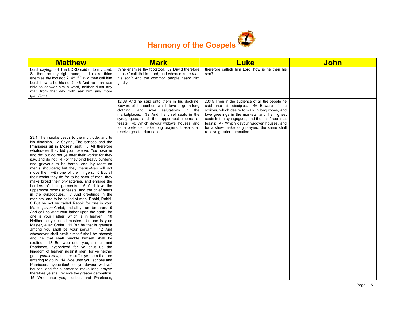

| <b>Matthew</b>                                                                                                                                                                                                                                                                                                                                                                                                                                                                                                                                                                                                                                                                                                                                                                                                                                                                                                                                                                                                                                                                                                                                                                                                                                                                                                                                                                                                                                                                                                                                                                                                                                                    | <b>Mark</b>                                                                                                                                                                                                                                                                                                                                                     | <b>Luke</b>                                                                                                                                                                                                                                                                                                                                                                        | <b>John</b> |
|-------------------------------------------------------------------------------------------------------------------------------------------------------------------------------------------------------------------------------------------------------------------------------------------------------------------------------------------------------------------------------------------------------------------------------------------------------------------------------------------------------------------------------------------------------------------------------------------------------------------------------------------------------------------------------------------------------------------------------------------------------------------------------------------------------------------------------------------------------------------------------------------------------------------------------------------------------------------------------------------------------------------------------------------------------------------------------------------------------------------------------------------------------------------------------------------------------------------------------------------------------------------------------------------------------------------------------------------------------------------------------------------------------------------------------------------------------------------------------------------------------------------------------------------------------------------------------------------------------------------------------------------------------------------|-----------------------------------------------------------------------------------------------------------------------------------------------------------------------------------------------------------------------------------------------------------------------------------------------------------------------------------------------------------------|------------------------------------------------------------------------------------------------------------------------------------------------------------------------------------------------------------------------------------------------------------------------------------------------------------------------------------------------------------------------------------|-------------|
| Lord, saying, 44 The LORD said unto my Lord,<br>Sit thou on my right hand, till I make thine<br>enemies thy footstool? 45 If David then call him<br>Lord, how is he his son? 46 And no man was<br>able to answer him a word, neither durst any<br>man from that day forth ask him any more<br>questions.                                                                                                                                                                                                                                                                                                                                                                                                                                                                                                                                                                                                                                                                                                                                                                                                                                                                                                                                                                                                                                                                                                                                                                                                                                                                                                                                                          | thine enemies thy footstool. 37 David therefore<br>himself calleth him Lord; and whence is he then<br>his son? And the common people heard him<br>gladly.                                                                                                                                                                                                       | therefore calleth him Lord, how is he then his<br>son?                                                                                                                                                                                                                                                                                                                             |             |
|                                                                                                                                                                                                                                                                                                                                                                                                                                                                                                                                                                                                                                                                                                                                                                                                                                                                                                                                                                                                                                                                                                                                                                                                                                                                                                                                                                                                                                                                                                                                                                                                                                                                   | 12:38 And he said unto them in his doctrine,<br>Beware of the scribes, which love to go in long<br>clothing, and love salutations in the<br>marketplaces, 39 And the chief seats in the<br>synagogues, and the uppermost rooms at<br>feasts: 40 Which devour widows' houses, and<br>for a pretence make long prayers: these shall<br>receive greater damnation. | 20:45 Then in the audience of all the people he<br>said unto his disciples, 46 Beware of the<br>scribes, which desire to walk in long robes, and<br>love greetings in the markets, and the highest<br>seats in the synagogues, and the chief rooms at<br>feasts; 47 Which devour widows' houses, and<br>for a shew make long prayers: the same shall<br>receive greater damnation. |             |
| 23:1 Then spake Jesus to the multitude, and to<br>his disciples, 2 Saying, The scribes and the<br>Pharisees sit in Moses' seat: 3 All therefore<br>whatsoever they bid you observe, that observe<br>and do; but do not ye after their works: for they<br>say, and do not. 4 For they bind heavy burdens<br>and grievous to be borne, and lay them on<br>men's shoulders; but they themselves will not<br>move them with one of their fingers. 5 But all<br>their works they do for to be seen of men: they<br>make broad their phylacteries, and enlarge the<br>borders of their garments, 6 And love the<br>uppermost rooms at feasts, and the chief seats<br>in the synagogues, 7 And greetings in the<br>markets, and to be called of men, Rabbi, Rabbi.<br>8 But be not ye called Rabbi: for one is your<br>Master, even Christ; and all ye are brethren. 9<br>And call no man your father upon the earth: for<br>one is your Father, which is in heaven. 10<br>Neither be ye called masters: for one is your<br>Master, even Christ. 11 But he that is greatest<br>among you shall be your servant. 12 And<br>whosoever shall exalt himself shall be abased:<br>and he that shall humble himself shall be<br>exalted. 13 But woe unto you, scribes and<br>Pharisees, hypocrites! for ye shut up the<br>kingdom of heaven against men: for ye neither<br>go in yourselves, neither suffer ye them that are<br>entering to go in. 14 Woe unto you, scribes and<br>Pharisees, hypocrites! for ye devour widows'<br>houses, and for a pretence make long prayer:<br>therefore ye shall receive the greater damnation.<br>15 Woe unto you, scribes and Pharisees, |                                                                                                                                                                                                                                                                                                                                                                 |                                                                                                                                                                                                                                                                                                                                                                                    |             |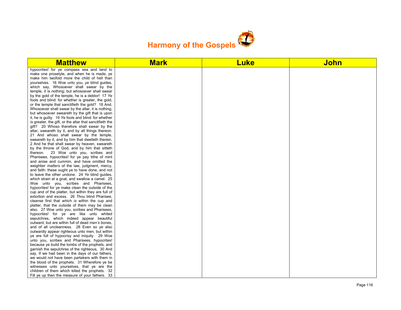

| <b>Matthew</b>                                          | <b>Mark</b> | <b>Luke</b> | <b>John</b> |
|---------------------------------------------------------|-------------|-------------|-------------|
| hypocrites! for ye compass sea and land to              |             |             |             |
| make one proselyte, and when he is made, ye             |             |             |             |
| make him twofold more the child of hell than            |             |             |             |
| yourselves. 16 Woe unto you, ye blind guides,           |             |             |             |
| which say, Whosoever shall swear by the                 |             |             |             |
| temple, it is nothing; but whosoever shall swear        |             |             |             |
| by the gold of the temple, he is a debtor! 17 Ye        |             |             |             |
| fools and blind: for whether is greater, the gold,      |             |             |             |
| or the temple that sanctifieth the gold? 18 And,        |             |             |             |
| Whosoever shall swear by the altar, it is nothing;      |             |             |             |
| but whosoever sweareth by the gift that is upon         |             |             |             |
| it, he is guilty. 19 Ye fools and blind: for whether    |             |             |             |
| is greater, the gift, or the altar that sanctifieth the |             |             |             |
| gift? 20 Whoso therefore shall swear by the             |             |             |             |
| altar, sweareth by it, and by all things thereon.       |             |             |             |
| 21 And whoso shall swear by the temple,                 |             |             |             |
| sweareth by it, and by him that dwelleth therein.       |             |             |             |
| 2 And he that shall swear by heaven, sweareth           |             |             |             |
| by the throne of God, and by him that sitteth           |             |             |             |
| thereon. 23 Woe unto you, scribes and                   |             |             |             |
| Pharisees, hypocrites! for ye pay tithe of mint         |             |             |             |
| and anise and cummin, and have omitted the              |             |             |             |
| weightier matters of the law, judgment, mercy,          |             |             |             |
| and faith: these ought ye to have done, and not         |             |             |             |
| to leave the other undone. 24 Ye blind quides,          |             |             |             |
| which strain at a gnat, and swallow a camel. 25         |             |             |             |
| Woe unto you, scribes and Pharisees,                    |             |             |             |
| hypocrites! for ye make clean the outside of the        |             |             |             |
| cup and of the platter, but within they are full of     |             |             |             |
| extortion and excess. 26 Thou blind Pharisee,           |             |             |             |
| cleanse first that which is within the cup and          |             |             |             |
| platter, that the outside of them may be clean          |             |             |             |
| also. 27 Woe unto you, scribes and Pharisees,           |             |             |             |
| hypocrites! for ye are like unto whited                 |             |             |             |
| sepulchres, which indeed appear beautiful               |             |             |             |
| outward, but are within full of dead men's bones,       |             |             |             |
| and of all uncleanness. 28 Even so ye also              |             |             |             |
| outwardly appear righteous unto men, but within         |             |             |             |
| ye are full of hypocrisy and iniquity. 29 Woe           |             |             |             |
| unto you, scribes and Pharisees, hypocrites!            |             |             |             |
| because ye build the tombs of the prophets, and         |             |             |             |
| garnish the sepulchres of the righteous, 30 And         |             |             |             |
| say, If we had been in the days of our fathers,         |             |             |             |
| we would not have been partakers with them in           |             |             |             |
| the blood of the prophets. 31 Wherefore ye be           |             |             |             |
| witnesses unto yourselves, that ye are the              |             |             |             |
| children of them which killed the prophets. 32          |             |             |             |
| Fill ye up then the measure of your fathers. 33         |             |             |             |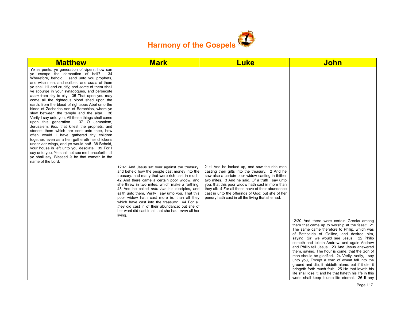

| <b>Matthew</b>                                                                                                                                                                                                                                                                                                                                                                                                                                                                                                                                                                                                                                                                                                                                                                                                                                                                                                                                                                                                                                                          | <b>Mark</b>                                                                                                                                                                                                                                                                                                                                                                                                                                                                                                                                                                          | <b>Luke</b>                                                                                                                                                                                                                                                                                                                                                                                                             | <b>John</b>                                                                                                                                                                                                                                                                                                                                                                                                                                                                                                                                                                                                                                                                                                              |
|-------------------------------------------------------------------------------------------------------------------------------------------------------------------------------------------------------------------------------------------------------------------------------------------------------------------------------------------------------------------------------------------------------------------------------------------------------------------------------------------------------------------------------------------------------------------------------------------------------------------------------------------------------------------------------------------------------------------------------------------------------------------------------------------------------------------------------------------------------------------------------------------------------------------------------------------------------------------------------------------------------------------------------------------------------------------------|--------------------------------------------------------------------------------------------------------------------------------------------------------------------------------------------------------------------------------------------------------------------------------------------------------------------------------------------------------------------------------------------------------------------------------------------------------------------------------------------------------------------------------------------------------------------------------------|-------------------------------------------------------------------------------------------------------------------------------------------------------------------------------------------------------------------------------------------------------------------------------------------------------------------------------------------------------------------------------------------------------------------------|--------------------------------------------------------------------------------------------------------------------------------------------------------------------------------------------------------------------------------------------------------------------------------------------------------------------------------------------------------------------------------------------------------------------------------------------------------------------------------------------------------------------------------------------------------------------------------------------------------------------------------------------------------------------------------------------------------------------------|
| Ye serpents, ye generation of vipers, how can<br>ye escape the damnation of hell?<br>34<br>Wherefore, behold, I send unto you prophets,<br>and wise men, and scribes: and some of them<br>ye shall kill and crucify; and some of them shall<br>ye scourge in your synagogues, and persecute<br>them from city to city: 35 That upon you may<br>come all the righteous blood shed upon the<br>earth, from the blood of righteous Abel unto the<br>blood of Zacharias son of Barachias, whom ye<br>slew between the temple and the altar. 36<br>Verily I say unto you, All these things shall come<br>upon this generation. 37 O Jerusalem,<br>Jerusalem, thou that killest the prophets, and<br>stonest them which are sent unto thee, how<br>often would I have gathered thy children<br>together, even as a hen gathereth her chickens<br>under her wings, and ye would not! 38 Behold,<br>your house is left unto you desolate. 39 For I<br>say unto you. Ye shall not see me henceforth, till<br>ye shall say, Blessed is he that cometh in the<br>name of the Lord. |                                                                                                                                                                                                                                                                                                                                                                                                                                                                                                                                                                                      |                                                                                                                                                                                                                                                                                                                                                                                                                         |                                                                                                                                                                                                                                                                                                                                                                                                                                                                                                                                                                                                                                                                                                                          |
|                                                                                                                                                                                                                                                                                                                                                                                                                                                                                                                                                                                                                                                                                                                                                                                                                                                                                                                                                                                                                                                                         | 12:41 And Jesus sat over against the treasury,<br>and beheld how the people cast money into the<br>treasury: and many that were rich cast in much.<br>42 And there came a certain poor widow, and<br>she threw in two mites, which make a farthing.<br>43 And he called <i>unto him</i> his disciples, and<br>saith unto them, Verily I say unto you, That this<br>poor widow hath cast more in, than all they<br>which have cast into the treasury: 44 For all<br>they did cast in of their abundance; but she of<br>her want did cast in all that she had, even all her<br>living. | 21:1 And he looked up, and saw the rich men<br>casting their gifts into the treasury. 2 And he<br>saw also a certain poor widow casting in thither<br>two mites. 3 And he said, Of a truth I say unto<br>you, that this poor widow hath cast in more than<br>they all: 4 For all these have of their abundance<br>cast in unto the offerings of God: but she of her<br>penury hath cast in all the living that she had. |                                                                                                                                                                                                                                                                                                                                                                                                                                                                                                                                                                                                                                                                                                                          |
|                                                                                                                                                                                                                                                                                                                                                                                                                                                                                                                                                                                                                                                                                                                                                                                                                                                                                                                                                                                                                                                                         |                                                                                                                                                                                                                                                                                                                                                                                                                                                                                                                                                                                      |                                                                                                                                                                                                                                                                                                                                                                                                                         | 12:20 And there were certain Greeks among<br>them that came up to worship at the feast: 21<br>The same came therefore to Philip, which was<br>of Bethsaida of Galilee, and desired him,<br>saying, Sir, we would see Jesus. 22 Philip<br>cometh and telleth Andrew: and again Andrew<br>and Philip tell Jesus. 23 And Jesus answered<br>them, saying, The hour is come, that the Son of<br>man should be glorified. 24 Verily, verily, I say<br>unto you, Except a corn of wheat fall into the<br>ground and die, it abideth alone: but if it die, it<br>bringeth forth much fruit. 25 He that loveth his<br>life shall lose it; and he that hateth his life in this<br>world shall keep it unto life eternal. 26 If any |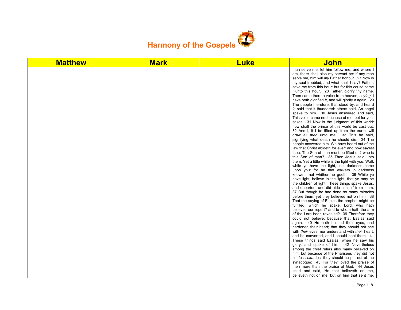

| <b>Matthew</b> | <b>Mark</b> | <b>Luke</b> | John                                                                                                                                                                                                                                                                                                                                                                                                                                                                                                                                                                                                                                                                                                                                                                                                                                                                                                                                                                                                                                                                                                                                                                                                                                                                                                                                                                                                                                                                                                                                                                                                                                                                                                                                                                                                                                                                                                                                                                                                                                                                                                                                                                                                                                                                                         |
|----------------|-------------|-------------|----------------------------------------------------------------------------------------------------------------------------------------------------------------------------------------------------------------------------------------------------------------------------------------------------------------------------------------------------------------------------------------------------------------------------------------------------------------------------------------------------------------------------------------------------------------------------------------------------------------------------------------------------------------------------------------------------------------------------------------------------------------------------------------------------------------------------------------------------------------------------------------------------------------------------------------------------------------------------------------------------------------------------------------------------------------------------------------------------------------------------------------------------------------------------------------------------------------------------------------------------------------------------------------------------------------------------------------------------------------------------------------------------------------------------------------------------------------------------------------------------------------------------------------------------------------------------------------------------------------------------------------------------------------------------------------------------------------------------------------------------------------------------------------------------------------------------------------------------------------------------------------------------------------------------------------------------------------------------------------------------------------------------------------------------------------------------------------------------------------------------------------------------------------------------------------------------------------------------------------------------------------------------------------------|
|                |             |             | man serve me, let him follow me; and where I<br>am, there shall also my servant be: if any man<br>serve me, him will my Father honour. 27 Now is<br>my soul troubled; and what shall I say? Father,<br>save me from this hour: but for this cause came<br>I unto this hour. 28 Father, glorify thy name.<br>Then came there a voice from heaven, saying, I<br>have both glorified it, and will glorify it again. 29<br>The people therefore, that stood by, and heard<br>it, said that it thundered: others said, An angel<br>spake to him. 30 Jesus answered and said,<br>This voice came not because of me, but for your<br>sakes. 31 Now is the judgment of this world:<br>now shall the prince of this world be cast out.<br>32 And I, if I be lifted up from the earth, will<br>draw all <i>men</i> unto me. 33 This he said,<br>signifying what death he should die. 34 The<br>people answered him, We have heard out of the<br>law that Christ abideth for ever: and how sayest<br>thou. The Son of man must be lifted up? who is<br>this Son of man? 35 Then Jesus said unto<br>them, Yet a little while is the light with you. Walk<br>while ye have the light, lest darkness come<br>upon you: for he that walketh in darkness<br>knoweth not whither he goeth. 36 While ye<br>have light, believe in the light, that ye may be<br>the children of light. These things spake Jesus,<br>and departed, and did hide himself from them.<br>37 But though he had done so many miracles<br>before them, yet they believed not on him: 38<br>That the saying of Esaias the prophet might be<br>fulfilled, which he spake, Lord, who hath<br>believed our report? and to whom hath the arm<br>of the Lord been revealed? 39 Therefore they<br>could not believe, because that Esaias said<br>again, 40 He hath blinded their eyes, and<br>hardened their heart; that they should not see<br>with their eyes, nor understand with their heart,<br>and be converted, and I should heal them. 41<br>These things said Esaias, when he saw his<br>glory, and spake of him. 42 Nevertheless<br>among the chief rulers also many believed on<br>him; but because of the Pharisees they did not<br>confess him, lest they should be put out of the<br>synagogue: 43 For they loved the praise of |
|                |             |             | men more than the praise of God. 44 Jesus<br>cried and said. He that believeth on me,<br>believeth not on me, but on him that sent me.                                                                                                                                                                                                                                                                                                                                                                                                                                                                                                                                                                                                                                                                                                                                                                                                                                                                                                                                                                                                                                                                                                                                                                                                                                                                                                                                                                                                                                                                                                                                                                                                                                                                                                                                                                                                                                                                                                                                                                                                                                                                                                                                                       |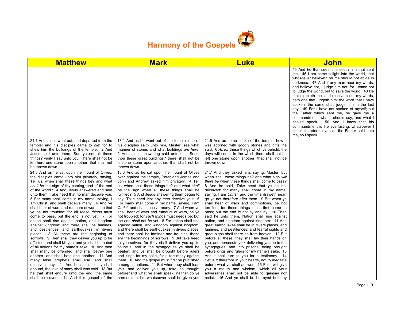

| <b>Matthew</b>                                                                                                                                                                                                                                                                                                                                                                                                                                                                                                                                                                                                                                                                                                                                                                                                                                                                                                                                                                                                                                                                                                                                                                                            | <b>Mark</b>                                                                                                                                                                                                                                                                                                                                                                                                                                                                                                                                                                                                                                                                                                                                                                                                                                                                                                                                                                                                                                                                                                                                                                                                          | <b>Luke</b>                                                                                                                                                                                                                                                                                                                                                                                                                                                                                                                                                                                                                                                                                                                                                                                                                                                                                                                                                                                                                                                                                                                                                                                                            | <u>John</u>                                                                                                                                                                                                                                                                                                                                                                                                                                                                                                                                                                                                                                                                                                                                                      |
|-----------------------------------------------------------------------------------------------------------------------------------------------------------------------------------------------------------------------------------------------------------------------------------------------------------------------------------------------------------------------------------------------------------------------------------------------------------------------------------------------------------------------------------------------------------------------------------------------------------------------------------------------------------------------------------------------------------------------------------------------------------------------------------------------------------------------------------------------------------------------------------------------------------------------------------------------------------------------------------------------------------------------------------------------------------------------------------------------------------------------------------------------------------------------------------------------------------|----------------------------------------------------------------------------------------------------------------------------------------------------------------------------------------------------------------------------------------------------------------------------------------------------------------------------------------------------------------------------------------------------------------------------------------------------------------------------------------------------------------------------------------------------------------------------------------------------------------------------------------------------------------------------------------------------------------------------------------------------------------------------------------------------------------------------------------------------------------------------------------------------------------------------------------------------------------------------------------------------------------------------------------------------------------------------------------------------------------------------------------------------------------------------------------------------------------------|------------------------------------------------------------------------------------------------------------------------------------------------------------------------------------------------------------------------------------------------------------------------------------------------------------------------------------------------------------------------------------------------------------------------------------------------------------------------------------------------------------------------------------------------------------------------------------------------------------------------------------------------------------------------------------------------------------------------------------------------------------------------------------------------------------------------------------------------------------------------------------------------------------------------------------------------------------------------------------------------------------------------------------------------------------------------------------------------------------------------------------------------------------------------------------------------------------------------|------------------------------------------------------------------------------------------------------------------------------------------------------------------------------------------------------------------------------------------------------------------------------------------------------------------------------------------------------------------------------------------------------------------------------------------------------------------------------------------------------------------------------------------------------------------------------------------------------------------------------------------------------------------------------------------------------------------------------------------------------------------|
|                                                                                                                                                                                                                                                                                                                                                                                                                                                                                                                                                                                                                                                                                                                                                                                                                                                                                                                                                                                                                                                                                                                                                                                                           |                                                                                                                                                                                                                                                                                                                                                                                                                                                                                                                                                                                                                                                                                                                                                                                                                                                                                                                                                                                                                                                                                                                                                                                                                      |                                                                                                                                                                                                                                                                                                                                                                                                                                                                                                                                                                                                                                                                                                                                                                                                                                                                                                                                                                                                                                                                                                                                                                                                                        | 45 And he that seeth me seeth him that sent<br>me. 46 I am come a light into the world, that<br>whosoever believeth on me should not abide in<br>darkness. 47 And if any man hear my words,<br>and believe not, I judge him not: for I came not<br>to judge the world, but to save the world. 48 He<br>that rejecteth me, and receiveth not my words,<br>hath one that judgeth him: the word that I have<br>spoken, the same shall judge him in the last<br>day. 49 For I have not spoken of myself; but<br>the Father which sent me, he gave me a<br>commandment, what I should say, and what I<br>50 And I know that his<br>should speak.<br>commandment is life everlasting: whatsoever I<br>speak therefore, even as the Father said unto<br>me, so I speak. |
| 24:1 And Jesus went out, and departed from the<br>temple: and his disciples came to him for to<br>shew him the buildings of the temple. 2 And<br>Jesus said unto them, See ye not all these<br>things? verily I say unto you, There shall not be<br>left here one stone upon another, that shall not<br>be thrown down.                                                                                                                                                                                                                                                                                                                                                                                                                                                                                                                                                                                                                                                                                                                                                                                                                                                                                   | 13:1 And as he went out of the temple, one of<br>his disciples saith unto him, Master, see what<br>manner of stones and what buildings are here!<br>2 And Jesus answering said unto him, Seest<br>thou these great buildings? there shall not be<br>left one stone upon another, that shall not be<br>thrown down.                                                                                                                                                                                                                                                                                                                                                                                                                                                                                                                                                                                                                                                                                                                                                                                                                                                                                                   | 21:5 And as some spake of the temple, how it<br>was adorned with goodly stones and gifts, he<br>said, 6 As for these things which ye behold, the<br>days will come, in the which there shall not be<br>left one stone upon another, that shall not be<br>thrown down.                                                                                                                                                                                                                                                                                                                                                                                                                                                                                                                                                                                                                                                                                                                                                                                                                                                                                                                                                  |                                                                                                                                                                                                                                                                                                                                                                                                                                                                                                                                                                                                                                                                                                                                                                  |
| 24:3 And as he sat upon the mount of Olives,<br>the disciples came unto him privately, saying,<br>Tell us, when shall these things be? and what<br>shall be the sign of thy coming, and of the end<br>of the world? 4 And Jesus answered and said<br>unto them, Take heed that no man deceive you.<br>5 For many shall come in my name, saying, I<br>am Christ; and shall deceive many. 6 And ye<br>shall hear of wars and rumours of wars: see that<br>ye be not troubled: for all these things must<br>come to pass, but the end is not yet. 7 For<br>nation shall rise against nation, and kingdom<br>against kingdom: and there shall be famines,<br>and pestilences, and earthquakes, in divers<br>places. 8 All these are the beginning of<br>sorrows. 9 Then shall they deliver you up to be<br>afflicted, and shall kill you: and ye shall be hated<br>of all nations for my name's sake. 10 And then<br>shall many be offended, and shall betray one<br>another, and shall hate one another. 11 And<br>many false prophets shall rise, and shall<br>deceive many. 1 And because iniquity shall<br>abound, the love of many shall wax cold. 13 But<br>he that shall endure unto the end, the same | 13:3 And as he sat upon the mount of Olives<br>over against the temple, Peter and James and<br>John and Andrew asked him privately, 4 Tell<br>us, when shall these things be? and what shall<br>be the sign when all these things shall be<br>fulfilled? 5 And Jesus answering them began to<br>say, Take heed lest any man deceive you: 6<br>For many shall come in my name, saying, I am<br>Christ; and shall deceive many. 7 And when ye<br>shall hear of wars and rumours of wars, be ye<br>not troubled: for such things must needs be; but<br>the end shall not be yet. 8 For nation shall rise<br>against nation, and kingdom against kingdom:<br>and there shall be earthquakes in divers places,<br>and there shall be famines and troubles: these<br>are the beginnings of sorrows. 9 But take heed<br>to yourselves: for they shall deliver you up to<br>councils; and in the synagogues ye shall be<br>beaten: and ye shall be brought before rulers<br>and kings for my sake, for a testimony against<br>them. 10 And the gospel must first be published<br>among all nations. 11 But when they shall lead<br>you, and deliver you up, take no thought<br>beforehand what ye shall speak, neither do ye | 21:7 And they asked him, saying, Master, but<br>when shall these things be? and what sign will<br>there be when these things shall come to pass?<br>8 And he said, Take heed that ye be not<br>deceived: for many shall come in my name,<br>saying, I am Christ; and the time draweth near:<br>go ye not therefore after them. 9 But when ye<br>shall hear of wars and commotions, be not<br>terrified: for these things must first come to<br>pass; but the end is not by and by. 10 Then<br>said he unto them, Nation shall rise against<br>nation, and kingdom against kingdom: 11 And<br>great earthquakes shall be in divers places, and<br>famines, and pestilences; and fearful sights and<br>great signs shall there be from heaven. 12 But<br>before all these, they shall lay their hands on<br>you, and persecute you, delivering you up to the<br>synagogues, and into prisons, being brought<br>before kings and rulers for my name's sake. 13<br>And it shall turn to you for a testimony. 14<br>Settle <i>it</i> therefore in your hearts, not to meditate<br>before what ye shall answer: 15 For I will give<br>you a mouth and wisdom, which all your<br>adversaries shall not be able to gainsay nor |                                                                                                                                                                                                                                                                                                                                                                                                                                                                                                                                                                                                                                                                                                                                                                  |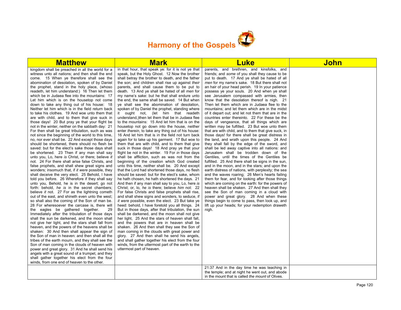

| <b>Matthew</b>                                                                                                                                                                                                                                                                                                                                                                                                                                                                                                                                                                                                                                                                                                                                                                                                                                                                                                                                                                                                                                                                                                                                                                                                                                                                                                                                                                                                                                                                                                                                                                                                                                                                                                                                                                                                                                                                                                                                                                                                                                                                                                                                                                                                                                                                                                                            | <b>Mark</b>                                                                                                                                                                                                                                                                                                                                                                                                                                                                                                                                                                                                                                                                                                                                                                                                                                                                                                                                                                                                                                                                                                                                                                                                                                                                                                                                                                                                                                                                                                                                                                                                                                                                                                                                                                                                                                                                                                                                                                                                                                                                                                                                                                    | Luke                                                                                                                                                                                                                                                                                                                                                                                                                                                                                                                                                                                                                                                                                                                                                                                                                                                                                                                                                                                                                                                                                                                                                                                                                                                                                                                                                                                                                                                                                                                                                                                                                                                                                                       | <u>John</u> |
|-------------------------------------------------------------------------------------------------------------------------------------------------------------------------------------------------------------------------------------------------------------------------------------------------------------------------------------------------------------------------------------------------------------------------------------------------------------------------------------------------------------------------------------------------------------------------------------------------------------------------------------------------------------------------------------------------------------------------------------------------------------------------------------------------------------------------------------------------------------------------------------------------------------------------------------------------------------------------------------------------------------------------------------------------------------------------------------------------------------------------------------------------------------------------------------------------------------------------------------------------------------------------------------------------------------------------------------------------------------------------------------------------------------------------------------------------------------------------------------------------------------------------------------------------------------------------------------------------------------------------------------------------------------------------------------------------------------------------------------------------------------------------------------------------------------------------------------------------------------------------------------------------------------------------------------------------------------------------------------------------------------------------------------------------------------------------------------------------------------------------------------------------------------------------------------------------------------------------------------------------------------------------------------------------------------------------------------------|--------------------------------------------------------------------------------------------------------------------------------------------------------------------------------------------------------------------------------------------------------------------------------------------------------------------------------------------------------------------------------------------------------------------------------------------------------------------------------------------------------------------------------------------------------------------------------------------------------------------------------------------------------------------------------------------------------------------------------------------------------------------------------------------------------------------------------------------------------------------------------------------------------------------------------------------------------------------------------------------------------------------------------------------------------------------------------------------------------------------------------------------------------------------------------------------------------------------------------------------------------------------------------------------------------------------------------------------------------------------------------------------------------------------------------------------------------------------------------------------------------------------------------------------------------------------------------------------------------------------------------------------------------------------------------------------------------------------------------------------------------------------------------------------------------------------------------------------------------------------------------------------------------------------------------------------------------------------------------------------------------------------------------------------------------------------------------------------------------------------------------------------------------------------------------|------------------------------------------------------------------------------------------------------------------------------------------------------------------------------------------------------------------------------------------------------------------------------------------------------------------------------------------------------------------------------------------------------------------------------------------------------------------------------------------------------------------------------------------------------------------------------------------------------------------------------------------------------------------------------------------------------------------------------------------------------------------------------------------------------------------------------------------------------------------------------------------------------------------------------------------------------------------------------------------------------------------------------------------------------------------------------------------------------------------------------------------------------------------------------------------------------------------------------------------------------------------------------------------------------------------------------------------------------------------------------------------------------------------------------------------------------------------------------------------------------------------------------------------------------------------------------------------------------------------------------------------------------------------------------------------------------------|-------------|
| kingdom shall be preached in all the world for a<br>witness unto all nations; and then shall the end<br>come. 15 When ye therefore shall see the<br>abomination of desolation, spoken of by Daniel<br>the prophet, stand in the holy place, (whoso<br>readeth, let him understand:) 16 Then let them<br>which be in Judaea flee into the mountains: 17<br>Let him which is on the housetop not come<br>down to take any thing out of his house: 18<br>Neither let him which is in the field return back<br>to take his clothes. 19 And woe unto them that<br>are with child, and to them that give suck in<br>those days! 20 But pray ye that your flight be<br>not in the winter, neither on the sabbath day: 21<br>For then shall be great tribulation, such as was<br>not since the beginning of the world to this time.<br>no, nor ever shall be. 22 And except those days<br>should be shortened, there should no flesh be<br>saved: but for the elect's sake those days shall<br>be shortened. 23 Then if any man shall say<br>unto you, Lo, here is Christ, or there; believe it<br>not. 24 For there shall arise false Christs, and<br>false prophets, and shall shew great signs and<br>wonders; insomuch that, if it were possible, they<br>shall deceive the very elect. 25 Behold, I have<br>told you before. 26 Wherefore if they shall say<br>unto you, Behold, he is in the desert; go not<br>forth: behold, he is in the secret chambers;<br>believe it not. 27 For as the lightning cometh<br>out of the east, and shineth even unto the west;<br>so shall also the coming of the Son of man be.<br>28 For wheresoever the carcase is, there will<br>the eagles be gathered together.<br>29<br>Immediately after the tribulation of those days<br>shall the sun be darkened, and the moon shall<br>not give her light, and the stars shall fall from<br>heaven, and the powers of the heavens shall be<br>shaken: 30 And then shall appear the sign of<br>the Son of man in heaven: and then shall all the<br>tribes of the earth mourn, and they shall see the<br>Son of man coming in the clouds of heaven with<br>power and great glory. 31 And he shall send his<br>angels with a great sound of a trumpet, and they<br>shall gather together his elect from the four<br>winds, from one end of heaven to the other. | in that hour, that speak ye: for it is not ye that<br>speak, but the Holy Ghost. 12 Now the brother<br>shall betray the brother to death, and the father<br>the son; and children shall rise up against their<br>parents, and shall cause them to be put to<br>death. 13 And ye shall be hated of all men for<br>my name's sake: but he that shall endure unto<br>the end, the same shall be saved. 14 But when<br>ye shall see the abomination of desolation,<br>spoken of by Daniel the prophet, standing where<br>it ought not, (let him that readeth<br>understand, then let them that be in Judaea flee<br>to the mountains: 15 And let him that is on the<br>housetop not go down into the house, neither<br>enter therein, to take any thing out of his house:<br>16 And let him that is in the field not turn back<br>again for to take up his garment. 17 But woe to<br>them that are with child, and to them that give<br>suck in those days! 18 And pray ye that your<br>flight be not in the winter. 19 For in those days<br>shall be affliction, such as was not from the<br>beginning of the creation which God created<br>unto this time, neither shall be. 20 And except<br>that the Lord had shortened those days, no flesh<br>should be saved: but for the elect's sake, whom<br>he hath chosen, he hath shortened the days. 21<br>And then if any man shall say to you, Lo, here is<br>Christ; or, lo, he is there; believe him not: 22<br>For false Christs and false prophets shall rise.<br>and shall shew signs and wonders, to seduce, if<br>it were possible, even the elect. 23 But take ye<br>heed: behold, I have foretold you all things. 24<br>But in those days, after that tribulation, the sun<br>shall be darkened, and the moon shall not give<br>her light, 25 And the stars of heaven shall fall,<br>and the powers that are in heaven shall be<br>shaken. 26 And then shall they see the Son of<br>man coming in the clouds with great power and<br>glory. 27 And then shall he send his angels,<br>and shall gather together his elect from the four<br>winds, from the uttermost part of the earth to the<br>uttermost part of heaven. | parents, and brethren, and kinsfolks, and<br>friends; and some of you shall they cause to be<br>put to death. 17 And ye shall be hated of all<br>men for my name's sake. 18 But there shall not<br>an hair of your head perish. 19 In your patience<br>possess ye your souls. 20 And when ye shall<br>see Jerusalem compassed with armies, then<br>know that the desolation thereof is nigh. 21<br>Then let them which are in Judaea flee to the<br>mountains; and let them which are in the midst<br>of it depart out; and let not them that are in the<br>countries enter thereinto. 22 For these be the<br>days of vengeance, that all things which are<br>written may be fulfilled. 23 But woe unto them<br>that are with child, and to them that give suck, in<br>those days! for there shall be great distress in<br>the land, and wrath upon this people. 24 And<br>they shall fall by the edge of the sword, and<br>shall be led away captive into all nations: and<br>Jerusalem shall be trodden down of the<br>Gentiles, until the times of the Gentiles be<br>fulfilled. 25 And there shall be signs in the sun,<br>and in the moon, and in the stars; and upon the<br>earth distress of nations, with perplexity; the sea<br>and the waves roaring; 26 Men's hearts failing<br>them for fear, and for looking after those things<br>which are coming on the earth: for the powers of<br>heaven shall be shaken. 27 And then shall they<br>see the Son of man coming in a cloud with<br>power and great glory. 28 And when these<br>things begin to come to pass, then look up, and<br>lift up your heads; for your redemption draweth<br>nigh.<br>21:37 And in the day time he was teaching in |             |
|                                                                                                                                                                                                                                                                                                                                                                                                                                                                                                                                                                                                                                                                                                                                                                                                                                                                                                                                                                                                                                                                                                                                                                                                                                                                                                                                                                                                                                                                                                                                                                                                                                                                                                                                                                                                                                                                                                                                                                                                                                                                                                                                                                                                                                                                                                                                           |                                                                                                                                                                                                                                                                                                                                                                                                                                                                                                                                                                                                                                                                                                                                                                                                                                                                                                                                                                                                                                                                                                                                                                                                                                                                                                                                                                                                                                                                                                                                                                                                                                                                                                                                                                                                                                                                                                                                                                                                                                                                                                                                                                                | the temple; and at night he went out, and abode<br>in the mount that is called the mount of Olives.                                                                                                                                                                                                                                                                                                                                                                                                                                                                                                                                                                                                                                                                                                                                                                                                                                                                                                                                                                                                                                                                                                                                                                                                                                                                                                                                                                                                                                                                                                                                                                                                        |             |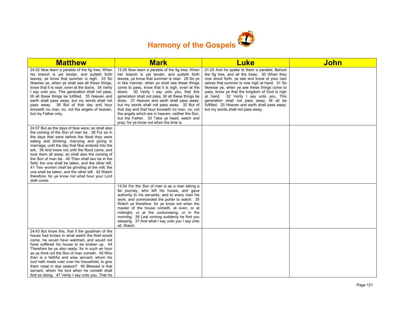

| <b>Matthew</b>                                                                                                                                                                                                                                                                                                                                                                                                                                                                                                                                                                                                                             | <b>Mark</b>                                                                                                                                                                                                                                                                                                                                                                                                                                                                                                                                                                                                                                           | <b>Luke</b>                                                                                                                                                                                                                                                                                                                                                                                                                                                                        | John |
|--------------------------------------------------------------------------------------------------------------------------------------------------------------------------------------------------------------------------------------------------------------------------------------------------------------------------------------------------------------------------------------------------------------------------------------------------------------------------------------------------------------------------------------------------------------------------------------------------------------------------------------------|-------------------------------------------------------------------------------------------------------------------------------------------------------------------------------------------------------------------------------------------------------------------------------------------------------------------------------------------------------------------------------------------------------------------------------------------------------------------------------------------------------------------------------------------------------------------------------------------------------------------------------------------------------|------------------------------------------------------------------------------------------------------------------------------------------------------------------------------------------------------------------------------------------------------------------------------------------------------------------------------------------------------------------------------------------------------------------------------------------------------------------------------------|------|
| 24:32 Now learn a parable of the fig tree; When<br>his branch is yet tender, and putteth forth<br>leaves, ye know that summer is nigh: 33 So<br>likewise ye, when ye shall see all these things,<br>know that it is near, even at the doors. 34 Verily<br>I say unto you, This generation shall not pass,<br>till all these things be fulfilled. 35 Heaven and<br>earth shall pass away, but my words shall not<br>pass away. 36 But of that day and hour<br>knoweth no man, no, not the angels of heaven,<br>but my Father only.                                                                                                          | 13:28 Now learn a parable of the fig tree; When<br>her branch is yet tender, and putteth forth<br>leaves, ye know that summer is near: 29 So ye<br>in like manner, when ye shall see these things<br>come to pass, know that it is nigh, even at the<br>doors. 30 Verily I say unto you, that this<br>generation shall not pass, till all these things be<br>done. 31 Heaven and earth shall pass away:<br>but my words shall not pass away. 32 But of<br>that day and that hour knoweth no man, no, not<br>the angels which are in heaven, neither the Son,<br>but the Father. 33 Take ye heed, watch and<br>pray: for ye know not when the time is. | 21:29 And he spake to them a parable; Behold<br>the fig tree, and all the trees; 30 When they<br>now shoot forth, ye see and know of your own<br>selves that summer is now nigh at hand. 31 So<br>likewise ye, when ye see these things come to<br>pass, know ye that the kingdom of God is nigh<br>at hand. 32 Verily I say unto you, This<br>generation shall not pass away, till all be<br>fulfilled. 33 Heaven and earth shall pass away:<br>but my words shall not pass away. |      |
| 24:37 But as the days of Noe were, so shall also<br>the coming of the Son of man be. 38 For as in<br>the days that were before the flood they were<br>eating and drinking, marrying and giving in<br>marriage, until the day that Noe entered into the<br>ark, 39 And knew not until the flood came, and<br>took them all away; so shall also the coming of<br>the Son of man be. 40 Then shall two be in the<br>field; the one shall be taken, and the other left.<br>41 Two women shall be grinding at the mill; the<br>one shall be taken, and the other left. 42 Watch<br>therefore: for ye know not what hour your Lord<br>doth come. |                                                                                                                                                                                                                                                                                                                                                                                                                                                                                                                                                                                                                                                       |                                                                                                                                                                                                                                                                                                                                                                                                                                                                                    |      |
|                                                                                                                                                                                                                                                                                                                                                                                                                                                                                                                                                                                                                                            | 13:34 For the Son of man is as a man taking a<br>far journey, who left his house, and gave<br>authority to his servants, and to every man his<br>work, and commanded the porter to watch. 35<br>Watch ye therefore: for ye know not when the<br>master of the house cometh, at even, or at<br>midnight, or at the cockcrowing, or in the<br>morning: 36 Lest coming suddenly he find you<br>sleeping. 37 And what I say unto you I say unto<br>all, Watch.                                                                                                                                                                                            |                                                                                                                                                                                                                                                                                                                                                                                                                                                                                    |      |
| 24:43 But know this, that if the goodman of the<br>house had known in what watch the thief would<br>come, he would have watched, and would not<br>have suffered his house to be broken up. 44<br>Therefore be ye also ready: for in such an hour<br>as ye think not the Son of man cometh. 45 Who<br>then is a faithful and wise servant, whom his<br>lord hath made ruler over his household, to give<br>them meat in due season? 46 Blessed is that<br>servant, whom his lord when he cometh shall<br>find so doing. 47 Verily I say unto you, That he                                                                                   |                                                                                                                                                                                                                                                                                                                                                                                                                                                                                                                                                                                                                                                       |                                                                                                                                                                                                                                                                                                                                                                                                                                                                                    |      |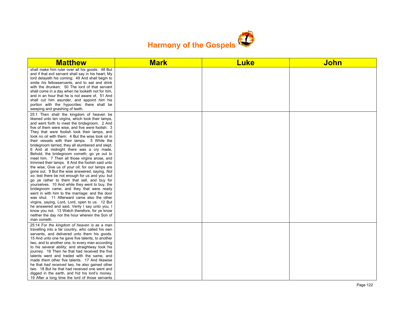

| <b>Matthew</b>                                                                                                                                                                                                                                                                                                                                                                                                                                                                                                                                                                                                                                                                                                                                                                                                                                                                                                                                                                                                                                                                                                                                                                                                                            | <b>Mark</b> | <b>Luke</b> | <b>John</b> |
|-------------------------------------------------------------------------------------------------------------------------------------------------------------------------------------------------------------------------------------------------------------------------------------------------------------------------------------------------------------------------------------------------------------------------------------------------------------------------------------------------------------------------------------------------------------------------------------------------------------------------------------------------------------------------------------------------------------------------------------------------------------------------------------------------------------------------------------------------------------------------------------------------------------------------------------------------------------------------------------------------------------------------------------------------------------------------------------------------------------------------------------------------------------------------------------------------------------------------------------------|-------------|-------------|-------------|
| shall make him ruler over all his goods. 48 But<br>and if that evil servant shall say in his heart, My<br>lord delayeth his coming; 49 And shall begin to<br>smite his fellowservants, and to eat and drink<br>with the drunken; 50 The lord of that servant<br>shall come in a day when he looketh not for him,<br>and in an hour that he is not aware of, 51 And<br>shall cut him asunder, and appoint him his<br>portion with the hypocrites: there shall be<br>weeping and gnashing of teeth.                                                                                                                                                                                                                                                                                                                                                                                                                                                                                                                                                                                                                                                                                                                                         |             |             |             |
| 25:1 Then shall the kingdom of heaven be<br>likened unto ten virgins, which took their lamps,<br>and went forth to meet the bridegroom. 2 And<br>five of them were wise, and five were foolish. 3<br>They that were foolish took their lamps, and<br>took no oil with them: 4 But the wise took oil in<br>their vessels with their lamps. 5 While the<br>bridegroom tarried, they all slumbered and slept.<br>6 And at midnight there was a cry made,<br>Behold, the bridegroom cometh; go ye out to<br>meet him. 7 Then all those virgins arose, and<br>trimmed their lamps. 8 And the foolish said unto<br>the wise, Give us of your oil; for our lamps are<br>gone out. 9 But the wise answered, saying, Not<br>so; lest there be not enough for us and you: but<br>go ye rather to them that sell, and buy for<br>yourselves. 10 And while they went to buy, the<br>bridegroom came; and they that were ready<br>went in with him to the marriage: and the door<br>was shut. 11 Afterward came also the other<br>virgins, saying, Lord, Lord, open to us. 12 But<br>he answered and said, Verily I say unto you, I<br>know you not. 13 Watch therefore, for ye know<br>neither the day nor the hour wherein the Son of<br>man cometh. |             |             |             |
| 25:14 For the kingdom of heaven is as a man<br>travelling into a far country, who called his own<br>servants, and delivered unto them his goods.<br>15 And unto one he gave five talents, to another<br>two, and to another one; to every man according<br>to his several ability; and straightway took his<br>journey. 16 Then he that had received the five<br>talents went and traded with the same, and<br>made them other five talents. 17 And likewise<br>he that had received two, he also gained other<br>two. 18 But he that had received one went and<br>digged in the earth, and hid his lord's money.<br>19 After a long time the lord of those servants                                                                                                                                                                                                                                                                                                                                                                                                                                                                                                                                                                      |             |             |             |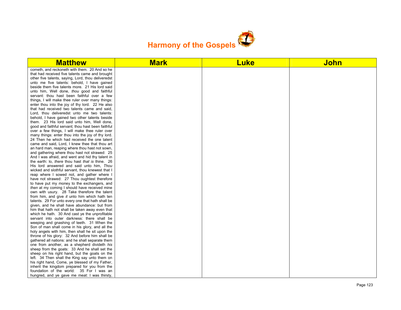

| <b>Matthew</b>                                                                                | <b>Mark</b> | <b>Luke</b> | <b>John</b> |
|-----------------------------------------------------------------------------------------------|-------------|-------------|-------------|
| cometh, and reckoneth with them. 20 And so he                                                 |             |             |             |
| that had received five talents came and brought                                               |             |             |             |
| other five talents, saying, Lord, thou deliveredst                                            |             |             |             |
| unto me five talents: behold, I have gained                                                   |             |             |             |
| beside them five talents more. 21 His lord said                                               |             |             |             |
| unto him, Well done, thou good and faithful                                                   |             |             |             |
| servant: thou hast been faithful over a few                                                   |             |             |             |
| things. I will make thee ruler over many things:                                              |             |             |             |
| enter thou into the joy of thy lord. 22 He also                                               |             |             |             |
| that had received two talents came and said,                                                  |             |             |             |
| Lord, thou deliveredst unto me two talents:                                                   |             |             |             |
| behold, I have gained two other talents beside<br>them. 23 His lord said unto him, Well done, |             |             |             |
| good and faithful servant; thou hast been faithful                                            |             |             |             |
| over a few things, I will make thee ruler over                                                |             |             |             |
| many things: enter thou into the joy of thy lord.                                             |             |             |             |
| 24 Then he which had received the one talent                                                  |             |             |             |
| came and said, Lord, I knew thee that thou art                                                |             |             |             |
| an hard man, reaping where thou hast not sown,                                                |             |             |             |
| and gathering where thou hast not strawed: 25                                                 |             |             |             |
| And I was afraid, and went and hid thy talent in                                              |             |             |             |
| the earth: lo, there thou hast that is thine. 26                                              |             |             |             |
| His lord answered and said unto him, Thou                                                     |             |             |             |
| wicked and slothful servant, thou knewest that I                                              |             |             |             |
| reap where I sowed not, and gather where I                                                    |             |             |             |
| have not strawed: 27 Thou oughtest therefore                                                  |             |             |             |
| to have put my money to the exchangers, and                                                   |             |             |             |
| then at my coming I should have received mine                                                 |             |             |             |
| own with usury. 28 Take therefore the talent                                                  |             |             |             |
| from him, and give it unto him which hath ten                                                 |             |             |             |
| talents. 29 For unto every one that hath shall be                                             |             |             |             |
| given, and he shall have abundance: but from                                                  |             |             |             |
| him that hath not shall be taken away even that                                               |             |             |             |
| which he hath. 30 And cast ye the unprofitable                                                |             |             |             |
| servant into outer darkness: there shall be<br>weeping and gnashing of teeth. 31 When the     |             |             |             |
| Son of man shall come in his glory, and all the                                               |             |             |             |
| holy angels with him, then shall he sit upon the                                              |             |             |             |
| throne of his glory: 32 And before him shall be                                               |             |             |             |
| gathered all nations: and he shall separate them                                              |             |             |             |
| one from another, as a shepherd divideth his                                                  |             |             |             |
| sheep from the goats: 33 And he shall set the                                                 |             |             |             |
| sheep on his right hand, but the goats on the                                                 |             |             |             |
| left. 34 Then shall the King say unto them on                                                 |             |             |             |
| his right hand, Come, ye blessed of my Father,                                                |             |             |             |
| inherit the kingdom prepared for you from the                                                 |             |             |             |
| foundation of the world: 35 For I was an                                                      |             |             |             |
| hungred, and ye gave me meat: I was thirsty,                                                  |             |             |             |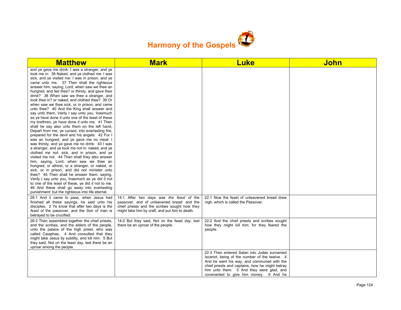

| <b>Matthew</b>                                                                                                                                                                                                                                                                                                                                                                                                                                                                                                                                                                                                                                                                                                                                                                                                                                                                                                                                                                                                                                                                                                                                                                                                                                                                                                                                                                                                                                                                          | <b>Mark</b>                                                                                                                                                                               | <b>Luke</b>                                                                                                                                                                                                                                                                          | <b>John</b> |
|-----------------------------------------------------------------------------------------------------------------------------------------------------------------------------------------------------------------------------------------------------------------------------------------------------------------------------------------------------------------------------------------------------------------------------------------------------------------------------------------------------------------------------------------------------------------------------------------------------------------------------------------------------------------------------------------------------------------------------------------------------------------------------------------------------------------------------------------------------------------------------------------------------------------------------------------------------------------------------------------------------------------------------------------------------------------------------------------------------------------------------------------------------------------------------------------------------------------------------------------------------------------------------------------------------------------------------------------------------------------------------------------------------------------------------------------------------------------------------------------|-------------------------------------------------------------------------------------------------------------------------------------------------------------------------------------------|--------------------------------------------------------------------------------------------------------------------------------------------------------------------------------------------------------------------------------------------------------------------------------------|-------------|
| and ye gave me drink: I was a stranger, and ye<br>took me in: 36 Naked, and ye clothed me: I was<br>sick, and ye visited me: I was in prison, and ye<br>came unto me. 37 Then shall the righteous<br>answer him, saying, Lord, when saw we thee an<br>hungred, and fed thee? or thirsty, and gave thee<br>drink? 38 When saw we thee a stranger, and<br>took thee in? or naked, and clothed thee? 39 Or<br>when saw we thee sick, or in prison, and came<br>unto thee? 40 And the King shall answer and<br>say unto them, Verily I say unto you, Inasmuch<br>as ye have done it unto one of the least of these<br>my brethren, ye have done it unto me. 41 Then<br>shall he say also unto them on the left hand.<br>Depart from me, ye cursed, into everlasting fire,<br>prepared for the devil and his angels: 42 For I<br>was an hungred, and ye gave me no meat: I<br>was thirsty, and ye gave me no drink: 43 I was<br>a stranger, and ye took me not in: naked, and ye<br>clothed me not: sick, and in prison, and ye<br>visited me not. 44 Then shall they also answer<br>him, saying, Lord, when saw we thee an<br>hungred, or athirst, or a stranger, or naked, or<br>sick, or in prison, and did not minister unto<br>thee? 45 Then shall he answer them, saying,<br>Verily I say unto you, Inasmuch as ye did it not<br>to one of the least of these, ye did it not to me.<br>46 And these shall go away into everlasting<br>punishment: but the righteous into life eternal. |                                                                                                                                                                                           |                                                                                                                                                                                                                                                                                      |             |
| 26:1 And it came to pass, when Jesus had<br>finished all these sayings, he said unto his<br>disciples, 2 Ye know that after two days is the<br>feast of the passover, and the Son of man is<br>betrayed to be crucified.                                                                                                                                                                                                                                                                                                                                                                                                                                                                                                                                                                                                                                                                                                                                                                                                                                                                                                                                                                                                                                                                                                                                                                                                                                                                | 14:1 After two days was the feast of the<br>passover, and of unleavened bread: and the<br>chief priests and the scribes sought how they<br>might take him by craft, and put him to death. | 22:1 Now the feast of unleavened bread drew<br>nigh, which is called the Passover.                                                                                                                                                                                                   |             |
| 26:3 Then assembled together the chief priests,<br>and the scribes, and the elders of the people,<br>unto the palace of the high priest, who was<br>called Caiaphas, 4 And consulted that they<br>might take Jesus by subtilty, and kill him. 5 But<br>they said, Not on the feast day, lest there be an<br>uproar among the people.                                                                                                                                                                                                                                                                                                                                                                                                                                                                                                                                                                                                                                                                                                                                                                                                                                                                                                                                                                                                                                                                                                                                                    | 14:2 But they said, Not on the feast day, lest<br>there be an uproar of the people.                                                                                                       | 22:2 And the chief priests and scribes sought<br>how they might kill him; for they feared the<br>people.                                                                                                                                                                             |             |
|                                                                                                                                                                                                                                                                                                                                                                                                                                                                                                                                                                                                                                                                                                                                                                                                                                                                                                                                                                                                                                                                                                                                                                                                                                                                                                                                                                                                                                                                                         |                                                                                                                                                                                           | 22:3 Then entered Satan into Judas surnamed<br>Iscariot, being of the number of the twelve. 4<br>And he went his way, and communed with the<br>chief priests and captains, how he might betray<br>him unto them. 5 And they were glad, and<br>covenanted to give him money. 6 And he |             |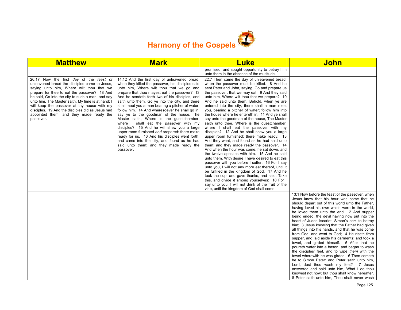

| <b>Matthew</b>                                                                                                                                                                                                                                                                                                                                                                                                                                           | <b>Mark</b>                                                                                                                                                                                                                                                                                                                                                                                                                                                                                                                                                                                                                                                                                                                                                                                        | <b>Luke</b>                                                                                                                                                                                                                                                                                                                                                                                                                                                                                                                                                                                                                                                                                                                                                                                                                                                                                                                                                                                                                                                                                                                                                                                                                                                                                                      | <b>John</b>                                                                                                                                                                                                                                                                                                                                                                                                                                                                                                                                                                                                                                                                                                                                                                                                                                                                                                                                                                                           |
|----------------------------------------------------------------------------------------------------------------------------------------------------------------------------------------------------------------------------------------------------------------------------------------------------------------------------------------------------------------------------------------------------------------------------------------------------------|----------------------------------------------------------------------------------------------------------------------------------------------------------------------------------------------------------------------------------------------------------------------------------------------------------------------------------------------------------------------------------------------------------------------------------------------------------------------------------------------------------------------------------------------------------------------------------------------------------------------------------------------------------------------------------------------------------------------------------------------------------------------------------------------------|------------------------------------------------------------------------------------------------------------------------------------------------------------------------------------------------------------------------------------------------------------------------------------------------------------------------------------------------------------------------------------------------------------------------------------------------------------------------------------------------------------------------------------------------------------------------------------------------------------------------------------------------------------------------------------------------------------------------------------------------------------------------------------------------------------------------------------------------------------------------------------------------------------------------------------------------------------------------------------------------------------------------------------------------------------------------------------------------------------------------------------------------------------------------------------------------------------------------------------------------------------------------------------------------------------------|-------------------------------------------------------------------------------------------------------------------------------------------------------------------------------------------------------------------------------------------------------------------------------------------------------------------------------------------------------------------------------------------------------------------------------------------------------------------------------------------------------------------------------------------------------------------------------------------------------------------------------------------------------------------------------------------------------------------------------------------------------------------------------------------------------------------------------------------------------------------------------------------------------------------------------------------------------------------------------------------------------|
|                                                                                                                                                                                                                                                                                                                                                                                                                                                          |                                                                                                                                                                                                                                                                                                                                                                                                                                                                                                                                                                                                                                                                                                                                                                                                    | promised, and sought opportunity to betray him<br>unto them in the absence of the multitude.                                                                                                                                                                                                                                                                                                                                                                                                                                                                                                                                                                                                                                                                                                                                                                                                                                                                                                                                                                                                                                                                                                                                                                                                                     |                                                                                                                                                                                                                                                                                                                                                                                                                                                                                                                                                                                                                                                                                                                                                                                                                                                                                                                                                                                                       |
| 26:17 Now the first day of the feast of<br>unleavened bread the disciples came to Jesus.<br>saying unto him, Where wilt thou that we<br>prepare for thee to eat the passover? 18 And<br>he said, Go into the city to such a man, and say<br>unto him, The Master saith, My time is at hand; I<br>will keep the passover at thy house with my<br>disciples. 19 And the disciples did as Jesus had<br>appointed them; and they made ready the<br>passover. | 14:12 And the first day of unleavened bread,<br>when they killed the passover, his disciples said<br>unto him, Where wilt thou that we go and<br>prepare that thou mayest eat the passover? 13<br>And he sendeth forth two of his disciples, and<br>saith unto them, Go ye into the city, and there<br>shall meet you a man bearing a pitcher of water:<br>follow him. 14 And wheresoever he shall go in,<br>say ye to the goodman of the house, The<br>Master saith, Where is the guestchamber,<br>where I shall eat the passover with my<br>disciples? 15 And he will shew you a large<br>upper room furnished and prepared: there make<br>ready for us. 16 And his disciples went forth,<br>and came into the city, and found as he had<br>said unto them: and they made ready the<br>passover. | 22:7 Then came the day of unleavened bread,<br>when the passover must be killed. 8 And he<br>sent Peter and John, saying, Go and prepare us<br>the passover, that we may eat. 9 And they said<br>unto him, Where wilt thou that we prepare? 10<br>And he said unto them, Behold, when ye are<br>entered into the city, there shall a man meet<br>you, bearing a pitcher of water; follow him into<br>the house where he entereth in. 11 And ye shall<br>say unto the goodman of the house, The Master<br>saith unto thee, Where is the guestchamber,<br>where I shall eat the passover with my<br>disciples? 12 And he shall shew you a large<br>upper room furnished: there make ready. 13<br>And they went, and found as he had said unto<br>them: and they made ready the passover. 14<br>And when the hour was come, he sat down, and<br>the twelve apostles with him. 15 And he said<br>unto them, With desire I have desired to eat this<br>passover with you before I suffer: 16 For I say<br>unto you, I will not any more eat thereof, until it<br>be fulfilled in the kingdom of God. 17 And he<br>took the cup, and gave thanks, and said, Take<br>this, and divide it among yourselves: 18 For I<br>say unto you, I will not drink of the fruit of the<br>vine, until the kingdom of God shall come. |                                                                                                                                                                                                                                                                                                                                                                                                                                                                                                                                                                                                                                                                                                                                                                                                                                                                                                                                                                                                       |
|                                                                                                                                                                                                                                                                                                                                                                                                                                                          |                                                                                                                                                                                                                                                                                                                                                                                                                                                                                                                                                                                                                                                                                                                                                                                                    |                                                                                                                                                                                                                                                                                                                                                                                                                                                                                                                                                                                                                                                                                                                                                                                                                                                                                                                                                                                                                                                                                                                                                                                                                                                                                                                  | 13:1 Now before the feast of the passover, when<br>Jesus knew that his hour was come that he<br>should depart out of this world unto the Father,<br>having loved his own which were in the world.<br>he loved them unto the end. 2 And supper<br>being ended, the devil having now put into the<br>heart of Judas Iscariot, Simon's son, to betray<br>him; 3 Jesus knowing that the Father had given<br>all things into his hands, and that he was come<br>from God, and went to God; 4 He riseth from<br>supper, and laid aside his garments; and took a<br>towel, and girded himself. 5 After that he<br>poureth water into a bason, and began to wash<br>the disciples' feet, and to wipe them with the<br>towel wherewith he was girded. 6 Then cometh<br>he to Simon Peter: and Peter saith unto him,<br>Lord, dost thou wash my feet? 7 Jesus<br>answered and said unto him, What I do thou<br>knowest not now; but thou shalt know hereafter.<br>8 Peter saith unto him, Thou shalt never wash |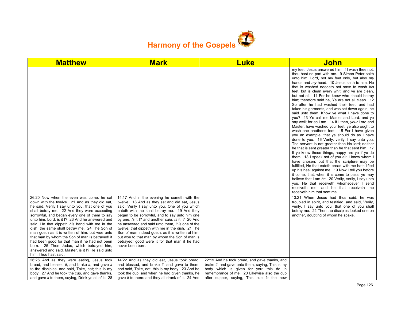

| <b>Matthew</b>                                                                                                                                                                                                                                                                                                                                                                                                                                                                                                                                                                                                                                                                   | <b>Mark</b>                                                                                                                                                                                                                                                                                                                                                                                                                                                                                                                                                                             | <b>Luke</b>                                                                                                                                                                                                                              | <u>John</u>                                                                                                                                                                                                                                                                                                                                                                                                                                                                                                                                                                                                                                                                                                                                                                                                                                                                                                                                                                                                                                                                                                                                                                                                                                                                                                                                                                                                                                                              |
|----------------------------------------------------------------------------------------------------------------------------------------------------------------------------------------------------------------------------------------------------------------------------------------------------------------------------------------------------------------------------------------------------------------------------------------------------------------------------------------------------------------------------------------------------------------------------------------------------------------------------------------------------------------------------------|-----------------------------------------------------------------------------------------------------------------------------------------------------------------------------------------------------------------------------------------------------------------------------------------------------------------------------------------------------------------------------------------------------------------------------------------------------------------------------------------------------------------------------------------------------------------------------------------|------------------------------------------------------------------------------------------------------------------------------------------------------------------------------------------------------------------------------------------|--------------------------------------------------------------------------------------------------------------------------------------------------------------------------------------------------------------------------------------------------------------------------------------------------------------------------------------------------------------------------------------------------------------------------------------------------------------------------------------------------------------------------------------------------------------------------------------------------------------------------------------------------------------------------------------------------------------------------------------------------------------------------------------------------------------------------------------------------------------------------------------------------------------------------------------------------------------------------------------------------------------------------------------------------------------------------------------------------------------------------------------------------------------------------------------------------------------------------------------------------------------------------------------------------------------------------------------------------------------------------------------------------------------------------------------------------------------------------|
|                                                                                                                                                                                                                                                                                                                                                                                                                                                                                                                                                                                                                                                                                  |                                                                                                                                                                                                                                                                                                                                                                                                                                                                                                                                                                                         |                                                                                                                                                                                                                                          | my feet. Jesus answered him, If I wash thee not,<br>thou hast no part with me. 9 Simon Peter saith<br>unto him, Lord, not my feet only, but also my<br>hands and my head. 10 Jesus saith to him, He<br>that is washed needeth not save to wash his<br>feet, but is clean every whit: and ye are clean,<br>but not all. 11 For he knew who should betray<br>him; therefore said he, Ye are not all clean. 12<br>So after he had washed their feet, and had<br>taken his garments, and was set down again, he<br>said unto them, Know ye what I have done to<br>you? 13 Ye call me Master and Lord: and ye<br>say well; for so I am. 14 If I then, your Lord and<br>Master, have washed your feet; ye also ought to<br>wash one another's feet. 15 For I have given<br>you an example, that ye should do as I have<br>done to you. 16 Verily, verily, I say unto you,<br>The servant is not greater than his lord; neither<br>he that is sent greater than he that sent him. 17<br>If ye know these things, happy are ye if ye do<br>them. 18 I speak not of you all: I know whom I<br>have chosen: but that the scripture may be<br>fulfilled, He that eateth bread with me hath lifted<br>up his heel against me. 19 Now I tell you before<br>it come, that, when it is come to pass, ye may<br>believe that I am he. 20 Verily, verily, I say unto<br>you, He that receiveth whomsoever I send<br>receiveth me; and he that receiveth me<br>receiveth him that sent me. |
| 26:20 Now when the even was come, he sat<br>down with the twelve. 21 And as they did eat,<br>he said, Verily I say unto you, that one of you<br>shall betray me. 22 And they were exceeding<br>sorrowful, and began every one of them to say<br>unto him, Lord, is it I? 23 And he answered and<br>said, He that dippeth his hand with me in the<br>dish, the same shall betray me. 24 The Son of<br>man goeth as it is written of him: but woe unto<br>that man by whom the Son of man is betrayed! it<br>had been good for that man if he had not been<br>born. 25 Then Judas, which betrayed him,<br>answered and said, Master, is it I? He said unto<br>him, Thou hast said. | 14:17 And in the evening he cometh with the<br>twelve. 18 And as they sat and did eat, Jesus<br>said, Verily I say unto you, One of you which<br>eateth with me shall betray me. 19 And they<br>began to be sorrowful, and to say unto him one<br>by one, Is it I? and another said, Is it I? 20 And<br>he answered and said unto them, It is one of the<br>twelve, that dippeth with me in the dish. 21 The<br>Son of man indeed goeth, as it is written of him:<br>but woe to that man by whom the Son of man is<br>betrayed! good were it for that man if he had<br>never been born. |                                                                                                                                                                                                                                          | 13:21 When Jesus had thus said, he was<br>troubled in spirit, and testified, and said, Verily,<br>verily, I say unto you, that one of you shall<br>betray me. 22 Then the disciples looked one on<br>another, doubting of whom he spake.                                                                                                                                                                                                                                                                                                                                                                                                                                                                                                                                                                                                                                                                                                                                                                                                                                                                                                                                                                                                                                                                                                                                                                                                                                 |
| 26:26 And as they were eating, Jesus took<br>bread, and blessed it, and brake it, and gave it<br>to the disciples, and said, Take, eat; this is my<br>body. 27 And he took the cup, and gave thanks,<br>and gave it to them, saying, Drink ye all of it; 28                                                                                                                                                                                                                                                                                                                                                                                                                      | 14:22 And as they did eat, Jesus took bread,<br>and blessed, and brake it, and gave to them,<br>and said, Take, eat: this is my body. 23 And he<br>took the cup, and when he had given thanks, he<br>gave it to them: and they all drank of it. 24 And                                                                                                                                                                                                                                                                                                                                  | 22:19 And he took bread, and gave thanks, and<br>brake it, and gave unto them, saying, This is my<br>body which is given for you: this do in<br>remembrance of me. 20 Likewise also the cup<br>after supper, saying, This cup is the new |                                                                                                                                                                                                                                                                                                                                                                                                                                                                                                                                                                                                                                                                                                                                                                                                                                                                                                                                                                                                                                                                                                                                                                                                                                                                                                                                                                                                                                                                          |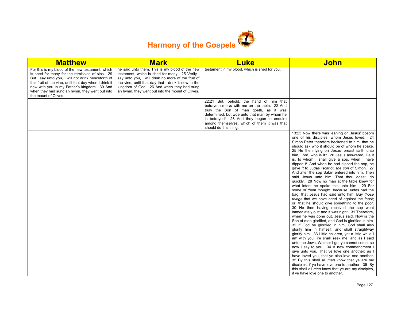

| <b>Matthew</b>                                                                                                                                                                                                                                                                                                                              | <b>Mark</b>                                                                                                                                                                                                                                                                                                    | <b>Luke</b>                                                                                                                                                                                                                                                                                           | <b>John</b>                                                                                                                                                                                                                                                                                                                                                                                                                                                                                                                                                                                                                                                                                                                                                                                                                                                                                                                                                                                                                                                                                                                                                                                                                                                                                                                                                                                                                                                                                                                                                                                                                                                    |
|---------------------------------------------------------------------------------------------------------------------------------------------------------------------------------------------------------------------------------------------------------------------------------------------------------------------------------------------|----------------------------------------------------------------------------------------------------------------------------------------------------------------------------------------------------------------------------------------------------------------------------------------------------------------|-------------------------------------------------------------------------------------------------------------------------------------------------------------------------------------------------------------------------------------------------------------------------------------------------------|----------------------------------------------------------------------------------------------------------------------------------------------------------------------------------------------------------------------------------------------------------------------------------------------------------------------------------------------------------------------------------------------------------------------------------------------------------------------------------------------------------------------------------------------------------------------------------------------------------------------------------------------------------------------------------------------------------------------------------------------------------------------------------------------------------------------------------------------------------------------------------------------------------------------------------------------------------------------------------------------------------------------------------------------------------------------------------------------------------------------------------------------------------------------------------------------------------------------------------------------------------------------------------------------------------------------------------------------------------------------------------------------------------------------------------------------------------------------------------------------------------------------------------------------------------------------------------------------------------------------------------------------------------------|
| For this is my blood of the new testament, which<br>is shed for many for the remission of sins. 29<br>But I say unto you, I will not drink henceforth of<br>this fruit of the vine, until that day when I drink it<br>new with you in my Father's kingdom. 30 And<br>when they had sung an hymn, they went out into<br>the mount of Olives. | he said unto them, This is my blood of the new<br>testament, which is shed for many. 25 Verily I<br>say unto you, I will drink no more of the fruit of<br>the vine, until that day that I drink it new in the<br>kingdom of God. 26 And when they had sung<br>an hymn, they went out into the mount of Olives. | testament in my blood, which is shed for you.                                                                                                                                                                                                                                                         |                                                                                                                                                                                                                                                                                                                                                                                                                                                                                                                                                                                                                                                                                                                                                                                                                                                                                                                                                                                                                                                                                                                                                                                                                                                                                                                                                                                                                                                                                                                                                                                                                                                                |
|                                                                                                                                                                                                                                                                                                                                             |                                                                                                                                                                                                                                                                                                                | 22:21 But, behold, the hand of him that<br>betrayeth me is with me on the table. 22 And<br>truly the Son of man goeth, as it was<br>determined: but woe unto that man by whom he<br>is betrayed! 23 And they began to enquire<br>among themselves, which of them it was that<br>should do this thing. |                                                                                                                                                                                                                                                                                                                                                                                                                                                                                                                                                                                                                                                                                                                                                                                                                                                                                                                                                                                                                                                                                                                                                                                                                                                                                                                                                                                                                                                                                                                                                                                                                                                                |
|                                                                                                                                                                                                                                                                                                                                             |                                                                                                                                                                                                                                                                                                                |                                                                                                                                                                                                                                                                                                       | 13:23 Now there was leaning on Jesus' bosom<br>one of his disciples, whom Jesus loved. 24<br>Simon Peter therefore beckoned to him, that he<br>should ask who it should be of whom he spake.<br>25 He then lying on Jesus' breast saith unto<br>him, Lord, who is it? 26 Jesus answered, He it<br>is, to whom I shall give a sop, when I have<br>dipped it. And when he had dipped the sop, he<br>gave it to Judas Iscariot, the son of Simon. 27<br>And after the sop Satan entered into him. Then<br>said Jesus unto him, That thou doest, do<br>quickly. 28 Now no man at the table knew for<br>what intent he spake this unto him. 29 For<br>some of them thought, because Judas had the<br>bag, that Jesus had said unto him, Buy those<br>things that we have need of against the feast;<br>or, that he should give something to the poor.<br>30 He then having received the sop went<br>immediately out: and it was night. 31 Therefore,<br>when he was gone out, Jesus said, Now is the<br>Son of man glorified, and God is glorified in him.<br>32 If God be glorified in him, God shall also<br>glorify him in himself, and shall straightway<br>glorify him. 33 Little children, yet a little while I<br>am with you. Ye shall seek me: and as I said<br>unto the Jews, Whither I go, ye cannot come; so<br>now I say to you. 34 A new commandment I<br>give unto you, That ye love one another; as I<br>have loved you, that ye also love one another.<br>35 By this shall all men know that ye are my<br>disciples, if ye have love one to another. 35 By<br>this shall all men know that ye are my disciples,<br>if ye have love one to another. |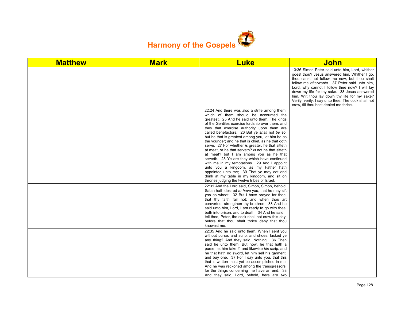

| <b>Matthew</b> | <b>Mark</b> | <b>Luke</b>                                                                                                                                                                                                                                                                                                                                                                                                                                                                                                                                                                                                                                                                                                                                                                                                                                     | <b>John</b>                                                                                                                                                                                                                                                                                                                                                                                                                                          |
|----------------|-------------|-------------------------------------------------------------------------------------------------------------------------------------------------------------------------------------------------------------------------------------------------------------------------------------------------------------------------------------------------------------------------------------------------------------------------------------------------------------------------------------------------------------------------------------------------------------------------------------------------------------------------------------------------------------------------------------------------------------------------------------------------------------------------------------------------------------------------------------------------|------------------------------------------------------------------------------------------------------------------------------------------------------------------------------------------------------------------------------------------------------------------------------------------------------------------------------------------------------------------------------------------------------------------------------------------------------|
|                |             |                                                                                                                                                                                                                                                                                                                                                                                                                                                                                                                                                                                                                                                                                                                                                                                                                                                 | 13:36 Simon Peter said unto him, Lord, whither<br>goest thou? Jesus answered him, Whither I go,<br>thou canst not follow me now; but thou shalt<br>follow me afterwards. 37 Peter said unto him.<br>Lord, why cannot I follow thee now? I will lay<br>down my life for thy sake. 38 Jesus answered<br>him, Wilt thou lay down thy life for my sake?<br>Verily, verily, I say unto thee, The cock shall not<br>crow, till thou hast denied me thrice. |
|                |             | 22:24 And there was also a strife among them,<br>which of them should be accounted the<br>greatest. 25 And he said unto them, The kings<br>of the Gentiles exercise lordship over them; and<br>they that exercise authority upon them are<br>called benefactors. 26 But ye shall not be so:<br>but he that is greatest among you, let him be as<br>the younger; and he that is chief, as he that doth<br>serve. 27 For whether is greater, he that sitteth<br>at meat, or he that serveth? is not he that sitteth<br>at meat? but I am among you as he that<br>serveth. 28 Ye are they which have continued<br>with me in my temptations. 29 And I appoint<br>unto you a kingdom, as my Father hath<br>appointed unto me; 30 That ye may eat and<br>drink at my table in my kingdom, and sit on<br>thrones judging the twelve tribes of Israel. |                                                                                                                                                                                                                                                                                                                                                                                                                                                      |
|                |             | 22:31 And the Lord said, Simon, Simon, behold,<br>Satan hath desired to have you, that he may sift<br>you as wheat: 32 But I have prayed for thee,<br>that thy faith fail not: and when thou art<br>converted, strengthen thy brethren. 33 And he<br>said unto him, Lord, I am ready to go with thee,<br>both into prison, and to death. 34 And he said, I<br>tell thee, Peter, the cock shall not crow this day,<br>before that thou shalt thrice deny that thou<br>knowest me.                                                                                                                                                                                                                                                                                                                                                                |                                                                                                                                                                                                                                                                                                                                                                                                                                                      |
|                |             | 22:35 And he said unto them, When I sent you<br>without purse, and scrip, and shoes, lacked ye<br>any thing? And they said, Nothing. 36 Then<br>said he unto them. But now, he that hath a<br>purse, let him take it, and likewise his scrip: and<br>he that hath no sword, let him sell his garment,<br>and buy one. 37 For I say unto you, that this<br>that is written must yet be accomplished in me,<br>And he was reckoned among the transgressors:<br>for the things concerning me have an end. 38<br>And they said, Lord, behold, here are two                                                                                                                                                                                                                                                                                          |                                                                                                                                                                                                                                                                                                                                                                                                                                                      |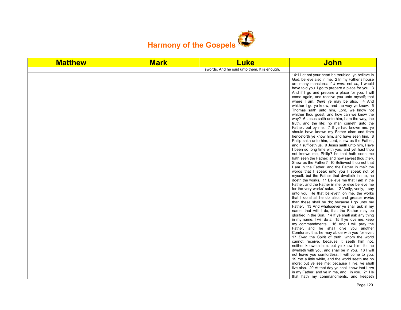

| <b>Matthew</b> | <b>Mark</b> | <b>Luke</b>                                  | <b>John</b>                                                                                                                                                                                                                                                                                                                                                                                                                                                                                                                                                                                                                                                                                                                                                                                                                                                                                                                                                                                                                                                                                                                                                                                                                                                                                                                                                                                                                                                                                                                                                                                                                                                                                                                                                                                                                                                                                                                                                                                                                    |
|----------------|-------------|----------------------------------------------|--------------------------------------------------------------------------------------------------------------------------------------------------------------------------------------------------------------------------------------------------------------------------------------------------------------------------------------------------------------------------------------------------------------------------------------------------------------------------------------------------------------------------------------------------------------------------------------------------------------------------------------------------------------------------------------------------------------------------------------------------------------------------------------------------------------------------------------------------------------------------------------------------------------------------------------------------------------------------------------------------------------------------------------------------------------------------------------------------------------------------------------------------------------------------------------------------------------------------------------------------------------------------------------------------------------------------------------------------------------------------------------------------------------------------------------------------------------------------------------------------------------------------------------------------------------------------------------------------------------------------------------------------------------------------------------------------------------------------------------------------------------------------------------------------------------------------------------------------------------------------------------------------------------------------------------------------------------------------------------------------------------------------------|
|                |             | swords. And he said unto them, It is enough. |                                                                                                                                                                                                                                                                                                                                                                                                                                                                                                                                                                                                                                                                                                                                                                                                                                                                                                                                                                                                                                                                                                                                                                                                                                                                                                                                                                                                                                                                                                                                                                                                                                                                                                                                                                                                                                                                                                                                                                                                                                |
|                |             |                                              | 14:1 Let not your heart be troubled: ye believe in<br>God, believe also in me. 2 In my Father's house<br>are many mansions: if it were not so, I would<br>have told you. I go to prepare a place for you. 3<br>And if I go and prepare a place for you, I will<br>come again, and receive you unto myself; that<br>where I am, there ye may be also. 4 And<br>whither I go ye know, and the way ye know. 5<br>Thomas saith unto him, Lord, we know not<br>whither thou goest; and how can we know the<br>way? 6 Jesus saith unto him, I am the way, the<br>truth, and the life: no man cometh unto the<br>Father, but by me. 7 If ye had known me, ye<br>should have known my Father also: and from<br>henceforth ye know him, and have seen him. 8<br>Philip saith unto him, Lord, shew us the Father,<br>and it sufficeth us. 9 Jesus saith unto him, Have<br>I been so long time with you, and yet hast thou<br>not known me, Philip? he that hath seen me<br>hath seen the Father; and how sayest thou then,<br>Shew us the Father? 10 Believest thou not that<br>I am in the Father, and the Father in me? the<br>words that I speak unto you I speak not of<br>myself: but the Father that dwelleth in me, he<br>doeth the works. 11 Believe me that I am in the<br>Father, and the Father in me: or else believe me<br>for the very works' sake. 12 Verily, verily, I say<br>unto you, He that believeth on me, the works<br>that I do shall he do also; and greater works<br>than these shall he do; because I go unto my<br>Father. 13 And whatsoever ye shall ask in my<br>name, that will I do, that the Father may be<br>glorified in the Son. 14 If ye shall ask any thing<br>in my name, I will do it. 15 If ye love me, keep<br>my commandments. 16 And I will pray the<br>Father, and he shall give you another<br>Comforter, that he may abide with you for ever;<br>17 Even the Spirit of truth; whom the world<br>cannot receive, because it seeth him not,<br>neither knoweth him: but ye know him; for he |
|                |             |                                              | dwelleth with you, and shall be in you. 18 I will<br>not leave you comfortless: I will come to you.<br>19 Yet a little while, and the world seeth me no<br>more; but ye see me: because I live, ye shall                                                                                                                                                                                                                                                                                                                                                                                                                                                                                                                                                                                                                                                                                                                                                                                                                                                                                                                                                                                                                                                                                                                                                                                                                                                                                                                                                                                                                                                                                                                                                                                                                                                                                                                                                                                                                       |
|                |             |                                              | live also. 20 At that day ye shall know that I am<br>in my Father, and ye in me, and I in you. 21 He<br>that hath my commandments, and keepeth                                                                                                                                                                                                                                                                                                                                                                                                                                                                                                                                                                                                                                                                                                                                                                                                                                                                                                                                                                                                                                                                                                                                                                                                                                                                                                                                                                                                                                                                                                                                                                                                                                                                                                                                                                                                                                                                                 |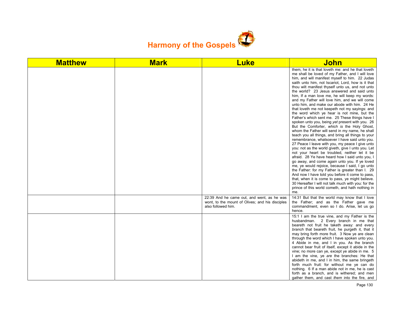

| <b>Matthew</b> | <b>Mark</b> | <b>Luke</b>                                                                                                         | John                                                                                                                                                                                                                                                                                                                                                                                                                                                                                                                                                                                                                                                                                                                                                                                                                                                                                                                                                                                                                                                                                                                                                                                                                                                                                                                                                                                                                                                                        |
|----------------|-------------|---------------------------------------------------------------------------------------------------------------------|-----------------------------------------------------------------------------------------------------------------------------------------------------------------------------------------------------------------------------------------------------------------------------------------------------------------------------------------------------------------------------------------------------------------------------------------------------------------------------------------------------------------------------------------------------------------------------------------------------------------------------------------------------------------------------------------------------------------------------------------------------------------------------------------------------------------------------------------------------------------------------------------------------------------------------------------------------------------------------------------------------------------------------------------------------------------------------------------------------------------------------------------------------------------------------------------------------------------------------------------------------------------------------------------------------------------------------------------------------------------------------------------------------------------------------------------------------------------------------|
|                |             |                                                                                                                     | them, he it is that loveth me: and he that loveth<br>me shall be loved of my Father, and I will love<br>him, and will manifest myself to him. 22 Judas<br>saith unto him, not Iscariot, Lord, how is it that<br>thou wilt manifest thyself unto us, and not unto<br>the world? 23 Jesus answered and said unto<br>him, If a man love me, he will keep my words:<br>and my Father will love him, and we will come<br>unto him, and make our abode with him. 24 He<br>that loveth me not keepeth not my sayings: and<br>the word which ye hear is not mine, but the<br>Father's which sent me. 25 These things have I<br>spoken unto you, being yet present with you. 26<br>But the Comforter, which is the Holy Ghost,<br>whom the Father will send in my name, he shall<br>teach you all things, and bring all things to your<br>remembrance, whatsoever I have said unto you.<br>27 Peace I leave with you, my peace I give unto<br>you: not as the world giveth, give I unto you. Let<br>not your heart be troubled, neither let it be<br>afraid. 28 Ye have heard how I said unto you, I<br>go away, and come again unto you. If ye loved<br>me, ye would rejoice, because I said, I go unto<br>the Father: for my Father is greater than I. 29<br>And now I have told you before it come to pass,<br>that, when it is come to pass, ye might believe.<br>30 Hereafter I will not talk much with you: for the<br>prince of this world cometh, and hath nothing in<br>me. |
|                |             | 22:39 And he came out, and went, as he was<br>wont, to the mount of Olives; and his disciples<br>also followed him. | 14:31 But that the world may know that I love<br>the Father; and as the Father gave me<br>commandment, even so I do. Arise, let us go<br>hence.                                                                                                                                                                                                                                                                                                                                                                                                                                                                                                                                                                                                                                                                                                                                                                                                                                                                                                                                                                                                                                                                                                                                                                                                                                                                                                                             |
|                |             |                                                                                                                     | 15:1 I am the true vine, and my Father is the<br>husbandman. 2 Every branch in me that<br>beareth not fruit he taketh away: and every<br>branch that beareth fruit, he purgeth it, that it<br>may bring forth more fruit. 3 Now ye are clean<br>through the word which I have spoken unto you.<br>4 Abide in me, and I in you. As the branch<br>cannot bear fruit of itself, except it abide in the<br>vine; no more can ye, except ye abide in me. 5<br>I am the vine, ye are the branches: He that<br>abideth in me, and I in him, the same bringeth<br>forth much fruit: for without me ye can do<br>nothing. 6 If a man abide not in me, he is cast<br>forth as a branch, and is withered; and men<br>gather them, and cast them into the fire, and                                                                                                                                                                                                                                                                                                                                                                                                                                                                                                                                                                                                                                                                                                                     |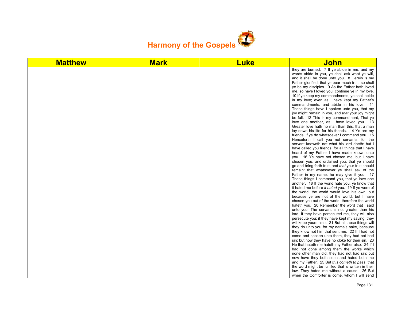

| <b>Matthew</b> | <b>Mark</b> | <b>Luke</b> | <u>John</u>                                                                                                                                                                                                                                                                                                                                                                                                                                                                                                                                                                                                                                                                                                                                                                                                                                                                                                                                                                                                                                                                                                                                                                                                                                                                                                                                                                                                                                                                                                                                                                                                                                                                                                                                                                                                                                                                                                                                                                                                                                                                                                                                                                                                                                                                                                                                                                                                 |
|----------------|-------------|-------------|-------------------------------------------------------------------------------------------------------------------------------------------------------------------------------------------------------------------------------------------------------------------------------------------------------------------------------------------------------------------------------------------------------------------------------------------------------------------------------------------------------------------------------------------------------------------------------------------------------------------------------------------------------------------------------------------------------------------------------------------------------------------------------------------------------------------------------------------------------------------------------------------------------------------------------------------------------------------------------------------------------------------------------------------------------------------------------------------------------------------------------------------------------------------------------------------------------------------------------------------------------------------------------------------------------------------------------------------------------------------------------------------------------------------------------------------------------------------------------------------------------------------------------------------------------------------------------------------------------------------------------------------------------------------------------------------------------------------------------------------------------------------------------------------------------------------------------------------------------------------------------------------------------------------------------------------------------------------------------------------------------------------------------------------------------------------------------------------------------------------------------------------------------------------------------------------------------------------------------------------------------------------------------------------------------------------------------------------------------------------------------------------------------------|
|                |             |             | they are burned. 7 If ye abide in me, and my<br>words abide in you, ye shall ask what ye will,<br>and it shall be done unto you. 8 Herein is my<br>Father glorified, that ye bear much fruit; so shall<br>ye be my disciples. 9 As the Father hath loved<br>me, so have I loved you: continue ye in my love.<br>10 If ye keep my commandments, ye shall abide<br>in my love; even as I have kept my Father's<br>commandments, and abide in his love. 11<br>These things have I spoken unto you, that my<br>joy might remain in you, and that your joy might<br>be full. 12 This is my commandment, That ye<br>love one another, as I have loved you. 13<br>Greater love hath no man than this, that a man<br>lay down his life for his friends. 14 Ye are my<br>friends, if ye do whatsoever I command you. 15<br>Henceforth I call you not servants; for the<br>servant knoweth not what his lord doeth: but I<br>have called you friends; for all things that I have<br>heard of my Father I have made known unto<br>you. 16 Ye have not chosen me, but I have<br>chosen you, and ordained you, that ye should<br>go and bring forth fruit, and that your fruit should<br>remain: that whatsoever ye shall ask of the<br>Father in my name, he may give it you. 17<br>These things I command you, that ye love one<br>another. 18 If the world hate you, ye know that<br>it hated me before it hated you. 19 If ye were of<br>the world, the world would love his own: but<br>because ye are not of the world, but I have<br>chosen you out of the world, therefore the world<br>hateth you. 20 Remember the word that I said<br>unto you, The servant is not greater than his<br>lord. If they have persecuted me, they will also<br>persecute you; if they have kept my saying, they<br>will keep yours also. 21 But all these things will<br>they do unto you for my name's sake, because<br>they know not him that sent me. 22 If I had not<br>come and spoken unto them, they had not had<br>sin: but now they have no cloke for their sin. 23<br>He that hateth me hateth my Father also. 24 If I<br>had not done among them the works which<br>none other man did, they had not had sin: but<br>now have they both seen and hated both me<br>and my Father. 25 But this cometh to pass, that<br>the word might be fulfilled that is written in their<br>law, They hated me without a cause. 26 But |
|                |             |             | when the Comforter is come, whom I will send                                                                                                                                                                                                                                                                                                                                                                                                                                                                                                                                                                                                                                                                                                                                                                                                                                                                                                                                                                                                                                                                                                                                                                                                                                                                                                                                                                                                                                                                                                                                                                                                                                                                                                                                                                                                                                                                                                                                                                                                                                                                                                                                                                                                                                                                                                                                                                |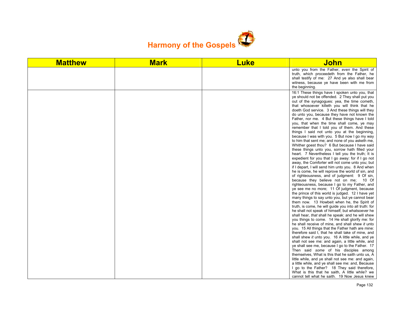

| <b>Matthew</b> | <b>Mark</b> | <b>Luke</b> | <b>John</b>                                                                                                                                                                                                                                                                                                                                                                                                                                                                                                                                                                                                                                                                                                                                                                                                                                                                                                                                                                                                                                                                                                                                                                                                                                                                                                                                                                                                                                                                                                                                                                                                                                                                                                                                                                                                                                                                                                               |
|----------------|-------------|-------------|---------------------------------------------------------------------------------------------------------------------------------------------------------------------------------------------------------------------------------------------------------------------------------------------------------------------------------------------------------------------------------------------------------------------------------------------------------------------------------------------------------------------------------------------------------------------------------------------------------------------------------------------------------------------------------------------------------------------------------------------------------------------------------------------------------------------------------------------------------------------------------------------------------------------------------------------------------------------------------------------------------------------------------------------------------------------------------------------------------------------------------------------------------------------------------------------------------------------------------------------------------------------------------------------------------------------------------------------------------------------------------------------------------------------------------------------------------------------------------------------------------------------------------------------------------------------------------------------------------------------------------------------------------------------------------------------------------------------------------------------------------------------------------------------------------------------------------------------------------------------------------------------------------------------------|
|                |             |             | unto you from the Father, even the Spirit of<br>truth, which proceedeth from the Father, he<br>shall testify of me: 27 And ye also shall bear<br>witness, because ye have been with me from<br>the beginning.                                                                                                                                                                                                                                                                                                                                                                                                                                                                                                                                                                                                                                                                                                                                                                                                                                                                                                                                                                                                                                                                                                                                                                                                                                                                                                                                                                                                                                                                                                                                                                                                                                                                                                             |
|                |             |             | 16:1 These things have I spoken unto you, that<br>ye should not be offended. 2 They shall put you<br>out of the synagogues: yea, the time cometh,<br>that whosoever killeth you will think that he<br>doeth God service. 3 And these things will they<br>do unto you, because they have not known the<br>Father, nor me. 4 But these things have I told<br>you, that when the time shall come, ye may<br>remember that I told you of them. And these<br>things I said not unto you at the beginning,<br>because I was with you. 5 But now I go my way<br>to him that sent me; and none of you asketh me,<br>Whither goest thou? 6 But because I have said<br>these things unto you, sorrow hath filled your<br>heart. 7 Nevertheless I tell you the truth; It is<br>expedient for you that I go away: for if I go not<br>away, the Comforter will not come unto you; but<br>if I depart, I will send him unto you. 8 And when<br>he is come, he will reprove the world of sin, and<br>of righteousness, and of judgment: 9 Of sin,<br>because they believe not on me; 10 Of<br>righteousness, because I go to my Father, and<br>ye see me no more; 11 Of judgment, because<br>the prince of this world is judged. 12 I have yet<br>many things to say unto you, but ye cannot bear<br>them now. 13 Howbeit when he, the Spirit of<br>truth, is come, he will guide you into all truth: for<br>he shall not speak of himself; but whatsoever he<br>shall hear, that shall he speak: and he will shew<br>you things to come. 14 He shall glorify me: for<br>he shall receive of mine, and shall shew it unto<br>you. 15 All things that the Father hath are mine:<br>therefore said I, that he shall take of mine, and<br>shall shew it unto you. 16 A little while, and ye<br>shall not see me: and again, a little while, and<br>ye shall see me, because I go to the Father. 17<br>Then said some of his disciples among |
|                |             |             | themselves, What is this that he saith unto us, A<br>little while, and ye shall not see me: and again,<br>a little while, and ye shall see me: and, Because<br>I go to the Father? 18 They said therefore,                                                                                                                                                                                                                                                                                                                                                                                                                                                                                                                                                                                                                                                                                                                                                                                                                                                                                                                                                                                                                                                                                                                                                                                                                                                                                                                                                                                                                                                                                                                                                                                                                                                                                                                |
|                |             |             | What is this that he saith, A little while? we<br>cannot tell what he saith. 19 Now Jesus knew                                                                                                                                                                                                                                                                                                                                                                                                                                                                                                                                                                                                                                                                                                                                                                                                                                                                                                                                                                                                                                                                                                                                                                                                                                                                                                                                                                                                                                                                                                                                                                                                                                                                                                                                                                                                                            |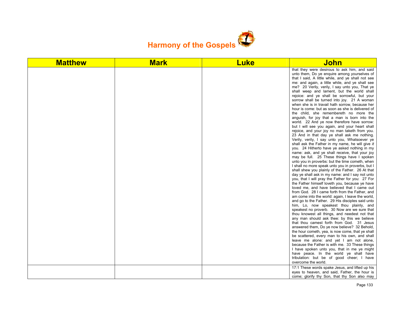

| <b>Matthew</b> | <b>Mark</b> | <b>Luke</b> | John                                                                                                                                                                                                                                                                                                                                                                                                                                                                                                                                                                                                                                                                                                                                                                                                                                                                                                                                                                                                                                                                                                                                                                                                                                                                                                                                                                                                                                                                                                                                                                                                                                                                                                                                                                                                                                                                                                                                                                                                                                                                                                                                                                                                                                                                                                |
|----------------|-------------|-------------|-----------------------------------------------------------------------------------------------------------------------------------------------------------------------------------------------------------------------------------------------------------------------------------------------------------------------------------------------------------------------------------------------------------------------------------------------------------------------------------------------------------------------------------------------------------------------------------------------------------------------------------------------------------------------------------------------------------------------------------------------------------------------------------------------------------------------------------------------------------------------------------------------------------------------------------------------------------------------------------------------------------------------------------------------------------------------------------------------------------------------------------------------------------------------------------------------------------------------------------------------------------------------------------------------------------------------------------------------------------------------------------------------------------------------------------------------------------------------------------------------------------------------------------------------------------------------------------------------------------------------------------------------------------------------------------------------------------------------------------------------------------------------------------------------------------------------------------------------------------------------------------------------------------------------------------------------------------------------------------------------------------------------------------------------------------------------------------------------------------------------------------------------------------------------------------------------------------------------------------------------------------------------------------------------------|
|                |             |             | that they were desirous to ask him, and said<br>unto them, Do ye enquire among yourselves of<br>that I said, A little while, and ye shall not see<br>me: and again, a little while, and ye shall see<br>me? 20 Verily, verily, I say unto you, That ye<br>shall weep and lament, but the world shall<br>rejoice: and ye shall be sorrowful, but your<br>sorrow shall be turned into joy. 21 A woman<br>when she is in travail hath sorrow, because her<br>hour is come: but as soon as she is delivered of<br>the child, she remembereth no more the<br>anguish, for joy that a man is born into the<br>world. 22 And ye now therefore have sorrow:<br>but I will see you again, and your heart shall<br>rejoice, and your joy no man taketh from you.<br>23 And in that day ye shall ask me nothing.<br>Verily, verily, I say unto you, Whatsoever ye<br>shall ask the Father in my name, he will give it<br>you. 24 Hitherto have ye asked nothing in my<br>name: ask, and ye shall receive, that your joy<br>may be full. 25 These things have I spoken<br>unto you in proverbs: but the time cometh, when<br>I shall no more speak unto you in proverbs, but I<br>shall shew you plainly of the Father. 26 At that<br>day ye shall ask in my name: and I say not unto<br>you, that I will pray the Father for you: 27 For<br>the Father himself loveth you, because ye have<br>loved me, and have believed that I came out<br>from God. 28 I came forth from the Father, and<br>am come into the world: again, I leave the world,<br>and go to the Father. 29 His disciples said unto<br>him, Lo, now speakest thou plainly, and<br>speakest no proverb. 30 Now are we sure that<br>thou knowest all things, and needest not that<br>any man should ask thee: by this we believe<br>that thou camest forth from God. 31 Jesus<br>answered them, Do ye now believe? 32 Behold,<br>the hour cometh, yea, is now come, that ye shall<br>be scattered, every man to his own, and shall<br>leave me alone: and yet I am not alone,<br>because the Father is with me. 33 These things<br>I have spoken unto you, that in me ye might<br>have peace. In the world ye shall have<br>tribulation: but be of good cheer; I have<br>overcome the world.<br>17:1 These words spake Jesus, and lifted up his |
|                |             |             | eyes to heaven, and said, Father, the hour is<br>come; glorify thy Son, that thy Son also may                                                                                                                                                                                                                                                                                                                                                                                                                                                                                                                                                                                                                                                                                                                                                                                                                                                                                                                                                                                                                                                                                                                                                                                                                                                                                                                                                                                                                                                                                                                                                                                                                                                                                                                                                                                                                                                                                                                                                                                                                                                                                                                                                                                                       |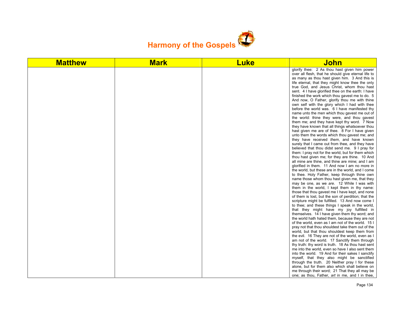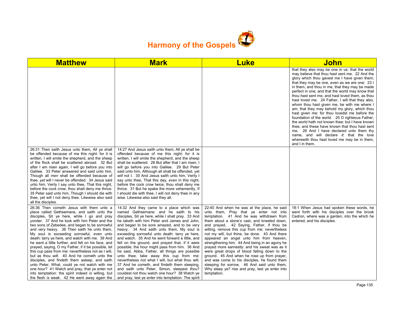

| <b>Matthew</b>                                                                                                                                                                                                                                                                                                                                                                                                                                                                                                                                                                                                                                                                                                                                                                                                                                                       | <b>Mark</b>                                                                                                                                                                                                                                                                                                                                                                                                                                                                                                                                                                                                                                                                                                                                                                                                                                           | <b>Luke</b>                                                                                                                                                                                                                                                                                                                                                                                                                                                                                                                                                                                                                                                                                                                                       | John                                                                                                                                                                                                                                                                                                                                                                                                                                                                                                                                                                                                                                                                                                                                                                                                                                                                                 |
|----------------------------------------------------------------------------------------------------------------------------------------------------------------------------------------------------------------------------------------------------------------------------------------------------------------------------------------------------------------------------------------------------------------------------------------------------------------------------------------------------------------------------------------------------------------------------------------------------------------------------------------------------------------------------------------------------------------------------------------------------------------------------------------------------------------------------------------------------------------------|-------------------------------------------------------------------------------------------------------------------------------------------------------------------------------------------------------------------------------------------------------------------------------------------------------------------------------------------------------------------------------------------------------------------------------------------------------------------------------------------------------------------------------------------------------------------------------------------------------------------------------------------------------------------------------------------------------------------------------------------------------------------------------------------------------------------------------------------------------|---------------------------------------------------------------------------------------------------------------------------------------------------------------------------------------------------------------------------------------------------------------------------------------------------------------------------------------------------------------------------------------------------------------------------------------------------------------------------------------------------------------------------------------------------------------------------------------------------------------------------------------------------------------------------------------------------------------------------------------------------|--------------------------------------------------------------------------------------------------------------------------------------------------------------------------------------------------------------------------------------------------------------------------------------------------------------------------------------------------------------------------------------------------------------------------------------------------------------------------------------------------------------------------------------------------------------------------------------------------------------------------------------------------------------------------------------------------------------------------------------------------------------------------------------------------------------------------------------------------------------------------------------|
|                                                                                                                                                                                                                                                                                                                                                                                                                                                                                                                                                                                                                                                                                                                                                                                                                                                                      |                                                                                                                                                                                                                                                                                                                                                                                                                                                                                                                                                                                                                                                                                                                                                                                                                                                       |                                                                                                                                                                                                                                                                                                                                                                                                                                                                                                                                                                                                                                                                                                                                                   | that they also may be one in us: that the world<br>may believe that thou hast sent me. 22 And the<br>glory which thou gavest me I have given them;<br>that they may be one, even as we are one: 23 I<br>in them, and thou in me, that they may be made<br>perfect in one; and that the world may know that<br>thou hast sent me, and hast loved them, as thou<br>hast loved me. 24 Father, I will that they also,<br>whom thou hast given me, be with me where I<br>am; that they may behold my glory, which thou<br>hast given me: for thou lovedst me before the<br>foundation of the world. 25 O righteous Father,<br>the world hath not known thee: but I have known<br>thee, and these have known that thou hast sent<br>me. 26 And I have declared unto them thy<br>name, and will declare it: that the love<br>wherewith thou hast loved me may be in them,<br>and I in them. |
| 26:31 Then saith Jesus unto them, All ye shall<br>be offended because of me this night: for it is<br>written, I will smite the shepherd, and the sheep<br>of the flock shall be scattered abroad. 32 But<br>after I am risen again, I will go before you into<br>Galilee. 33 Peter answered and said unto him.<br>Though all men shall be offended because of<br>thee, yet will I never be offended. 34 Jesus said<br>unto him, Verily I say unto thee, That this night,<br>before the cock crow, thou shalt deny me thrice.<br>35 Peter said unto him, Though I should die with<br>thee, yet will I not deny thee. Likewise also said<br>all the disciples.                                                                                                                                                                                                         | 14:27 And Jesus saith unto them. All ye shall be<br>offended because of me this night: for it is<br>written, I will smite the shepherd, and the sheep<br>shall be scattered. 28 But after that I am risen, I<br>will go before you into Galilee. 29 But Peter<br>said unto him, Although all shall be offended, yet<br>will not I. 30 And Jesus saith unto him, Verily I<br>say unto thee, That this day, even in this night,<br>before the cock crow twice, thou shalt deny me<br>thrice. 31 But he spake the more vehemently, If<br>I should die with thee, I will not deny thee in any<br>wise. Likewise also said they all.                                                                                                                                                                                                                       |                                                                                                                                                                                                                                                                                                                                                                                                                                                                                                                                                                                                                                                                                                                                                   |                                                                                                                                                                                                                                                                                                                                                                                                                                                                                                                                                                                                                                                                                                                                                                                                                                                                                      |
| 26:36 Then cometh Jesus with them unto a<br>place called Gethsemane, and saith unto the<br>disciples, Sit ye here, while I go and pray<br>yonder. 37 And he took with him Peter and the<br>two sons of Zebedee, and began to be sorrowful<br>and very heavy. 38 Then saith he unto them,<br>My soul is exceeding sorrowful, even unto<br>death: tarry ye here, and watch with me. 39 And<br>he went a little further, and fell on his face, and<br>prayed, saying, O my Father, if it be possible, let<br>this cup pass from me: nevertheless not as I will,<br>but as thou wilt. 40 And he cometh unto the<br>disciples, and findeth them asleep, and saith<br>unto Peter, What, could ye not watch with me<br>one hour? 41 Watch and pray, that ye enter not<br>into temptation: the spirit indeed is willing, but<br>the flesh is weak. 42 He went away again the | 14:32 And they came to a place which was<br>named Gethsemane: and he saith to his<br>disciples, Sit ye here, while I shall pray. 33 And<br>he taketh with him Peter and James and John,<br>and began to be sore amazed, and to be very<br>heavy; 34 And saith unto them, My soul is<br>exceeding sorrowful unto death: tarry ye here,<br>and watch. 35 And he went forward a little, and<br>fell on the ground, and prayed that, if it were<br>possible, the hour might pass from him. 36 And<br>he said, Abba, Father, all things are possible<br>unto thee; take away this cup from me:<br>nevertheless not what I will, but what thou wilt.<br>37 And he cometh, and findeth them sleeping.<br>and saith unto Peter, Simon, sleepest thou?<br>couldest not thou watch one hour? 38 Watch ye<br>and pray, lest ye enter into temptation. The spirit | 22:40 And when he was at the place, he said<br>unto them, Pray that ye enter not into<br>temptation. 41 And he was withdrawn from<br>them about a stone's cast, and kneeled down,<br>and prayed, 42 Saying, Father, if thou be<br>willing, remove this cup from me: nevertheless<br>not my will, but thine, be done. 43 And there<br>appeared an angel unto him from heaven,<br>strengthening him. 44 And being in an agony he<br>prayed more earnestly: and his sweat was as it<br>were great drops of blood falling down to the<br>ground. 45 And when he rose up from prayer,<br>and was come to his disciples, he found them<br>sleeping for sorrow, 46 And said unto them,<br>Why sleep ye? rise and pray, lest ye enter into<br>temptation. | 18:1 When Jesus had spoken these words, he<br>went forth with his disciples over the brook<br>Cedron, where was a garden, into the which he<br>entered, and his disciples.                                                                                                                                                                                                                                                                                                                                                                                                                                                                                                                                                                                                                                                                                                           |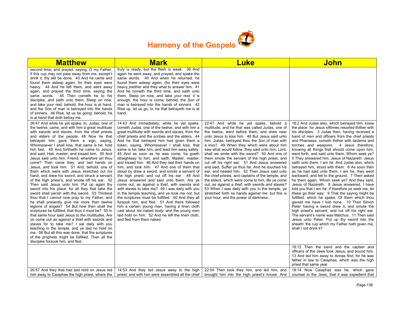

| <b>Matthew</b>                                                                                                                                                                                                                                                                                                                                                                                                                                                                                                                                                                                                                                                                                                                                                                                                                                                                                                                                                                                                                                                                                                                                                                                                                                                                                                                                                                                                    | <b>Mark</b>                                                                                                                                                                                                                                                                                                                                                                                                                                                                                                                                                                                                                                                                                                                                                                                                                                                                                                                                                                                                                                                                                                                                      | <b>Luke</b>                                                                                                                                                                                                                                                                                                                                                                                                                                                                                                                                                                                                                                                                                                                                                                                                                                                                                                    | <b>John</b>                                                                                                                                                                                                                                                                                                                                                                                                                                                                                                                                                                                                                                                                                                                                                                                                                                                                                                                                                                                                                                                                                                                                                                                                                                         |
|-------------------------------------------------------------------------------------------------------------------------------------------------------------------------------------------------------------------------------------------------------------------------------------------------------------------------------------------------------------------------------------------------------------------------------------------------------------------------------------------------------------------------------------------------------------------------------------------------------------------------------------------------------------------------------------------------------------------------------------------------------------------------------------------------------------------------------------------------------------------------------------------------------------------------------------------------------------------------------------------------------------------------------------------------------------------------------------------------------------------------------------------------------------------------------------------------------------------------------------------------------------------------------------------------------------------------------------------------------------------------------------------------------------------|--------------------------------------------------------------------------------------------------------------------------------------------------------------------------------------------------------------------------------------------------------------------------------------------------------------------------------------------------------------------------------------------------------------------------------------------------------------------------------------------------------------------------------------------------------------------------------------------------------------------------------------------------------------------------------------------------------------------------------------------------------------------------------------------------------------------------------------------------------------------------------------------------------------------------------------------------------------------------------------------------------------------------------------------------------------------------------------------------------------------------------------------------|----------------------------------------------------------------------------------------------------------------------------------------------------------------------------------------------------------------------------------------------------------------------------------------------------------------------------------------------------------------------------------------------------------------------------------------------------------------------------------------------------------------------------------------------------------------------------------------------------------------------------------------------------------------------------------------------------------------------------------------------------------------------------------------------------------------------------------------------------------------------------------------------------------------|-----------------------------------------------------------------------------------------------------------------------------------------------------------------------------------------------------------------------------------------------------------------------------------------------------------------------------------------------------------------------------------------------------------------------------------------------------------------------------------------------------------------------------------------------------------------------------------------------------------------------------------------------------------------------------------------------------------------------------------------------------------------------------------------------------------------------------------------------------------------------------------------------------------------------------------------------------------------------------------------------------------------------------------------------------------------------------------------------------------------------------------------------------------------------------------------------------------------------------------------------------|
| second time, and prayed, saying, O my Father,<br>if this cup may not pass away from me, except I<br>drink it, thy will be done. 43 And he came and<br>found them asleep again: for their eyes were<br>heavy. 44 And he left them, and went away<br>again, and prayed the third time, saying the<br>same words. 45 Then cometh he to his<br>disciples, and saith unto them, Sleep on now,<br>and take your rest: behold, the hour is at hand,<br>and the Son of man is betrayed into the hands<br>of sinners. 46 Rise, let us be going: behold, he<br>is at hand that doth betray me.                                                                                                                                                                                                                                                                                                                                                                                                                                                                                                                                                                                                                                                                                                                                                                                                                              | truly is ready, but the flesh is weak. 39 And<br>again he went away, and prayed, and spake the<br>same words. 40 And when he returned, he<br>found them asleep again, (for their eyes were<br>heavy, ) neither wist they what to answer him. 41<br>And he cometh the third time, and saith unto<br>them. Sleep on now, and take your rest: it is<br>enough, the hour is come; behold, the Son of<br>man is betrayed into the hands of sinners. 42<br>Rise up, let us go; lo, he that betrayeth me is at<br>hand.                                                                                                                                                                                                                                                                                                                                                                                                                                                                                                                                                                                                                                 |                                                                                                                                                                                                                                                                                                                                                                                                                                                                                                                                                                                                                                                                                                                                                                                                                                                                                                                |                                                                                                                                                                                                                                                                                                                                                                                                                                                                                                                                                                                                                                                                                                                                                                                                                                                                                                                                                                                                                                                                                                                                                                                                                                                     |
| 26:47 And while he yet spake, lo, Judas, one of<br>the twelve, came, and with him a great multitude<br>with swords and staves, from the chief priests<br>and elders of the people. 48 Now he that<br>betrayed him gave them a sign, saying,<br>Whomsoever I shall kiss, that same is he: hold<br>him fast. 49 And forthwith he came to Jesus,<br>and said, Hail, master; and kissed him. 50 And<br>Jesus said unto him, Friend, wherefore art thou<br>come? Then came they, and laid hands on<br>Jesus, and took him. 51 And, behold, one of<br>them which were with Jesus stretched out his<br>hand, and drew his sword, and struck a servant<br>of the high priest's, and smote off his ear. 52<br>Then said Jesus unto him, Put up again thy<br>sword into his place: for all they that take the<br>sword shall perish with the sword. 53 Thinkest<br>thou that I cannot now pray to my Father, and<br>he shall presently give me more than twelve<br>legions of angels? 54 But how then shall the<br>scriptures be fulfilled, that thus it must be? 55 In<br>that same hour said Jesus to the multitudes. Are<br>ye come out as against a thief with swords and<br>staves for to take me? I sat daily with you<br>teaching in the temple, and ye laid no hold on<br>me. 56 But all this was done, that the scriptures<br>of the prophets might be fulfilled. Then all the<br>disciples forsook him, and fled. | 14:43 And immediately, while he yet spake,<br>cometh Judas, one of the twelve, and with him a<br>great multitude with swords and staves, from the<br>chief priests and the scribes and the elders. 44<br>And he that betrayed him had given them a<br>token, saying, Whomsoever I shall kiss, that<br>same is he; take him, and lead him away safely.<br>45 And as soon as he was come, he goeth<br>straightway to him, and saith, Master, master;<br>and kissed him. 46 And they laid their hands on<br>him, and took him. 47 And one of them that<br>stood by drew a sword, and smote a servant of<br>the high priest, and cut off his ear. 48 And<br>Jesus answered and said unto them, Are ye<br>come out, as against a thief, with swords and<br>with staves to take me? 49 I was daily with you<br>in the temple teaching, and ye took me not: but<br>the scriptures must be fulfilled. 50 And they all<br>forsook him, and fled. 51 And there followed<br>him a certain young man, having a linen cloth<br>cast about his naked body; and the young men<br>laid hold on him: 52 And he left the linen cloth,<br>and fled from them naked. | 22:47 And while he yet spake, behold a<br>multitude, and he that was called Judas, one of<br>the twelve, went before them, and drew near<br>unto Jesus to kiss him. 48 But Jesus said unto<br>him, Judas, betrayest thou the Son of man with<br>a kiss? 49 When they which were about him<br>saw what would follow, they said unto him, Lord,<br>shall we smite with the sword? 50 And one of<br>them smote the servant of the high priest, and<br>cut off his right ear. 51 And Jesus answered<br>and said, Suffer ye thus far. And he touched his<br>ear, and healed him. 52 Then Jesus said unto<br>the chief priests, and captains of the temple, and<br>the elders, which were come to him, Be ye come<br>out, as against a thief, with swords and staves?<br>53 When I was daily with you in the temple, ye<br>stretched forth no hands against me: but this is<br>your hour, and the power of darkness. | 18:2 And Judas also, which betrayed him, knew<br>the place: for Jesus ofttimes resorted thither with<br>his disciples. 3 Judas then, having received a<br>band of men and officers from the chief priests<br>and Pharisees, cometh thither with lanterns and<br>torches and weapons. 4 Jesus therefore,<br>knowing all things that should come upon him,<br>went forth, and said unto them, Whom seek ye?<br>5 They answered him, Jesus of Nazareth. Jesus<br>saith unto them, I am he. And Judas also, which<br>betrayed him, stood with them. 6 As soon then<br>as he had said unto them, I am he, they went<br>backward, and fell to the ground. 7 Then asked<br>he them again, Whom seek ye? And they said,<br>Jesus of Nazareth. 8 Jesus answered, I have<br>told you that I am he: if therefore ye seek me, let<br>these go their way: 9 That the saying might be<br>fulfilled, which he spake, Of them which thou<br>gavest me have I lost none. 10 Then Simon<br>Peter having a sword drew it, and smote the<br>high priest's servant, and cut off his right ear.<br>The servant's name was Malchus. 11 Then said<br>Jesus unto Peter, Put up thy sword into the<br>sheath: the cup which my Father hath given me,<br>shall I not drink it? |
|                                                                                                                                                                                                                                                                                                                                                                                                                                                                                                                                                                                                                                                                                                                                                                                                                                                                                                                                                                                                                                                                                                                                                                                                                                                                                                                                                                                                                   |                                                                                                                                                                                                                                                                                                                                                                                                                                                                                                                                                                                                                                                                                                                                                                                                                                                                                                                                                                                                                                                                                                                                                  |                                                                                                                                                                                                                                                                                                                                                                                                                                                                                                                                                                                                                                                                                                                                                                                                                                                                                                                | 18:12 Then the band and the captain and<br>officers of the Jews took Jesus, and bound him,<br>13 And led him away to Annas first; for he was<br>father in law to Caiaphas, which was the high<br>priest that same year.                                                                                                                                                                                                                                                                                                                                                                                                                                                                                                                                                                                                                                                                                                                                                                                                                                                                                                                                                                                                                             |
| 26:57 And they that had laid hold on Jesus led<br>him away to Caiaphas the high priest, where the                                                                                                                                                                                                                                                                                                                                                                                                                                                                                                                                                                                                                                                                                                                                                                                                                                                                                                                                                                                                                                                                                                                                                                                                                                                                                                                 | 14:53 And they led Jesus away to the high<br>priest: and with him were assembled all the chief                                                                                                                                                                                                                                                                                                                                                                                                                                                                                                                                                                                                                                                                                                                                                                                                                                                                                                                                                                                                                                                   | 22:54 Then took they him, and led him, and<br>brought him into the high priest's house. And                                                                                                                                                                                                                                                                                                                                                                                                                                                                                                                                                                                                                                                                                                                                                                                                                    | 18:14 Now Caiaphas was he, which gave<br>counsel to the Jews, that it was expedient that                                                                                                                                                                                                                                                                                                                                                                                                                                                                                                                                                                                                                                                                                                                                                                                                                                                                                                                                                                                                                                                                                                                                                            |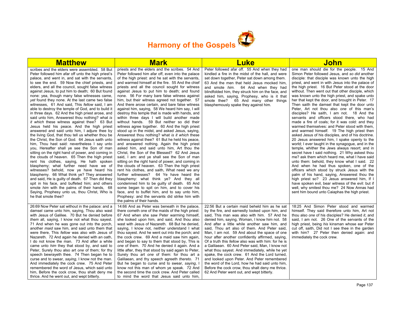

| <b>Matthew</b>                                                                                                                                                                                                                                                                                                                                                                                                                                                                                                                                                                                                                                                                                                                                                                                                                                                                                                                                                                                                                                                                                                                                                                                                                                                                                                                                                                                                                                                                                                         | <b>Mark</b>                                                                                                                                                                                                                                                                                                                                                                                                                                                                                                                                                                                                                                                                                                                                                                                                                                                                                                                                                                                                                                                                                                                                                                                                                                                                                                                                                                                                                                                                                                                                              | <b>Luke</b>                                                                                                                                                                                                                                                                                                                                                                                                                                                                                                                                                                                                                                                                                                                                                                                                                   | John                                                                                                                                                                                                                                                                                                                                                                                                                                                                                                                                                                                                                                                                                                                                                                                                                                                                                                                                                                                                                                                                                                                                                                                                                                                                                                                                                                                                                                                                            |
|------------------------------------------------------------------------------------------------------------------------------------------------------------------------------------------------------------------------------------------------------------------------------------------------------------------------------------------------------------------------------------------------------------------------------------------------------------------------------------------------------------------------------------------------------------------------------------------------------------------------------------------------------------------------------------------------------------------------------------------------------------------------------------------------------------------------------------------------------------------------------------------------------------------------------------------------------------------------------------------------------------------------------------------------------------------------------------------------------------------------------------------------------------------------------------------------------------------------------------------------------------------------------------------------------------------------------------------------------------------------------------------------------------------------------------------------------------------------------------------------------------------------|----------------------------------------------------------------------------------------------------------------------------------------------------------------------------------------------------------------------------------------------------------------------------------------------------------------------------------------------------------------------------------------------------------------------------------------------------------------------------------------------------------------------------------------------------------------------------------------------------------------------------------------------------------------------------------------------------------------------------------------------------------------------------------------------------------------------------------------------------------------------------------------------------------------------------------------------------------------------------------------------------------------------------------------------------------------------------------------------------------------------------------------------------------------------------------------------------------------------------------------------------------------------------------------------------------------------------------------------------------------------------------------------------------------------------------------------------------------------------------------------------------------------------------------------------------|-------------------------------------------------------------------------------------------------------------------------------------------------------------------------------------------------------------------------------------------------------------------------------------------------------------------------------------------------------------------------------------------------------------------------------------------------------------------------------------------------------------------------------------------------------------------------------------------------------------------------------------------------------------------------------------------------------------------------------------------------------------------------------------------------------------------------------|---------------------------------------------------------------------------------------------------------------------------------------------------------------------------------------------------------------------------------------------------------------------------------------------------------------------------------------------------------------------------------------------------------------------------------------------------------------------------------------------------------------------------------------------------------------------------------------------------------------------------------------------------------------------------------------------------------------------------------------------------------------------------------------------------------------------------------------------------------------------------------------------------------------------------------------------------------------------------------------------------------------------------------------------------------------------------------------------------------------------------------------------------------------------------------------------------------------------------------------------------------------------------------------------------------------------------------------------------------------------------------------------------------------------------------------------------------------------------------|
| scribes and the elders were assembled. 58 But<br>Peter followed him afar off unto the high priest's<br>palace, and went in, and sat with the servants,<br>to see the end. 59 Now the chief priests, and<br>elders, and all the council, sought false witness<br>against Jesus, to put him to death; 60 But found<br>none: yea, though many false witnesses came,<br>yet found they none. At the last came two false<br>witnesses, 61 And said, This <i>fellow</i> said, I am<br>able to destroy the temple of God, and to build it<br>in three days. 62 And the high priest arose, and<br>said unto him, Answerest thou nothing? what is<br><i>it which</i> these witness against thee? 63 But<br>Jesus held his peace. And the high priest<br>answered and said unto him, I adjure thee by<br>the living God, that thou tell us whether thou be<br>the Christ, the Son of God. 64 Jesus saith unto<br>him, Thou hast said: nevertheless I say unto<br>you, Hereafter shall ye see the Son of man<br>sitting on the right hand of power, and coming in<br>the clouds of heaven. 65 Then the high priest<br>rent his clothes, saying, He hath spoken<br>blasphemy; what further need have we of<br>witnesses? behold, now ye have heard his<br>blasphemy. 66 What think ye? They answered<br>and said, He is guilty of death. 67 Then did they<br>spit in his face, and buffeted him; and others<br>smote him with the palms of their hands, 68<br>Saying, Prophesy unto us, thou Christ, Who is<br>he that smote thee? | priests and the elders and the scribes. 54 And<br>Peter followed him afar off, even into the palace<br>of the high priest: and he sat with the servants,<br>and warmed himself at the fire. 55 And the chief<br>priests and all the council sought for witness<br>against Jesus to put him to death; and found<br>none. 56 For many bare false witness against<br>him, but their witness agreed not together. 57<br>And there arose certain, and bare false witness<br>against him, saying, 58 We heard him say, I will<br>destroy this temple that is made with hands, and<br>within three days I will build another made<br>without hands. 59 But neither so did their<br>witness agree together. 60 And the high priest<br>stood up in the midst, and asked Jesus, saying,<br>Answerest thou nothing? what is it which these<br>witness against thee? 61 But he held his peace,<br>and answered nothing. Again the high priest<br>asked him, and said unto him, Art thou the<br>Christ, the Son of the Blessed? 62 And Jesus<br>said, I am: and ye shall see the Son of man<br>sitting on the right hand of power, and coming in<br>the clouds of heaven. 63 Then the high priest<br>rent his clothes, and saith, What need we any<br>further witnesses? 64 Ye have heard the<br>blasphemy: what think ye? And they all<br>condemned him to be guilty of death. 65 And<br>some began to spit on him, and to cover his<br>face, and to buffet him, and to say unto him,<br>Prophesy: and the servants did strike him with<br>the palms of their hands. | Peter followed afar off. 55 And when they had<br>kindled a fire in the midst of the hall, and were<br>set down together, Peter sat down among them.<br>63 And the men that held Jesus mocked him,<br>and smote him. 64 And when they had<br>blindfolded him, they struck him on the face, and<br>asked him, saying, Prophesy, who is it that<br>smote thee? 65 And many other things<br>blasphemously spake they against him.                                                                                                                                                                                                                                                                                                                                                                                                 | one man should die for the people. 15 And<br>Simon Peter followed Jesus, and so did another<br>disciple: that disciple was known unto the high<br>priest, and went in with Jesus into the palace of<br>the high priest. 16 But Peter stood at the door<br>without. Then went out that other disciple, which<br>was known unto the high priest, and spake unto<br>her that kept the door, and brought in Peter. 17<br>Then saith the damsel that kept the door unto<br>Peter, Art not thou also one of this man's<br>disciples? He saith, I am not. 18 And the<br>servants and officers stood there, who had<br>made a fire of coals; for it was cold: and they<br>warmed themselves: and Peter stood with them,<br>and warmed himself. 19 The high priest then<br>asked Jesus of his disciples, and of his doctrine.<br>20 Jesus answered him, I spake openly to the<br>world; I ever taught in the synagogue, and in the<br>temple, whither the Jews always resort; and in<br>secret have I said nothing. 21 Why askest thou<br>me? ask them which heard me, what I have said<br>unto them: behold, they know what I said. 22<br>And when he had thus spoken, one of the<br>officers which stood by struck Jesus with the<br>palm of his hand, saying, Answerest thou the<br>high priest so? 23 Jesus answered him, If I<br>have spoken evil, bear witness of the evil: but if<br>well, why smitest thou me? 24 Now Annas had<br>sent him bound unto Caiaphas the high priest. |
| 26:69 Now Peter sat without in the palace: and a<br>damsel came unto him, saying, Thou also wast<br>with Jesus of Galilee. 70 But he denied before<br><i>them</i> all, saying, I know not what thou sayest.<br>71 And when he was gone out into the porch,<br>another maid saw him, and said unto them that<br>were there. This <i>fellow</i> was also with Jesus of<br>Nazareth. 72 And again he denied with an oath,<br>I do not know the man. 73 And after a while<br>came unto him they that stood by, and said to<br>Peter, Surely thou also art one of them; for thy<br>speech bewrayeth thee. 74 Then began he to<br>curse and to swear, saying, I know not the man.<br>And immediately the cock crew. 75 And Peter<br>remembered the word of Jesus, which said unto<br>him, Before the cock crow, thou shalt deny me<br>thrice. And he went out, and wept bitterly.                                                                                                                                                                                                                                                                                                                                                                                                                                                                                                                                                                                                                                            | 14:66 And as Peter was beneath in the palace,<br>there cometh one of the maids of the high priest:<br>67 And when she saw Peter warming himself,<br>she looked upon him, and said, And thou also<br>wast with Jesus of Nazareth. 68 But he denied,<br>saying, I know not, neither understand I what<br>thou sayest. And he went out into the porch; and<br>the cock crew. 69 And a maid saw him again,<br>and began to say to them that stood by, This is<br>one of them. 70 And he denied it again. And a<br>little after, they that stood by said again to Peter,<br>Surely thou art one of them: for thou art a<br>Galilaean, and thy speech agreeth thereto. 71<br>But he began to curse and to swear, saying, I<br>know not this man of whom ye speak. 72 And<br>the second time the cock crew. And Peter called<br>to mind the word that Jesus said unto him,                                                                                                                                                                                                                                                                                                                                                                                                                                                                                                                                                                                                                                                                                      | 22:56 But a certain maid beheld him as he sat<br>by the fire, and earnestly looked upon him, and<br>said, This man was also with him. 57 And he<br>denied him, saying, Woman, I know him not. 58<br>And after a little while another saw him, and<br>said. Thou art also of them. And Peter said.<br>Man, I am not. 59 And about the space of one<br>hour after another confidently affirmed, saying,<br>Of a truth this <i>fellow</i> also was with him: for he is<br>a Galilaean. 60 And Peter said, Man, I know not<br>what thou sayest. And immediately, while he yet<br>spake, the cock crew. 61 And the Lord turned,<br>and looked upon Peter. And Peter remembered<br>the word of the Lord, how he had said unto him,<br>Before the cock crow, thou shalt deny me thrice.<br>62 And Peter went out, and wept bitterly. | 18:25 And Simon Peter stood and warmed<br>himself. They said therefore unto him, Art not<br>thou also one of his disciples? He denied it, and<br>said, I am not. 26 One of the servants of the<br>high priest, being his kinsman whose ear Peter<br>cut off, saith, Did not I see thee in the garden<br>with him? 27 Peter then denied again: and<br>immediately the cock crew.                                                                                                                                                                                                                                                                                                                                                                                                                                                                                                                                                                                                                                                                                                                                                                                                                                                                                                                                                                                                                                                                                                 |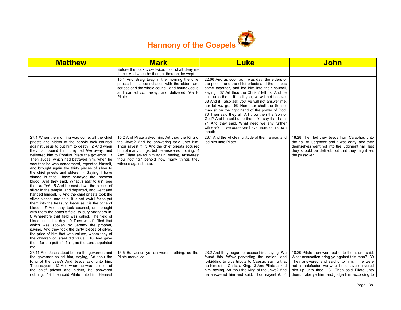

| <b>Matthew</b>                                                                                                                                                                                                                                                                                                                                                                                                                                                                                                                                                                                                                                                                                                                                                                                                                                                                                                                                                                                                                                                                                                                                                                                                                                                                                            | <b>Mark</b>                                                                                                                                                                                                                                                                                                              | <b>Luke</b>                                                                                                                                                                                                                                                                                                                                                                                                                                                                                                                                                                                                                         | <b>John</b>                                                                                                                                                                                                                                                                                     |
|-----------------------------------------------------------------------------------------------------------------------------------------------------------------------------------------------------------------------------------------------------------------------------------------------------------------------------------------------------------------------------------------------------------------------------------------------------------------------------------------------------------------------------------------------------------------------------------------------------------------------------------------------------------------------------------------------------------------------------------------------------------------------------------------------------------------------------------------------------------------------------------------------------------------------------------------------------------------------------------------------------------------------------------------------------------------------------------------------------------------------------------------------------------------------------------------------------------------------------------------------------------------------------------------------------------|--------------------------------------------------------------------------------------------------------------------------------------------------------------------------------------------------------------------------------------------------------------------------------------------------------------------------|-------------------------------------------------------------------------------------------------------------------------------------------------------------------------------------------------------------------------------------------------------------------------------------------------------------------------------------------------------------------------------------------------------------------------------------------------------------------------------------------------------------------------------------------------------------------------------------------------------------------------------------|-------------------------------------------------------------------------------------------------------------------------------------------------------------------------------------------------------------------------------------------------------------------------------------------------|
|                                                                                                                                                                                                                                                                                                                                                                                                                                                                                                                                                                                                                                                                                                                                                                                                                                                                                                                                                                                                                                                                                                                                                                                                                                                                                                           | Before the cock crow twice, thou shalt deny me<br>thrice. And when he thought thereon, he wept.                                                                                                                                                                                                                          |                                                                                                                                                                                                                                                                                                                                                                                                                                                                                                                                                                                                                                     |                                                                                                                                                                                                                                                                                                 |
|                                                                                                                                                                                                                                                                                                                                                                                                                                                                                                                                                                                                                                                                                                                                                                                                                                                                                                                                                                                                                                                                                                                                                                                                                                                                                                           | 15:1 And straightway in the morning the chief<br>priests held a consultation with the elders and<br>scribes and the whole council, and bound Jesus.<br>and carried him away, and delivered him to<br>Pilate.                                                                                                             | 22:66 And as soon as it was day, the elders of<br>the people and the chief priests and the scribes<br>came together, and led him into their council,<br>saying, 67 Art thou the Christ? tell us. And he<br>said unto them, If I tell you, ye will not believe:<br>68 And if I also ask you, ye will not answer me,<br>nor let me go. 69 Hereafter shall the Son of<br>man sit on the right hand of the power of God.<br>70 Then said they all, Art thou then the Son of<br>God? And he said unto them, Ye say that I am.<br>71 And they said, What need we any further<br>witness? for we ourselves have heard of his own<br>mouth. |                                                                                                                                                                                                                                                                                                 |
| 27:1 When the morning was come, all the chief<br>priests and elders of the people took counsel<br>against Jesus to put him to death: 2 And when<br>they had bound him, they led him away, and<br>delivered him to Pontius Pilate the governor. 3<br>Then Judas, which had betrayed him, when he<br>saw that he was condemned, repented himself,<br>and brought again the thirty pieces of silver to<br>the chief priests and elders, 4 Saying, I have<br>sinned in that I have betrayed the innocent<br>blood. And they said, What is that to us? see<br>thou to that. 5 And he cast down the pieces of<br>silver in the temple, and departed, and went and<br>hanged himself. 6 And the chief priests took the<br>silver pieces, and said, It is not lawful for to put<br>them into the treasury, because it is the price of<br>blood. 7 And they took counsel, and bought<br>with them the potter's field, to bury strangers in.<br>8 Wherefore that field was called. The field of<br>blood, unto this day. 9 Then was fulfilled that<br>which was spoken by Jeremy the prophet,<br>saying, And they took the thirty pieces of silver,<br>the price of him that was valued, whom they of<br>the children of Israel did value; 10 And gave<br>them for the potter's field, as the Lord appointed<br>me. | 15:2 And Pilate asked him, Art thou the King of<br>the Jews? And he answering said unto him,<br>Thou sayest it. 3 And the chief priests accused<br>him of many things: but he answered nothing. 4<br>And Pilate asked him again, saying, Answerest<br>thou nothing? behold how many things they<br>witness against thee. | 23:1 And the whole multitude of them arose, and<br>led him unto Pilate.                                                                                                                                                                                                                                                                                                                                                                                                                                                                                                                                                             | 18:28 Then led they Jesus from Caiaphas unto<br>the hall of judgment: and it was early; and they<br>themselves went not into the judgment hall, lest<br>they should be defiled; but that they might eat<br>the passover.                                                                        |
| 27:11 And Jesus stood before the governor: and<br>the governor asked him, saying, Art thou the<br>King of the Jews? And Jesus said unto him,<br>Thou sayest. 12 And when he was accused of<br>the chief priests and elders, he answered<br>nothing. 13 Then said Pilate unto him, Hearest                                                                                                                                                                                                                                                                                                                                                                                                                                                                                                                                                                                                                                                                                                                                                                                                                                                                                                                                                                                                                 | 15:5 But Jesus yet answered nothing; so that<br>Pilate marvelled.                                                                                                                                                                                                                                                        | 23:2 And they began to accuse him, saying, We<br>found this fellow perverting the nation, and<br>forbidding to give tribute to Caesar, saying that<br>he himself is Christ a King. 3 And Pilate asked<br>him, saying, Art thou the King of the Jews? And<br>he answered him and said. Thou sayest it. 4                                                                                                                                                                                                                                                                                                                             | 18:29 Pilate then went out unto them, and said,<br>What accusation bring ye against this man? 30<br>They answered and said unto him, If he were<br>not a malefactor, we would not have delivered<br>him up unto thee. 31 Then said Pilate unto<br>them, Take ye him, and judge him according to |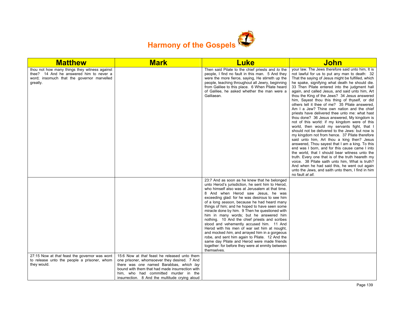

| <b>Matthew</b>                                                                                                                                     | <b>Mark</b>                                                                                                                                                                                                                                                                          | <b>Luke</b>                                                                                                                                                                                                                                                                                                                                                                                                                                                                                                                                                                                                                                                                                                                                                                                               | <b>John</b>                                                                                                                                                                                                                                                                                                                                                                                                                                                                                                                                                                                                                                                                                                                                                                                                                                                                                                                                                                                                                                                                                                                                                                                                                                                 |
|----------------------------------------------------------------------------------------------------------------------------------------------------|--------------------------------------------------------------------------------------------------------------------------------------------------------------------------------------------------------------------------------------------------------------------------------------|-----------------------------------------------------------------------------------------------------------------------------------------------------------------------------------------------------------------------------------------------------------------------------------------------------------------------------------------------------------------------------------------------------------------------------------------------------------------------------------------------------------------------------------------------------------------------------------------------------------------------------------------------------------------------------------------------------------------------------------------------------------------------------------------------------------|-------------------------------------------------------------------------------------------------------------------------------------------------------------------------------------------------------------------------------------------------------------------------------------------------------------------------------------------------------------------------------------------------------------------------------------------------------------------------------------------------------------------------------------------------------------------------------------------------------------------------------------------------------------------------------------------------------------------------------------------------------------------------------------------------------------------------------------------------------------------------------------------------------------------------------------------------------------------------------------------------------------------------------------------------------------------------------------------------------------------------------------------------------------------------------------------------------------------------------------------------------------|
| thou not how many things they witness against<br>thee? 14 And he answered him to never a<br>word; insomuch that the governor marvelled<br>greatly. |                                                                                                                                                                                                                                                                                      | Then said Pilate to the chief priests and to the<br>people, I find no fault in this man. 5 And they<br>were the more fierce, saying, He stirreth up the<br>people, teaching throughout all Jewry, beginning<br>from Galilee to this place. 6 When Pilate heard<br>of Galilee, he asked whether the man were a<br>Galilaean.                                                                                                                                                                                                                                                                                                                                                                                                                                                                               | your law. The Jews therefore said unto him, It is<br>not lawful for us to put any man to death: 32<br>That the saying of Jesus might be fulfilled, which<br>he spake, signifying what death he should die.<br>33 Then Pilate entered into the judgment hall<br>again, and called Jesus, and said unto him, Art<br>thou the King of the Jews? 34 Jesus answered<br>him, Sayest thou this thing of thyself, or did<br>others tell it thee of me? 35 Pilate answered.<br>Am I a Jew? Thine own nation and the chief<br>priests have delivered thee unto me: what hast<br>thou done? 36 Jesus answered, My kingdom is<br>not of this world: if my kingdom were of this<br>world, then would my servants fight, that I<br>should not be delivered to the Jews: but now is<br>my kingdom not from hence. 37 Pilate therefore<br>said unto him, Art thou a king then? Jesus<br>answered, Thou sayest that I am a king. To this<br>end was I born, and for this cause came I into<br>the world, that I should bear witness unto the<br>truth. Every one that is of the truth heareth my<br>voice. 38 Pilate saith unto him, What is truth?<br>And when he had said this, he went out again<br>unto the Jews, and saith unto them, I find in him<br>no fault at all. |
|                                                                                                                                                    |                                                                                                                                                                                                                                                                                      | 23:7 And as soon as he knew that he belonged<br>unto Herod's jurisdiction, he sent him to Herod,<br>who himself also was at Jerusalem at that time.<br>8 And when Herod saw Jesus, he was<br>exceeding glad: for he was desirous to see him<br>of a long season, because he had heard many<br>things of him; and he hoped to have seen some<br>miracle done by him. 9 Then he questioned with<br>him in many words; but he answered him<br>nothing. 10 And the chief priests and scribes<br>stood and vehemently accused him. 11 And<br>Herod with his men of war set him at nought,<br>and mocked him, and arrayed him in a gorgeous<br>robe, and sent him again to Pilate. 12 And the<br>same day Pilate and Herod were made friends<br>together: for before they were at enmity between<br>themselves. |                                                                                                                                                                                                                                                                                                                                                                                                                                                                                                                                                                                                                                                                                                                                                                                                                                                                                                                                                                                                                                                                                                                                                                                                                                                             |
| 27:15 Now at that feast the governor was wont<br>to release unto the people a prisoner, whom<br>they would.                                        | 15:6 Now at that feast he released unto them<br>one prisoner, whomsoever they desired. 7 And<br>there was one named Barabbas, which lay<br>bound with them that had made insurrection with<br>him, who had committed murder in the<br>insurrection. 8 And the multitude crying aloud |                                                                                                                                                                                                                                                                                                                                                                                                                                                                                                                                                                                                                                                                                                                                                                                                           |                                                                                                                                                                                                                                                                                                                                                                                                                                                                                                                                                                                                                                                                                                                                                                                                                                                                                                                                                                                                                                                                                                                                                                                                                                                             |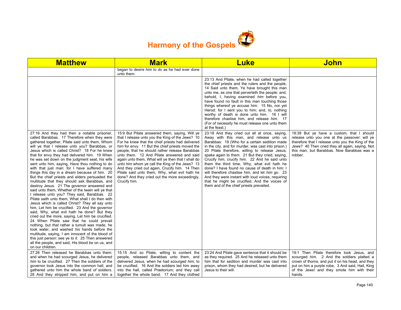

| <b>Matthew</b>                                                                                                                                                                                                                                                                                                                                                                                                                                                                                                                                                                                                                                                                                                                                                                                                                                                                                                                                                                                                                                                                                                                                                                                                                                                                                                                                        | <b>Mark</b>                                                                                                                                                                                                                                                                                                                                                                                                                                                                                                                                                                             | <b>Luke</b>                                                                                                                                                                                                                                                                                                                                                                                                                                                                                                                                                                                                                                                  | John                                                                                                                                                                                                                                                        |
|-------------------------------------------------------------------------------------------------------------------------------------------------------------------------------------------------------------------------------------------------------------------------------------------------------------------------------------------------------------------------------------------------------------------------------------------------------------------------------------------------------------------------------------------------------------------------------------------------------------------------------------------------------------------------------------------------------------------------------------------------------------------------------------------------------------------------------------------------------------------------------------------------------------------------------------------------------------------------------------------------------------------------------------------------------------------------------------------------------------------------------------------------------------------------------------------------------------------------------------------------------------------------------------------------------------------------------------------------------|-----------------------------------------------------------------------------------------------------------------------------------------------------------------------------------------------------------------------------------------------------------------------------------------------------------------------------------------------------------------------------------------------------------------------------------------------------------------------------------------------------------------------------------------------------------------------------------------|--------------------------------------------------------------------------------------------------------------------------------------------------------------------------------------------------------------------------------------------------------------------------------------------------------------------------------------------------------------------------------------------------------------------------------------------------------------------------------------------------------------------------------------------------------------------------------------------------------------------------------------------------------------|-------------------------------------------------------------------------------------------------------------------------------------------------------------------------------------------------------------------------------------------------------------|
|                                                                                                                                                                                                                                                                                                                                                                                                                                                                                                                                                                                                                                                                                                                                                                                                                                                                                                                                                                                                                                                                                                                                                                                                                                                                                                                                                       | began to desire him to do as he had ever done<br>unto them.                                                                                                                                                                                                                                                                                                                                                                                                                                                                                                                             |                                                                                                                                                                                                                                                                                                                                                                                                                                                                                                                                                                                                                                                              |                                                                                                                                                                                                                                                             |
|                                                                                                                                                                                                                                                                                                                                                                                                                                                                                                                                                                                                                                                                                                                                                                                                                                                                                                                                                                                                                                                                                                                                                                                                                                                                                                                                                       |                                                                                                                                                                                                                                                                                                                                                                                                                                                                                                                                                                                         | 23:13 And Pilate, when he had called together<br>the chief priests and the rulers and the people,<br>14 Said unto them, Ye have brought this man<br>unto me, as one that perverteth the people: and,<br>behold, I, having examined him before you,<br>have found no fault in this man touching those<br>things whereof ye accuse him: 15 No, nor yet<br>Herod: for I sent you to him; and, lo, nothing<br>worthy of death is done unto him. 16 I will<br>therefore chastise him, and release him. 17<br>(For of necessity he must release one unto them<br>at the feast.)                                                                                    |                                                                                                                                                                                                                                                             |
| 27:16 And they had then a notable prisoner,<br>called Barabbas. 17 Therefore when they were<br>gathered together, Pilate said unto them, Whom<br>will ye that I release unto you? Barabbas, or<br>Jesus which is called Christ? 18 For he knew<br>that for envy they had delivered him. 19 When<br>he was set down on the judgment seat, his wife<br>sent unto him, saying, Have thou nothing to do<br>with that just man: for I have suffered many<br>things this day in a dream because of him. 20<br>But the chief priests and elders persuaded the<br>multitude that they should ask Barabbas, and<br>destroy Jesus. 21 The governor answered and<br>said unto them. Whether of the twain will ye that<br>I release unto you? They said, Barabbas. 22<br>Pilate saith unto them, What shall I do then with<br>Jesus which is called Christ? They all say unto<br>him, Let him be crucified. 23 And the governor<br>said, Why, what evil hath he done? But they<br>cried out the more, saying, Let him be crucified.<br>24 When Pilate saw that he could prevail<br>nothing, but that rather a tumult was made, he<br>took water, and washed his hands before the<br>multitude, saying, I am innocent of the blood of<br>this just person: see ye to it. 25 Then answered<br>all the people, and said, His blood be on us, and<br>on our children. | 15:9 But Pilate answered them, saying, Will ye<br>that I release unto you the King of the Jews? 10<br>For he knew that the chief priests had delivered<br>him for envy. 11 But the chief priests moved the<br>people, that he should rather release Barabbas<br>unto them. 12 And Pilate answered and said<br>again unto them, What will ye then that I shall do<br>unto him whom ye call the King of the Jews? 13<br>And they cried out again, Crucify him. 14 Then<br>Pilate said unto them, Why, what evil hath he<br>done? And they cried out the more exceedingly,<br>Crucify him. | 23:18 And they cried out all at once, saying,<br>Away with this man, and release unto us<br>Barabbas: 19 (Who for a certain sedition made<br>in the city, and for murder, was cast into prison.)<br>20 Pilate therefore, willing to release Jesus,<br>spake again to them. 21 But they cried, saying,<br>Crucify him, crucify him. 22 And he said unto<br>them the third time, Why, what evil hath he<br>done? I have found no cause of death in him: I<br>will therefore chastise him, and let him go. 23<br>And they were instant with loud voices, requiring<br>that he might be crucified. And the voices of<br>them and of the chief priests prevailed. | 18:39 But ye have a custom, that I should<br>release unto you one at the passover: will ye<br>therefore that I release unto you the King of the<br>Jews? 40 Then cried they all again, saying, Not<br>this man, but Barabbas. Now Barabbas was a<br>robber. |
| 27:26 Then released he Barabbas unto them:<br>and when he had scourged Jesus, he delivered<br>him to be crucified. 27 Then the soldiers of the<br>governor took Jesus into the common hall, and<br>gathered unto him the whole band of soldiers.<br>28 And they stripped him, and put on him a                                                                                                                                                                                                                                                                                                                                                                                                                                                                                                                                                                                                                                                                                                                                                                                                                                                                                                                                                                                                                                                        | 15:15 And so Pilate, willing to content the<br>people, released Barabbas unto them, and<br>delivered Jesus, when he had scourged him, to<br>be crucified. 16 And the soldiers led him away<br>into the hall, called Praetorium; and they call<br>together the whole band. 17 And they clothed                                                                                                                                                                                                                                                                                           | 23:24 And Pilate gave sentence that it should be<br>as they required. 25 And he released unto them<br>him that for sedition and murder was cast into<br>prison, whom they had desired; but he delivered<br>Jesus to their will.                                                                                                                                                                                                                                                                                                                                                                                                                              | 19:1 Then Pilate therefore took Jesus, and<br>scourged him. 2 And the soldiers platted a<br>crown of thorns, and put it on his head, and they<br>put on him a purple robe, 3 And said, Hail, King<br>of the Jews! and they smote him with their<br>hands.   |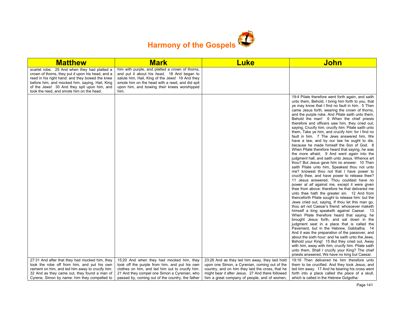

| <b>Matthew</b>                                                                                                                                                                                                                                                                                     | <b>Mark</b>                                                                                                                                                                                                                                                | <b>Luke</b>                                                                                                                                                                                                                                             | <b>John</b>                                                                                                                                                                                                                                                                                                                                                                                                                                                                                                                                                                                                                                                                                                                                                                                                                                                                                                                                                                                                                                                                                                                                                                                                                                                                                                                                                                                                                                                                                                                                                                                                                                                                                                                                                                                                                                                                                    |
|----------------------------------------------------------------------------------------------------------------------------------------------------------------------------------------------------------------------------------------------------------------------------------------------------|------------------------------------------------------------------------------------------------------------------------------------------------------------------------------------------------------------------------------------------------------------|---------------------------------------------------------------------------------------------------------------------------------------------------------------------------------------------------------------------------------------------------------|------------------------------------------------------------------------------------------------------------------------------------------------------------------------------------------------------------------------------------------------------------------------------------------------------------------------------------------------------------------------------------------------------------------------------------------------------------------------------------------------------------------------------------------------------------------------------------------------------------------------------------------------------------------------------------------------------------------------------------------------------------------------------------------------------------------------------------------------------------------------------------------------------------------------------------------------------------------------------------------------------------------------------------------------------------------------------------------------------------------------------------------------------------------------------------------------------------------------------------------------------------------------------------------------------------------------------------------------------------------------------------------------------------------------------------------------------------------------------------------------------------------------------------------------------------------------------------------------------------------------------------------------------------------------------------------------------------------------------------------------------------------------------------------------------------------------------------------------------------------------------------------------|
| scarlet robe. 29 And when they had platted a<br>crown of thorns, they put it upon his head, and a<br>reed in his right hand: and they bowed the knee<br>before him, and mocked him, saying, Hail, King<br>of the Jews! 30 And they spit upon him, and<br>took the reed, and smote him on the head. | him with purple, and platted a crown of thorns,<br>and put it about his head, 18 And began to<br>salute him, Hail, King of the Jews! 19 And they<br>smote him on the head with a reed, and did spit<br>upon him, and bowing their knees worshipped<br>him. |                                                                                                                                                                                                                                                         |                                                                                                                                                                                                                                                                                                                                                                                                                                                                                                                                                                                                                                                                                                                                                                                                                                                                                                                                                                                                                                                                                                                                                                                                                                                                                                                                                                                                                                                                                                                                                                                                                                                                                                                                                                                                                                                                                                |
|                                                                                                                                                                                                                                                                                                    |                                                                                                                                                                                                                                                            |                                                                                                                                                                                                                                                         | 19:4 Pilate therefore went forth again, and saith<br>unto them, Behold, I bring him forth to you, that<br>ye may know that I find no fault in him. 5 Then<br>came Jesus forth, wearing the crown of thorns,<br>and the purple robe. And <i>Pilate</i> saith unto them,<br>Behold the man! 6 When the chief priests<br>therefore and officers saw him, they cried out,<br>saying, Crucify him, crucify him. Pilate saith unto<br>them, Take ye him, and crucify him: for I find no<br>fault in him. 7 The Jews answered him, We<br>have a law, and by our law he ought to die,<br>because he made himself the Son of God. 8<br>When Pilate therefore heard that saying, he was<br>the more afraid; 9 And went again into the<br>judgment hall, and saith unto Jesus, Whence art<br>thou? But Jesus gave him no answer. 10 Then<br>saith Pilate unto him, Speakest thou not unto<br>me? knowest thou not that I have power to<br>crucify thee, and have power to release thee?<br>11 Jesus answered, Thou couldest have no<br>power at all against me, except it were given<br>thee from above: therefore he that delivered me<br>unto thee hath the greater sin. 12 And from<br>thenceforth Pilate sought to release him: but the<br>Jews cried out, saying, If thou let this man go,<br>thou art not Caesar's friend: whosoever maketh<br>himself a king speaketh against Caesar. 13<br>When Pilate therefore heard that saying, he<br>brought Jesus forth, and sat down in the<br>judgment seat in a place that is called the<br>Pavement, but in the Hebrew, Gabbatha. 14<br>And it was the preparation of the passover, and<br>about the sixth hour: and he saith unto the Jews,<br>Behold your King! 15 But they cried out, Away<br>with him, away with him, crucify him. Pilate saith<br>unto them, Shall I crucify your King? The chief<br>priests answered, We have no king but Caesar. |
| 27:31 And after that they had mocked him, they<br>took the robe off from him, and put his own<br>raiment on him, and led him away to crucify him.<br>32 And as they came out, they found a man of<br>Cyrene, Simon by name: him they compelled to                                                  | 15:20 And when they had mocked him, they<br>took off the purple from him, and put his own<br>clothes on him, and led him out to crucify him.<br>21 And they compel one Simon a Cyrenian, who<br>passed by, coming out of the country, the father           | 23:26 And as they led him away, they laid hold<br>upon one Simon, a Cyrenian, coming out of the<br>country, and on him they laid the cross, that he<br>might bear it after Jesus. 27 And there followed<br>him a great company of people, and of women, | 19:16 Then delivered he him therefore unto<br>them to be crucified. And they took Jesus, and<br>led him away. 17 And he bearing his cross went<br>forth into a place called the place of a skull,<br>which is called in the Hebrew Golgotha:                                                                                                                                                                                                                                                                                                                                                                                                                                                                                                                                                                                                                                                                                                                                                                                                                                                                                                                                                                                                                                                                                                                                                                                                                                                                                                                                                                                                                                                                                                                                                                                                                                                   |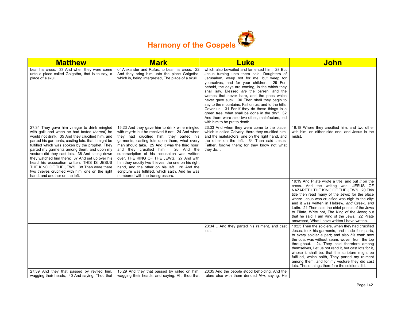

| <b>Matthew</b>                                                                                                                                                                                                                                                                                                                                                                                                                                                                                                                                                                                | <b>Mark</b>                                                                                                                                                                                                                                                                                                                                                                                                                                                                                                                                                                    | <b>Luke</b>                                                                                                                                                                                                                                                                                                                                                                                                                                                                                                                                                                                                                   | <b>John</b>                                                                                                                                                                                                                                                                                                                                                                                                                                                                                                       |
|-----------------------------------------------------------------------------------------------------------------------------------------------------------------------------------------------------------------------------------------------------------------------------------------------------------------------------------------------------------------------------------------------------------------------------------------------------------------------------------------------------------------------------------------------------------------------------------------------|--------------------------------------------------------------------------------------------------------------------------------------------------------------------------------------------------------------------------------------------------------------------------------------------------------------------------------------------------------------------------------------------------------------------------------------------------------------------------------------------------------------------------------------------------------------------------------|-------------------------------------------------------------------------------------------------------------------------------------------------------------------------------------------------------------------------------------------------------------------------------------------------------------------------------------------------------------------------------------------------------------------------------------------------------------------------------------------------------------------------------------------------------------------------------------------------------------------------------|-------------------------------------------------------------------------------------------------------------------------------------------------------------------------------------------------------------------------------------------------------------------------------------------------------------------------------------------------------------------------------------------------------------------------------------------------------------------------------------------------------------------|
| bear his cross. 33 And when they were come<br>unto a place called Golgotha, that is to say, a<br>place of a skull.                                                                                                                                                                                                                                                                                                                                                                                                                                                                            | of Alexander and Rufus, to bear his cross. 22<br>And they bring him unto the place Golgotha,<br>which is, being interpreted, The place of a skull.                                                                                                                                                                                                                                                                                                                                                                                                                             | which also bewailed and lamented him. 28 But<br>Jesus turning unto them said, Daughters of<br>Jerusalem, weep not for me, but weep for<br>yourselves, and for your children. 29 For,<br>behold, the days are coming, in the which they<br>shall say, Blessed are the barren, and the<br>wombs that never bare, and the paps which<br>never gave suck. 30 Then shall they begin to<br>say to the mountains. Fall on us; and to the hills,<br>Cover us. 31 For if they do these things in a<br>green tree, what shall be done in the dry? 32<br>And there were also two other, malefactors, led<br>with him to be put to death. |                                                                                                                                                                                                                                                                                                                                                                                                                                                                                                                   |
| 27:34 They gave him vinegar to drink mingled<br>with gall: and when he had tasted thereof, he<br>would not drink. 35 And they crucified him, and<br>parted his garments, casting lots: that it might be<br>fulfilled which was spoken by the prophet. They<br>parted my garments among them, and upon my<br>vesture did they cast lots. 36 And sitting down<br>they watched him there: 37 And set up over his<br>head his accusation written, THIS IS JESUS<br>THE KING OF THE JEWS. 38 Then were there<br>two thieves crucified with him, one on the right<br>hand, and another on the left. | 15:23 And they gave him to drink wine mingled<br>with myrrh: but he received it not. 24 And when<br>they had crucified him, they parted his<br>garments, casting lots upon them, what every<br>man should take. 25 And it was the third hour,<br>and they crucified him.<br>26 And the<br>superscription of his accusation was written<br>over, THE KING OF THE JEWS. 27 And with<br>him they crucify two thieves; the one on his right<br>hand, and the other on his left. 28 And the<br>scripture was fulfilled, which saith, And he was<br>numbered with the transgressors. | 23:33 And when they were come to the place,<br>which is called Calvary, there they crucified him,<br>and the malefactors, one on the right hand, and<br>the other on the left. 34 Then said Jesus,<br>Father, forgive them; for they know not what<br>they do                                                                                                                                                                                                                                                                                                                                                                 | 19:18 Where they crucified him, and two other<br>with him, on either side one, and Jesus in the<br>midst.                                                                                                                                                                                                                                                                                                                                                                                                         |
|                                                                                                                                                                                                                                                                                                                                                                                                                                                                                                                                                                                               |                                                                                                                                                                                                                                                                                                                                                                                                                                                                                                                                                                                |                                                                                                                                                                                                                                                                                                                                                                                                                                                                                                                                                                                                                               | 19:19 And Pilate wrote a title, and put it on the<br>cross. And the writing was, JESUS OF<br>NAZARETH THE KING OF THE JEWS. 20 This<br>title then read many of the Jews: for the place<br>where Jesus was crucified was nigh to the city:<br>and it was written in Hebrew, and Greek, and<br>Latin. 21 Then said the chief priests of the Jews<br>to Pilate, Write not, The King of the Jews; but<br>that he said, I am King of the Jews. 22 Pilate<br>answered, What I have written I have written.              |
|                                                                                                                                                                                                                                                                                                                                                                                                                                                                                                                                                                                               |                                                                                                                                                                                                                                                                                                                                                                                                                                                                                                                                                                                | 23:34  And they parted his raiment, and cast<br>lots.                                                                                                                                                                                                                                                                                                                                                                                                                                                                                                                                                                         | 19:23 Then the soldiers, when they had crucified<br>Jesus, took his garments, and made four parts,<br>to every soldier a part; and also his coat: now<br>the coat was without seam, woven from the top<br>throughout. 24 They said therefore among<br>themselves, Let us not rend it, but cast lots for it,<br>whose it shall be: that the scripture might be<br>fulfilled, which saith, They parted my raiment<br>among them, and for my vesture they did cast<br>lots. These things therefore the soldiers did. |
| 27:39 And they that passed by reviled him,<br>wagging their heads, 40 And saying, Thou that                                                                                                                                                                                                                                                                                                                                                                                                                                                                                                   | 15:29 And they that passed by railed on him.<br>wagging their heads, and saying, Ah, thou that                                                                                                                                                                                                                                                                                                                                                                                                                                                                                 | 23:35 And the people stood beholding. And the<br>rulers also with them derided him, saying, He                                                                                                                                                                                                                                                                                                                                                                                                                                                                                                                                |                                                                                                                                                                                                                                                                                                                                                                                                                                                                                                                   |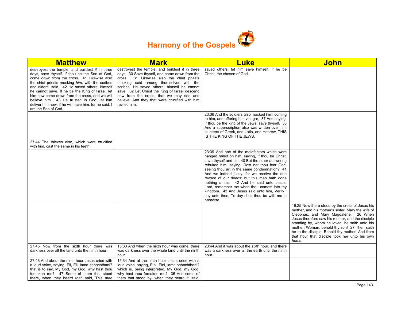

| <b>Matthew</b>                                                                                                                                                                                                                                                                                                                                                                                                                                                                       | <b>Mark</b>                                                                                                                                                                                                                                                                                                                                                                                             | <b>Luke</b>                                                                                                                                                                                                                                                                                                                                                                                                                                                                                                                                                   | <b>John</b>                                                                                                                                                                                                                                                                                                                                                                                                     |
|--------------------------------------------------------------------------------------------------------------------------------------------------------------------------------------------------------------------------------------------------------------------------------------------------------------------------------------------------------------------------------------------------------------------------------------------------------------------------------------|---------------------------------------------------------------------------------------------------------------------------------------------------------------------------------------------------------------------------------------------------------------------------------------------------------------------------------------------------------------------------------------------------------|---------------------------------------------------------------------------------------------------------------------------------------------------------------------------------------------------------------------------------------------------------------------------------------------------------------------------------------------------------------------------------------------------------------------------------------------------------------------------------------------------------------------------------------------------------------|-----------------------------------------------------------------------------------------------------------------------------------------------------------------------------------------------------------------------------------------------------------------------------------------------------------------------------------------------------------------------------------------------------------------|
| destroyest the temple, and buildest it in three<br>days, save thyself. If thou be the Son of God,<br>come down from the cross. 41 Likewise also<br>the chief priests mocking him, with the scribes<br>and elders, said, 42 He saved others; himself<br>he cannot save. If he be the King of Israel, let<br>him now come down from the cross, and we will<br>believe him. 43 He trusted in God: let him<br>deliver him now, if he will have him: for he said, I<br>am the Son of God. | destroyest the temple, and buildest $it$ in three<br>days, 30 Save thyself, and come down from the<br>cross. 31 Likewise also the chief priests<br>mocking said among themselves with the<br>scribes. He saved others; himself he cannot<br>save. 32 Let Christ the King of Israel descend<br>now from the cross, that we may see and<br>believe. And they that were crucified with him<br>reviled him. | saved others; let him save himself, if he be<br>Christ, the chosen of God.                                                                                                                                                                                                                                                                                                                                                                                                                                                                                    |                                                                                                                                                                                                                                                                                                                                                                                                                 |
|                                                                                                                                                                                                                                                                                                                                                                                                                                                                                      |                                                                                                                                                                                                                                                                                                                                                                                                         | 23:36 And the soldiers also mocked him, coming<br>to him, and offering him vinegar, 37 And saying,<br>If thou be the king of the Jews, save thyself. 38<br>And a superscription also was written over him<br>in letters of Greek, and Latin, and Hebrew, THIS<br>IS THE KING OF THE JEWS.                                                                                                                                                                                                                                                                     |                                                                                                                                                                                                                                                                                                                                                                                                                 |
| 27:44 The thieves also, which were crucified<br>with him, cast the same in his teeth.                                                                                                                                                                                                                                                                                                                                                                                                |                                                                                                                                                                                                                                                                                                                                                                                                         |                                                                                                                                                                                                                                                                                                                                                                                                                                                                                                                                                               |                                                                                                                                                                                                                                                                                                                                                                                                                 |
|                                                                                                                                                                                                                                                                                                                                                                                                                                                                                      |                                                                                                                                                                                                                                                                                                                                                                                                         | 23:39 And one of the malefactors which were<br>hanged railed on him, saying, If thou be Christ,<br>save thyself and us. 40 But the other answering<br>rebuked him, saying, Dost not thou fear God,<br>seeing thou art in the same condemnation? 41<br>And we indeed justly; for we receive the due<br>reward of our deeds: but this man hath done<br>nothing amiss. 42 And he said unto Jesus,<br>Lord, remember me when thou comest into thy<br>kingdom. 43 And Jesus said unto him, Verily I<br>say unto thee, To day shalt thou be with me in<br>paradise. |                                                                                                                                                                                                                                                                                                                                                                                                                 |
|                                                                                                                                                                                                                                                                                                                                                                                                                                                                                      |                                                                                                                                                                                                                                                                                                                                                                                                         |                                                                                                                                                                                                                                                                                                                                                                                                                                                                                                                                                               | 19:25 Now there stood by the cross of Jesus his<br>mother, and his mother's sister. Mary the wife of<br>Cleophas, and Mary Magdalene. 26 When<br>Jesus therefore saw his mother, and the disciple<br>standing by, whom he loved, he saith unto his<br>mother, Woman, behold thy son! 27 Then saith<br>he to the disciple, Behold thy mother! And from<br>that hour that disciple took her unto his own<br>home. |
| 27:45 Now from the sixth hour there was<br>darkness over all the land unto the ninth hour.                                                                                                                                                                                                                                                                                                                                                                                           | 15:33 And when the sixth hour was come, there<br>was darkness over the whole land until the ninth<br>hour.                                                                                                                                                                                                                                                                                              | 23:44 And it was about the sixth hour, and there<br>was a darkness over all the earth until the ninth<br>hour.                                                                                                                                                                                                                                                                                                                                                                                                                                                |                                                                                                                                                                                                                                                                                                                                                                                                                 |
| 27:46 And about the ninth hour Jesus cried with<br>a loud voice, saying, Eli, Eli, lama sabachthani?<br>that is to say, My God, my God, why hast thou<br>forsaken me? 47 Some of them that stood<br>there, when they heard that, said, This man                                                                                                                                                                                                                                      | 15:34 And at the ninth hour Jesus cried with a<br>loud voice, saying, Eloi, Eloi, lama sabachthani?<br>which is, being interpreted, My God, my God,<br>why hast thou forsaken me? 35 And some of<br>them that stood by, when they heard it, said,                                                                                                                                                       |                                                                                                                                                                                                                                                                                                                                                                                                                                                                                                                                                               |                                                                                                                                                                                                                                                                                                                                                                                                                 |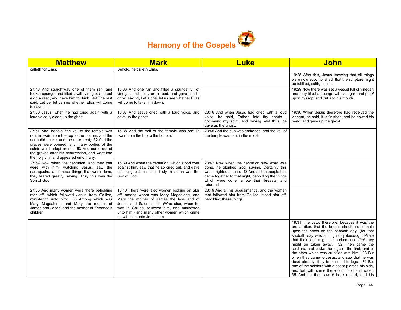

| <b>Matthew</b>                                                                                                                                                                                                                                                                                                                                    | <b>Mark</b>                                                                                                                                                                                                                                                                                                 | <b>Luke</b>                                                                                                                                                                                                                                                   | <b>John</b>                                                                                                                                                                                                                                                                                                                                                                                                                                                                                                                                                                                                                                            |
|---------------------------------------------------------------------------------------------------------------------------------------------------------------------------------------------------------------------------------------------------------------------------------------------------------------------------------------------------|-------------------------------------------------------------------------------------------------------------------------------------------------------------------------------------------------------------------------------------------------------------------------------------------------------------|---------------------------------------------------------------------------------------------------------------------------------------------------------------------------------------------------------------------------------------------------------------|--------------------------------------------------------------------------------------------------------------------------------------------------------------------------------------------------------------------------------------------------------------------------------------------------------------------------------------------------------------------------------------------------------------------------------------------------------------------------------------------------------------------------------------------------------------------------------------------------------------------------------------------------------|
| calleth for Elias.                                                                                                                                                                                                                                                                                                                                | Behold, he calleth Elias.                                                                                                                                                                                                                                                                                   |                                                                                                                                                                                                                                                               |                                                                                                                                                                                                                                                                                                                                                                                                                                                                                                                                                                                                                                                        |
|                                                                                                                                                                                                                                                                                                                                                   |                                                                                                                                                                                                                                                                                                             |                                                                                                                                                                                                                                                               | 19:28 After this, Jesus knowing that all things<br>were now accomplished, that the scripture might<br>be fulfilled, saith, I thirst.                                                                                                                                                                                                                                                                                                                                                                                                                                                                                                                   |
| 27:48 And straightway one of them ran, and<br>took a spunge, and filled it with vinegar, and put<br>it on a reed, and gave him to drink. 49 The rest<br>said, Let be, let us see whether Elias will come<br>to save him.                                                                                                                          | 15:36 And one ran and filled a spunge full of<br>vinegar, and put $it$ on a reed, and gave him to<br>drink, saying, Let alone; let us see whether Elias<br>will come to take him down.                                                                                                                      |                                                                                                                                                                                                                                                               | 19:29 Now there was set a vessel full of vinegar:<br>and they filled a spunge with vinegar, and put it<br>upon hyssop, and put it to his mouth.                                                                                                                                                                                                                                                                                                                                                                                                                                                                                                        |
| 27:50 Jesus, when he had cried again with a<br>loud voice, yielded up the ghost.                                                                                                                                                                                                                                                                  | 15:37 And Jesus cried with a loud voice, and<br>gave up the ghost.                                                                                                                                                                                                                                          | 23:46 And when Jesus had cried with a loud<br>voice, he said, Father, into thy hands I<br>commend my spirit: and having said thus, he<br>gave up the ghost.                                                                                                   | 19:30 When Jesus therefore had received the<br>vinegar, he said, It is finished: and he bowed his<br>head, and gave up the ghost.                                                                                                                                                                                                                                                                                                                                                                                                                                                                                                                      |
| 27:51 And, behold, the veil of the temple was<br>rent in twain from the top to the bottom; and the<br>earth did quake, and the rocks rent; 52 And the<br>graves were opened; and many bodies of the<br>saints which slept arose, 53 And came out of<br>the graves after his resurrection, and went into<br>the holy city, and appeared unto many. | 15:38 And the veil of the temple was rent in<br>twain from the top to the bottom.                                                                                                                                                                                                                           | 23:45 And the sun was darkened, and the veil of<br>the temple was rent in the midst.                                                                                                                                                                          |                                                                                                                                                                                                                                                                                                                                                                                                                                                                                                                                                                                                                                                        |
| 27:54 Now when the centurion, and they that<br>were with him, watching Jesus, saw the<br>earthquake, and those things that were done,<br>they feared greatly, saying, Truly this was the<br>Son of God.                                                                                                                                           | 15:39 And when the centurion, which stood over<br>against him, saw that he so cried out, and gave<br>up the ghost, he said, Truly this man was the<br>Son of God.                                                                                                                                           | 23:47 Now when the centurion saw what was<br>done, he glorified God, saying, Certainly this<br>was a righteous man. 48 And all the people that<br>came together to that sight, beholding the things<br>which were done, smote their breasts, and<br>returned. |                                                                                                                                                                                                                                                                                                                                                                                                                                                                                                                                                                                                                                                        |
| 27:55 And many women were there beholding<br>afar off, which followed Jesus from Galilee,<br>ministering unto him: 56 Among which was<br>Mary Magdalene, and Mary the mother of<br>James and Joses, and the mother of Zebedee's<br>children.                                                                                                      | 15:40 There were also women looking on afar<br>off: among whom was Mary Magdalene, and<br>Mary the mother of James the less and of<br>Joses, and Salome; 41 (Who also, when he<br>was in Galilee, followed him, and ministered<br>unto him;) and many other women which came<br>up with him unto Jerusalem. | 23:49 And all his acquaintance, and the women<br>that followed him from Galilee, stood afar off,<br>beholding these things.                                                                                                                                   |                                                                                                                                                                                                                                                                                                                                                                                                                                                                                                                                                                                                                                                        |
|                                                                                                                                                                                                                                                                                                                                                   |                                                                                                                                                                                                                                                                                                             |                                                                                                                                                                                                                                                               | 19:31 The Jews therefore, because it was the<br>preparation, that the bodies should not remain<br>upon the cross on the sabbath day, (for that<br>sabbath day was an high day, besought Pilate<br>that their legs might be broken, and that they<br>might be taken away. 32 Then came the<br>soldiers, and brake the legs of the first, and of<br>the other which was crucified with him. 33 But<br>when they came to Jesus, and saw that he was<br>dead already, they brake not his legs: 34 But<br>one of the soldiers with a spear pierced his side,<br>and forthwith came there out blood and water.<br>35 And he that saw it bare record, and his |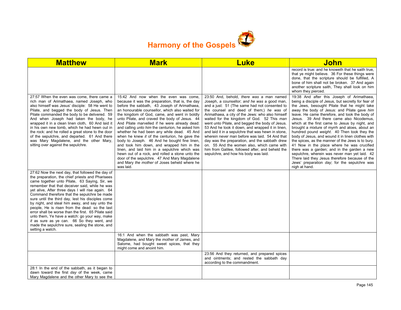

| <b>Matthew</b>                                                                                                                                                                                                                                                                                                                                                                                                                                                                                                                                                                                                                                                                                     | <b>Mark</b>                                                                                                                                                                                                                                                                                                                                                                                                                                                                                                                                                                                                                                                                                                                                                                                                           | <b>Luke</b>                                                                                                                                                                                                                                                                                                                                                                                                                                                                                                                                                                                                                                                                                        | <b>John</b>                                                                                                                                                                                                                                                                                                                                                                                                                                                                                                                                                                                                                                                                                                                                                                                                                  |
|----------------------------------------------------------------------------------------------------------------------------------------------------------------------------------------------------------------------------------------------------------------------------------------------------------------------------------------------------------------------------------------------------------------------------------------------------------------------------------------------------------------------------------------------------------------------------------------------------------------------------------------------------------------------------------------------------|-----------------------------------------------------------------------------------------------------------------------------------------------------------------------------------------------------------------------------------------------------------------------------------------------------------------------------------------------------------------------------------------------------------------------------------------------------------------------------------------------------------------------------------------------------------------------------------------------------------------------------------------------------------------------------------------------------------------------------------------------------------------------------------------------------------------------|----------------------------------------------------------------------------------------------------------------------------------------------------------------------------------------------------------------------------------------------------------------------------------------------------------------------------------------------------------------------------------------------------------------------------------------------------------------------------------------------------------------------------------------------------------------------------------------------------------------------------------------------------------------------------------------------------|------------------------------------------------------------------------------------------------------------------------------------------------------------------------------------------------------------------------------------------------------------------------------------------------------------------------------------------------------------------------------------------------------------------------------------------------------------------------------------------------------------------------------------------------------------------------------------------------------------------------------------------------------------------------------------------------------------------------------------------------------------------------------------------------------------------------------|
|                                                                                                                                                                                                                                                                                                                                                                                                                                                                                                                                                                                                                                                                                                    |                                                                                                                                                                                                                                                                                                                                                                                                                                                                                                                                                                                                                                                                                                                                                                                                                       |                                                                                                                                                                                                                                                                                                                                                                                                                                                                                                                                                                                                                                                                                                    | record is true: and he knoweth that he saith true.<br>that ye might believe. 36 For these things were<br>done, that the scripture should be fulfilled, A<br>bone of him shall not be broken. 37 And again<br>another scripture saith, They shall look on him<br>whom they pierced.                                                                                                                                                                                                                                                                                                                                                                                                                                                                                                                                           |
| 27:57 When the even was come, there came a<br>rich man of Arimathaea, named Joseph, who<br>also himself was Jesus' disciple: 58 He went to<br>Pilate, and begged the body of Jesus. Then<br>Pilate commanded the body to be delivered. 59<br>And when Joseph had taken the body, he<br>wrapped it in a clean linen cloth, 60 And laid it<br>in his own new tomb, which he had hewn out in<br>the rock: and he rolled a great stone to the door<br>of the sepulchre, and departed. 61 And there<br>was Mary Magdalene, and the other Mary,<br>sitting over against the sepulchre.                                                                                                                   | 15:42 And now when the even was come,<br>because it was the preparation, that is, the day<br>before the sabbath, 43 Joseph of Arimathaea,<br>an honourable counsellor, which also waited for<br>the kingdom of God, came, and went in boldly<br>unto Pilate, and craved the body of Jesus. 44<br>And Pilate marvelled if he were already dead:<br>and calling <i>unto him</i> the centurion, he asked him<br>whether he had been any while dead. 45 And<br>when he knew it of the centurion, he gave the<br>body to Joseph. 46 And he bought fine linen,<br>and took him down, and wrapped him in the<br>linen, and laid him in a sepulchre which was<br>hewn out of a rock, and rolled a stone unto the<br>door of the sepulchre. 47 And Mary Magdalene<br>and Mary the mother of Joses beheld where he<br>was laid. | 23:50 And, behold, there was a man named<br>Joseph, a counsellor; and he was a good man,<br>and a just: 51 (The same had not consented to<br>the counsel and deed of them;) he was of<br>Arimathaea, a city of the Jews: who also himself<br>waited for the kingdom of God. 52 This man<br>went unto Pilate, and begged the body of Jesus.<br>53 And he took it down, and wrapped it in linen,<br>and laid it in a sepulchre that was hewn in stone,<br>wherein never man before was laid. 54 And that<br>day was the preparation, and the sabbath drew<br>on. 55 And the women also, which came with<br>him from Galilee, followed after, and beheld the<br>sepulchre, and how his body was laid. | 19:38 And after this Joseph of Arimathaea,<br>being a disciple of Jesus, but secretly for fear of<br>the Jews, besought Pilate that he might take<br>away the body of Jesus: and Pilate gave him<br>leave. He came therefore, and took the body of<br>Jesus. 39 And there came also Nicodemus,<br>which at the first came to Jesus by night, and<br>brought a mixture of myrrh and aloes, about an<br>hundred pound weight. 40 Then took they the<br>body of Jesus, and wound it in linen clothes with<br>the spices, as the manner of the Jews is to bury.<br>41 Now in the place where he was crucified<br>there was a garden; and in the garden a new<br>sepulchre, wherein was never man yet laid. 42<br>There laid they Jesus therefore because of the<br>Jews' preparation day; for the sepulchre was<br>nigh at hand. |
| 27:62 Now the next day, that followed the day of<br>the preparation, the chief priests and Pharisees<br>came together unto Pilate, 63 Saying, Sir, we<br>remember that that deceiver said, while he was<br>yet alive, After three days I will rise again. 64<br>Command therefore that the sepulchre be made<br>sure until the third day, lest his disciples come<br>by night, and steal him away, and say unto the<br>people. He is risen from the dead: so the last<br>error shall be worse than the first. 65 Pilate said<br>unto them, Ye have a watch: go your way, make<br>it as sure as ye can. 66 So they went, and<br>made the sepulchre sure, sealing the stone, and<br>setting a watch. |                                                                                                                                                                                                                                                                                                                                                                                                                                                                                                                                                                                                                                                                                                                                                                                                                       |                                                                                                                                                                                                                                                                                                                                                                                                                                                                                                                                                                                                                                                                                                    |                                                                                                                                                                                                                                                                                                                                                                                                                                                                                                                                                                                                                                                                                                                                                                                                                              |
|                                                                                                                                                                                                                                                                                                                                                                                                                                                                                                                                                                                                                                                                                                    | 16:1 And when the sabbath was past, Mary<br>Magdalene, and Mary the mother of James, and<br>Salome, had bought sweet spices, that they<br>might come and anoint him.                                                                                                                                                                                                                                                                                                                                                                                                                                                                                                                                                                                                                                                  |                                                                                                                                                                                                                                                                                                                                                                                                                                                                                                                                                                                                                                                                                                    |                                                                                                                                                                                                                                                                                                                                                                                                                                                                                                                                                                                                                                                                                                                                                                                                                              |
|                                                                                                                                                                                                                                                                                                                                                                                                                                                                                                                                                                                                                                                                                                    |                                                                                                                                                                                                                                                                                                                                                                                                                                                                                                                                                                                                                                                                                                                                                                                                                       | 23:56 And they returned, and prepared spices<br>and ointments; and rested the sabbath day<br>according to the commandment.                                                                                                                                                                                                                                                                                                                                                                                                                                                                                                                                                                         |                                                                                                                                                                                                                                                                                                                                                                                                                                                                                                                                                                                                                                                                                                                                                                                                                              |
| 28:1 In the end of the sabbath, as it began to<br>dawn toward the first day of the week, came<br>Mary Magdalene and the other Mary to see the                                                                                                                                                                                                                                                                                                                                                                                                                                                                                                                                                      |                                                                                                                                                                                                                                                                                                                                                                                                                                                                                                                                                                                                                                                                                                                                                                                                                       |                                                                                                                                                                                                                                                                                                                                                                                                                                                                                                                                                                                                                                                                                                    |                                                                                                                                                                                                                                                                                                                                                                                                                                                                                                                                                                                                                                                                                                                                                                                                                              |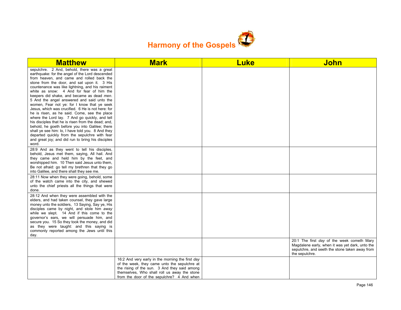

| <b>Matthew</b>                                                                                                                                                                                                                                                                                                                                                                                                                                                                                                                                                                                                                                                                                                                                                                                                                                                           | <b>Mark</b>                                                                                                                                                                                                                                    | <b>Luke</b> | <b>John</b>                                                                                                                                                       |
|--------------------------------------------------------------------------------------------------------------------------------------------------------------------------------------------------------------------------------------------------------------------------------------------------------------------------------------------------------------------------------------------------------------------------------------------------------------------------------------------------------------------------------------------------------------------------------------------------------------------------------------------------------------------------------------------------------------------------------------------------------------------------------------------------------------------------------------------------------------------------|------------------------------------------------------------------------------------------------------------------------------------------------------------------------------------------------------------------------------------------------|-------------|-------------------------------------------------------------------------------------------------------------------------------------------------------------------|
| sepulchre. 2 And, behold, there was a great<br>earthquake: for the angel of the Lord descended<br>from heaven, and came and rolled back the<br>stone from the door, and sat upon it. 3 His<br>countenance was like lightning, and his raiment<br>white as snow: 4 And for fear of him the<br>keepers did shake, and became as dead men.<br>5 And the angel answered and said unto the<br>women, Fear not ye: for I know that ye seek<br>Jesus, which was crucified. 6 He is not here: for<br>he is risen, as he said. Come, see the place<br>where the Lord lay. 7 And go quickly, and tell<br>his disciples that he is risen from the dead; and,<br>behold, he goeth before you into Galilee; there<br>shall ye see him: lo, I have told you. 8 And they<br>departed quickly from the sepulchre with fear<br>and great joy; and did run to bring his disciples<br>word. |                                                                                                                                                                                                                                                |             |                                                                                                                                                                   |
| 28:9 And as they went to tell his disciples,<br>behold, Jesus met them, saying, All hail. And<br>they came and held him by the feet, and<br>worshipped him. 10 Then said Jesus unto them,<br>Be not afraid: go tell my brethren that they go<br>into Galilee, and there shall they see me.                                                                                                                                                                                                                                                                                                                                                                                                                                                                                                                                                                               |                                                                                                                                                                                                                                                |             |                                                                                                                                                                   |
| 28:11 Now when they were going, behold, some<br>of the watch came into the city, and shewed<br>unto the chief priests all the things that were<br>done.                                                                                                                                                                                                                                                                                                                                                                                                                                                                                                                                                                                                                                                                                                                  |                                                                                                                                                                                                                                                |             |                                                                                                                                                                   |
| 28:12 And when they were assembled with the<br>elders, and had taken counsel, they gave large<br>money unto the soldiers, 13 Saying, Say ye, His<br>disciples came by night, and stole him away<br>while we slept. 14 And if this come to the<br>governor's ears, we will persuade him, and<br>secure you. 15 So they took the money, and did<br>as they were taught: and this saying is<br>commonly reported among the Jews until this<br>day.                                                                                                                                                                                                                                                                                                                                                                                                                          |                                                                                                                                                                                                                                                |             |                                                                                                                                                                   |
|                                                                                                                                                                                                                                                                                                                                                                                                                                                                                                                                                                                                                                                                                                                                                                                                                                                                          |                                                                                                                                                                                                                                                |             | 20:1 The first day of the week cometh Mary<br>Magdalene early, when it was yet dark, unto the<br>sepulchre, and seeth the stone taken away from<br>the sepulchre. |
|                                                                                                                                                                                                                                                                                                                                                                                                                                                                                                                                                                                                                                                                                                                                                                                                                                                                          | 16:2 And very early in the morning the first day<br>of the week, they came unto the sepulchre at<br>the rising of the sun. 3 And they said among<br>themselves, Who shall roll us away the stone<br>from the door of the sepulchre? 4 And when |             |                                                                                                                                                                   |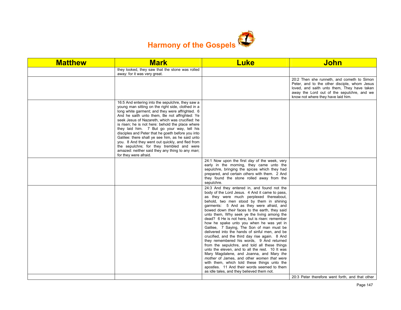

| <b>Matthew</b> | <b>Mark</b>                                                                                                                                                                                                                                                                                                                                                                                                                                                                                                                                                                                                                                         | <b>Luke</b>                                                                                                                                                                                                                                                                                                                                                                                                                                                                                                                                                                                                                                                                                                                                                                                                                                                                                                               | <b>John</b>                                                                                                                                                                                                                   |
|----------------|-----------------------------------------------------------------------------------------------------------------------------------------------------------------------------------------------------------------------------------------------------------------------------------------------------------------------------------------------------------------------------------------------------------------------------------------------------------------------------------------------------------------------------------------------------------------------------------------------------------------------------------------------------|---------------------------------------------------------------------------------------------------------------------------------------------------------------------------------------------------------------------------------------------------------------------------------------------------------------------------------------------------------------------------------------------------------------------------------------------------------------------------------------------------------------------------------------------------------------------------------------------------------------------------------------------------------------------------------------------------------------------------------------------------------------------------------------------------------------------------------------------------------------------------------------------------------------------------|-------------------------------------------------------------------------------------------------------------------------------------------------------------------------------------------------------------------------------|
|                | they looked, they saw that the stone was rolled<br>away: for it was very great.                                                                                                                                                                                                                                                                                                                                                                                                                                                                                                                                                                     |                                                                                                                                                                                                                                                                                                                                                                                                                                                                                                                                                                                                                                                                                                                                                                                                                                                                                                                           |                                                                                                                                                                                                                               |
|                |                                                                                                                                                                                                                                                                                                                                                                                                                                                                                                                                                                                                                                                     |                                                                                                                                                                                                                                                                                                                                                                                                                                                                                                                                                                                                                                                                                                                                                                                                                                                                                                                           | 20:2 Then she runneth, and cometh to Simon<br>Peter, and to the other disciple, whom Jesus<br>loved, and saith unto them, They have taken<br>away the Lord out of the sepulchre, and we<br>know not where they have laid him. |
|                | 16:5 And entering into the sepulchre, they saw a<br>young man sitting on the right side, clothed in a<br>long white garment; and they were affrighted. 6<br>And he saith unto them, Be not affrighted: Ye<br>seek Jesus of Nazareth, which was crucified: he<br>is risen; he is not here: behold the place where<br>they laid him. 7 But go your way, tell his<br>disciples and Peter that he goeth before you into<br>Galilee: there shall ye see him, as he said unto<br>you. 8 And they went out quickly, and fled from<br>the sepulchre; for they trembled and were<br>amazed: neither said they any thing to any man;<br>for they were afraid. |                                                                                                                                                                                                                                                                                                                                                                                                                                                                                                                                                                                                                                                                                                                                                                                                                                                                                                                           |                                                                                                                                                                                                                               |
|                |                                                                                                                                                                                                                                                                                                                                                                                                                                                                                                                                                                                                                                                     | 24:1 Now upon the first day of the week, very<br>early in the morning, they came unto the<br>sepulchre, bringing the spices which they had<br>prepared, and certain others with them. 2 And<br>they found the stone rolled away from the<br>sepulchre.                                                                                                                                                                                                                                                                                                                                                                                                                                                                                                                                                                                                                                                                    |                                                                                                                                                                                                                               |
|                |                                                                                                                                                                                                                                                                                                                                                                                                                                                                                                                                                                                                                                                     | 24:3 And they entered in, and found not the<br>body of the Lord Jesus. 4 And it came to pass,<br>as they were much perplexed thereabout,<br>behold, two men stood by them in shining<br>garments: 5 And as they were afraid, and<br>bowed down their faces to the earth, they said<br>unto them, Why seek ye the living among the<br>dead? 6 He is not here, but is risen: remember<br>how he spake unto you when he was yet in<br>Galilee, 7 Saying, The Son of man must be<br>delivered into the hands of sinful men, and be<br>crucified, and the third day rise again. 8 And<br>they remembered his words, 9 And returned<br>from the sepulchre, and told all these things<br>unto the eleven, and to all the rest. 10 It was<br>Mary Magdalene, and Joanna, and Mary the<br>mother of James, and other women that were<br>with them, which told these things unto the<br>apostles. 11 And their words seemed to them |                                                                                                                                                                                                                               |
|                |                                                                                                                                                                                                                                                                                                                                                                                                                                                                                                                                                                                                                                                     | as idle tales, and they believed them not.                                                                                                                                                                                                                                                                                                                                                                                                                                                                                                                                                                                                                                                                                                                                                                                                                                                                                | 20:3 Peter therefore went forth, and that other                                                                                                                                                                               |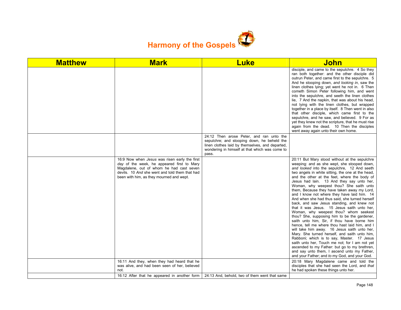

| <b>Matthew</b> | <b>Mark</b>                                                                                                                                                                                                                           | <b>Luke</b>                                                                                                                                                                                           | <b>John</b>                                                                                                                                                                                                                                                                                                                                                                                                                                                                                                                                                                                                                                                                                                                                                                                                                                                                                                                                                                                                                                                                                                                       |
|----------------|---------------------------------------------------------------------------------------------------------------------------------------------------------------------------------------------------------------------------------------|-------------------------------------------------------------------------------------------------------------------------------------------------------------------------------------------------------|-----------------------------------------------------------------------------------------------------------------------------------------------------------------------------------------------------------------------------------------------------------------------------------------------------------------------------------------------------------------------------------------------------------------------------------------------------------------------------------------------------------------------------------------------------------------------------------------------------------------------------------------------------------------------------------------------------------------------------------------------------------------------------------------------------------------------------------------------------------------------------------------------------------------------------------------------------------------------------------------------------------------------------------------------------------------------------------------------------------------------------------|
|                |                                                                                                                                                                                                                                       |                                                                                                                                                                                                       | disciple, and came to the sepulchre. 4 So they<br>ran both together: and the other disciple did<br>outrun Peter, and came first to the sepulchre. 5<br>And he stooping down, and looking in, saw the<br>linen clothes lying; yet went he not in. 6 Then<br>cometh Simon Peter following him, and went<br>into the sepulchre, and seeth the linen clothes<br>lie, 7 And the napkin, that was about his head,<br>not lying with the linen clothes, but wrapped<br>together in a place by itself. 8 Then went in also<br>that other disciple, which came first to the<br>sepulchre, and he saw, and believed. 9 For as<br>yet they knew not the scripture, that he must rise<br>again from the dead. 10 Then the disciples<br>went away again unto their own home.                                                                                                                                                                                                                                                                                                                                                                   |
|                |                                                                                                                                                                                                                                       | 24:12 Then arose Peter, and ran unto the<br>sepulchre; and stooping down, he beheld the<br>linen clothes laid by themselves, and departed,<br>wondering in himself at that which was come to<br>pass. |                                                                                                                                                                                                                                                                                                                                                                                                                                                                                                                                                                                                                                                                                                                                                                                                                                                                                                                                                                                                                                                                                                                                   |
|                | 16:9 Now when Jesus was risen early the first<br>day of the week, he appeared first to Mary<br>Magdalene, out of whom he had cast seven<br>devils. 10 And she went and told them that had<br>been with him, as they mourned and wept. |                                                                                                                                                                                                       | 20:11 But Mary stood without at the sepulchre<br>weeping: and as she wept, she stooped down,<br>and looked into the sepulchre, 12 And seeth<br>two angels in white sitting, the one at the head,<br>and the other at the feet, where the body of<br>Jesus had lain. 13 And they say unto her,<br>Woman, why weepest thou? She saith unto<br>them, Because they have taken away my Lord,<br>and I know not where they have laid him. 14<br>And when she had thus said, she turned herself<br>back, and saw Jesus standing, and knew not<br>that it was Jesus. 15 Jesus saith unto her,<br>Woman, why weepest thou? whom seekest<br>thou? She, supposing him to be the gardener,<br>saith unto him, Sir, if thou have borne him<br>hence, tell me where thou hast laid him, and I<br>will take him away. 16 Jesus saith unto her,<br>Mary. She turned herself, and saith unto him,<br>Rabboni; which is to say, Master. 17 Jesus<br>saith unto her. Touch me not; for I am not yet<br>ascended to my Father: but go to my brethren,<br>and say unto them, I ascend unto my Father,<br>and your Father; and to my God, and your God. |
|                | 16:11 And they, when they had heard that he<br>was alive, and had been seen of her, believed                                                                                                                                          |                                                                                                                                                                                                       | 20:18 Mary Magdalene came and told the<br>disciples that she had seen the Lord, and that                                                                                                                                                                                                                                                                                                                                                                                                                                                                                                                                                                                                                                                                                                                                                                                                                                                                                                                                                                                                                                          |
|                | not.<br>16:12 After that he appeared in another form                                                                                                                                                                                  | 24:13 And, behold, two of them went that same                                                                                                                                                         | he had spoken these things unto her.                                                                                                                                                                                                                                                                                                                                                                                                                                                                                                                                                                                                                                                                                                                                                                                                                                                                                                                                                                                                                                                                                              |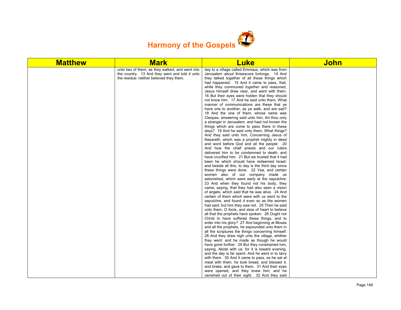

| unto two of them, as they walked, and went into<br>day to a village called Emmaus, which was from<br>the country. 13 And they went and told it unto<br>Jerusalem about threescore furlongs. 14 And<br>the residue: neither believed they them.<br>they talked together of all these things which<br>had happened. 15 And it came to pass, that,<br>while they communed together and reasoned,<br>Jesus himself drew near, and went with them.<br>16 But their eyes were holden that they should<br>not know him. 17 And he said unto them, What<br>manner of communications are these that ye<br>have one to another, as ye walk, and are sad?<br>18 And the one of them, whose name was<br>Cleopas, answering said unto him, Art thou only<br>a stranger in Jerusalem, and hast not known the<br>things which are come to pass there in these<br>days? 19 And he said unto them, What things?<br>And they said unto him, Concerning Jesus of<br>Nazareth, which was a prophet mighty in deed<br>and word before God and all the people: 20<br>And how the chief priests and our rulers<br>delivered him to be condemned to death, and<br>have crucified him. 21 But we trusted that it had<br>been he which should have redeemed Israel:<br>and beside all this, to day is the third day since<br>these things were done. 22 Yea, and certain<br>women also of our company made us<br>astonished, which were early at the sepulchre;<br>23 And when they found not his body, they<br>came, saying, that they had also seen a vision<br>of angels, which said that he was alive. 24 And<br>certain of them which were with us went to the<br>sepulchre, and found it even so as the women<br>had said: but him they saw not. 25 Then he said<br>unto them, O fools, and slow of heart to believe<br>all that the prophets have spoken: 26 Ought not<br>Christ to have suffered these things, and to<br>enter into his glory? 27 And beginning at Moses<br>and all the prophets, he expounded unto them in<br>all the scriptures the things concerning himself.<br>28 And they drew nigh unto the village, whither<br>they went: and he made as though he would<br>have gone further. 29 But they constrained him,<br>saying, Abide with us: for it is toward evening,<br>and the day is far spent. And he went in to tarry<br>with them. 30 And it came to pass, as he sat at<br>meat with them, he took bread, and blessed it, | <b>Matthew</b> | <b>Mark</b> | <b>Luke</b>                                    | <b>John</b> |
|---------------------------------------------------------------------------------------------------------------------------------------------------------------------------------------------------------------------------------------------------------------------------------------------------------------------------------------------------------------------------------------------------------------------------------------------------------------------------------------------------------------------------------------------------------------------------------------------------------------------------------------------------------------------------------------------------------------------------------------------------------------------------------------------------------------------------------------------------------------------------------------------------------------------------------------------------------------------------------------------------------------------------------------------------------------------------------------------------------------------------------------------------------------------------------------------------------------------------------------------------------------------------------------------------------------------------------------------------------------------------------------------------------------------------------------------------------------------------------------------------------------------------------------------------------------------------------------------------------------------------------------------------------------------------------------------------------------------------------------------------------------------------------------------------------------------------------------------------------------------------------------------------------------------------------------------------------------------------------------------------------------------------------------------------------------------------------------------------------------------------------------------------------------------------------------------------------------------------------------------------------------------------------------------------------------------------------------------------------------------------------------------------------------------------------|----------------|-------------|------------------------------------------------|-------------|
|                                                                                                                                                                                                                                                                                                                                                                                                                                                                                                                                                                                                                                                                                                                                                                                                                                                                                                                                                                                                                                                                                                                                                                                                                                                                                                                                                                                                                                                                                                                                                                                                                                                                                                                                                                                                                                                                                                                                                                                                                                                                                                                                                                                                                                                                                                                                                                                                                                 |                |             |                                                |             |
| were opened, and they knew him; and he<br>vanished out of their sight. 32 And they said                                                                                                                                                                                                                                                                                                                                                                                                                                                                                                                                                                                                                                                                                                                                                                                                                                                                                                                                                                                                                                                                                                                                                                                                                                                                                                                                                                                                                                                                                                                                                                                                                                                                                                                                                                                                                                                                                                                                                                                                                                                                                                                                                                                                                                                                                                                                         |                |             | and brake, and gave to them. 31 And their eyes |             |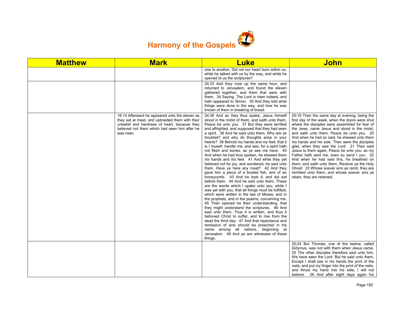

| <b>Matthew</b> | <b>Mark</b>                                                                                                                                                                                                      | <b>Luke</b>                                                                                                                                                                                                                                                                                                                                                                                                                                                                                                                                                                                                                                                                                                                                                                                                                                                                                                                                                                                                                                                                                                                                                                                                                                                                                                                                                                                                                    | <b>John</b>                                                                                                                                                                                                                                                                                                                                                                                                                                                                                                                                                                                                                                                                                                                      |
|----------------|------------------------------------------------------------------------------------------------------------------------------------------------------------------------------------------------------------------|--------------------------------------------------------------------------------------------------------------------------------------------------------------------------------------------------------------------------------------------------------------------------------------------------------------------------------------------------------------------------------------------------------------------------------------------------------------------------------------------------------------------------------------------------------------------------------------------------------------------------------------------------------------------------------------------------------------------------------------------------------------------------------------------------------------------------------------------------------------------------------------------------------------------------------------------------------------------------------------------------------------------------------------------------------------------------------------------------------------------------------------------------------------------------------------------------------------------------------------------------------------------------------------------------------------------------------------------------------------------------------------------------------------------------------|----------------------------------------------------------------------------------------------------------------------------------------------------------------------------------------------------------------------------------------------------------------------------------------------------------------------------------------------------------------------------------------------------------------------------------------------------------------------------------------------------------------------------------------------------------------------------------------------------------------------------------------------------------------------------------------------------------------------------------|
|                |                                                                                                                                                                                                                  | one to another, Did not our heart burn within us,<br>while he talked with us by the way, and while he<br>opened to us the scriptures?                                                                                                                                                                                                                                                                                                                                                                                                                                                                                                                                                                                                                                                                                                                                                                                                                                                                                                                                                                                                                                                                                                                                                                                                                                                                                          |                                                                                                                                                                                                                                                                                                                                                                                                                                                                                                                                                                                                                                                                                                                                  |
|                |                                                                                                                                                                                                                  | 24:33 And they rose up the same hour, and<br>returned to Jerusalem, and found the eleven<br>gathered together, and them that were with<br>them, 34 Saying, The Lord is risen indeed, and<br>hath appeared to Simon. 35 And they told what<br>things were done in the way, and how he was<br>known of them in breaking of bread.                                                                                                                                                                                                                                                                                                                                                                                                                                                                                                                                                                                                                                                                                                                                                                                                                                                                                                                                                                                                                                                                                                |                                                                                                                                                                                                                                                                                                                                                                                                                                                                                                                                                                                                                                                                                                                                  |
|                | 16:14 Afterward he appeared unto the eleven as<br>they sat at meat, and upbraided them with their<br>unbelief and hardness of heart, because they<br>believed not them which had seen him after he<br>was risen. | 24:36 And as they thus spake, Jesus himself<br>stood in the midst of them, and saith unto them,<br>Peace be unto you. 37 But they were terrified<br>and affrighted, and supposed that they had seen<br>a spirit. 38 And he said unto them, Why are ye<br>troubled? and why do thoughts arise in your<br>hearts? 39 Behold my hands and my feet, that it<br>is I myself: handle me, and see; for a spirit hath<br>not flesh and bones, as ye see me have. 40<br>And when he had thus spoken, he shewed them<br>his hands and his feet. 41 And while they yet<br>believed not for joy, and wondered, he said unto<br>them, Have ye here any meat? 42 And they<br>gave him a piece of a broiled fish, and of an<br>honeycomb. 43 And he took it, and did eat<br>before them. 44 And he said unto them. These<br>are the words which I spake unto you, while I<br>was yet with you, that all things must be fulfilled,<br>which were written in the law of Moses, and in<br>the prophets, and in the psalms, concerning me.<br>45 Then opened he their understanding, that<br>they might understand the scriptures, 46 And<br>said unto them. Thus it is written, and thus it<br>behoved Christ to suffer, and to rise from the<br>dead the third day: 47 And that repentance and<br>remission of sins should be preached in his<br>name among all nations, beginning at<br>Jerusalem. 48 And ye are witnesses of these<br>things. | 20:19 Then the same day at evening, being the<br>first day of the week, when the doors were shut<br>where the disciples were assembled for fear of<br>the Jews, came Jesus and stood in the midst,<br>and saith unto them, Peace be unto you. 20<br>And when he had so said, he shewed unto them<br>his hands and his side. Then were the disciples<br>glad, when they saw the Lord. 21 Then said<br>Jesus to them again, Peace be unto you: as my<br>Father hath sent me, even so send I you. 22<br>And when he had said this, he breathed on<br>them, and saith unto them, Receive ye the Holy<br>Ghost: 23 Whose soever sins ye remit, they are<br>remitted unto them; and whose soever sins ye<br>retain, they are retained. |
|                |                                                                                                                                                                                                                  |                                                                                                                                                                                                                                                                                                                                                                                                                                                                                                                                                                                                                                                                                                                                                                                                                                                                                                                                                                                                                                                                                                                                                                                                                                                                                                                                                                                                                                | 20:24 But Thomas, one of the twelve, called<br>Didymus, was not with them when Jesus came.<br>25 The other disciples therefore said unto him,<br>We have seen the Lord. But he said unto them,<br>Except I shall see in his hands the print of the<br>nails, and put my finger into the print of the nails,<br>and thrust my hand into his side, I will not<br>believe. 26 And after eight days again his                                                                                                                                                                                                                                                                                                                        |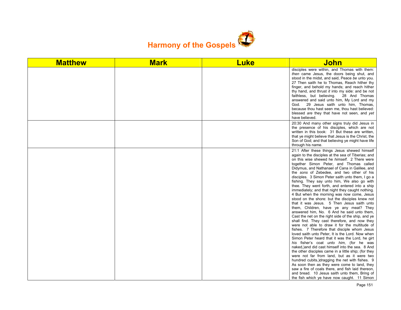

| <b>Matthew</b> | <b>Mark</b> | <b>Luke</b> | <b>John</b>                                                                                                                                                                                                                                                                                                                                                                                                                                                                                                                                                                                                                                                                                                                                                                                                                                                                                                                                                                                                                                                                                                                                                                                                                                                                                                                                                                                                                                                                                                             |
|----------------|-------------|-------------|-------------------------------------------------------------------------------------------------------------------------------------------------------------------------------------------------------------------------------------------------------------------------------------------------------------------------------------------------------------------------------------------------------------------------------------------------------------------------------------------------------------------------------------------------------------------------------------------------------------------------------------------------------------------------------------------------------------------------------------------------------------------------------------------------------------------------------------------------------------------------------------------------------------------------------------------------------------------------------------------------------------------------------------------------------------------------------------------------------------------------------------------------------------------------------------------------------------------------------------------------------------------------------------------------------------------------------------------------------------------------------------------------------------------------------------------------------------------------------------------------------------------------|
|                |             |             | disciples were within, and Thomas with them:<br>then came Jesus, the doors being shut, and<br>stood in the midst, and said, Peace be unto you.<br>27 Then saith he to Thomas, Reach hither thy<br>finger, and behold my hands; and reach hither<br>thy hand, and thrust it into my side: and be not<br>faithless, but believing. 28 And Thomas<br>answered and said unto him, My Lord and my<br>29 Jesus saith unto him, Thomas,<br>God.<br>because thou hast seen me, thou hast believed:<br>blessed are they that have not seen, and yet<br>have believed.                                                                                                                                                                                                                                                                                                                                                                                                                                                                                                                                                                                                                                                                                                                                                                                                                                                                                                                                                            |
|                |             |             | 20:30 And many other signs truly did Jesus in<br>the presence of his disciples, which are not<br>written in this book: 31 But these are written,<br>that ye might believe that Jesus is the Christ, the<br>Son of God; and that believing ye might have life<br>through his name.                                                                                                                                                                                                                                                                                                                                                                                                                                                                                                                                                                                                                                                                                                                                                                                                                                                                                                                                                                                                                                                                                                                                                                                                                                       |
|                |             |             | 21:1 After these things Jesus shewed himself<br>again to the disciples at the sea of Tiberias; and<br>on this wise shewed he himself. 2 There were<br>together Simon Peter, and Thomas called<br>Didymus, and Nathanael of Cana in Galilee, and<br>the sons of Zebedee, and two other of his<br>disciples. 3 Simon Peter saith unto them, I go a<br>fishing. They say unto him, We also go with<br>thee. They went forth, and entered into a ship<br>immediately; and that night they caught nothing.<br>4 But when the morning was now come, Jesus<br>stood on the shore: but the disciples knew not<br>that it was Jesus. 5 Then Jesus saith unto<br>them, Children, have ye any meat? They<br>answered him, No. 6 And he said unto them,<br>Cast the net on the right side of the ship, and ye<br>shall find. They cast therefore, and now they<br>were not able to draw it for the multitude of<br>fishes. 7 Therefore that disciple whom Jesus<br>loved saith unto Peter, It is the Lord. Now when<br>Simon Peter heard that it was the Lord, he girt<br>his fisher's coat unto him, (for he was<br>naked,) and did cast himself into the sea. 8 And<br>the other disciples came in a little ship; (for they<br>were not far from land, but as it were two<br>hundred cubits, dragging the net with fishes. 9<br>As soon then as they were come to land, they<br>saw a fire of coals there, and fish laid thereon,<br>and bread. 10 Jesus saith unto them, Bring of<br>the fish which ye have now caught. 11 Simon |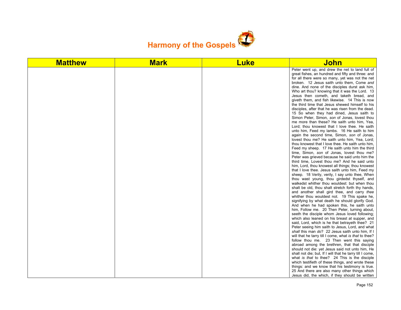

| <b>Matthew</b> | <b>Mark</b> | <b>Luke</b> | <u>John</u>                                                                                                                                                                                                                                                                                                                                                                                                                                                                                                                                                                                                                                                                                                                                                                                                                                                                                                                                                                                                                                                                                                                                                                                                                                                                                                                                                                                                                                                                                                                                                                                                                                                                                                                                                                                                                                                                                                                                                                                                                                                                                            |
|----------------|-------------|-------------|--------------------------------------------------------------------------------------------------------------------------------------------------------------------------------------------------------------------------------------------------------------------------------------------------------------------------------------------------------------------------------------------------------------------------------------------------------------------------------------------------------------------------------------------------------------------------------------------------------------------------------------------------------------------------------------------------------------------------------------------------------------------------------------------------------------------------------------------------------------------------------------------------------------------------------------------------------------------------------------------------------------------------------------------------------------------------------------------------------------------------------------------------------------------------------------------------------------------------------------------------------------------------------------------------------------------------------------------------------------------------------------------------------------------------------------------------------------------------------------------------------------------------------------------------------------------------------------------------------------------------------------------------------------------------------------------------------------------------------------------------------------------------------------------------------------------------------------------------------------------------------------------------------------------------------------------------------------------------------------------------------------------------------------------------------------------------------------------------------|
|                |             |             | Peter went up, and drew the net to land full of<br>great fishes, an hundred and fifty and three: and<br>for all there were so many, yet was not the net<br>broken. 12 Jesus saith unto them, Come and<br>dine. And none of the disciples durst ask him,<br>Who art thou? knowing that it was the Lord. 13<br>Jesus then cometh, and taketh bread, and<br>giveth them, and fish likewise. 14 This is now<br>the third time that Jesus shewed himself to his<br>disciples, after that he was risen from the dead.<br>15 So when they had dined, Jesus saith to<br>Simon Peter, Simon, son of Jonas, lovest thou<br>me more than these? He saith unto him, Yea,<br>Lord; thou knowest that I love thee. He saith<br>unto him, Feed my lambs. 16 He saith to him<br>again the second time, Simon, son of Jonas,<br>lovest thou me? He saith unto him, Yea, Lord;<br>thou knowest that I love thee. He saith unto him,<br>Feed my sheep. 17 He saith unto him the third<br>time, Simon, son of Jonas, lovest thou me?<br>Peter was grieved because he said unto him the<br>third time, Lovest thou me? And he said unto<br>him, Lord, thou knowest all things; thou knowest<br>that I love thee. Jesus saith unto him, Feed my<br>sheep. 18 Verily, verily, I say unto thee, When<br>thou wast young, thou girdedst thyself, and<br>walkedst whither thou wouldest: but when thou<br>shalt be old, thou shalt stretch forth thy hands,<br>and another shall gird thee, and carry thee<br>whither thou wouldest not. 19 This spake he,<br>signifying by what death he should glorify God.<br>And when he had spoken this, he saith unto<br>him, Follow me. 20 Then Peter, turning about,<br>seeth the disciple whom Jesus loved following;<br>which also leaned on his breast at supper, and<br>said, Lord, which is he that betrayeth thee? 21<br>Peter seeing him saith to Jesus, Lord, and what<br>shall this man do? 22 Jesus saith unto him, If I<br>will that he tarry till I come, what is that to thee?<br>follow thou me. 23 Then went this saying<br>abroad among the brethren, that that disciple |
|                |             |             |                                                                                                                                                                                                                                                                                                                                                                                                                                                                                                                                                                                                                                                                                                                                                                                                                                                                                                                                                                                                                                                                                                                                                                                                                                                                                                                                                                                                                                                                                                                                                                                                                                                                                                                                                                                                                                                                                                                                                                                                                                                                                                        |
|                |             |             | should not die: yet Jesus said not unto him, He<br>shall not die; but, If I will that he tarry till I come,<br>what is that to thee? 24 This is the disciple<br>which testifieth of these things, and wrote these                                                                                                                                                                                                                                                                                                                                                                                                                                                                                                                                                                                                                                                                                                                                                                                                                                                                                                                                                                                                                                                                                                                                                                                                                                                                                                                                                                                                                                                                                                                                                                                                                                                                                                                                                                                                                                                                                      |
|                |             |             | things: and we know that his testimony is true.<br>25 And there are also many other things which<br>Jesus did, the which, if they should be written                                                                                                                                                                                                                                                                                                                                                                                                                                                                                                                                                                                                                                                                                                                                                                                                                                                                                                                                                                                                                                                                                                                                                                                                                                                                                                                                                                                                                                                                                                                                                                                                                                                                                                                                                                                                                                                                                                                                                    |